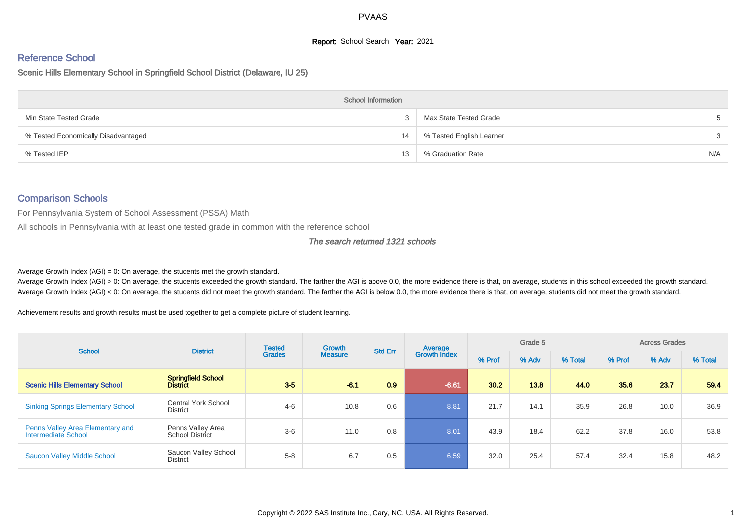# **Report:** School Search **Year:** 2021

# Reference School

Scenic Hills Elementary School in Springfield School District (Delaware, IU 25)

|                                     | <b>School Information</b> |                          |               |
|-------------------------------------|---------------------------|--------------------------|---------------|
| Min State Tested Grade              |                           | Max State Tested Grade   |               |
| % Tested Economically Disadvantaged | 14                        | % Tested English Learner | $\mathcal{S}$ |
| % Tested IEP                        | 13                        | % Graduation Rate        | N/A           |

#### Comparison Schools

For Pennsylvania System of School Assessment (PSSA) Math

All schools in Pennsylvania with at least one tested grade in common with the reference school

#### The search returned 1321 schools

Average Growth Index  $(AGI) = 0$ : On average, the students met the growth standard.

Average Growth Index (AGI) > 0: On average, the students exceeded the growth standard. The farther the AGI is above 0.0, the more evidence there is that, on average, students in this school exceeded the growth standard. Average Growth Index (AGI) < 0: On average, the students did not meet the growth standard. The farther the AGI is below 0.0, the more evidence there is that, on average, students did not meet the growth standard.

Achievement results and growth results must be used together to get a complete picture of student learning.

| <b>School</b>                                           | <b>District</b>                               | <b>Tested</b><br><b>Grades</b> | Growth         | <b>Std Err</b> | Average             | Grade 5 |       |         | <b>Across Grades</b> |       |         |
|---------------------------------------------------------|-----------------------------------------------|--------------------------------|----------------|----------------|---------------------|---------|-------|---------|----------------------|-------|---------|
|                                                         |                                               |                                | <b>Measure</b> |                | <b>Growth Index</b> | % Prof  | % Adv | % Total | % Prof               | % Adv | % Total |
| Scenic Hills Elementary School                          | <b>Springfield School</b><br><b>District</b>  | $3-5$                          | $-6.1$         | 0.9            | $-6.61$             | 30.2    | 13.8  | 44.0    | 35.6                 | 23.7  | 59.4    |
| <b>Sinking Springs Elementary School</b>                | <b>Central York School</b><br><b>District</b> | $4 - 6$                        | 10.8           | 0.6            | 8.81                | 21.7    | 14.1  | 35.9    | 26.8                 | 10.0  | 36.9    |
| Penns Valley Area Elementary and<br>Intermediate School | Penns Valley Area<br><b>School District</b>   | $3-6$                          | 11.0           | 0.8            | 8.01                | 43.9    | 18.4  | 62.2    | 37.8                 | 16.0  | 53.8    |
| <b>Saucon Valley Middle School</b>                      | Saucon Valley School<br>District              | $5 - 8$                        | 6.7            | 0.5            | 6.59                | 32.0    | 25.4  | 57.4    | 32.4                 | 15.8  | 48.2    |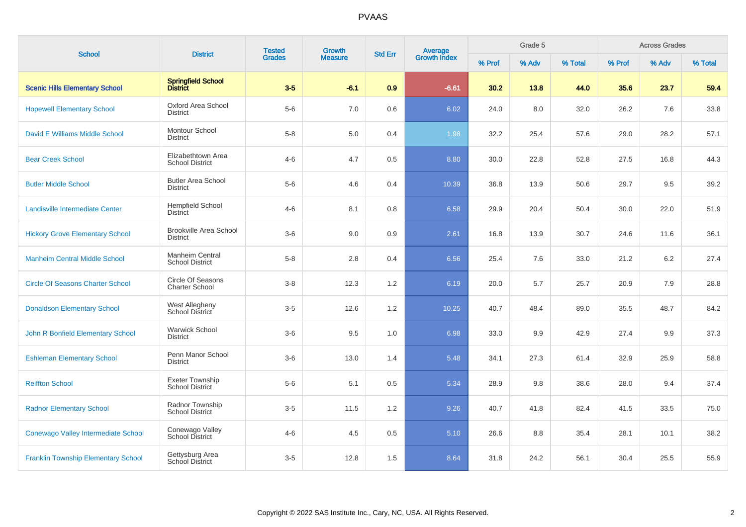| <b>School</b>                              | <b>District</b>                                   | <b>Tested</b> | Growth         | <b>Std Err</b> |                                |        | Grade 5 |         |        | <b>Across Grades</b> |         |
|--------------------------------------------|---------------------------------------------------|---------------|----------------|----------------|--------------------------------|--------|---------|---------|--------|----------------------|---------|
|                                            |                                                   | <b>Grades</b> | <b>Measure</b> |                | <b>Average</b><br>Growth Index | % Prof | % Adv   | % Total | % Prof | % Adv                | % Total |
| <b>Scenic Hills Elementary School</b>      | Springfield School<br>District                    | $3-5$         | $-6.1$         | 0.9            | $-6.61$                        | 30.2   | 13.8    | 44.0    | 35.6   | 23.7                 | 59.4    |
| <b>Hopewell Elementary School</b>          | Oxford Area School<br><b>District</b>             | $5-6$         | 7.0            | 0.6            | 6.02                           | 24.0   | 8.0     | 32.0    | 26.2   | 7.6                  | 33.8    |
| David E Williams Middle School             | Montour School<br><b>District</b>                 | $5 - 8$       | 5.0            | 0.4            | 1.98                           | 32.2   | 25.4    | 57.6    | 29.0   | 28.2                 | 57.1    |
| <b>Bear Creek School</b>                   | Elizabethtown Area<br><b>School District</b>      | $4 - 6$       | 4.7            | 0.5            | 8.80                           | 30.0   | 22.8    | 52.8    | 27.5   | 16.8                 | 44.3    |
| <b>Butler Middle School</b>                | <b>Butler Area School</b><br><b>District</b>      | $5-6$         | 4.6            | 0.4            | 10.39                          | 36.8   | 13.9    | 50.6    | 29.7   | 9.5                  | 39.2    |
| Landisville Intermediate Center            | <b>Hempfield School</b><br><b>District</b>        | $4 - 6$       | 8.1            | 0.8            | 6.58                           | 29.9   | 20.4    | 50.4    | 30.0   | 22.0                 | 51.9    |
| <b>Hickory Grove Elementary School</b>     | <b>Brookville Area School</b><br><b>District</b>  | $3-6$         | 9.0            | 0.9            | 2.61                           | 16.8   | 13.9    | 30.7    | 24.6   | 11.6                 | 36.1    |
| <b>Manheim Central Middle School</b>       | Manheim Central<br><b>School District</b>         | $5 - 8$       | 2.8            | 0.4            | 6.56                           | 25.4   | 7.6     | 33.0    | 21.2   | 6.2                  | 27.4    |
| <b>Circle Of Seasons Charter School</b>    | <b>Circle Of Seasons</b><br><b>Charter School</b> | $3 - 8$       | 12.3           | 1.2            | 6.19                           | 20.0   | 5.7     | 25.7    | 20.9   | 7.9                  | 28.8    |
| <b>Donaldson Elementary School</b>         | West Allegheny<br>School District                 | $3-5$         | 12.6           | 1.2            | 10.25                          | 40.7   | 48.4    | 89.0    | 35.5   | 48.7                 | 84.2    |
| John R Bonfield Elementary School          | <b>Warwick School</b><br><b>District</b>          | $3-6$         | 9.5            | 1.0            | 6.98                           | 33.0   | 9.9     | 42.9    | 27.4   | 9.9                  | 37.3    |
| <b>Eshleman Elementary School</b>          | Penn Manor School<br><b>District</b>              | $3-6$         | 13.0           | 1.4            | 5.48                           | 34.1   | 27.3    | 61.4    | 32.9   | 25.9                 | 58.8    |
| <b>Reiffton School</b>                     | Exeter Township<br><b>School District</b>         | $5-6$         | 5.1            | 0.5            | 5.34                           | 28.9   | 9.8     | 38.6    | 28.0   | 9.4                  | 37.4    |
| <b>Radnor Elementary School</b>            | Radnor Township<br><b>School District</b>         | $3-5$         | 11.5           | 1.2            | 9.26                           | 40.7   | 41.8    | 82.4    | 41.5   | 33.5                 | 75.0    |
| Conewago Valley Intermediate School        | Conewago Valley<br>School District                | $4 - 6$       | 4.5            | $0.5\,$        | 5.10                           | 26.6   | 8.8     | 35.4    | 28.1   | 10.1                 | 38.2    |
| <b>Franklin Township Elementary School</b> | Gettysburg Area<br>School District                | $3-5$         | 12.8           | 1.5            | 8.64                           | 31.8   | 24.2    | 56.1    | 30.4   | 25.5                 | 55.9    |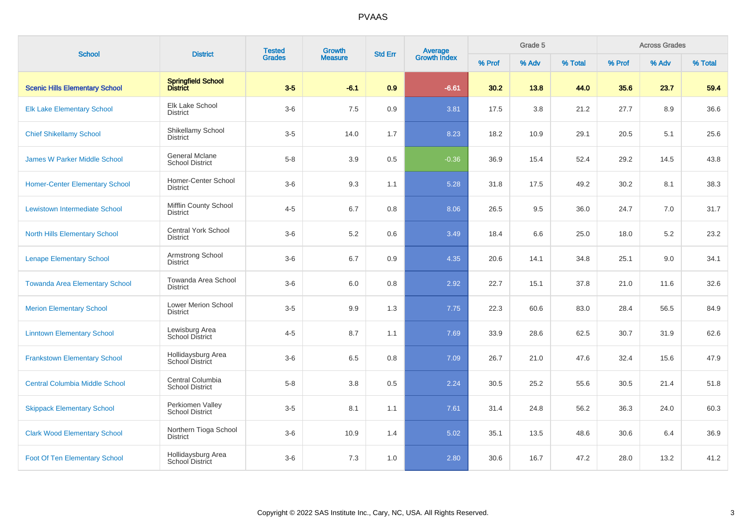| <b>School</b>                         | <b>Tested</b><br>Growth<br><b>District</b><br><b>Grades</b><br><b>Measure</b> | <b>Std Err</b> | <b>Average</b><br>Growth Index |     | Grade 5 |        | <b>Across Grades</b> |         |        |       |         |
|---------------------------------------|-------------------------------------------------------------------------------|----------------|--------------------------------|-----|---------|--------|----------------------|---------|--------|-------|---------|
|                                       |                                                                               |                |                                |     |         | % Prof | % Adv                | % Total | % Prof | % Adv | % Total |
| <b>Scenic Hills Elementary School</b> | Springfield School<br>District                                                | $3-5$          | $-6.1$                         | 0.9 | $-6.61$ | 30.2   | 13.8                 | 44.0    | 35.6   | 23.7  | 59.4    |
| <b>Elk Lake Elementary School</b>     | Elk Lake School<br><b>District</b>                                            | $3-6$          | 7.5                            | 0.9 | 3.81    | 17.5   | 3.8                  | 21.2    | 27.7   | 8.9   | 36.6    |
| <b>Chief Shikellamy School</b>        | Shikellamy School<br><b>District</b>                                          | $3-5$          | 14.0                           | 1.7 | 8.23    | 18.2   | 10.9                 | 29.1    | 20.5   | 5.1   | 25.6    |
| <b>James W Parker Middle School</b>   | General Mclane<br><b>School District</b>                                      | $5-8$          | 3.9                            | 0.5 | $-0.36$ | 36.9   | 15.4                 | 52.4    | 29.2   | 14.5  | 43.8    |
| <b>Homer-Center Elementary School</b> | Homer-Center School<br><b>District</b>                                        | $3-6$          | 9.3                            | 1.1 | 5.28    | 31.8   | 17.5                 | 49.2    | 30.2   | 8.1   | 38.3    |
| Lewistown Intermediate School         | Mifflin County School<br><b>District</b>                                      | $4 - 5$        | 6.7                            | 0.8 | 8.06    | 26.5   | 9.5                  | 36.0    | 24.7   | 7.0   | 31.7    |
| <b>North Hills Elementary School</b>  | <b>Central York School</b><br><b>District</b>                                 | $3-6$          | 5.2                            | 0.6 | 3.49    | 18.4   | 6.6                  | 25.0    | 18.0   | 5.2   | 23.2    |
| <b>Lenape Elementary School</b>       | Armstrong School<br><b>District</b>                                           | $3-6$          | 6.7                            | 0.9 | 4.35    | 20.6   | 14.1                 | 34.8    | 25.1   | 9.0   | 34.1    |
| <b>Towanda Area Elementary School</b> | Towanda Area School<br><b>District</b>                                        | $3-6$          | 6.0                            | 0.8 | 2.92    | 22.7   | 15.1                 | 37.8    | 21.0   | 11.6  | 32.6    |
| <b>Merion Elementary School</b>       | Lower Merion School<br><b>District</b>                                        | $3-5$          | 9.9                            | 1.3 | 7.75    | 22.3   | 60.6                 | 83.0    | 28.4   | 56.5  | 84.9    |
| <b>Linntown Elementary School</b>     | Lewisburg Area<br><b>School District</b>                                      | $4 - 5$        | 8.7                            | 1.1 | 7.69    | 33.9   | 28.6                 | 62.5    | 30.7   | 31.9  | 62.6    |
| <b>Frankstown Elementary School</b>   | Hollidaysburg Area<br>School District                                         | $3-6$          | 6.5                            | 0.8 | 7.09    | 26.7   | 21.0                 | 47.6    | 32.4   | 15.6  | 47.9    |
| <b>Central Columbia Middle School</b> | Central Columbia<br><b>School District</b>                                    | $5-8$          | 3.8                            | 0.5 | 2.24    | 30.5   | 25.2                 | 55.6    | 30.5   | 21.4  | 51.8    |
| <b>Skippack Elementary School</b>     | Perkiomen Valley<br><b>School District</b>                                    | $3-5$          | 8.1                            | 1.1 | 7.61    | 31.4   | 24.8                 | 56.2    | 36.3   | 24.0  | 60.3    |
| <b>Clark Wood Elementary School</b>   | Northern Tioga School<br><b>District</b>                                      | $3-6$          | 10.9                           | 1.4 | 5.02    | 35.1   | 13.5                 | 48.6    | 30.6   | 6.4   | 36.9    |
| <b>Foot Of Ten Elementary School</b>  | Hollidaysburg Area<br>School District                                         | $3-6$          | 7.3                            | 1.0 | 2.80    | 30.6   | 16.7                 | 47.2    | 28.0   | 13.2  | 41.2    |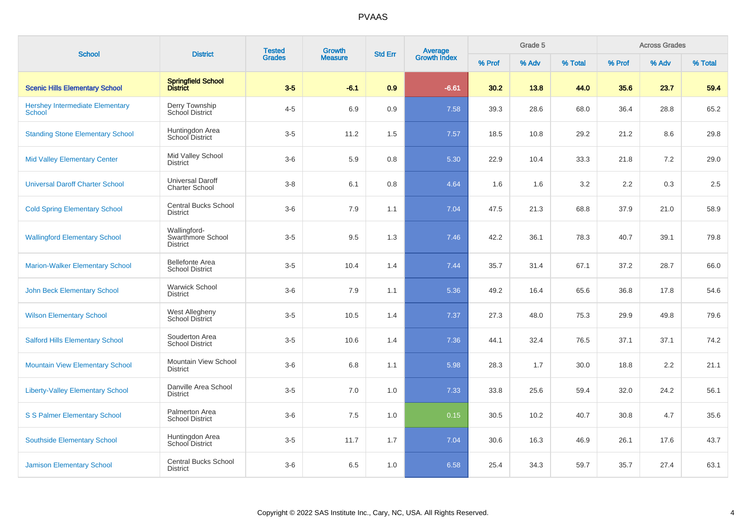| <b>School</b>                                           | <b>District</b>                                      | <b>Tested</b> | Growth         | <b>Std Err</b> |                                |        | Grade 5 |         |        | <b>Across Grades</b> |         |
|---------------------------------------------------------|------------------------------------------------------|---------------|----------------|----------------|--------------------------------|--------|---------|---------|--------|----------------------|---------|
|                                                         |                                                      | <b>Grades</b> | <b>Measure</b> |                | <b>Average</b><br>Growth Index | % Prof | % Adv   | % Total | % Prof | % Adv                | % Total |
| <b>Scenic Hills Elementary School</b>                   | Springfield School<br>District                       | $3-5$         | $-6.1$         | 0.9            | $-6.61$                        | 30.2   | 13.8    | 44.0    | 35.6   | 23.7                 | 59.4    |
| <b>Hershey Intermediate Elementary</b><br><b>School</b> | Derry Township<br>School District                    | $4 - 5$       | 6.9            | 0.9            | 7.58                           | 39.3   | 28.6    | 68.0    | 36.4   | 28.8                 | 65.2    |
| <b>Standing Stone Elementary School</b>                 | Huntingdon Area<br>School District                   | $3-5$         | 11.2           | 1.5            | 7.57                           | 18.5   | 10.8    | 29.2    | 21.2   | 8.6                  | 29.8    |
| <b>Mid Valley Elementary Center</b>                     | Mid Valley School<br><b>District</b>                 | $3-6$         | 5.9            | 0.8            | 5.30                           | 22.9   | 10.4    | 33.3    | 21.8   | $7.2\,$              | 29.0    |
| <b>Universal Daroff Charter School</b>                  | <b>Universal Daroff</b><br><b>Charter School</b>     | $3-8$         | 6.1            | 0.8            | 4.64                           | 1.6    | 1.6     | 3.2     | 2.2    | 0.3                  | 2.5     |
| <b>Cold Spring Elementary School</b>                    | <b>Central Bucks School</b><br><b>District</b>       | $3-6$         | 7.9            | 1.1            | 7.04                           | 47.5   | 21.3    | 68.8    | 37.9   | 21.0                 | 58.9    |
| <b>Wallingford Elementary School</b>                    | Wallingford-<br>Swarthmore School<br><b>District</b> | $3-5$         | 9.5            | 1.3            | 7.46                           | 42.2   | 36.1    | 78.3    | 40.7   | 39.1                 | 79.8    |
| <b>Marion-Walker Elementary School</b>                  | <b>Bellefonte Area</b><br><b>School District</b>     | $3-5$         | 10.4           | 1.4            | 7.44                           | 35.7   | 31.4    | 67.1    | 37.2   | 28.7                 | 66.0    |
| <b>John Beck Elementary School</b>                      | <b>Warwick School</b><br><b>District</b>             | $3-6$         | 7.9            | 1.1            | 5.36                           | 49.2   | 16.4    | 65.6    | 36.8   | 17.8                 | 54.6    |
| <b>Wilson Elementary School</b>                         | <b>West Allegheny</b><br>School District             | $3-5$         | 10.5           | 1.4            | 7.37                           | 27.3   | 48.0    | 75.3    | 29.9   | 49.8                 | 79.6    |
| <b>Salford Hills Elementary School</b>                  | Souderton Area<br><b>School District</b>             | $3-5$         | 10.6           | 1.4            | 7.36                           | 44.1   | 32.4    | 76.5    | 37.1   | 37.1                 | 74.2    |
| <b>Mountain View Elementary School</b>                  | Mountain View School<br><b>District</b>              | $3-6$         | 6.8            | 1.1            | 5.98                           | 28.3   | 1.7     | 30.0    | 18.8   | 2.2                  | 21.1    |
| <b>Liberty-Valley Elementary School</b>                 | Danville Area School<br><b>District</b>              | $3-5$         | 7.0            | 1.0            | 7.33                           | 33.8   | 25.6    | 59.4    | 32.0   | 24.2                 | 56.1    |
| <b>S S Palmer Elementary School</b>                     | Palmerton Area<br><b>School District</b>             | $3-6$         | 7.5            | 1.0            | 0.15                           | 30.5   | 10.2    | 40.7    | 30.8   | 4.7                  | 35.6    |
| <b>Southside Elementary School</b>                      | Huntingdon Area<br><b>School District</b>            | $3-5$         | 11.7           | 1.7            | 7.04                           | 30.6   | 16.3    | 46.9    | 26.1   | 17.6                 | 43.7    |
| <b>Jamison Elementary School</b>                        | <b>Central Bucks School</b><br><b>District</b>       | $3-6$         | 6.5            | 1.0            | 6.58                           | 25.4   | 34.3    | 59.7    | 35.7   | 27.4                 | 63.1    |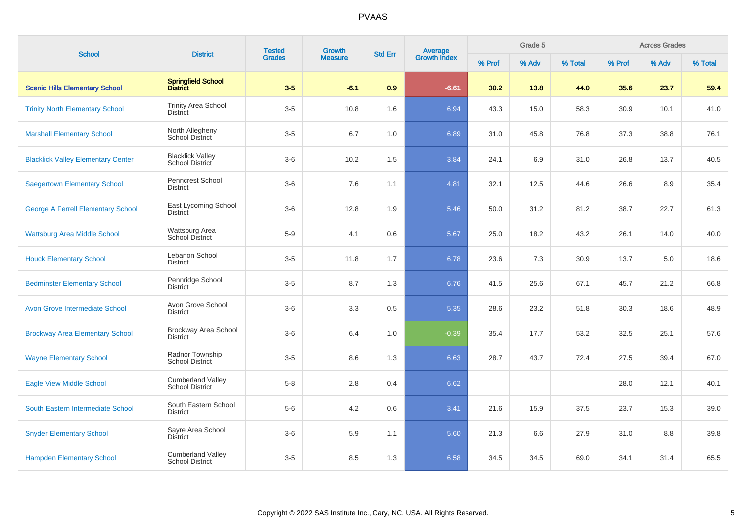| <b>School</b>                             |                                                    | <b>Tested</b><br>Growth<br><b>District</b><br><b>Grades</b><br><b>Measure</b> |        | <b>Std Err</b> | <b>Average</b><br>Growth Index |        | Grade 5 |         | <b>Across Grades</b> |       |         |  |
|-------------------------------------------|----------------------------------------------------|-------------------------------------------------------------------------------|--------|----------------|--------------------------------|--------|---------|---------|----------------------|-------|---------|--|
|                                           |                                                    |                                                                               |        |                |                                | % Prof | % Adv   | % Total | % Prof               | % Adv | % Total |  |
| <b>Scenic Hills Elementary School</b>     | Springfield School<br>District                     | $3-5$                                                                         | $-6.1$ | 0.9            | $-6.61$                        | 30.2   | 13.8    | 44.0    | 35.6                 | 23.7  | 59.4    |  |
| <b>Trinity North Elementary School</b>    | <b>Trinity Area School</b><br><b>District</b>      | $3-5$                                                                         | 10.8   | 1.6            | 6.94                           | 43.3   | 15.0    | 58.3    | 30.9                 | 10.1  | 41.0    |  |
| <b>Marshall Elementary School</b>         | North Allegheny<br>School District                 | $3-5$                                                                         | 6.7    | 1.0            | 6.89                           | 31.0   | 45.8    | 76.8    | 37.3                 | 38.8  | 76.1    |  |
| <b>Blacklick Valley Elementary Center</b> | <b>Blacklick Valley</b><br>School District         | $3-6$                                                                         | 10.2   | 1.5            | 3.84                           | 24.1   | 6.9     | 31.0    | 26.8                 | 13.7  | 40.5    |  |
| <b>Saegertown Elementary School</b>       | Penncrest School<br><b>District</b>                | $3-6$                                                                         | 7.6    | 1.1            | 4.81                           | 32.1   | 12.5    | 44.6    | 26.6                 | 8.9   | 35.4    |  |
| <b>George A Ferrell Elementary School</b> | East Lycoming School<br><b>District</b>            | $3-6$                                                                         | 12.8   | 1.9            | 5.46                           | 50.0   | 31.2    | 81.2    | 38.7                 | 22.7  | 61.3    |  |
| <b>Wattsburg Area Middle School</b>       | Wattsburg Area<br>School District                  | $5-9$                                                                         | 4.1    | 0.6            | 5.67                           | 25.0   | 18.2    | 43.2    | 26.1                 | 14.0  | 40.0    |  |
| <b>Houck Elementary School</b>            | Lebanon School<br><b>District</b>                  | $3-5$                                                                         | 11.8   | 1.7            | 6.78                           | 23.6   | 7.3     | 30.9    | 13.7                 | 5.0   | 18.6    |  |
| <b>Bedminster Elementary School</b>       | Pennridge School<br>District                       | $3-5$                                                                         | 8.7    | 1.3            | 6.76                           | 41.5   | 25.6    | 67.1    | 45.7                 | 21.2  | 66.8    |  |
| <b>Avon Grove Intermediate School</b>     | Avon Grove School<br><b>District</b>               | $3-6$                                                                         | 3.3    | 0.5            | 5.35                           | 28.6   | 23.2    | 51.8    | 30.3                 | 18.6  | 48.9    |  |
| <b>Brockway Area Elementary School</b>    | Brockway Area School<br><b>District</b>            | $3-6$                                                                         | 6.4    | 1.0            | $-0.39$                        | 35.4   | 17.7    | 53.2    | 32.5                 | 25.1  | 57.6    |  |
| <b>Wayne Elementary School</b>            | Radnor Township<br><b>School District</b>          | $3-5$                                                                         | 8.6    | 1.3            | 6.63                           | 28.7   | 43.7    | 72.4    | 27.5                 | 39.4  | 67.0    |  |
| <b>Eagle View Middle School</b>           | <b>Cumberland Valley</b><br><b>School District</b> | $5-8$                                                                         | 2.8    | 0.4            | 6.62                           |        |         |         | 28.0                 | 12.1  | 40.1    |  |
| South Eastern Intermediate School         | South Eastern School<br><b>District</b>            | $5-6$                                                                         | 4.2    | 0.6            | 3.41                           | 21.6   | 15.9    | 37.5    | 23.7                 | 15.3  | 39.0    |  |
| <b>Snyder Elementary School</b>           | Sayre Area School<br><b>District</b>               | $3-6$                                                                         | 5.9    | 1.1            | 5.60                           | 21.3   | 6.6     | 27.9    | 31.0                 | 8.8   | 39.8    |  |
| <b>Hampden Elementary School</b>          | <b>Cumberland Valley</b><br><b>School District</b> | $3-5$                                                                         | 8.5    | 1.3            | 6.58                           | 34.5   | 34.5    | 69.0    | 34.1                 | 31.4  | 65.5    |  |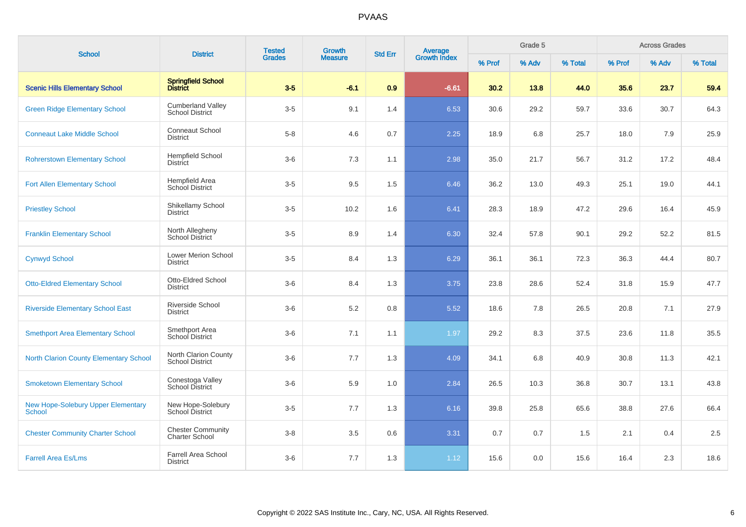| <b>School</b>                                       | <b>District</b>                                    | <b>Tested</b> | Growth         | <b>Std Err</b> | <b>Average</b><br>Growth Index |        | Grade 5 |         |        | <b>Across Grades</b> |         |
|-----------------------------------------------------|----------------------------------------------------|---------------|----------------|----------------|--------------------------------|--------|---------|---------|--------|----------------------|---------|
|                                                     |                                                    | <b>Grades</b> | <b>Measure</b> |                |                                | % Prof | % Adv   | % Total | % Prof | % Adv                | % Total |
| <b>Scenic Hills Elementary School</b>               | Springfield School<br>District                     | $3-5$         | $-6.1$         | 0.9            | $-6.61$                        | 30.2   | 13.8    | 44.0    | 35.6   | 23.7                 | 59.4    |
| <b>Green Ridge Elementary School</b>                | <b>Cumberland Valley</b><br><b>School District</b> | $3-5$         | 9.1            | 1.4            | 6.53                           | 30.6   | 29.2    | 59.7    | 33.6   | 30.7                 | 64.3    |
| <b>Conneaut Lake Middle School</b>                  | <b>Conneaut School</b><br><b>District</b>          | $5-8$         | 4.6            | 0.7            | 2.25                           | 18.9   | 6.8     | 25.7    | 18.0   | 7.9                  | 25.9    |
| <b>Rohrerstown Elementary School</b>                | <b>Hempfield School</b><br><b>District</b>         | $3-6$         | 7.3            | 1.1            | 2.98                           | 35.0   | 21.7    | 56.7    | 31.2   | 17.2                 | 48.4    |
| <b>Fort Allen Elementary School</b>                 | Hempfield Area<br><b>School District</b>           | $3-5$         | 9.5            | 1.5            | 6.46                           | 36.2   | 13.0    | 49.3    | 25.1   | 19.0                 | 44.1    |
| <b>Priestley School</b>                             | Shikellamy School<br><b>District</b>               | $3-5$         | 10.2           | 1.6            | 6.41                           | 28.3   | 18.9    | 47.2    | 29.6   | 16.4                 | 45.9    |
| <b>Franklin Elementary School</b>                   | North Allegheny<br>School District                 | $3-5$         | 8.9            | 1.4            | 6.30                           | 32.4   | 57.8    | 90.1    | 29.2   | 52.2                 | 81.5    |
| <b>Cynwyd School</b>                                | Lower Merion School<br><b>District</b>             | $3-5$         | 8.4            | 1.3            | 6.29                           | 36.1   | 36.1    | 72.3    | 36.3   | 44.4                 | 80.7    |
| <b>Otto-Eldred Elementary School</b>                | <b>Otto-Eldred School</b><br><b>District</b>       | $3-6$         | 8.4            | 1.3            | 3.75                           | 23.8   | 28.6    | 52.4    | 31.8   | 15.9                 | 47.7    |
| <b>Riverside Elementary School East</b>             | Riverside School<br><b>District</b>                | $3-6$         | 5.2            | 0.8            | 5.52                           | 18.6   | 7.8     | 26.5    | 20.8   | 7.1                  | 27.9    |
| <b>Smethport Area Elementary School</b>             | Smethport Area<br>School District                  | $3-6$         | 7.1            | 1.1            | 1.97                           | 29.2   | 8.3     | 37.5    | 23.6   | 11.8                 | 35.5    |
| <b>North Clarion County Elementary School</b>       | North Clarion County<br><b>School District</b>     | $3-6$         | 7.7            | 1.3            | 4.09                           | 34.1   | 6.8     | 40.9    | 30.8   | 11.3                 | 42.1    |
| <b>Smoketown Elementary School</b>                  | Conestoga Valley<br>School District                | $3-6$         | 5.9            | 1.0            | 2.84                           | 26.5   | 10.3    | 36.8    | 30.7   | 13.1                 | 43.8    |
| <b>New Hope-Solebury Upper Elementary</b><br>School | New Hope-Solebury<br>School District               | $3-5$         | 7.7            | 1.3            | 6.16                           | 39.8   | 25.8    | 65.6    | 38.8   | 27.6                 | 66.4    |
| <b>Chester Community Charter School</b>             | <b>Chester Community</b><br>Charter School         | $3-8$         | 3.5            | 0.6            | 3.31                           | 0.7    | 0.7     | 1.5     | 2.1    | 0.4                  | 2.5     |
| <b>Farrell Area Es/Lms</b>                          | <b>Farrell Area School</b><br><b>District</b>      | $3-6$         | 7.7            | 1.3            | 1.12                           | 15.6   | 0.0     | 15.6    | 16.4   | 2.3                  | 18.6    |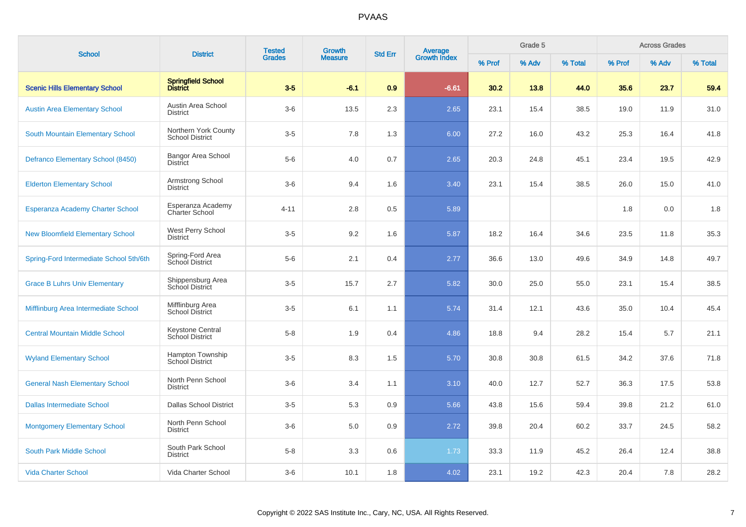| <b>School</b>                           | <b>District</b>                                | <b>Tested</b> | Growth         | <b>Std Err</b> |                                |        | Grade 5 |         |        | <b>Across Grades</b> |         |
|-----------------------------------------|------------------------------------------------|---------------|----------------|----------------|--------------------------------|--------|---------|---------|--------|----------------------|---------|
|                                         |                                                | <b>Grades</b> | <b>Measure</b> |                | <b>Average</b><br>Growth Index | % Prof | % Adv   | % Total | % Prof | % Adv                | % Total |
| <b>Scenic Hills Elementary School</b>   | Springfield School<br>District                 | $3-5$         | $-6.1$         | 0.9            | $-6.61$                        | 30.2   | 13.8    | 44.0    | 35.6   | 23.7                 | 59.4    |
| <b>Austin Area Elementary School</b>    | Austin Area School<br><b>District</b>          | $3-6$         | 13.5           | 2.3            | 2.65                           | 23.1   | 15.4    | 38.5    | 19.0   | 11.9                 | 31.0    |
| South Mountain Elementary School        | Northern York County<br><b>School District</b> | $3-5$         | 7.8            | 1.3            | 6.00                           | 27.2   | 16.0    | 43.2    | 25.3   | 16.4                 | 41.8    |
| Defranco Elementary School (8450)       | <b>Bangor Area School</b><br><b>District</b>   | $5-6$         | 4.0            | 0.7            | 2.65                           | 20.3   | 24.8    | 45.1    | 23.4   | 19.5                 | 42.9    |
| <b>Elderton Elementary School</b>       | Armstrong School<br><b>District</b>            | $3-6$         | 9.4            | 1.6            | 3.40                           | 23.1   | 15.4    | 38.5    | 26.0   | 15.0                 | 41.0    |
| <b>Esperanza Academy Charter School</b> | Esperanza Academy<br><b>Charter School</b>     | $4 - 11$      | 2.8            | 0.5            | 5.89                           |        |         |         | 1.8    | 0.0                  | 1.8     |
| <b>New Bloomfield Elementary School</b> | West Perry School<br><b>District</b>           | $3-5$         | 9.2            | 1.6            | 5.87                           | 18.2   | 16.4    | 34.6    | 23.5   | 11.8                 | 35.3    |
| Spring-Ford Intermediate School 5th/6th | Spring-Ford Area<br>School District            | $5-6$         | 2.1            | 0.4            | 2.77                           | 36.6   | 13.0    | 49.6    | 34.9   | 14.8                 | 49.7    |
| <b>Grace B Luhrs Univ Elementary</b>    | Shippensburg Area<br>School District           | $3-5$         | 15.7           | 2.7            | 5.82                           | 30.0   | 25.0    | 55.0    | 23.1   | 15.4                 | 38.5    |
| Mifflinburg Area Intermediate School    | Mifflinburg Area<br>School District            | $3-5$         | 6.1            | 1.1            | 5.74                           | 31.4   | 12.1    | 43.6    | 35.0   | 10.4                 | 45.4    |
| <b>Central Mountain Middle School</b>   | Keystone Central<br>School District            | $5 - 8$       | 1.9            | 0.4            | 4.86                           | 18.8   | 9.4     | 28.2    | 15.4   | 5.7                  | 21.1    |
| <b>Wyland Elementary School</b>         | Hampton Township<br><b>School District</b>     | $3-5$         | 8.3            | 1.5            | 5.70                           | 30.8   | 30.8    | 61.5    | 34.2   | 37.6                 | 71.8    |
| <b>General Nash Elementary School</b>   | North Penn School<br><b>District</b>           | $3-6$         | 3.4            | 1.1            | 3.10                           | 40.0   | 12.7    | 52.7    | 36.3   | 17.5                 | 53.8    |
| <b>Dallas Intermediate School</b>       | <b>Dallas School District</b>                  | $3-5$         | 5.3            | 0.9            | 5.66                           | 43.8   | 15.6    | 59.4    | 39.8   | 21.2                 | 61.0    |
| <b>Montgomery Elementary School</b>     | North Penn School<br><b>District</b>           | $3-6$         | 5.0            | 0.9            | 2.72                           | 39.8   | 20.4    | 60.2    | 33.7   | 24.5                 | 58.2    |
| South Park Middle School                | South Park School<br><b>District</b>           | $5-8$         | 3.3            | 0.6            | 1.73                           | 33.3   | 11.9    | 45.2    | 26.4   | 12.4                 | 38.8    |
| <b>Vida Charter School</b>              | Vida Charter School                            | $3-6$         | 10.1           | 1.8            | 4.02                           | 23.1   | 19.2    | 42.3    | 20.4   | 7.8                  | 28.2    |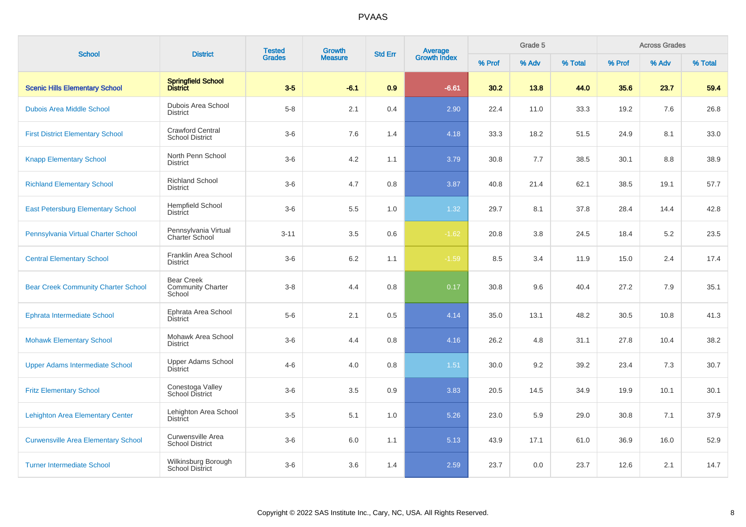| <b>School</b>                              | <b>District</b>                                         | <b>Tested</b> | Growth         | <b>Std Err</b> | <b>Average</b><br>Growth Index |        | Grade 5 |         |        | <b>Across Grades</b> |         |
|--------------------------------------------|---------------------------------------------------------|---------------|----------------|----------------|--------------------------------|--------|---------|---------|--------|----------------------|---------|
|                                            |                                                         | <b>Grades</b> | <b>Measure</b> |                |                                | % Prof | % Adv   | % Total | % Prof | % Adv                | % Total |
| <b>Scenic Hills Elementary School</b>      | Springfield School<br>District                          | $3-5$         | $-6.1$         | 0.9            | $-6.61$                        | 30.2   | 13.8    | 44.0    | 35.6   | 23.7                 | 59.4    |
| <b>Dubois Area Middle School</b>           | Dubois Area School<br><b>District</b>                   | $5 - 8$       | 2.1            | 0.4            | 2.90                           | 22.4   | 11.0    | 33.3    | 19.2   | 7.6                  | 26.8    |
| <b>First District Elementary School</b>    | <b>Crawford Central</b><br><b>School District</b>       | $3-6$         | 7.6            | 1.4            | 4.18                           | 33.3   | 18.2    | 51.5    | 24.9   | 8.1                  | 33.0    |
| <b>Knapp Elementary School</b>             | North Penn School<br><b>District</b>                    | $3-6$         | 4.2            | 1.1            | 3.79                           | 30.8   | 7.7     | 38.5    | 30.1   | 8.8                  | 38.9    |
| <b>Richland Elementary School</b>          | <b>Richland School</b><br><b>District</b>               | $3-6$         | 4.7            | 0.8            | 3.87                           | 40.8   | 21.4    | 62.1    | 38.5   | 19.1                 | 57.7    |
| <b>East Petersburg Elementary School</b>   | <b>Hempfield School</b><br><b>District</b>              | $3-6$         | 5.5            | 1.0            | 1.32                           | 29.7   | 8.1     | 37.8    | 28.4   | 14.4                 | 42.8    |
| Pennsylvania Virtual Charter School        | Pennsylvania Virtual<br>Charter School                  | $3 - 11$      | 3.5            | 0.6            | $-1.62$                        | 20.8   | 3.8     | 24.5    | 18.4   | 5.2                  | 23.5    |
| <b>Central Elementary School</b>           | Franklin Area School<br><b>District</b>                 | $3-6$         | $6.2\,$        | 1.1            | $-1.59$                        | 8.5    | 3.4     | 11.9    | 15.0   | 2.4                  | 17.4    |
| <b>Bear Creek Community Charter School</b> | <b>Bear Creek</b><br><b>Community Charter</b><br>School | $3-8$         | 4.4            | 0.8            | 0.17                           | 30.8   | 9.6     | 40.4    | 27.2   | 7.9                  | 35.1    |
| <b>Ephrata Intermediate School</b>         | Ephrata Area School<br><b>District</b>                  | $5-6$         | 2.1            | 0.5            | 4.14                           | 35.0   | 13.1    | 48.2    | 30.5   | 10.8                 | 41.3    |
| <b>Mohawk Elementary School</b>            | Mohawk Area School<br><b>District</b>                   | $3-6$         | 4.4            | 0.8            | 4.16                           | 26.2   | 4.8     | 31.1    | 27.8   | 10.4                 | 38.2    |
| <b>Upper Adams Intermediate School</b>     | Upper Adams School<br><b>District</b>                   | $4 - 6$       | 4.0            | 0.8            | $1.51$                         | 30.0   | 9.2     | 39.2    | 23.4   | 7.3                  | 30.7    |
| <b>Fritz Elementary School</b>             | Conestoga Valley<br><b>School District</b>              | $3-6$         | 3.5            | $0.9\,$        | 3.83                           | 20.5   | 14.5    | 34.9    | 19.9   | 10.1                 | 30.1    |
| <b>Lehighton Area Elementary Center</b>    | Lehighton Area School<br><b>District</b>                | $3-5$         | 5.1            | 1.0            | 5.26                           | 23.0   | 5.9     | 29.0    | 30.8   | 7.1                  | 37.9    |
| <b>Curwensville Area Elementary School</b> | Curwensville Area<br><b>School District</b>             | $3-6$         | 6.0            | 1.1            | 5.13                           | 43.9   | 17.1    | 61.0    | 36.9   | 16.0                 | 52.9    |
| <b>Turner Intermediate School</b>          | Wilkinsburg Borough<br><b>School District</b>           | $3-6$         | 3.6            | 1.4            | 2.59                           | 23.7   | 0.0     | 23.7    | 12.6   | 2.1                  | 14.7    |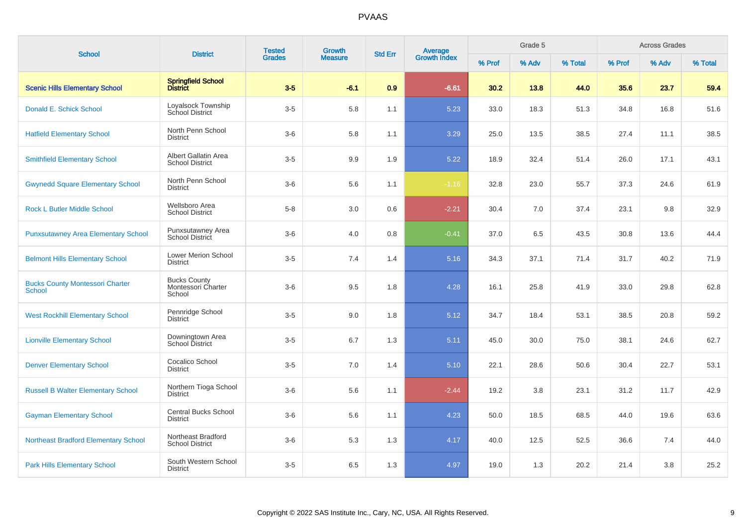| <b>School</b>                                           | <b>District</b>                                     | <b>Tested</b> | <b>Growth</b>  | <b>Std Err</b> | Average<br>Growth Index |        | Grade 5 |         |        | <b>Across Grades</b> |         |
|---------------------------------------------------------|-----------------------------------------------------|---------------|----------------|----------------|-------------------------|--------|---------|---------|--------|----------------------|---------|
|                                                         |                                                     | <b>Grades</b> | <b>Measure</b> |                |                         | % Prof | % Adv   | % Total | % Prof | % Adv                | % Total |
| <b>Scenic Hills Elementary School</b>                   | Springfield School<br>District                      | $3-5$         | $-6.1$         | 0.9            | $-6.61$                 | 30.2   | 13.8    | 44.0    | 35.6   | 23.7                 | 59.4    |
| Donald E. Schick School                                 | Loyalsock Township<br>School District               | $3-5$         | 5.8            | 1.1            | 5.23                    | 33.0   | 18.3    | 51.3    | 34.8   | 16.8                 | 51.6    |
| <b>Hatfield Elementary School</b>                       | North Penn School<br><b>District</b>                | $3-6$         | 5.8            | 1.1            | 3.29                    | 25.0   | 13.5    | 38.5    | 27.4   | 11.1                 | 38.5    |
| <b>Smithfield Elementary School</b>                     | Albert Gallatin Area<br><b>School District</b>      | $3-5$         | 9.9            | 1.9            | 5.22                    | 18.9   | 32.4    | 51.4    | 26.0   | 17.1                 | 43.1    |
| <b>Gwynedd Square Elementary School</b>                 | North Penn School<br><b>District</b>                | $3-6$         | 5.6            | 1.1            | $-1.16$                 | 32.8   | 23.0    | 55.7    | 37.3   | 24.6                 | 61.9    |
| <b>Rock L Butler Middle School</b>                      | Wellsboro Area<br><b>School District</b>            | $5 - 8$       | 3.0            | 0.6            | $-2.21$                 | 30.4   | 7.0     | 37.4    | 23.1   | 9.8                  | 32.9    |
| <b>Punxsutawney Area Elementary School</b>              | Punxsutawney Area<br>School District                | $3-6$         | 4.0            | 0.8            | $-0.41$                 | 37.0   | 6.5     | 43.5    | 30.8   | 13.6                 | 44.4    |
| <b>Belmont Hills Elementary School</b>                  | Lower Merion School<br><b>District</b>              | $3-5$         | 7.4            | 1.4            | 5.16                    | 34.3   | 37.1    | 71.4    | 31.7   | 40.2                 | 71.9    |
| <b>Bucks County Montessori Charter</b><br><b>School</b> | <b>Bucks County</b><br>Montessori Charter<br>School | $3-6$         | 9.5            | 1.8            | 4.28                    | 16.1   | 25.8    | 41.9    | 33.0   | 29.8                 | 62.8    |
| <b>West Rockhill Elementary School</b>                  | Pennridge School<br><b>District</b>                 | $3-5$         | 9.0            | 1.8            | 5.12                    | 34.7   | 18.4    | 53.1    | 38.5   | 20.8                 | 59.2    |
| <b>Lionville Elementary School</b>                      | Downingtown Area<br><b>School District</b>          | $3-5$         | 6.7            | 1.3            | 5.11                    | 45.0   | 30.0    | 75.0    | 38.1   | 24.6                 | 62.7    |
| <b>Denver Elementary School</b>                         | Cocalico School<br><b>District</b>                  | $3-5$         | 7.0            | 1.4            | 5.10                    | 22.1   | 28.6    | 50.6    | 30.4   | 22.7                 | 53.1    |
| <b>Russell B Walter Elementary School</b>               | Northern Tioga School<br><b>District</b>            | $3-6$         | 5.6            | 1.1            | $-2.44$                 | 19.2   | 3.8     | 23.1    | 31.2   | 11.7                 | 42.9    |
| <b>Gayman Elementary School</b>                         | <b>Central Bucks School</b><br><b>District</b>      | $3-6$         | 5.6            | 1.1            | 4.23                    | 50.0   | 18.5    | 68.5    | 44.0   | 19.6                 | 63.6    |
| <b>Northeast Bradford Elementary School</b>             | Northeast Bradford<br><b>School District</b>        | $3-6$         | 5.3            | 1.3            | 4.17                    | 40.0   | 12.5    | 52.5    | 36.6   | 7.4                  | 44.0    |
| <b>Park Hills Elementary School</b>                     | South Western School<br><b>District</b>             | $3-5$         | 6.5            | 1.3            | 4.97                    | 19.0   | 1.3     | 20.2    | 21.4   | 3.8                  | 25.2    |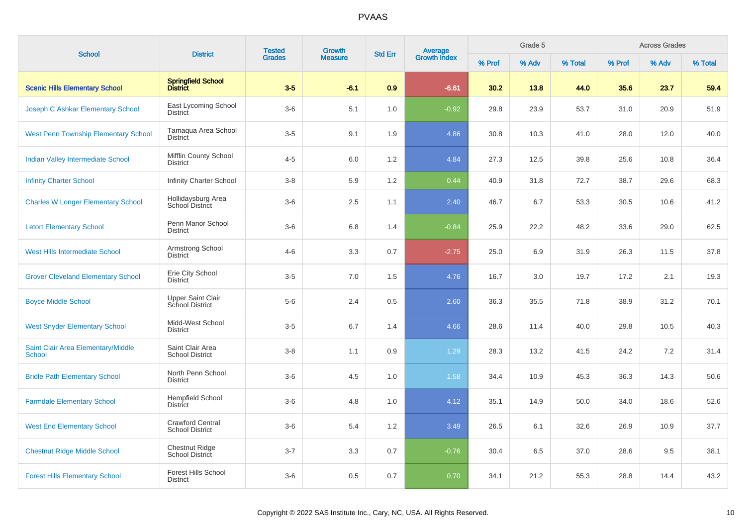| <b>School</b>                                       | <b>District</b>                                   | <b>Tested</b> | Growth         | <b>Std Err</b> |                                |        | Grade 5 |         |        | <b>Across Grades</b> |         |
|-----------------------------------------------------|---------------------------------------------------|---------------|----------------|----------------|--------------------------------|--------|---------|---------|--------|----------------------|---------|
|                                                     |                                                   | <b>Grades</b> | <b>Measure</b> |                | <b>Average</b><br>Growth Index | % Prof | % Adv   | % Total | % Prof | % Adv                | % Total |
| <b>Scenic Hills Elementary School</b>               | Springfield School<br>District                    | $3-5$         | $-6.1$         | 0.9            | $-6.61$                        | 30.2   | 13.8    | 44.0    | 35.6   | 23.7                 | 59.4    |
| Joseph C Ashkar Elementary School                   | East Lycoming School<br><b>District</b>           | $3-6$         | 5.1            | 1.0            | $-0.92$                        | 29.8   | 23.9    | 53.7    | 31.0   | 20.9                 | 51.9    |
| <b>West Penn Township Elementary School</b>         | Tamaqua Area School<br>District                   | $3-5$         | 9.1            | 1.9            | 4.86                           | 30.8   | 10.3    | 41.0    | 28.0   | 12.0                 | 40.0    |
| <b>Indian Valley Intermediate School</b>            | Mifflin County School<br><b>District</b>          | $4 - 5$       | 6.0            | 1.2            | 4.84                           | 27.3   | 12.5    | 39.8    | 25.6   | 10.8                 | 36.4    |
| <b>Infinity Charter School</b>                      | <b>Infinity Charter School</b>                    | $3-8$         | 5.9            | 1.2            | 0.44                           | 40.9   | 31.8    | 72.7    | 38.7   | 29.6                 | 68.3    |
| <b>Charles W Longer Elementary School</b>           | Hollidaysburg Area<br>School District             | $3-6$         | 2.5            | 1.1            | 2.40                           | 46.7   | 6.7     | 53.3    | 30.5   | 10.6                 | 41.2    |
| <b>Letort Elementary School</b>                     | Penn Manor School<br><b>District</b>              | $3-6$         | 6.8            | 1.4            | $-0.84$                        | 25.9   | 22.2    | 48.2    | 33.6   | 29.0                 | 62.5    |
| <b>West Hills Intermediate School</b>               | Armstrong School<br><b>District</b>               | $4 - 6$       | 3.3            | 0.7            | $-2.75$                        | 25.0   | 6.9     | 31.9    | 26.3   | 11.5                 | 37.8    |
| <b>Grover Cleveland Elementary School</b>           | Erie City School<br><b>District</b>               | $3-5$         | 7.0            | 1.5            | 4.76                           | 16.7   | 3.0     | 19.7    | 17.2   | 2.1                  | 19.3    |
| <b>Boyce Middle School</b>                          | <b>Upper Saint Clair</b><br>School District       | $5-6$         | 2.4            | 0.5            | 2.60                           | 36.3   | 35.5    | 71.8    | 38.9   | 31.2                 | 70.1    |
| <b>West Snyder Elementary School</b>                | Midd-West School<br><b>District</b>               | $3-5$         | 6.7            | 1.4            | 4.66                           | 28.6   | 11.4    | 40.0    | 29.8   | 10.5                 | 40.3    |
| Saint Clair Area Elementary/Middle<br><b>School</b> | Saint Clair Area<br><b>School District</b>        | $3-8$         | 1.1            | 0.9            | 1.29                           | 28.3   | 13.2    | 41.5    | 24.2   | 7.2                  | 31.4    |
| <b>Bridle Path Elementary School</b>                | North Penn School<br><b>District</b>              | $3-6$         | 4.5            | 1.0            | 1.58                           | 34.4   | 10.9    | 45.3    | 36.3   | 14.3                 | 50.6    |
| <b>Farmdale Elementary School</b>                   | <b>Hempfield School</b><br>District               | $3-6$         | 4.8            | 1.0            | 4.12                           | 35.1   | 14.9    | 50.0    | 34.0   | 18.6                 | 52.6    |
| <b>West End Elementary School</b>                   | <b>Crawford Central</b><br><b>School District</b> | $3-6$         | 5.4            | 1.2            | 3.49                           | 26.5   | 6.1     | 32.6    | 26.9   | 10.9                 | 37.7    |
| <b>Chestnut Ridge Middle School</b>                 | <b>Chestnut Ridge</b><br>School District          | $3 - 7$       | 3.3            | 0.7            | $-0.76$                        | 30.4   | 6.5     | 37.0    | 28.6   | 9.5                  | 38.1    |
| <b>Forest Hills Elementary School</b>               | <b>Forest Hills School</b><br><b>District</b>     | $3-6$         | 0.5            | 0.7            | 0.70                           | 34.1   | 21.2    | 55.3    | 28.8   | 14.4                 | 43.2    |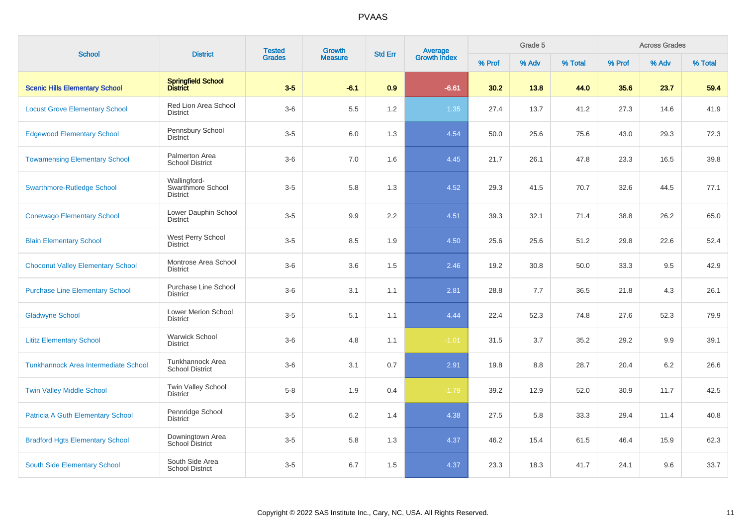| <b>School</b>                            | <b>District</b>                                      | <b>Tested</b> | Growth         | <b>Std Err</b> | Average<br>Growth Index |        | Grade 5 |         |        | <b>Across Grades</b> |         |
|------------------------------------------|------------------------------------------------------|---------------|----------------|----------------|-------------------------|--------|---------|---------|--------|----------------------|---------|
|                                          |                                                      | <b>Grades</b> | <b>Measure</b> |                |                         | % Prof | % Adv   | % Total | % Prof | % Adv                | % Total |
| <b>Scenic Hills Elementary School</b>    | Springfield School<br>District                       | $3-5$         | $-6.1$         | 0.9            | $-6.61$                 | 30.2   | 13.8    | 44.0    | 35.6   | 23.7                 | 59.4    |
| <b>Locust Grove Elementary School</b>    | Red Lion Area School<br><b>District</b>              | $3-6$         | 5.5            | 1.2            | 1.35                    | 27.4   | 13.7    | 41.2    | 27.3   | 14.6                 | 41.9    |
| <b>Edgewood Elementary School</b>        | Pennsbury School<br>District                         | $3-5$         | 6.0            | 1.3            | 4.54                    | 50.0   | 25.6    | 75.6    | 43.0   | 29.3                 | 72.3    |
| <b>Towamensing Elementary School</b>     | Palmerton Area<br><b>School District</b>             | $3-6$         | 7.0            | 1.6            | 4.45                    | 21.7   | 26.1    | 47.8    | 23.3   | 16.5                 | 39.8    |
| <b>Swarthmore-Rutledge School</b>        | Wallingford-<br>Swarthmore School<br><b>District</b> | $3-5$         | 5.8            | 1.3            | 4.52                    | 29.3   | 41.5    | 70.7    | 32.6   | 44.5                 | 77.1    |
| <b>Conewago Elementary School</b>        | Lower Dauphin School<br><b>District</b>              | $3-5$         | 9.9            | 2.2            | 4.51                    | 39.3   | 32.1    | 71.4    | 38.8   | 26.2                 | 65.0    |
| <b>Blain Elementary School</b>           | West Perry School<br>District                        | $3-5$         | 8.5            | 1.9            | 4.50                    | 25.6   | 25.6    | 51.2    | 29.8   | 22.6                 | 52.4    |
| <b>Choconut Valley Elementary School</b> | Montrose Area School<br><b>District</b>              | $3-6$         | 3.6            | 1.5            | 2.46                    | 19.2   | 30.8    | 50.0    | 33.3   | 9.5                  | 42.9    |
| <b>Purchase Line Elementary School</b>   | <b>Purchase Line School</b><br><b>District</b>       | $3-6$         | 3.1            | 1.1            | 2.81                    | 28.8   | 7.7     | 36.5    | 21.8   | 4.3                  | 26.1    |
| <b>Gladwyne School</b>                   | Lower Merion School<br><b>District</b>               | $3-5$         | 5.1            | 1.1            | 4.44                    | 22.4   | 52.3    | 74.8    | 27.6   | 52.3                 | 79.9    |
| <b>Lititz Elementary School</b>          | <b>Warwick School</b><br><b>District</b>             | $3-6$         | 4.8            | 1.1            | $-1.01$                 | 31.5   | 3.7     | 35.2    | 29.2   | 9.9                  | 39.1    |
| Tunkhannock Area Intermediate School     | Tunkhannock Area<br><b>School District</b>           | $3-6$         | 3.1            | 0.7            | 2.91                    | 19.8   | 8.8     | 28.7    | 20.4   | 6.2                  | 26.6    |
| <b>Twin Valley Middle School</b>         | Twin Valley School<br><b>District</b>                | $5-8$         | 1.9            | 0.4            | $-1.79$                 | 39.2   | 12.9    | 52.0    | 30.9   | 11.7                 | 42.5    |
| <b>Patricia A Guth Elementary School</b> | Pennridge School<br><b>District</b>                  | $3-5$         | 6.2            | 1.4            | 4.38                    | 27.5   | 5.8     | 33.3    | 29.4   | 11.4                 | 40.8    |
| <b>Bradford Hgts Elementary School</b>   | Downingtown Area<br><b>School District</b>           | $3-5$         | 5.8            | 1.3            | 4.37                    | 46.2   | 15.4    | 61.5    | 46.4   | 15.9                 | 62.3    |
| South Side Elementary School             | South Side Area<br><b>School District</b>            | $3-5$         | 6.7            | 1.5            | 4.37                    | 23.3   | 18.3    | 41.7    | 24.1   | 9.6                  | 33.7    |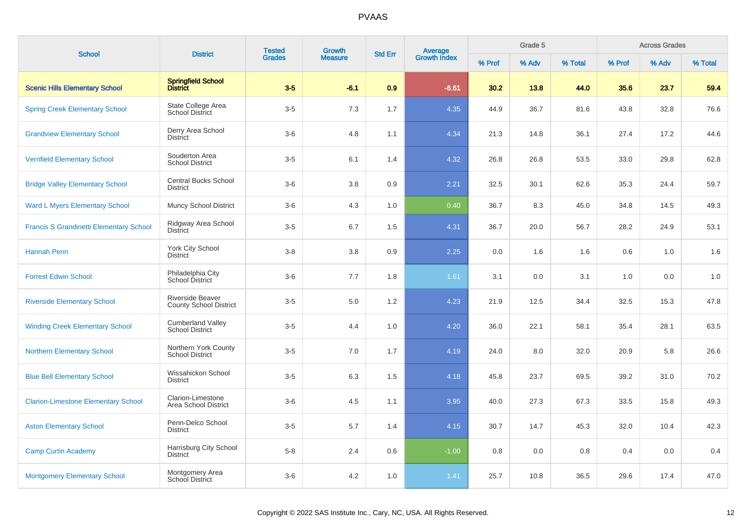| <b>School</b>                                  | <b>District</b>                                          | <b>Tested</b> | <b>Growth</b>  | <b>Std Err</b> |                                |        | Grade 5 |         |        | <b>Across Grades</b> |         |
|------------------------------------------------|----------------------------------------------------------|---------------|----------------|----------------|--------------------------------|--------|---------|---------|--------|----------------------|---------|
|                                                |                                                          | <b>Grades</b> | <b>Measure</b> |                | <b>Average</b><br>Growth Index | % Prof | % Adv   | % Total | % Prof | % Adv                | % Total |
| <b>Scenic Hills Elementary School</b>          | Springfield School<br>District                           | $3-5$         | $-6.1$         | 0.9            | $-6.61$                        | 30.2   | 13.8    | 44.0    | 35.6   | 23.7                 | 59.4    |
| <b>Spring Creek Elementary School</b>          | State College Area<br><b>School District</b>             | $3-5$         | 7.3            | 1.7            | 4.35                           | 44.9   | 36.7    | 81.6    | 43.8   | 32.8                 | 76.6    |
| <b>Grandview Elementary School</b>             | Derry Area School<br>District                            | $3-6$         | 4.8            | 1.1            | 4.34                           | 21.3   | 14.8    | 36.1    | 27.4   | 17.2                 | 44.6    |
| <b>Vernfield Elementary School</b>             | Souderton Area<br><b>School District</b>                 | $3-5$         | 6.1            | 1.4            | 4.32                           | 26.8   | 26.8    | 53.5    | 33.0   | 29.8                 | 62.8    |
| <b>Bridge Valley Elementary School</b>         | <b>Central Bucks School</b><br>District                  | $3-6$         | 3.8            | 0.9            | 2.21                           | 32.5   | 30.1    | 62.6    | 35.3   | 24.4                 | 59.7    |
| <b>Ward L Myers Elementary School</b>          | <b>Muncy School District</b>                             | $3-6$         | 4.3            | 1.0            | 0.40                           | 36.7   | 8.3     | 45.0    | 34.8   | 14.5                 | 49.3    |
| <b>Francis S Grandinetti Elementary School</b> | Ridgway Area School<br><b>District</b>                   | $3-5$         | 6.7            | 1.5            | 4.31                           | 36.7   | 20.0    | 56.7    | 28.2   | 24.9                 | 53.1    |
| Hannah Penn                                    | York City School<br><b>District</b>                      | $3 - 8$       | 3.8            | 0.9            | 2.25                           | 0.0    | 1.6     | 1.6     | 0.6    | 1.0                  | 1.6     |
| <b>Forrest Edwin School</b>                    | Philadelphia City<br>School District                     | $3-6$         | 7.7            | 1.8            | 1.61                           | 3.1    | 0.0     | 3.1     | 1.0    | 0.0                  | 1.0     |
| <b>Riverside Elementary School</b>             | <b>Riverside Beaver</b><br><b>County School District</b> | $3-5$         | 5.0            | 1.2            | 4.23                           | 21.9   | 12.5    | 34.4    | 32.5   | 15.3                 | 47.8    |
| <b>Winding Creek Elementary School</b>         | <b>Cumberland Valley</b><br><b>School District</b>       | $3-5$         | 4.4            | 1.0            | 4.20                           | 36.0   | 22.1    | 58.1    | 35.4   | 28.1                 | 63.5    |
| <b>Northern Elementary School</b>              | Northern York County<br><b>School District</b>           | $3-5$         | 7.0            | 1.7            | 4.19                           | 24.0   | 8.0     | 32.0    | 20.9   | 5.8                  | 26.6    |
| <b>Blue Bell Elementary School</b>             | Wissahickon School<br><b>District</b>                    | $3-5$         | 6.3            | 1.5            | 4.18                           | 45.8   | 23.7    | 69.5    | 39.2   | 31.0                 | 70.2    |
| <b>Clarion-Limestone Elementary School</b>     | Clarion-Limestone<br>Area School District                | $3-6$         | 4.5            | 1.1            | 3.95                           | 40.0   | 27.3    | 67.3    | 33.5   | 15.8                 | 49.3    |
| <b>Aston Elementary School</b>                 | Penn-Delco School<br><b>District</b>                     | $3-5$         | 5.7            | 1.4            | 4.15                           | 30.7   | 14.7    | 45.3    | 32.0   | 10.4                 | 42.3    |
| <b>Camp Curtin Academy</b>                     | Harrisburg City School<br><b>District</b>                | $5-8$         | 2.4            | 0.6            | $-1.00$                        | 0.8    | 0.0     | 0.8     | 0.4    | 0.0                  | 0.4     |
| <b>Montgomery Elementary School</b>            | Montgomery Area<br>School District                       | $3-6$         | 4.2            | 1.0            | 1.41                           | 25.7   | 10.8    | 36.5    | 29.6   | 17.4                 | 47.0    |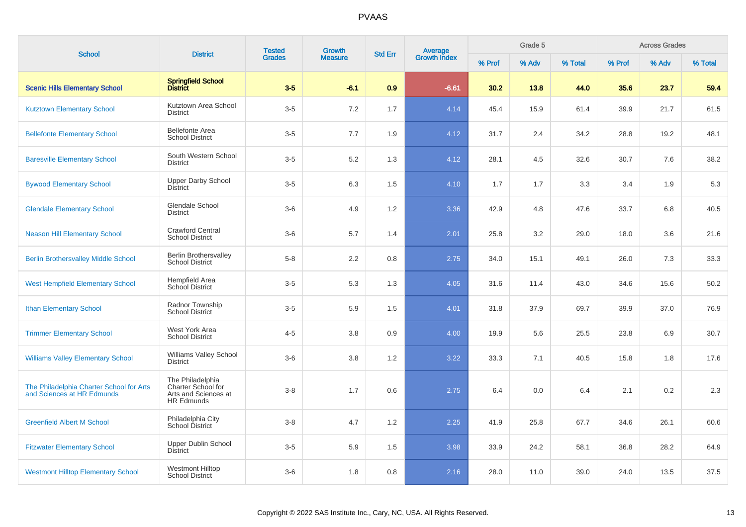| <b>School</b>                                                          | <b>District</b>                                                                     | <b>Tested</b><br><b>Growth</b><br><b>Grades</b><br><b>Measure</b> | <b>Average</b><br>Growth Index<br><b>Std Err</b> |     | Grade 5 |        |       | <b>Across Grades</b> |        |       |         |
|------------------------------------------------------------------------|-------------------------------------------------------------------------------------|-------------------------------------------------------------------|--------------------------------------------------|-----|---------|--------|-------|----------------------|--------|-------|---------|
|                                                                        |                                                                                     |                                                                   |                                                  |     |         | % Prof | % Adv | % Total              | % Prof | % Adv | % Total |
| <b>Scenic Hills Elementary School</b>                                  | Springfield School<br>District                                                      | $3-5$                                                             | $-6.1$                                           | 0.9 | $-6.61$ | 30.2   | 13.8  | 44.0                 | 35.6   | 23.7  | 59.4    |
| <b>Kutztown Elementary School</b>                                      | Kutztown Area School<br><b>District</b>                                             | $3-5$                                                             | 7.2                                              | 1.7 | 4.14    | 45.4   | 15.9  | 61.4                 | 39.9   | 21.7  | 61.5    |
| <b>Bellefonte Elementary School</b>                                    | <b>Bellefonte Area</b><br><b>School District</b>                                    | $3-5$                                                             | 7.7                                              | 1.9 | 4.12    | 31.7   | 2.4   | 34.2                 | 28.8   | 19.2  | 48.1    |
| <b>Baresville Elementary School</b>                                    | South Western School<br><b>District</b>                                             | $3-5$                                                             | 5.2                                              | 1.3 | 4.12    | 28.1   | 4.5   | 32.6                 | 30.7   | 7.6   | 38.2    |
| <b>Bywood Elementary School</b>                                        | <b>Upper Darby School</b><br><b>District</b>                                        | $3-5$                                                             | 6.3                                              | 1.5 | 4.10    | 1.7    | 1.7   | 3.3                  | 3.4    | 1.9   | 5.3     |
| <b>Glendale Elementary School</b>                                      | <b>Glendale School</b><br><b>District</b>                                           | $3-6$                                                             | 4.9                                              | 1.2 | 3.36    | 42.9   | 4.8   | 47.6                 | 33.7   | 6.8   | 40.5    |
| <b>Neason Hill Elementary School</b>                                   | <b>Crawford Central</b><br><b>School District</b>                                   | $3-6$                                                             | 5.7                                              | 1.4 | 2.01    | 25.8   | 3.2   | 29.0                 | 18.0   | 3.6   | 21.6    |
| <b>Berlin Brothersvalley Middle School</b>                             | <b>Berlin Brothersvalley</b><br><b>School District</b>                              | $5-8$                                                             | 2.2                                              | 0.8 | 2.75    | 34.0   | 15.1  | 49.1                 | 26.0   | 7.3   | 33.3    |
| <b>West Hempfield Elementary School</b>                                | Hempfield Area<br>School District                                                   | $3-5$                                                             | 5.3                                              | 1.3 | 4.05    | 31.6   | 11.4  | 43.0                 | 34.6   | 15.6  | 50.2    |
| <b>Ithan Elementary School</b>                                         | Radnor Township<br><b>School District</b>                                           | $3-5$                                                             | 5.9                                              | 1.5 | 4.01    | 31.8   | 37.9  | 69.7                 | 39.9   | 37.0  | 76.9    |
| <b>Trimmer Elementary School</b>                                       | West York Area<br><b>School District</b>                                            | $4 - 5$                                                           | 3.8                                              | 0.9 | 4.00    | 19.9   | 5.6   | 25.5                 | 23.8   | 6.9   | 30.7    |
| <b>Williams Valley Elementary School</b>                               | Williams Valley School<br><b>District</b>                                           | $3-6$                                                             | 3.8                                              | 1.2 | 3.22    | 33.3   | 7.1   | 40.5                 | 15.8   | 1.8   | 17.6    |
| The Philadelphia Charter School for Arts<br>and Sciences at HR Edmunds | The Philadelphia<br>Charter School for<br>Arts and Sciences at<br><b>HR Edmunds</b> | $3 - 8$                                                           | 1.7                                              | 0.6 | 2.75    | 6.4    | 0.0   | 6.4                  | 2.1    | 0.2   | 2.3     |
| <b>Greenfield Albert M School</b>                                      | Philadelphia City<br>School District                                                | $3 - 8$                                                           | 4.7                                              | 1.2 | 2.25    | 41.9   | 25.8  | 67.7                 | 34.6   | 26.1  | 60.6    |
| <b>Fitzwater Elementary School</b>                                     | <b>Upper Dublin School</b><br>District                                              | $3-5$                                                             | 5.9                                              | 1.5 | 3.98    | 33.9   | 24.2  | 58.1                 | 36.8   | 28.2  | 64.9    |
| <b>Westmont Hilltop Elementary School</b>                              | <b>Westmont Hilltop</b><br><b>School District</b>                                   | $3-6$                                                             | 1.8                                              | 0.8 | 2.16    | 28.0   | 11.0  | 39.0                 | 24.0   | 13.5  | 37.5    |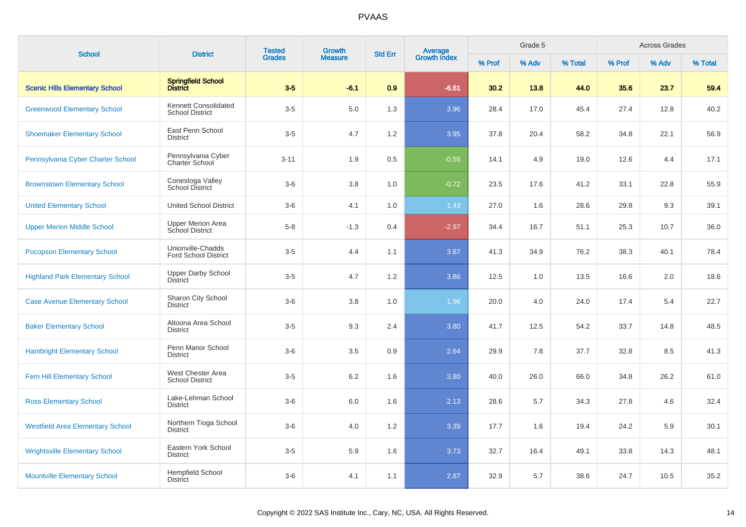| <b>School</b>                           | <b>District</b>                                  | <b>Tested</b> | <b>Growth</b>  |     | <b>Average</b><br>Growth Index<br><b>Std Err</b> |        | Grade 5 |         |        | <b>Across Grades</b> |         |
|-----------------------------------------|--------------------------------------------------|---------------|----------------|-----|--------------------------------------------------|--------|---------|---------|--------|----------------------|---------|
|                                         |                                                  | <b>Grades</b> | <b>Measure</b> |     |                                                  | % Prof | % Adv   | % Total | % Prof | % Adv                | % Total |
| <b>Scenic Hills Elementary School</b>   | Springfield School<br>District                   | $3-5$         | $-6.1$         | 0.9 | $-6.61$                                          | 30.2   | 13.8    | 44.0    | 35.6   | 23.7                 | 59.4    |
| <b>Greenwood Elementary School</b>      | Kennett Consolidated<br><b>School District</b>   | $3-5$         | 5.0            | 1.3 | 3.96                                             | 28.4   | 17.0    | 45.4    | 27.4   | 12.8                 | 40.2    |
| <b>Shoemaker Elementary School</b>      | East Penn School<br><b>District</b>              | $3-5$         | 4.7            | 1.2 | 3.95                                             | 37.8   | 20.4    | 58.2    | 34.8   | 22.1                 | 56.9    |
| Pennsylvania Cyber Charter School       | Pennsylvania Cyber<br>Charter School             | $3 - 11$      | 1.9            | 0.5 | $-0.55$                                          | 14.1   | 4.9     | 19.0    | 12.6   | 4.4                  | 17.1    |
| <b>Brownstown Elementary School</b>     | Conestoga Valley<br><b>School District</b>       | $3-6$         | 3.8            | 1.0 | $-0.72$                                          | 23.5   | 17.6    | 41.2    | 33.1   | 22.8                 | 55.9    |
| <b>United Elementary School</b>         | <b>United School District</b>                    | $3-6$         | 4.1            | 1.0 | 1.43                                             | 27.0   | 1.6     | 28.6    | 29.8   | 9.3                  | 39.1    |
| <b>Upper Merion Middle School</b>       | <b>Upper Merion Area</b><br>School District      | $5-8$         | $-1.3$         | 0.4 | $-2.97$                                          | 34.4   | 16.7    | 51.1    | 25.3   | 10.7                 | 36.0    |
| <b>Pocopson Elementary School</b>       | Unionville-Chadds<br><b>Ford School District</b> | $3-5$         | 4.4            | 1.1 | 3.87                                             | 41.3   | 34.9    | 76.2    | 38.3   | 40.1                 | 78.4    |
| <b>Highland Park Elementary School</b>  | <b>Upper Darby School</b><br>District            | $3-5$         | 4.7            | 1.2 | 3.86                                             | 12.5   | 1.0     | 13.5    | 16.6   | 2.0                  | 18.6    |
| <b>Case Avenue Elementary School</b>    | Sharon City School<br><b>District</b>            | $3-6$         | 3.8            | 1.0 | 1.96                                             | 20.0   | 4.0     | 24.0    | 17.4   | 5.4                  | 22.7    |
| <b>Baker Elementary School</b>          | Altoona Area School<br><b>District</b>           | $3-5$         | 9.3            | 2.4 | 3.80                                             | 41.7   | 12.5    | 54.2    | 33.7   | 14.8                 | 48.5    |
| <b>Hambright Elementary School</b>      | Penn Manor School<br><b>District</b>             | $3-6$         | 3.5            | 0.9 | 2.64                                             | 29.9   | 7.8     | 37.7    | 32.8   | 8.5                  | 41.3    |
| <b>Fern Hill Elementary School</b>      | West Chester Area<br><b>School District</b>      | $3-5$         | 6.2            | 1.6 | 3.80                                             | 40.0   | 26.0    | 66.0    | 34.8   | 26.2                 | 61.0    |
| <b>Ross Elementary School</b>           | Lake-Lehman School<br><b>District</b>            | $3-6$         | 6.0            | 1.6 | 2.13                                             | 28.6   | 5.7     | 34.3    | 27.8   | 4.6                  | 32.4    |
| <b>Westfield Area Elementary School</b> | Northern Tioga School<br><b>District</b>         | $3-6$         | 4.0            | 1.2 | 3.39                                             | 17.7   | 1.6     | 19.4    | 24.2   | 5.9                  | 30.1    |
| <b>Wrightsville Elementary School</b>   | Eastern York School<br><b>District</b>           | $3-5$         | 5.9            | 1.6 | 3.73                                             | 32.7   | 16.4    | 49.1    | 33.8   | 14.3                 | 48.1    |
| <b>Mountville Elementary School</b>     | <b>Hempfield School</b><br><b>District</b>       | $3-6$         | 4.1            | 1.1 | 2.87                                             | 32.9   | 5.7     | 38.6    | 24.7   | 10.5                 | 35.2    |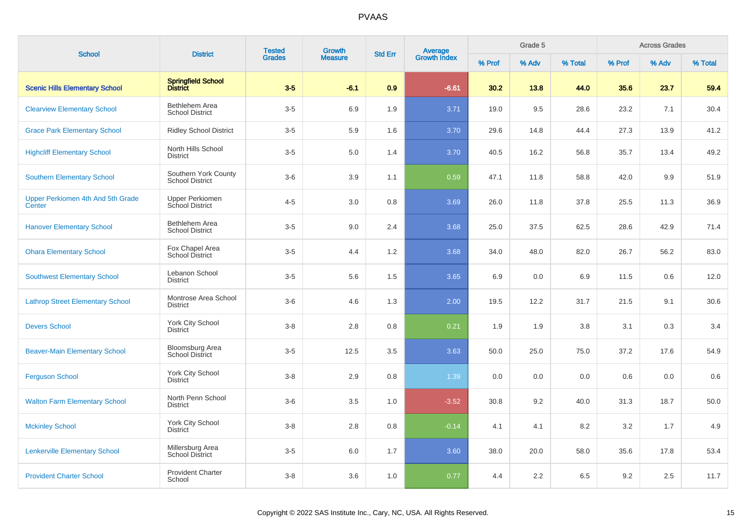| <b>School</b>                               | <b>District</b>                                  | <b>Tested</b> | Growth         | <b>Std Err</b> | <b>Average</b><br>Growth Index |        | Grade 5 |         |        | <b>Across Grades</b> |         |
|---------------------------------------------|--------------------------------------------------|---------------|----------------|----------------|--------------------------------|--------|---------|---------|--------|----------------------|---------|
|                                             |                                                  | <b>Grades</b> | <b>Measure</b> |                |                                | % Prof | % Adv   | % Total | % Prof | % Adv                | % Total |
| <b>Scenic Hills Elementary School</b>       | Springfield School<br>District                   | $3-5$         | $-6.1$         | 0.9            | $-6.61$                        | 30.2   | 13.8    | 44.0    | 35.6   | 23.7                 | 59.4    |
| <b>Clearview Elementary School</b>          | Bethlehem Area<br><b>School District</b>         | $3-5$         | 6.9            | 1.9            | 3.71                           | 19.0   | 9.5     | 28.6    | 23.2   | 7.1                  | 30.4    |
| <b>Grace Park Elementary School</b>         | <b>Ridley School District</b>                    | $3-5$         | 5.9            | 1.6            | 3.70                           | 29.6   | 14.8    | 44.4    | 27.3   | 13.9                 | 41.2    |
| <b>Highcliff Elementary School</b>          | North Hills School<br><b>District</b>            | $3-5$         | 5.0            | 1.4            | 3.70                           | 40.5   | 16.2    | 56.8    | 35.7   | 13.4                 | 49.2    |
| <b>Southern Elementary School</b>           | Southern York County<br><b>School District</b>   | $3-6$         | 3.9            | 1.1            | 0.59                           | 47.1   | 11.8    | 58.8    | 42.0   | 9.9                  | 51.9    |
| Upper Perkiomen 4th And 5th Grade<br>Center | <b>Upper Perkiomen</b><br>School District        | $4 - 5$       | 3.0            | 0.8            | 3.69                           | 26.0   | 11.8    | 37.8    | 25.5   | 11.3                 | 36.9    |
| <b>Hanover Elementary School</b>            | Bethlehem Area<br><b>School District</b>         | $3-5$         | 9.0            | 2.4            | 3.68                           | 25.0   | 37.5    | 62.5    | 28.6   | 42.9                 | 71.4    |
| <b>Ohara Elementary School</b>              | Fox Chapel Area<br>School District               | $3-5$         | 4.4            | 1.2            | 3.68                           | 34.0   | 48.0    | 82.0    | 26.7   | 56.2                 | 83.0    |
| <b>Southwest Elementary School</b>          | Lebanon School<br><b>District</b>                | $3-5$         | 5.6            | 1.5            | 3.65                           | 6.9    | 0.0     | 6.9     | 11.5   | 0.6                  | 12.0    |
| <b>Lathrop Street Elementary School</b>     | Montrose Area School<br><b>District</b>          | $3-6$         | 4.6            | 1.3            | 2.00                           | 19.5   | 12.2    | 31.7    | 21.5   | 9.1                  | 30.6    |
| <b>Devers School</b>                        | York City School<br><b>District</b>              | $3 - 8$       | 2.8            | 0.8            | 0.21                           | 1.9    | 1.9     | 3.8     | 3.1    | 0.3                  | 3.4     |
| <b>Beaver-Main Elementary School</b>        | <b>Bloomsburg Area</b><br><b>School District</b> | $3-5$         | 12.5           | 3.5            | 3.63                           | 50.0   | 25.0    | 75.0    | 37.2   | 17.6                 | 54.9    |
| <b>Ferguson School</b>                      | York City School<br><b>District</b>              | $3-8$         | 2.9            | 0.8            | 1.39                           | 0.0    | 0.0     | 0.0     | 0.6    | 0.0                  | 0.6     |
| <b>Walton Farm Elementary School</b>        | North Penn School<br><b>District</b>             | $3-6$         | 3.5            | 1.0            | $-3.52$                        | 30.8   | 9.2     | 40.0    | 31.3   | 18.7                 | 50.0    |
| <b>Mckinley School</b>                      | York City School<br><b>District</b>              | $3-8$         | 2.8            | 0.8            | $-0.14$                        | 4.1    | 4.1     | 8.2     | 3.2    | 1.7                  | 4.9     |
| <b>Lenkerville Elementary School</b>        | Millersburg Area<br>School District              | $3-5$         | 6.0            | 1.7            | 3.60                           | 38.0   | 20.0    | 58.0    | 35.6   | 17.8                 | 53.4    |
| <b>Provident Charter School</b>             | <b>Provident Charter</b><br>School               | $3 - 8$       | 3.6            | 1.0            | 0.77                           | 4.4    | 2.2     | 6.5     | 9.2    | 2.5                  | 11.7    |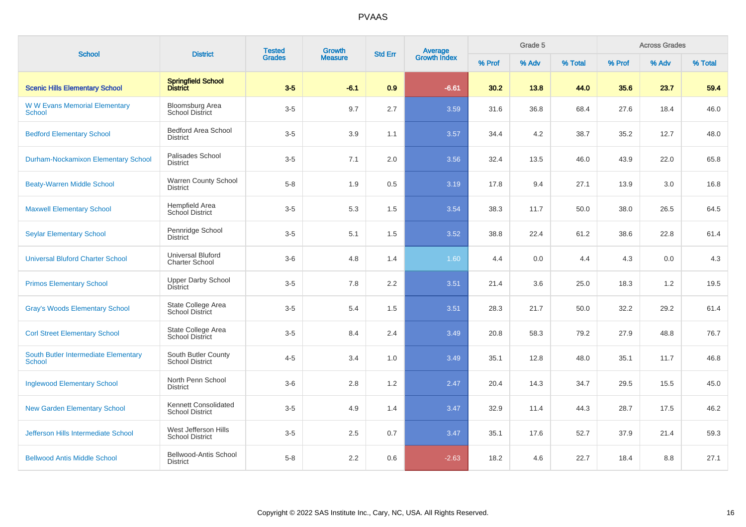| <b>School</b>                                         | <b>District</b>                                   | <b>Tested</b> | Growth         | <b>Std Err</b> | <b>Average</b><br>Growth Index |        | Grade 5 |         |        | <b>Across Grades</b> |         |
|-------------------------------------------------------|---------------------------------------------------|---------------|----------------|----------------|--------------------------------|--------|---------|---------|--------|----------------------|---------|
|                                                       |                                                   | <b>Grades</b> | <b>Measure</b> |                |                                | % Prof | % Adv   | % Total | % Prof | % Adv                | % Total |
| <b>Scenic Hills Elementary School</b>                 | Springfield School<br>District                    | $3-5$         | $-6.1$         | 0.9            | $-6.61$                        | 30.2   | 13.8    | 44.0    | 35.6   | 23.7                 | 59.4    |
| <b>WW Evans Memorial Elementary</b><br><b>School</b>  | Bloomsburg Area<br><b>School District</b>         | $3-5$         | 9.7            | 2.7            | 3.59                           | 31.6   | 36.8    | 68.4    | 27.6   | 18.4                 | 46.0    |
| <b>Bedford Elementary School</b>                      | <b>Bedford Area School</b><br><b>District</b>     | $3-5$         | 3.9            | 1.1            | 3.57                           | 34.4   | 4.2     | 38.7    | 35.2   | 12.7                 | 48.0    |
| <b>Durham-Nockamixon Elementary School</b>            | Palisades School<br><b>District</b>               | $3-5$         | 7.1            | 2.0            | 3.56                           | 32.4   | 13.5    | 46.0    | 43.9   | 22.0                 | 65.8    |
| <b>Beaty-Warren Middle School</b>                     | <b>Warren County School</b><br><b>District</b>    | $5-8$         | 1.9            | 0.5            | 3.19                           | 17.8   | 9.4     | 27.1    | 13.9   | 3.0                  | 16.8    |
| <b>Maxwell Elementary School</b>                      | Hempfield Area<br>School District                 | $3-5$         | 5.3            | 1.5            | 3.54                           | 38.3   | 11.7    | 50.0    | 38.0   | 26.5                 | 64.5    |
| <b>Seylar Elementary School</b>                       | Pennridge School<br><b>District</b>               | $3-5$         | 5.1            | 1.5            | 3.52                           | 38.8   | 22.4    | 61.2    | 38.6   | 22.8                 | 61.4    |
| <b>Universal Bluford Charter School</b>               | <b>Universal Bluford</b><br><b>Charter School</b> | $3-6$         | 4.8            | 1.4            | 1.60                           | 4.4    | 0.0     | 4.4     | 4.3    | 0.0                  | 4.3     |
| <b>Primos Elementary School</b>                       | <b>Upper Darby School</b><br><b>District</b>      | $3-5$         | 7.8            | 2.2            | 3.51                           | 21.4   | 3.6     | 25.0    | 18.3   | 1.2                  | 19.5    |
| <b>Gray's Woods Elementary School</b>                 | State College Area<br><b>School District</b>      | $3-5$         | 5.4            | 1.5            | 3.51                           | 28.3   | 21.7    | 50.0    | 32.2   | 29.2                 | 61.4    |
| <b>Corl Street Elementary School</b>                  | State College Area<br><b>School District</b>      | $3-5$         | 8.4            | 2.4            | 3.49                           | 20.8   | 58.3    | 79.2    | 27.9   | 48.8                 | 76.7    |
| South Butler Intermediate Elementary<br><b>School</b> | South Butler County<br><b>School District</b>     | $4 - 5$       | 3.4            | 1.0            | 3.49                           | 35.1   | 12.8    | 48.0    | 35.1   | 11.7                 | 46.8    |
| <b>Inglewood Elementary School</b>                    | North Penn School<br><b>District</b>              | $3-6$         | 2.8            | 1.2            | 2.47                           | 20.4   | 14.3    | 34.7    | 29.5   | 15.5                 | 45.0    |
| <b>New Garden Elementary School</b>                   | Kennett Consolidated<br><b>School District</b>    | $3-5$         | 4.9            | 1.4            | 3.47                           | 32.9   | 11.4    | 44.3    | 28.7   | 17.5                 | 46.2    |
| <b>Jefferson Hills Intermediate School</b>            | West Jefferson Hills<br><b>School District</b>    | $3-5$         | 2.5            | 0.7            | 3.47                           | 35.1   | 17.6    | 52.7    | 37.9   | 21.4                 | 59.3    |
| <b>Bellwood Antis Middle School</b>                   | Bellwood-Antis School<br><b>District</b>          | $5-8$         | 2.2            | 0.6            | $-2.63$                        | 18.2   | 4.6     | 22.7    | 18.4   | 8.8                  | 27.1    |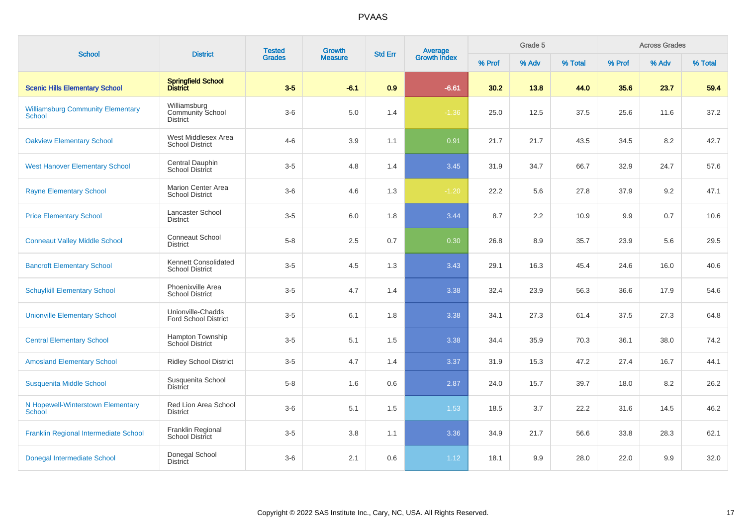| <b>School</b>                                             | <b>District</b>                                            | <b>Tested</b> | Growth         | <b>Std Err</b> |                                |        | Grade 5 |         |        | <b>Across Grades</b> |         |
|-----------------------------------------------------------|------------------------------------------------------------|---------------|----------------|----------------|--------------------------------|--------|---------|---------|--------|----------------------|---------|
|                                                           |                                                            | <b>Grades</b> | <b>Measure</b> |                | <b>Average</b><br>Growth Index | % Prof | % Adv   | % Total | % Prof | % Adv                | % Total |
| <b>Scenic Hills Elementary School</b>                     | Springfield School<br>District                             | $3-5$         | $-6.1$         | 0.9            | $-6.61$                        | 30.2   | 13.8    | 44.0    | 35.6   | 23.7                 | 59.4    |
| <b>Williamsburg Community Elementary</b><br><b>School</b> | Williamsburg<br><b>Community School</b><br><b>District</b> | $3-6$         | 5.0            | 1.4            | $-1.36$                        | 25.0   | 12.5    | 37.5    | 25.6   | 11.6                 | 37.2    |
| <b>Oakview Elementary School</b>                          | West Middlesex Area<br><b>School District</b>              | $4 - 6$       | 3.9            | 1.1            | 0.91                           | 21.7   | 21.7    | 43.5    | 34.5   | 8.2                  | 42.7    |
| <b>West Hanover Elementary School</b>                     | Central Dauphin<br><b>School District</b>                  | $3-5$         | 4.8            | 1.4            | 3.45                           | 31.9   | 34.7    | 66.7    | 32.9   | 24.7                 | 57.6    |
| <b>Rayne Elementary School</b>                            | <b>Marion Center Area</b><br><b>School District</b>        | $3-6$         | 4.6            | 1.3            | $-1.20$                        | 22.2   | 5.6     | 27.8    | 37.9   | 9.2                  | 47.1    |
| <b>Price Elementary School</b>                            | Lancaster School<br><b>District</b>                        | $3-5$         | 6.0            | 1.8            | 3.44                           | 8.7    | 2.2     | 10.9    | 9.9    | 0.7                  | 10.6    |
| <b>Conneaut Valley Middle School</b>                      | Conneaut School<br><b>District</b>                         | $5 - 8$       | 2.5            | 0.7            | 0.30                           | 26.8   | 8.9     | 35.7    | 23.9   | 5.6                  | 29.5    |
| <b>Bancroft Elementary School</b>                         | Kennett Consolidated<br><b>School District</b>             | $3-5$         | 4.5            | 1.3            | 3.43                           | 29.1   | 16.3    | 45.4    | 24.6   | 16.0                 | 40.6    |
| <b>Schuylkill Elementary School</b>                       | Phoenixville Area<br><b>School District</b>                | $3-5$         | 4.7            | 1.4            | 3.38                           | 32.4   | 23.9    | 56.3    | 36.6   | 17.9                 | 54.6    |
| <b>Unionville Elementary School</b>                       | Unionville-Chadds<br><b>Ford School District</b>           | $3-5$         | 6.1            | 1.8            | 3.38                           | 34.1   | 27.3    | 61.4    | 37.5   | 27.3                 | 64.8    |
| <b>Central Elementary School</b>                          | <b>Hampton Township</b><br><b>School District</b>          | $3-5$         | 5.1            | 1.5            | 3.38                           | 34.4   | 35.9    | 70.3    | 36.1   | 38.0                 | 74.2    |
| <b>Amosland Elementary School</b>                         | <b>Ridley School District</b>                              | $3-5$         | 4.7            | 1.4            | 3.37                           | 31.9   | 15.3    | 47.2    | 27.4   | 16.7                 | 44.1    |
| Susquenita Middle School                                  | Susquenita School<br><b>District</b>                       | $5-8$         | 1.6            | 0.6            | 2.87                           | 24.0   | 15.7    | 39.7    | 18.0   | 8.2                  | 26.2    |
| N Hopewell-Winterstown Elementary<br><b>School</b>        | Red Lion Area School<br><b>District</b>                    | $3-6$         | 5.1            | 1.5            | 1.53                           | 18.5   | 3.7     | 22.2    | 31.6   | 14.5                 | 46.2    |
| Franklin Regional Intermediate School                     | Franklin Regional<br>School District                       | $3-5$         | 3.8            | 1.1            | 3.36                           | 34.9   | 21.7    | 56.6    | 33.8   | 28.3                 | 62.1    |
| Donegal Intermediate School                               | Donegal School<br><b>District</b>                          | $3-6$         | 2.1            | 0.6            | 1.12                           | 18.1   | 9.9     | 28.0    | 22.0   | 9.9                  | 32.0    |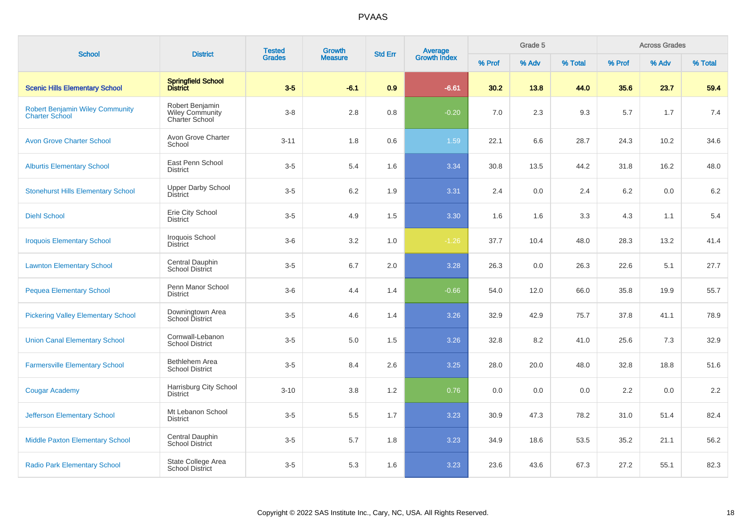| <b>School</b>                                                   | <b>District</b>                                             | <b>Tested</b> | <b>Growth</b>  | <b>Std Err</b> | Average<br>Growth Index |        | Grade 5 |         |        | <b>Across Grades</b> |         |
|-----------------------------------------------------------------|-------------------------------------------------------------|---------------|----------------|----------------|-------------------------|--------|---------|---------|--------|----------------------|---------|
|                                                                 |                                                             | <b>Grades</b> | <b>Measure</b> |                |                         | % Prof | % Adv   | % Total | % Prof | % Adv                | % Total |
| <b>Scenic Hills Elementary School</b>                           | Springfield School<br>District                              | $3-5$         | $-6.1$         | 0.9            | $-6.61$                 | 30.2   | 13.8    | 44.0    | 35.6   | 23.7                 | 59.4    |
| <b>Robert Benjamin Wiley Community</b><br><b>Charter School</b> | Robert Benjamin<br><b>Wiley Community</b><br>Charter School | $3 - 8$       | 2.8            | 0.8            | $-0.20$                 | 7.0    | 2.3     | 9.3     | 5.7    | 1.7                  | 7.4     |
| <b>Avon Grove Charter School</b>                                | Avon Grove Charter<br>School                                | $3 - 11$      | 1.8            | 0.6            | 1.59                    | 22.1   | 6.6     | 28.7    | 24.3   | 10.2                 | 34.6    |
| <b>Alburtis Elementary School</b>                               | East Penn School<br><b>District</b>                         | $3-5$         | 5.4            | 1.6            | 3.34                    | 30.8   | 13.5    | 44.2    | 31.8   | 16.2                 | 48.0    |
| <b>Stonehurst Hills Elementary School</b>                       | <b>Upper Darby School</b><br><b>District</b>                | $3-5$         | 6.2            | 1.9            | 3.31                    | 2.4    | 0.0     | 2.4     | 6.2    | 0.0                  | 6.2     |
| <b>Diehl School</b>                                             | Erie City School<br><b>District</b>                         | $3-5$         | 4.9            | 1.5            | 3.30                    | 1.6    | 1.6     | 3.3     | 4.3    | 1.1                  | 5.4     |
| <b>Iroquois Elementary School</b>                               | Iroquois School<br><b>District</b>                          | $3-6$         | 3.2            | 1.0            | $-1.26$                 | 37.7   | 10.4    | 48.0    | 28.3   | 13.2                 | 41.4    |
| <b>Lawnton Elementary School</b>                                | Central Dauphin<br>School District                          | $3-5$         | 6.7            | 2.0            | 3.28                    | 26.3   | 0.0     | 26.3    | 22.6   | 5.1                  | 27.7    |
| <b>Pequea Elementary School</b>                                 | Penn Manor School<br><b>District</b>                        | $3-6$         | 4.4            | 1.4            | $-0.66$                 | 54.0   | 12.0    | 66.0    | 35.8   | 19.9                 | 55.7    |
| <b>Pickering Valley Elementary School</b>                       | Downingtown Area<br>School District                         | $3-5$         | 4.6            | 1.4            | 3.26                    | 32.9   | 42.9    | 75.7    | 37.8   | 41.1                 | 78.9    |
| <b>Union Canal Elementary School</b>                            | Cornwall-Lebanon<br><b>School District</b>                  | $3-5$         | 5.0            | 1.5            | 3.26                    | 32.8   | 8.2     | 41.0    | 25.6   | 7.3                  | 32.9    |
| <b>Farmersville Elementary School</b>                           | Bethlehem Area<br><b>School District</b>                    | $3-5$         | 8.4            | 2.6            | 3.25                    | 28.0   | 20.0    | 48.0    | 32.8   | 18.8                 | 51.6    |
| <b>Cougar Academy</b>                                           | Harrisburg City School<br><b>District</b>                   | $3 - 10$      | 3.8            | 1.2            | 0.76                    | 0.0    | 0.0     | 0.0     | 2.2    | 0.0                  | 2.2     |
| <b>Jefferson Elementary School</b>                              | Mt Lebanon School<br><b>District</b>                        | $3-5$         | 5.5            | 1.7            | 3.23                    | 30.9   | 47.3    | 78.2    | 31.0   | 51.4                 | 82.4    |
| <b>Middle Paxton Elementary School</b>                          | Central Dauphin<br><b>School District</b>                   | $3-5$         | 5.7            | 1.8            | 3.23                    | 34.9   | 18.6    | 53.5    | 35.2   | 21.1                 | 56.2    |
| <b>Radio Park Elementary School</b>                             | State College Area<br><b>School District</b>                | $3-5$         | 5.3            | 1.6            | 3.23                    | 23.6   | 43.6    | 67.3    | 27.2   | 55.1                 | 82.3    |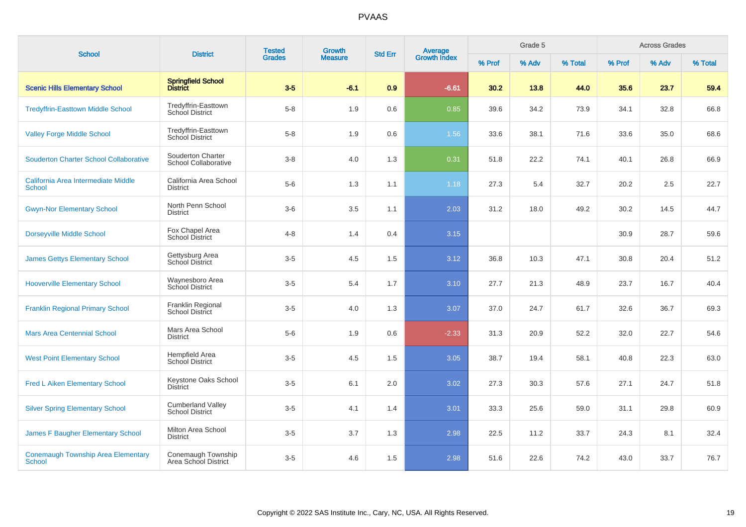| <b>School</b>                                              | <b>District</b>                                    | <b>Tested</b><br><b>Grades</b> | Growth         | <b>Std Err</b> |                                |        | Grade 5 |         |        | <b>Across Grades</b> |         |
|------------------------------------------------------------|----------------------------------------------------|--------------------------------|----------------|----------------|--------------------------------|--------|---------|---------|--------|----------------------|---------|
|                                                            |                                                    |                                | <b>Measure</b> |                | <b>Average</b><br>Growth Index | % Prof | % Adv   | % Total | % Prof | % Adv                | % Total |
| <b>Scenic Hills Elementary School</b>                      | <b>Springfield School</b><br><b>District</b>       | $3-5$                          | $-6.1$         | 0.9            | $-6.61$                        | 30.2   | 13.8    | 44.0    | 35.6   | 23.7                 | 59.4    |
| <b>Tredyffrin-Easttown Middle School</b>                   | Tredyffrin-Easttown<br><b>School District</b>      | $5 - 8$                        | 1.9            | 0.6            | 0.85                           | 39.6   | 34.2    | 73.9    | 34.1   | 32.8                 | 66.8    |
| <b>Valley Forge Middle School</b>                          | Tredyffrin-Easttown<br>School District             | $5-8$                          | 1.9            | 0.6            | 1.56                           | 33.6   | 38.1    | 71.6    | 33.6   | 35.0                 | 68.6    |
| <b>Souderton Charter School Collaborative</b>              | Souderton Charter<br>School Collaborative          | $3 - 8$                        | 4.0            | 1.3            | 0.31                           | 51.8   | 22.2    | 74.1    | 40.1   | 26.8                 | 66.9    |
| California Area Intermediate Middle<br><b>School</b>       | California Area School<br><b>District</b>          | $5-6$                          | 1.3            | 1.1            | 1.18                           | 27.3   | 5.4     | 32.7    | 20.2   | 2.5                  | 22.7    |
| <b>Gwyn-Nor Elementary School</b>                          | North Penn School<br><b>District</b>               | $3-6$                          | 3.5            | 1.1            | 2.03                           | 31.2   | 18.0    | 49.2    | 30.2   | 14.5                 | 44.7    |
| <b>Dorseyville Middle School</b>                           | Fox Chapel Area<br>School District                 | $4 - 8$                        | 1.4            | 0.4            | 3.15                           |        |         |         | 30.9   | 28.7                 | 59.6    |
| <b>James Gettys Elementary School</b>                      | Gettysburg Area<br>School District                 | $3-5$                          | 4.5            | 1.5            | 3.12                           | 36.8   | 10.3    | 47.1    | 30.8   | 20.4                 | 51.2    |
| <b>Hooverville Elementary School</b>                       | Waynesboro Area<br>School District                 | $3-5$                          | 5.4            | 1.7            | 3.10                           | 27.7   | 21.3    | 48.9    | 23.7   | 16.7                 | 40.4    |
| <b>Franklin Regional Primary School</b>                    | Franklin Regional<br><b>School District</b>        | $3-5$                          | 4.0            | 1.3            | 3.07                           | 37.0   | 24.7    | 61.7    | 32.6   | 36.7                 | 69.3    |
| <b>Mars Area Centennial School</b>                         | Mars Area School<br><b>District</b>                | $5-6$                          | 1.9            | 0.6            | $-2.33$                        | 31.3   | 20.9    | 52.2    | 32.0   | 22.7                 | 54.6    |
| <b>West Point Elementary School</b>                        | Hempfield Area<br><b>School District</b>           | $3-5$                          | 4.5            | 1.5            | 3.05                           | 38.7   | 19.4    | 58.1    | 40.8   | 22.3                 | 63.0    |
| <b>Fred L Aiken Elementary School</b>                      | Keystone Oaks School<br><b>District</b>            | $3-5$                          | 6.1            | 2.0            | 3.02                           | 27.3   | 30.3    | 57.6    | 27.1   | 24.7                 | 51.8    |
| <b>Silver Spring Elementary School</b>                     | <b>Cumberland Valley</b><br><b>School District</b> | $3-5$                          | 4.1            | 1.4            | 3.01                           | 33.3   | 25.6    | 59.0    | 31.1   | 29.8                 | 60.9    |
| James F Baugher Elementary School                          | Milton Area School<br><b>District</b>              | $3-5$                          | 3.7            | 1.3            | 2.98                           | 22.5   | 11.2    | 33.7    | 24.3   | 8.1                  | 32.4    |
| <b>Conemaugh Township Area Elementary</b><br><b>School</b> | Conemaugh Township<br>Area School District         | $3-5$                          | 4.6            | 1.5            | 2.98                           | 51.6   | 22.6    | 74.2    | 43.0   | 33.7                 | 76.7    |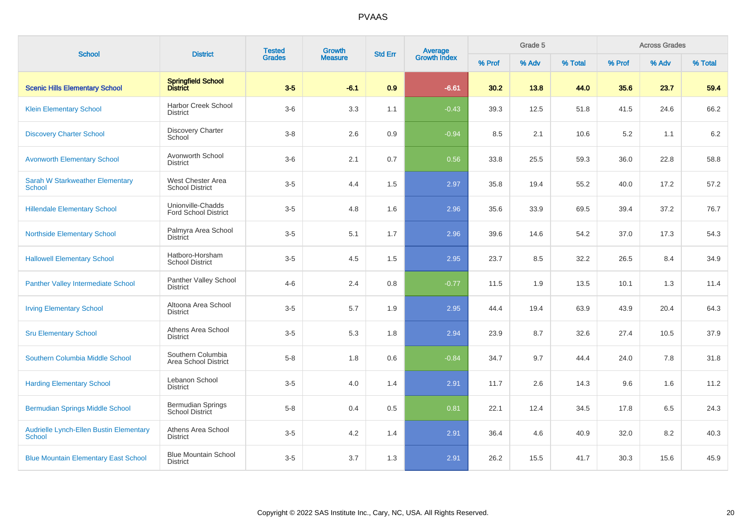| <b>School</b>                                                   | <b>District</b>                                    | <b>Tested</b> | Growth         | <b>Std Err</b> |                                |        | Grade 5 |         |        | <b>Across Grades</b> |         |
|-----------------------------------------------------------------|----------------------------------------------------|---------------|----------------|----------------|--------------------------------|--------|---------|---------|--------|----------------------|---------|
|                                                                 |                                                    | <b>Grades</b> | <b>Measure</b> |                | <b>Average</b><br>Growth Index | % Prof | % Adv   | % Total | % Prof | % Adv                | % Total |
| <b>Scenic Hills Elementary School</b>                           | Springfield School<br>District                     | $3-5$         | $-6.1$         | 0.9            | $-6.61$                        | 30.2   | 13.8    | 44.0    | 35.6   | 23.7                 | 59.4    |
| <b>Klein Elementary School</b>                                  | <b>Harbor Creek School</b><br>District             | $3-6$         | 3.3            | 1.1            | $-0.43$                        | 39.3   | 12.5    | 51.8    | 41.5   | 24.6                 | 66.2    |
| <b>Discovery Charter School</b>                                 | <b>Discovery Charter</b><br>School                 | $3 - 8$       | 2.6            | 0.9            | $-0.94$                        | 8.5    | 2.1     | 10.6    | 5.2    | 1.1                  | 6.2     |
| <b>Avonworth Elementary School</b>                              | Avonworth School<br><b>District</b>                | $3-6$         | 2.1            | 0.7            | 0.56                           | 33.8   | 25.5    | 59.3    | 36.0   | 22.8                 | 58.8    |
| <b>Sarah W Starkweather Elementary</b><br><b>School</b>         | West Chester Area<br><b>School District</b>        | $3-5$         | 4.4            | 1.5            | 2.97                           | 35.8   | 19.4    | 55.2    | 40.0   | 17.2                 | 57.2    |
| <b>Hillendale Elementary School</b>                             | Unionville-Chadds<br><b>Ford School District</b>   | $3-5$         | 4.8            | 1.6            | 2.96                           | 35.6   | 33.9    | 69.5    | 39.4   | 37.2                 | 76.7    |
| <b>Northside Elementary School</b>                              | Palmyra Area School<br><b>District</b>             | $3-5$         | 5.1            | 1.7            | 2.96                           | 39.6   | 14.6    | 54.2    | 37.0   | 17.3                 | 54.3    |
| <b>Hallowell Elementary School</b>                              | Hatboro-Horsham<br><b>School District</b>          | $3-5$         | 4.5            | 1.5            | 2.95                           | 23.7   | 8.5     | 32.2    | 26.5   | 8.4                  | 34.9    |
| <b>Panther Valley Intermediate School</b>                       | Panther Valley School<br><b>District</b>           | $4 - 6$       | 2.4            | 0.8            | $-0.77$                        | 11.5   | 1.9     | 13.5    | 10.1   | 1.3                  | 11.4    |
| <b>Irving Elementary School</b>                                 | Altoona Area School<br><b>District</b>             | $3-5$         | 5.7            | 1.9            | 2.95                           | 44.4   | 19.4    | 63.9    | 43.9   | 20.4                 | 64.3    |
| <b>Sru Elementary School</b>                                    | Athens Area School<br><b>District</b>              | $3-5$         | 5.3            | 1.8            | 2.94                           | 23.9   | 8.7     | 32.6    | 27.4   | 10.5                 | 37.9    |
| Southern Columbia Middle School                                 | Southern Columbia<br>Area School District          | $5-8$         | 1.8            | 0.6            | $-0.84$                        | 34.7   | 9.7     | 44.4    | 24.0   | 7.8                  | 31.8    |
| <b>Harding Elementary School</b>                                | Lebanon School<br><b>District</b>                  | $3-5$         | 4.0            | 1.4            | 2.91                           | 11.7   | 2.6     | 14.3    | 9.6    | 1.6                  | 11.2    |
| <b>Bermudian Springs Middle School</b>                          | <b>Bermudian Springs</b><br><b>School District</b> | $5 - 8$       | 0.4            | 0.5            | 0.81                           | 22.1   | 12.4    | 34.5    | 17.8   | 6.5                  | 24.3    |
| <b>Audrielle Lynch-Ellen Bustin Elementary</b><br><b>School</b> | Athens Area School<br>District                     | $3-5$         | 4.2            | 1.4            | 2.91                           | 36.4   | 4.6     | 40.9    | 32.0   | 8.2                  | 40.3    |
| <b>Blue Mountain Elementary East School</b>                     | <b>Blue Mountain School</b><br><b>District</b>     | $3-5$         | 3.7            | 1.3            | 2.91                           | 26.2   | 15.5    | 41.7    | 30.3   | 15.6                 | 45.9    |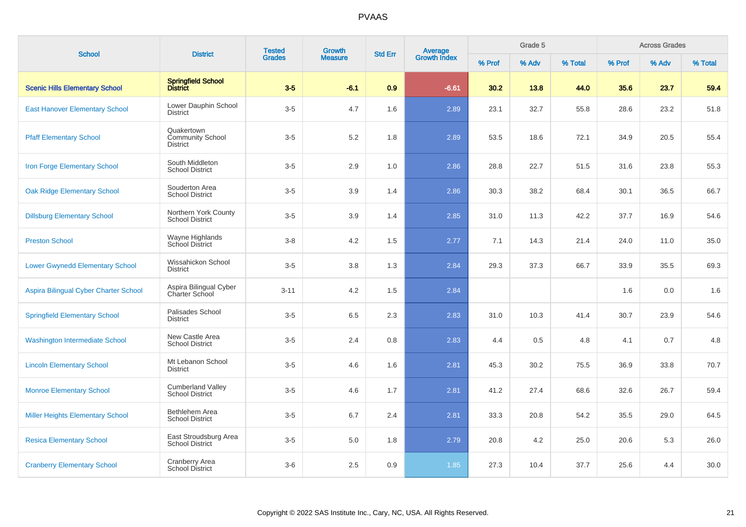| <b>School</b>                           | <b>District</b>                                    | <b>Tested</b> | <b>Growth</b>  | <b>Std Err</b> |                                |        | Grade 5 |         |        | <b>Across Grades</b> |         |
|-----------------------------------------|----------------------------------------------------|---------------|----------------|----------------|--------------------------------|--------|---------|---------|--------|----------------------|---------|
|                                         |                                                    | <b>Grades</b> | <b>Measure</b> |                | <b>Average</b><br>Growth Index | % Prof | % Adv   | % Total | % Prof | % Adv                | % Total |
| <b>Scenic Hills Elementary School</b>   | <b>Springfield School</b><br><b>District</b>       | $3-5$         | $-6.1$         | 0.9            | $-6.61$                        | 30.2   | 13.8    | 44.0    | 35.6   | 23.7                 | 59.4    |
| <b>East Hanover Elementary School</b>   | Lower Dauphin School<br><b>District</b>            | $3-5$         | 4.7            | 1.6            | 2.89                           | 23.1   | 32.7    | 55.8    | 28.6   | 23.2                 | 51.8    |
| <b>Pfaff Elementary School</b>          | Quakertown<br><b>Community School</b><br>District  | $3-5$         | 5.2            | 1.8            | 2.89                           | 53.5   | 18.6    | 72.1    | 34.9   | 20.5                 | 55.4    |
| Iron Forge Elementary School            | South Middleton<br><b>School District</b>          | $3-5$         | 2.9            | 1.0            | 2.86                           | 28.8   | 22.7    | 51.5    | 31.6   | 23.8                 | 55.3    |
| <b>Oak Ridge Elementary School</b>      | Souderton Area<br><b>School District</b>           | $3-5$         | 3.9            | 1.4            | 2.86                           | 30.3   | 38.2    | 68.4    | 30.1   | 36.5                 | 66.7    |
| <b>Dillsburg Elementary School</b>      | Northern York County<br><b>School District</b>     | $3-5$         | 3.9            | 1.4            | 2.85                           | 31.0   | 11.3    | 42.2    | 37.7   | 16.9                 | 54.6    |
| <b>Preston School</b>                   | Wayne Highlands<br>School District                 | $3 - 8$       | 4.2            | 1.5            | 2.77                           | 7.1    | 14.3    | 21.4    | 24.0   | 11.0                 | 35.0    |
| <b>Lower Gwynedd Elementary School</b>  | Wissahickon School<br><b>District</b>              | $3-5$         | 3.8            | 1.3            | 2.84                           | 29.3   | 37.3    | 66.7    | 33.9   | 35.5                 | 69.3    |
| Aspira Bilingual Cyber Charter School   | Aspira Bilingual Cyber<br>Charter School           | $3 - 11$      | 4.2            | 1.5            | 2.84                           |        |         |         | 1.6    | 0.0                  | 1.6     |
| <b>Springfield Elementary School</b>    | <b>Palisades School</b><br><b>District</b>         | $3-5$         | 6.5            | 2.3            | 2.83                           | 31.0   | 10.3    | 41.4    | 30.7   | 23.9                 | 54.6    |
| <b>Washington Intermediate School</b>   | New Castle Area<br><b>School District</b>          | $3-5$         | 2.4            | 0.8            | 2.83                           | 4.4    | 0.5     | 4.8     | 4.1    | 0.7                  | 4.8     |
| <b>Lincoln Elementary School</b>        | Mt Lebanon School<br>District                      | $3-5$         | 4.6            | 1.6            | 2.81                           | 45.3   | 30.2    | 75.5    | 36.9   | 33.8                 | 70.7    |
| <b>Monroe Elementary School</b>         | <b>Cumberland Valley</b><br><b>School District</b> | $3-5$         | 4.6            | 1.7            | 2.81                           | 41.2   | 27.4    | 68.6    | 32.6   | 26.7                 | 59.4    |
| <b>Miller Heights Elementary School</b> | Bethlehem Area<br><b>School District</b>           | $3-5$         | 6.7            | 2.4            | 2.81                           | 33.3   | 20.8    | 54.2    | 35.5   | 29.0                 | 64.5    |
| <b>Resica Elementary School</b>         | East Stroudsburg Area<br><b>School District</b>    | $3-5$         | $5.0\,$        | 1.8            | 2.79                           | 20.8   | 4.2     | 25.0    | 20.6   | 5.3                  | 26.0    |
| <b>Cranberry Elementary School</b>      | Cranberry Area<br>School District                  | $3-6$         | 2.5            | 0.9            | 1.85                           | 27.3   | 10.4    | 37.7    | 25.6   | 4.4                  | 30.0    |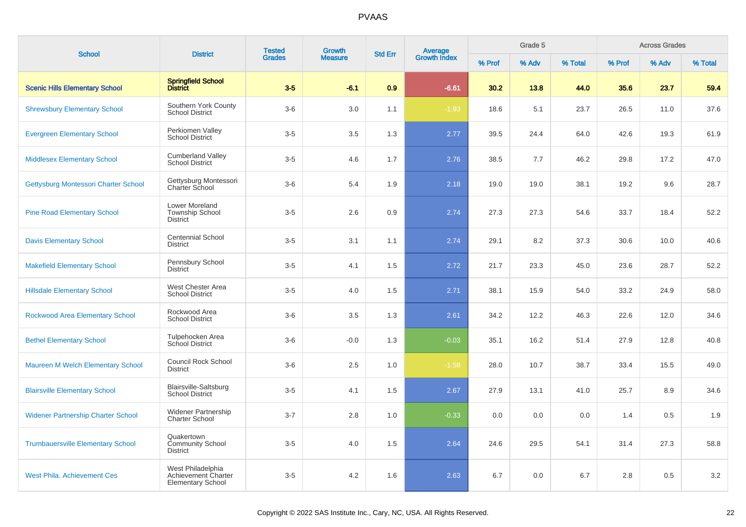| <b>School</b>                             | <b>District</b>                                                      | <b>Tested</b> |                | <b>Growth</b><br><b>Std Err</b> |                                |        | Grade 5 |         |        | <b>Across Grades</b> |         |
|-------------------------------------------|----------------------------------------------------------------------|---------------|----------------|---------------------------------|--------------------------------|--------|---------|---------|--------|----------------------|---------|
|                                           |                                                                      | <b>Grades</b> | <b>Measure</b> |                                 | <b>Average</b><br>Growth Index | % Prof | % Adv   | % Total | % Prof | % Adv                | % Total |
| <b>Scenic Hills Elementary School</b>     | <b>Springfield School</b><br><b>District</b>                         | $3-5$         | $-6.1$         | 0.9                             | $-6.61$                        | 30.2   | 13.8    | 44.0    | 35.6   | 23.7                 | 59.4    |
| <b>Shrewsbury Elementary School</b>       | Southern York County<br><b>School District</b>                       | $3-6$         | 3.0            | 1.1                             | $-1.93$                        | 18.6   | 5.1     | 23.7    | 26.5   | 11.0                 | 37.6    |
| <b>Evergreen Elementary School</b>        | Perkiomen Valley<br><b>School District</b>                           | $3-5$         | 3.5            | 1.3                             | 2.77                           | 39.5   | 24.4    | 64.0    | 42.6   | 19.3                 | 61.9    |
| <b>Middlesex Elementary School</b>        | <b>Cumberland Valley</b><br><b>School District</b>                   | $3-5$         | 4.6            | 1.7                             | 2.76                           | 38.5   | 7.7     | 46.2    | 29.8   | 17.2                 | 47.0    |
| Gettysburg Montessori Charter School      | Gettysburg Montessori<br><b>Charter School</b>                       | $3-6$         | 5.4            | 1.9                             | 2.18                           | 19.0   | 19.0    | 38.1    | 19.2   | 9.6                  | 28.7    |
| <b>Pine Road Elementary School</b>        | Lower Moreland<br><b>Township School</b><br><b>District</b>          | $3-5$         | 2.6            | 0.9                             | 2.74                           | 27.3   | 27.3    | 54.6    | 33.7   | 18.4                 | 52.2    |
| <b>Davis Elementary School</b>            | <b>Centennial School</b><br><b>District</b>                          | $3-5$         | 3.1            | 1.1                             | 2.74                           | 29.1   | 8.2     | 37.3    | 30.6   | 10.0                 | 40.6    |
| <b>Makefield Elementary School</b>        | Pennsbury School<br><b>District</b>                                  | $3-5$         | 4.1            | 1.5                             | 2.72                           | 21.7   | 23.3    | 45.0    | 23.6   | 28.7                 | 52.2    |
| <b>Hillsdale Elementary School</b>        | West Chester Area<br><b>School District</b>                          | $3-5$         | 4.0            | 1.5                             | 2.71                           | 38.1   | 15.9    | 54.0    | 33.2   | 24.9                 | 58.0    |
| <b>Rockwood Area Elementary School</b>    | Rockwood Area<br><b>School District</b>                              | $3-6$         | 3.5            | 1.3                             | 2.61                           | 34.2   | 12.2    | 46.3    | 22.6   | 12.0                 | 34.6    |
| <b>Bethel Elementary School</b>           | Tulpehocken Area<br><b>School District</b>                           | $3-6$         | $-0.0$         | 1.3                             | $-0.03$                        | 35.1   | 16.2    | 51.4    | 27.9   | 12.8                 | 40.8    |
| Maureen M Welch Elementary School         | <b>Council Rock School</b><br><b>District</b>                        | $3-6$         | 2.5            | 1.0                             | $-1.58$                        | 28.0   | 10.7    | 38.7    | 33.4   | 15.5                 | 49.0    |
| <b>Blairsville Elementary School</b>      | <b>Blairsville-Saltsburg</b><br><b>School District</b>               | $3-5$         | 4.1            | 1.5                             | 2.67                           | 27.9   | 13.1    | 41.0    | 25.7   | 8.9                  | 34.6    |
| <b>Widener Partnership Charter School</b> | <b>Widener Partnership</b><br><b>Charter School</b>                  | $3 - 7$       | 2.8            | 1.0                             | $-0.33$                        | 0.0    | 0.0     | 0.0     | 1.4    | 0.5                  | 1.9     |
| <b>Trumbauersville Elementary School</b>  | Quakertown<br><b>Community School</b><br><b>District</b>             | $3-5$         | 4.0            | 1.5                             | 2.64                           | 24.6   | 29.5    | 54.1    | 31.4   | 27.3                 | 58.8    |
| <b>West Phila. Achievement Ces</b>        | West Philadelphia<br>Achievement Charter<br><b>Elementary School</b> | $3-5$         | 4.2            | 1.6                             | 2.63                           | 6.7    | 0.0     | 6.7     | 2.8    | 0.5                  | $3.2\,$ |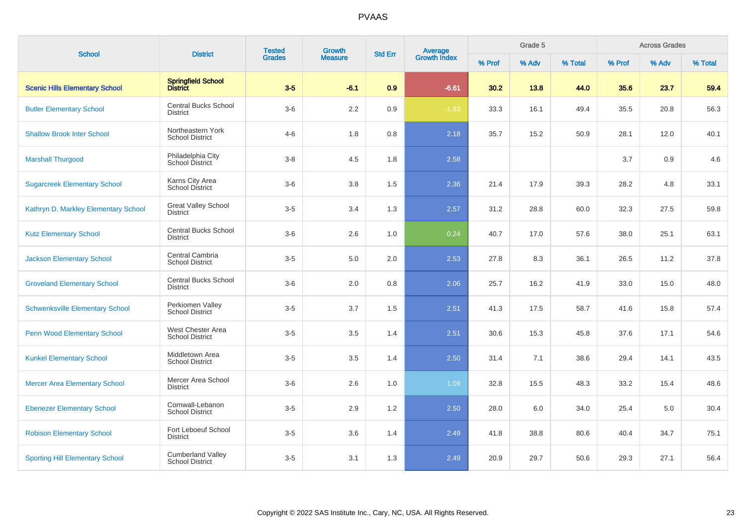| <b>School</b>                          | <b>District</b>                                    | <b>Tested</b><br><b>Grades</b> | Growth         | <b>Std Err</b> |                                |        | Grade 5 |         |        | <b>Across Grades</b> |         |
|----------------------------------------|----------------------------------------------------|--------------------------------|----------------|----------------|--------------------------------|--------|---------|---------|--------|----------------------|---------|
|                                        |                                                    |                                | <b>Measure</b> |                | <b>Average</b><br>Growth Index | % Prof | % Adv   | % Total | % Prof | % Adv                | % Total |
| <b>Scenic Hills Elementary School</b>  | Springfield School<br>District                     | $3-5$                          | $-6.1$         | 0.9            | $-6.61$                        | 30.2   | 13.8    | 44.0    | 35.6   | 23.7                 | 59.4    |
| <b>Butler Elementary School</b>        | <b>Central Bucks School</b><br>District            | $3-6$                          | 2.2            | $0.9\,$        | $-1.83$                        | 33.3   | 16.1    | 49.4    | 35.5   | 20.8                 | 56.3    |
| <b>Shallow Brook Inter School</b>      | Northeastern York<br><b>School District</b>        | $4 - 6$                        | 1.8            | 0.8            | 2.18                           | 35.7   | 15.2    | 50.9    | 28.1   | 12.0                 | 40.1    |
| <b>Marshall Thurgood</b>               | Philadelphia City<br>School District               | $3 - 8$                        | 4.5            | 1.8            | 2.58                           |        |         |         | 3.7    | 0.9                  | 4.6     |
| <b>Sugarcreek Elementary School</b>    | Karns City Area<br><b>School District</b>          | $3-6$                          | 3.8            | 1.5            | 2.36                           | 21.4   | 17.9    | 39.3    | 28.2   | 4.8                  | 33.1    |
| Kathryn D. Markley Elementary School   | <b>Great Valley School</b><br><b>District</b>      | $3-5$                          | 3.4            | 1.3            | 2.57                           | 31.2   | 28.8    | 60.0    | 32.3   | 27.5                 | 59.8    |
| <b>Kutz Elementary School</b>          | <b>Central Bucks School</b><br><b>District</b>     | $3-6$                          | 2.6            | 1.0            | 0.24                           | 40.7   | 17.0    | 57.6    | 38.0   | 25.1                 | 63.1    |
| <b>Jackson Elementary School</b>       | Central Cambria<br><b>School District</b>          | $3-5$                          | 5.0            | 2.0            | 2.53                           | 27.8   | 8.3     | 36.1    | 26.5   | 11.2                 | 37.8    |
| <b>Groveland Elementary School</b>     | <b>Central Bucks School</b><br><b>District</b>     | $3-6$                          | 2.0            | 0.8            | 2.06                           | 25.7   | 16.2    | 41.9    | 33.0   | 15.0                 | 48.0    |
| <b>Schwenksville Elementary School</b> | Perkiomen Valley<br><b>School District</b>         | $3-5$                          | 3.7            | 1.5            | 2.51                           | 41.3   | 17.5    | 58.7    | 41.6   | 15.8                 | 57.4    |
| Penn Wood Elementary School            | West Chester Area<br><b>School District</b>        | $3-5$                          | 3.5            | 1.4            | 2.51                           | 30.6   | 15.3    | 45.8    | 37.6   | 17.1                 | 54.6    |
| <b>Kunkel Elementary School</b>        | Middletown Area<br><b>School District</b>          | $3-5$                          | 3.5            | 1.4            | 2.50                           | 31.4   | 7.1     | 38.6    | 29.4   | 14.1                 | 43.5    |
| <b>Mercer Area Elementary School</b>   | Mercer Area School<br><b>District</b>              | $3-6$                          | 2.6            | 1.0            | 1.09                           | 32.8   | 15.5    | 48.3    | 33.2   | 15.4                 | 48.6    |
| <b>Ebenezer Elementary School</b>      | Cornwall-Lebanon<br><b>School District</b>         | $3-5$                          | 2.9            | 1.2            | 2.50                           | 28.0   | 6.0     | 34.0    | 25.4   | 5.0                  | 30.4    |
| <b>Robison Elementary School</b>       | Fort Leboeuf School<br>District                    | $3-5$                          | 3.6            | 1.4            | 2.49                           | 41.8   | 38.8    | 80.6    | 40.4   | 34.7                 | 75.1    |
| <b>Sporting Hill Elementary School</b> | <b>Cumberland Valley</b><br><b>School District</b> | $3-5$                          | 3.1            | 1.3            | 2.49                           | 20.9   | 29.7    | 50.6    | 29.3   | 27.1                 | 56.4    |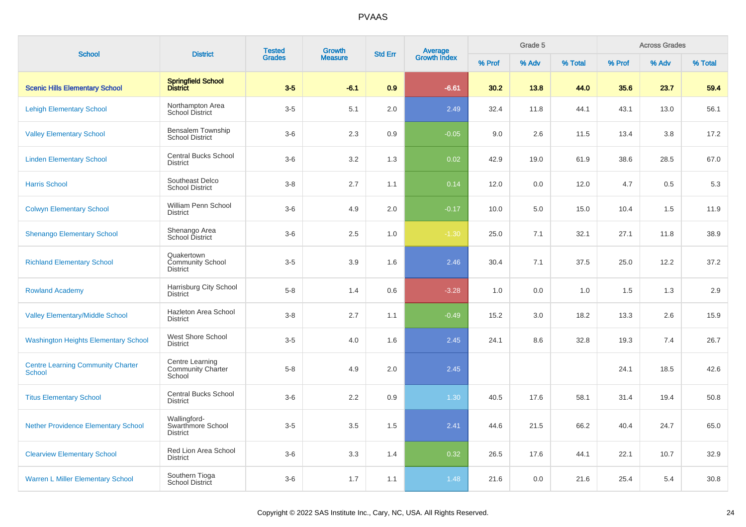| <b>School</b>                                             | <b>District</b>                                          | <b>Tested</b> | <b>Growth</b>  | <b>Std Err</b> |                                |        | Grade 5 |         |        | <b>Across Grades</b> |         |
|-----------------------------------------------------------|----------------------------------------------------------|---------------|----------------|----------------|--------------------------------|--------|---------|---------|--------|----------------------|---------|
|                                                           |                                                          | <b>Grades</b> | <b>Measure</b> |                | <b>Average</b><br>Growth Index | % Prof | % Adv   | % Total | % Prof | % Adv                | % Total |
| <b>Scenic Hills Elementary School</b>                     | Springfield School<br>District                           | $3-5$         | $-6.1$         | 0.9            | $-6.61$                        | 30.2   | 13.8    | 44.0    | 35.6   | 23.7                 | 59.4    |
| <b>Lehigh Elementary School</b>                           | Northampton Area<br>School District                      | $3-5$         | 5.1            | 2.0            | 2.49                           | 32.4   | 11.8    | 44.1    | 43.1   | 13.0                 | 56.1    |
| <b>Valley Elementary School</b>                           | Bensalem Township<br><b>School District</b>              | $3-6$         | 2.3            | 0.9            | $-0.05$                        | 9.0    | 2.6     | 11.5    | 13.4   | 3.8                  | 17.2    |
| <b>Linden Elementary School</b>                           | Central Bucks School<br><b>District</b>                  | $3-6$         | 3.2            | 1.3            | 0.02                           | 42.9   | 19.0    | 61.9    | 38.6   | 28.5                 | 67.0    |
| <b>Harris School</b>                                      | Southeast Delco<br><b>School District</b>                | $3-8$         | 2.7            | 1.1            | 0.14                           | 12.0   | 0.0     | 12.0    | 4.7    | 0.5                  | 5.3     |
| <b>Colwyn Elementary School</b>                           | William Penn School<br><b>District</b>                   | $3-6$         | 4.9            | 2.0            | $-0.17$                        | 10.0   | 5.0     | 15.0    | 10.4   | 1.5                  | 11.9    |
| <b>Shenango Elementary School</b>                         | Shenango Area<br>School District                         | $3-6$         | 2.5            | 1.0            | $-1.30$                        | 25.0   | 7.1     | 32.1    | 27.1   | 11.8                 | 38.9    |
| <b>Richland Elementary School</b>                         | Quakertown<br><b>Community School</b><br><b>District</b> | $3-5$         | 3.9            | 1.6            | 2.46                           | 30.4   | 7.1     | 37.5    | 25.0   | 12.2                 | 37.2    |
| <b>Rowland Academy</b>                                    | Harrisburg City School<br><b>District</b>                | $5-8$         | 1.4            | 0.6            | $-3.28$                        | 1.0    | 0.0     | 1.0     | 1.5    | 1.3                  | 2.9     |
| <b>Valley Elementary/Middle School</b>                    | Hazleton Area School<br><b>District</b>                  | $3-8$         | 2.7            | 1.1            | $-0.49$                        | 15.2   | 3.0     | 18.2    | 13.3   | 2.6                  | 15.9    |
| <b>Washington Heights Elementary School</b>               | West Shore School<br><b>District</b>                     | $3-5$         | 4.0            | 1.6            | 2.45                           | 24.1   | 8.6     | 32.8    | 19.3   | 7.4                  | 26.7    |
| <b>Centre Learning Community Charter</b><br><b>School</b> | Centre Learning<br><b>Community Charter</b><br>School    | $5-8$         | 4.9            | 2.0            | 2.45                           |        |         |         | 24.1   | 18.5                 | 42.6    |
| <b>Titus Elementary School</b>                            | <b>Central Bucks School</b><br><b>District</b>           | $3-6$         | 2.2            | 0.9            | $1.30$                         | 40.5   | 17.6    | 58.1    | 31.4   | 19.4                 | 50.8    |
| <b>Nether Providence Elementary School</b>                | Wallingford-<br>Swarthmore School<br><b>District</b>     | $3-5$         | 3.5            | 1.5            | 2.41                           | 44.6   | 21.5    | 66.2    | 40.4   | 24.7                 | 65.0    |
| <b>Clearview Elementary School</b>                        | Red Lion Area School<br><b>District</b>                  | $3-6$         | 3.3            | 1.4            | 0.32                           | 26.5   | 17.6    | 44.1    | 22.1   | 10.7                 | 32.9    |
| <b>Warren L Miller Elementary School</b>                  | Southern Tioga<br>School District                        | $3-6$         | 1.7            | 1.1            | 1.48                           | 21.6   | 0.0     | 21.6    | 25.4   | 5.4                  | 30.8    |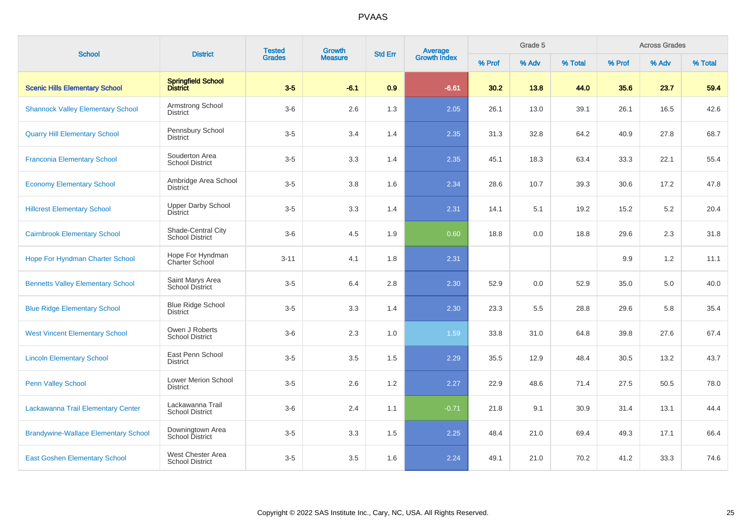| <b>School</b>                               | <b>District</b>                              | <b>Tested</b> | Growth         | <b>Std Err</b> |                                |        | Grade 5 |         |        | <b>Across Grades</b> |         |
|---------------------------------------------|----------------------------------------------|---------------|----------------|----------------|--------------------------------|--------|---------|---------|--------|----------------------|---------|
|                                             |                                              | <b>Grades</b> | <b>Measure</b> |                | <b>Average</b><br>Growth Index | % Prof | % Adv   | % Total | % Prof | % Adv                | % Total |
| <b>Scenic Hills Elementary School</b>       | Springfield School<br>District               | $3-5$         | $-6.1$         | 0.9            | $-6.61$                        | 30.2   | 13.8    | 44.0    | 35.6   | 23.7                 | 59.4    |
| <b>Shannock Valley Elementary School</b>    | Armstrong School<br>District                 | $3-6$         | 2.6            | 1.3            | 2.05                           | 26.1   | 13.0    | 39.1    | 26.1   | 16.5                 | 42.6    |
| <b>Quarry Hill Elementary School</b>        | Pennsbury School<br><b>District</b>          | $3-5$         | 3.4            | 1.4            | 2.35                           | 31.3   | 32.8    | 64.2    | 40.9   | 27.8                 | 68.7    |
| <b>Franconia Elementary School</b>          | Souderton Area<br><b>School District</b>     | $3-5$         | 3.3            | 1.4            | 2.35                           | 45.1   | 18.3    | 63.4    | 33.3   | 22.1                 | 55.4    |
| <b>Economy Elementary School</b>            | Ambridge Area School<br><b>District</b>      | $3-5$         | 3.8            | 1.6            | 2.34                           | 28.6   | 10.7    | 39.3    | 30.6   | 17.2                 | 47.8    |
| <b>Hillcrest Elementary School</b>          | <b>Upper Darby School</b><br><b>District</b> | $3-5$         | 3.3            | 1.4            | 2.31                           | 14.1   | 5.1     | 19.2    | 15.2   | 5.2                  | 20.4    |
| <b>Cairnbrook Elementary School</b>         | Shade-Central City<br><b>School District</b> | $3-6$         | 4.5            | 1.9            | 0.60                           | 18.8   | 0.0     | 18.8    | 29.6   | 2.3                  | 31.8    |
| <b>Hope For Hyndman Charter School</b>      | Hope For Hyndman<br>Charter School           | $3 - 11$      | 4.1            | 1.8            | 2.31                           |        |         |         | 9.9    | 1.2                  | 11.1    |
| <b>Bennetts Valley Elementary School</b>    | Saint Marys Area<br><b>School District</b>   | $3-5$         | 6.4            | 2.8            | 2.30                           | 52.9   | 0.0     | 52.9    | 35.0   | 5.0                  | 40.0    |
| <b>Blue Ridge Elementary School</b>         | <b>Blue Ridge School</b><br>District         | $3-5$         | 3.3            | 1.4            | 2.30                           | 23.3   | 5.5     | 28.8    | 29.6   | 5.8                  | 35.4    |
| <b>West Vincent Elementary School</b>       | Owen J Roberts<br><b>School District</b>     | $3-6$         | 2.3            | 1.0            | 1.59                           | 33.8   | 31.0    | 64.8    | 39.8   | 27.6                 | 67.4    |
| <b>Lincoln Elementary School</b>            | East Penn School<br><b>District</b>          | $3-5$         | 3.5            | 1.5            | 2.29                           | 35.5   | 12.9    | 48.4    | 30.5   | 13.2                 | 43.7    |
| <b>Penn Valley School</b>                   | Lower Merion School<br><b>District</b>       | $3-5$         | 2.6            | 1.2            | 2.27                           | 22.9   | 48.6    | 71.4    | 27.5   | 50.5                 | 78.0    |
| Lackawanna Trail Elementary Center          | Lackawanna Trail<br><b>School District</b>   | $3-6$         | 2.4            | 1.1            | $-0.71$                        | 21.8   | 9.1     | 30.9    | 31.4   | 13.1                 | 44.4    |
| <b>Brandywine-Wallace Elementary School</b> | Downingtown Area<br><b>School District</b>   | $3-5$         | 3.3            | 1.5            | 2.25                           | 48.4   | 21.0    | 69.4    | 49.3   | 17.1                 | 66.4    |
| <b>East Goshen Elementary School</b>        | West Chester Area<br><b>School District</b>  | $3-5$         | 3.5            | 1.6            | 2.24                           | 49.1   | 21.0    | 70.2    | 41.2   | 33.3                 | 74.6    |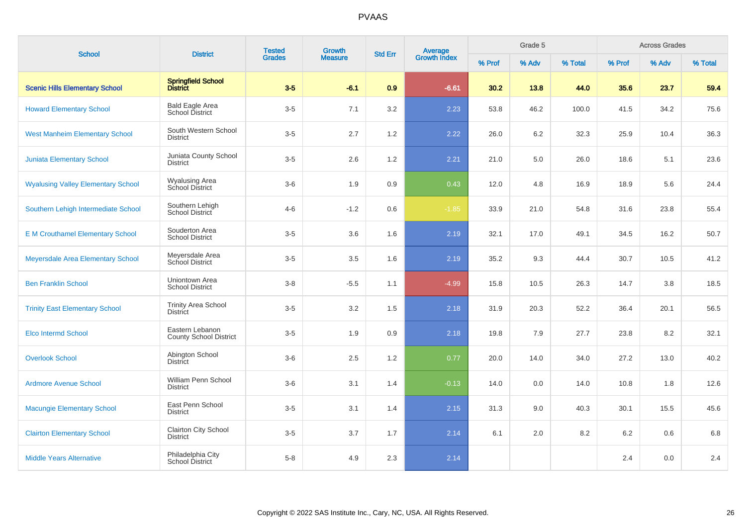| <b>School</b>                             | <b>District</b>                                  | <b>Tested</b> | Growth         | <b>Std Err</b> | <b>Average</b><br>Growth Index |        | Grade 5 |         |         | <b>Across Grades</b> |         |
|-------------------------------------------|--------------------------------------------------|---------------|----------------|----------------|--------------------------------|--------|---------|---------|---------|----------------------|---------|
|                                           |                                                  | <b>Grades</b> | <b>Measure</b> |                |                                | % Prof | % Adv   | % Total | % Prof  | % Adv                | % Total |
| <b>Scenic Hills Elementary School</b>     | Springfield School<br>District                   | $3-5$         | $-6.1$         | 0.9            | $-6.61$                        | 30.2   | 13.8    | 44.0    | 35.6    | 23.7                 | 59.4    |
| <b>Howard Elementary School</b>           | <b>Bald Eagle Area</b><br>School District        | $3-5$         | 7.1            | 3.2            | 2.23                           | 53.8   | 46.2    | 100.0   | 41.5    | 34.2                 | 75.6    |
| <b>West Manheim Elementary School</b>     | South Western School<br><b>District</b>          | $3-5$         | 2.7            | 1.2            | 2.22                           | 26.0   | 6.2     | 32.3    | 25.9    | 10.4                 | 36.3    |
| <b>Juniata Elementary School</b>          | Juniata County School<br><b>District</b>         | $3-5$         | 2.6            | 1.2            | 2.21                           | 21.0   | 5.0     | 26.0    | 18.6    | 5.1                  | 23.6    |
| <b>Wyalusing Valley Elementary School</b> | <b>Wyalusing Area</b><br>School District         | $3-6$         | 1.9            | 0.9            | 0.43                           | 12.0   | 4.8     | 16.9    | 18.9    | 5.6                  | 24.4    |
| Southern Lehigh Intermediate School       | Southern Lehigh<br>School District               | $4 - 6$       | $-1.2$         | 0.6            | $-1.85$                        | 33.9   | 21.0    | 54.8    | 31.6    | 23.8                 | 55.4    |
| <b>E M Crouthamel Elementary School</b>   | Souderton Area<br><b>School District</b>         | $3-5$         | 3.6            | 1.6            | 2.19                           | 32.1   | 17.0    | 49.1    | 34.5    | 16.2                 | 50.7    |
| Meyersdale Area Elementary School         | Meyersdale Area<br>School District               | $3-5$         | 3.5            | 1.6            | 2.19                           | 35.2   | 9.3     | 44.4    | 30.7    | 10.5                 | 41.2    |
| <b>Ben Franklin School</b>                | Uniontown Area<br><b>School District</b>         | $3 - 8$       | $-5.5$         | 1.1            | $-4.99$                        | 15.8   | 10.5    | 26.3    | 14.7    | 3.8                  | 18.5    |
| <b>Trinity East Elementary School</b>     | <b>Trinity Area School</b><br><b>District</b>    | $3-5$         | 3.2            | 1.5            | 2.18                           | 31.9   | 20.3    | 52.2    | 36.4    | 20.1                 | 56.5    |
| <b>Elco Intermd School</b>                | Eastern Lebanon<br><b>County School District</b> | $3-5$         | 1.9            | 0.9            | 2.18                           | 19.8   | 7.9     | 27.7    | 23.8    | 8.2                  | 32.1    |
| <b>Overlook School</b>                    | Abington School<br>District                      | $3-6$         | 2.5            | 1.2            | 0.77                           | 20.0   | 14.0    | 34.0    | 27.2    | 13.0                 | 40.2    |
| <b>Ardmore Avenue School</b>              | William Penn School<br><b>District</b>           | $3-6$         | 3.1            | 1.4            | $-0.13$                        | 14.0   | 0.0     | 14.0    | 10.8    | 1.8                  | 12.6    |
| <b>Macungie Elementary School</b>         | East Penn School<br><b>District</b>              | $3-5$         | 3.1            | 1.4            | 2.15                           | 31.3   | 9.0     | 40.3    | 30.1    | 15.5                 | 45.6    |
| <b>Clairton Elementary School</b>         | Clairton City School<br><b>District</b>          | $3-5$         | 3.7            | 1.7            | 2.14                           | 6.1    | 2.0     | 8.2     | $6.2\,$ | 0.6                  | 6.8     |
| <b>Middle Years Alternative</b>           | Philadelphia City<br>School District             | $5 - 8$       | 4.9            | 2.3            | 2.14                           |        |         |         | 2.4     | 0.0                  | 2.4     |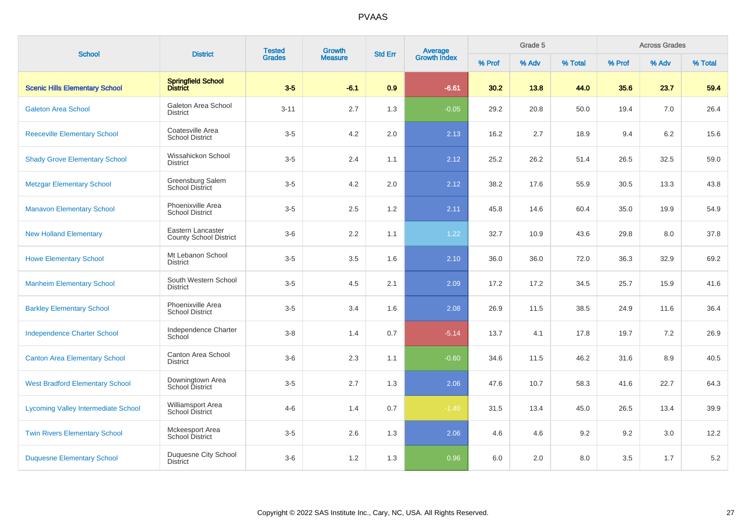| <b>School</b>                              | <b>District</b>                             | <b>Tested</b> | Growth         | <b>Std Err</b> | <b>Average</b><br>Growth Index |        | Grade 5 |         |         | <b>Across Grades</b> |         |
|--------------------------------------------|---------------------------------------------|---------------|----------------|----------------|--------------------------------|--------|---------|---------|---------|----------------------|---------|
|                                            |                                             | <b>Grades</b> | <b>Measure</b> |                |                                | % Prof | % Adv   | % Total | % Prof  | % Adv                | % Total |
| <b>Scenic Hills Elementary School</b>      | Springfield School<br>District              | $3-5$         | $-6.1$         | 0.9            | $-6.61$                        | 30.2   | 13.8    | 44.0    | 35.6    | 23.7                 | 59.4    |
| <b>Galeton Area School</b>                 | Galeton Area School<br><b>District</b>      | $3 - 11$      | 2.7            | 1.3            | $-0.05$                        | 29.2   | 20.8    | 50.0    | 19.4    | 7.0                  | 26.4    |
| <b>Reeceville Elementary School</b>        | Coatesville Area<br><b>School District</b>  | $3-5$         | 4.2            | 2.0            | 2.13                           | 16.2   | 2.7     | 18.9    | 9.4     | 6.2                  | 15.6    |
| <b>Shady Grove Elementary School</b>       | Wissahickon School<br><b>District</b>       | $3-5$         | 2.4            | 1.1            | 2.12                           | 25.2   | 26.2    | 51.4    | 26.5    | 32.5                 | 59.0    |
| <b>Metzgar Elementary School</b>           | Greensburg Salem<br>School District         | $3-5$         | 4.2            | 2.0            | 2.12                           | 38.2   | 17.6    | 55.9    | 30.5    | 13.3                 | 43.8    |
| <b>Manavon Elementary School</b>           | Phoenixville Area<br><b>School District</b> | $3-5$         | 2.5            | 1.2            | 2.11                           | 45.8   | 14.6    | 60.4    | 35.0    | 19.9                 | 54.9    |
| <b>New Holland Elementary</b>              | Eastern Lancaster<br>County School District | $3-6$         | 2.2            | 1.1            | 1.22                           | 32.7   | 10.9    | 43.6    | 29.8    | 8.0                  | 37.8    |
| <b>Howe Elementary School</b>              | Mt Lebanon School<br><b>District</b>        | $3-5$         | 3.5            | 1.6            | 2.10                           | 36.0   | 36.0    | 72.0    | 36.3    | 32.9                 | 69.2    |
| <b>Manheim Elementary School</b>           | South Western School<br><b>District</b>     | $3-5$         | 4.5            | 2.1            | 2.09                           | 17.2   | 17.2    | 34.5    | 25.7    | 15.9                 | 41.6    |
| <b>Barkley Elementary School</b>           | Phoenixville Area<br><b>School District</b> | $3-5$         | 3.4            | 1.6            | 2.08                           | 26.9   | 11.5    | 38.5    | 24.9    | 11.6                 | 36.4    |
| <b>Independence Charter School</b>         | Independence Charter<br>School              | $3-8$         | 1.4            | 0.7            | $-5.14$                        | 13.7   | 4.1     | 17.8    | 19.7    | 7.2                  | 26.9    |
| <b>Canton Area Elementary School</b>       | Canton Area School<br><b>District</b>       | $3-6$         | 2.3            | 1.1            | $-0.60$                        | 34.6   | 11.5    | 46.2    | 31.6    | 8.9                  | 40.5    |
| <b>West Bradford Elementary School</b>     | Downingtown Area<br>School District         | $3-5$         | 2.7            | 1.3            | 2.06                           | 47.6   | 10.7    | 58.3    | 41.6    | 22.7                 | 64.3    |
| <b>Lycoming Valley Intermediate School</b> | Williamsport Area<br><b>School District</b> | $4 - 6$       | 1.4            | 0.7            | $-1.40$                        | 31.5   | 13.4    | 45.0    | 26.5    | 13.4                 | 39.9    |
| <b>Twin Rivers Elementary School</b>       | Mckeesport Area<br><b>School District</b>   | $3-5$         | 2.6            | 1.3            | 2.06                           | 4.6    | 4.6     | 9.2     | 9.2     | 3.0                  | 12.2    |
| <b>Duquesne Elementary School</b>          | Duquesne City School<br><b>District</b>     | $3-6$         | $1.2$          | 1.3            | 0.96                           | 6.0    | 2.0     | 8.0     | $3.5\,$ | 1.7                  | $5.2\,$ |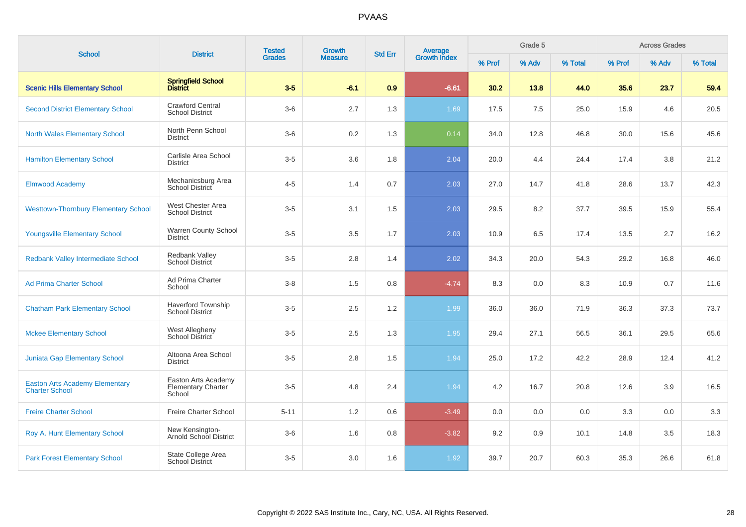| <b>School</b>                                                  | <b>District</b>                                            | <b>Tested</b><br><b>Grades</b> | Growth         | <b>Std Err</b> | <b>Average</b><br>Growth Index |        | Grade 5 |         |        | <b>Across Grades</b> |         |
|----------------------------------------------------------------|------------------------------------------------------------|--------------------------------|----------------|----------------|--------------------------------|--------|---------|---------|--------|----------------------|---------|
|                                                                |                                                            |                                | <b>Measure</b> |                |                                | % Prof | % Adv   | % Total | % Prof | % Adv                | % Total |
| <b>Scenic Hills Elementary School</b>                          | <b>Springfield School</b><br><b>District</b>               | $3-5$                          | $-6.1$         | 0.9            | $-6.61$                        | 30.2   | 13.8    | 44.0    | 35.6   | 23.7                 | 59.4    |
| <b>Second District Elementary School</b>                       | <b>Crawford Central</b><br><b>School District</b>          | $3-6$                          | 2.7            | 1.3            | 1.69                           | 17.5   | 7.5     | 25.0    | 15.9   | 4.6                  | 20.5    |
| <b>North Wales Elementary School</b>                           | North Penn School<br><b>District</b>                       | $3-6$                          | 0.2            | 1.3            | 0.14                           | 34.0   | 12.8    | 46.8    | 30.0   | 15.6                 | 45.6    |
| <b>Hamilton Elementary School</b>                              | Carlisle Area School<br><b>District</b>                    | $3-5$                          | 3.6            | 1.8            | 2.04                           | 20.0   | 4.4     | 24.4    | 17.4   | 3.8                  | 21.2    |
| <b>Elmwood Academy</b>                                         | Mechanicsburg Area<br>School District                      | $4 - 5$                        | 1.4            | 0.7            | 2.03                           | 27.0   | 14.7    | 41.8    | 28.6   | 13.7                 | 42.3    |
| <b>Westtown-Thornbury Elementary School</b>                    | West Chester Area<br><b>School District</b>                | $3-5$                          | 3.1            | 1.5            | 2.03                           | 29.5   | 8.2     | 37.7    | 39.5   | 15.9                 | 55.4    |
| <b>Youngsville Elementary School</b>                           | Warren County School<br><b>District</b>                    | $3-5$                          | 3.5            | 1.7            | 2.03                           | 10.9   | 6.5     | 17.4    | 13.5   | 2.7                  | 16.2    |
| <b>Redbank Valley Intermediate School</b>                      | Redbank Valley<br><b>School District</b>                   | $3-5$                          | 2.8            | 1.4            | 2.02                           | 34.3   | 20.0    | 54.3    | 29.2   | 16.8                 | 46.0    |
| <b>Ad Prima Charter School</b>                                 | Ad Prima Charter<br>School                                 | $3 - 8$                        | 1.5            | 0.8            | $-4.74$                        | 8.3    | 0.0     | 8.3     | 10.9   | 0.7                  | 11.6    |
| <b>Chatham Park Elementary School</b>                          | Haverford Township<br><b>School District</b>               | $3-5$                          | 2.5            | 1.2            | 1.99                           | 36.0   | 36.0    | 71.9    | 36.3   | 37.3                 | 73.7    |
| <b>Mckee Elementary School</b>                                 | <b>West Allegheny</b><br>School District                   | $3-5$                          | 2.5            | 1.3            | 1.95                           | 29.4   | 27.1    | 56.5    | 36.1   | 29.5                 | 65.6    |
| Juniata Gap Elementary School                                  | Altoona Area School<br><b>District</b>                     | $3-5$                          | 2.8            | 1.5            | 1.94                           | 25.0   | 17.2    | 42.2    | 28.9   | 12.4                 | 41.2    |
| <b>Easton Arts Academy Elementary</b><br><b>Charter School</b> | Easton Arts Academy<br><b>Elementary Charter</b><br>School | $3-5$                          | 4.8            | 2.4            | 1.94                           | 4.2    | 16.7    | 20.8    | 12.6   | 3.9                  | 16.5    |
| <b>Freire Charter School</b>                                   | Freire Charter School                                      | $5 - 11$                       | 1.2            | 0.6            | $-3.49$                        | 0.0    | 0.0     | 0.0     | 3.3    | 0.0                  | 3.3     |
| Roy A. Hunt Elementary School                                  | New Kensington-<br>Arnold School District                  | $3-6$                          | 1.6            | 0.8            | $-3.82$                        | 9.2    | 0.9     | 10.1    | 14.8   | 3.5                  | 18.3    |
| <b>Park Forest Elementary School</b>                           | State College Area<br><b>School District</b>               | $3-5$                          | 3.0            | 1.6            | 1.92                           | 39.7   | 20.7    | 60.3    | 35.3   | 26.6                 | 61.8    |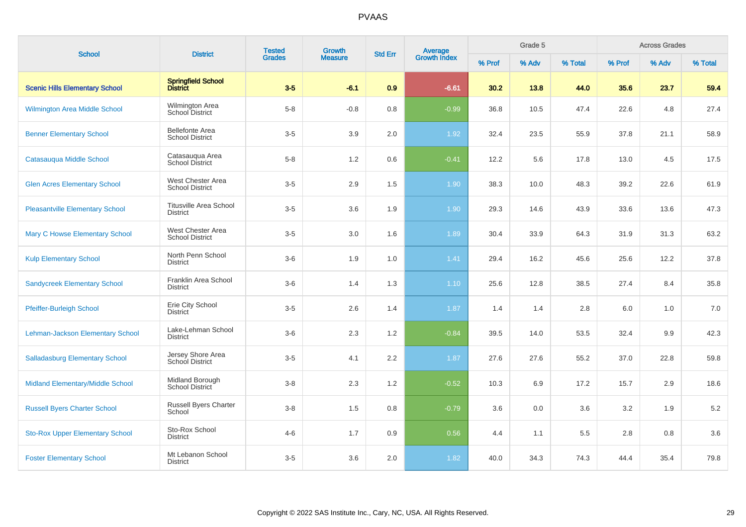| <b>School</b>                          | <b>District</b>                                  | <b>Tested</b> | Growth         | <b>Std Err</b> | <b>Average</b><br>Growth Index |        | Grade 5 |         |         | <b>Across Grades</b> |         |
|----------------------------------------|--------------------------------------------------|---------------|----------------|----------------|--------------------------------|--------|---------|---------|---------|----------------------|---------|
|                                        |                                                  | <b>Grades</b> | <b>Measure</b> |                |                                | % Prof | % Adv   | % Total | % Prof  | % Adv                | % Total |
| <b>Scenic Hills Elementary School</b>  | <b>Springfield School</b><br><b>District</b>     | $3-5$         | $-6.1$         | 0.9            | $-6.61$                        | 30.2   | 13.8    | 44.0    | 35.6    | 23.7                 | 59.4    |
| Wilmington Area Middle School          | Wilmington Area<br><b>School District</b>        | $5 - 8$       | $-0.8$         | 0.8            | $-0.99$                        | 36.8   | 10.5    | 47.4    | 22.6    | 4.8                  | 27.4    |
| <b>Benner Elementary School</b>        | <b>Bellefonte Area</b><br><b>School District</b> | $3-5$         | 3.9            | 2.0            | 1.92                           | 32.4   | 23.5    | 55.9    | 37.8    | 21.1                 | 58.9    |
| Catasauqua Middle School               | Catasauqua Area<br><b>School District</b>        | $5 - 8$       | 1.2            | 0.6            | $-0.41$                        | 12.2   | 5.6     | 17.8    | 13.0    | 4.5                  | 17.5    |
| <b>Glen Acres Elementary School</b>    | West Chester Area<br><b>School District</b>      | $3-5$         | 2.9            | 1.5            | 1.90                           | 38.3   | 10.0    | 48.3    | 39.2    | 22.6                 | 61.9    |
| <b>Pleasantville Elementary School</b> | <b>Titusville Area School</b><br><b>District</b> | $3-5$         | 3.6            | 1.9            | 1.90                           | 29.3   | 14.6    | 43.9    | 33.6    | 13.6                 | 47.3    |
| <b>Mary C Howse Elementary School</b>  | West Chester Area<br><b>School District</b>      | $3-5$         | 3.0            | 1.6            | 1.89                           | 30.4   | 33.9    | 64.3    | 31.9    | 31.3                 | 63.2    |
| <b>Kulp Elementary School</b>          | North Penn School<br><b>District</b>             | $3-6$         | 1.9            | 1.0            | 1.41                           | 29.4   | 16.2    | 45.6    | 25.6    | 12.2                 | 37.8    |
| <b>Sandycreek Elementary School</b>    | Franklin Area School<br><b>District</b>          | $3-6$         | 1.4            | 1.3            | 1.10                           | 25.6   | 12.8    | 38.5    | 27.4    | 8.4                  | 35.8    |
| <b>Pfeiffer-Burleigh School</b>        | Erie City School<br><b>District</b>              | $3-5$         | 2.6            | 1.4            | 1.87                           | 1.4    | 1.4     | 2.8     | 6.0     | 1.0                  | 7.0     |
| Lehman-Jackson Elementary School       | Lake-Lehman School<br><b>District</b>            | $3-6$         | 2.3            | 1.2            | $-0.84$                        | 39.5   | 14.0    | 53.5    | 32.4    | 9.9                  | 42.3    |
| <b>Salladasburg Elementary School</b>  | Jersey Shore Area<br><b>School District</b>      | $3-5$         | 4.1            | 2.2            | 1.87                           | 27.6   | 27.6    | 55.2    | 37.0    | 22.8                 | 59.8    |
| Midland Elementary/Middle School       | Midland Borough<br>School District               | $3-8$         | 2.3            | 1.2            | $-0.52$                        | 10.3   | 6.9     | 17.2    | 15.7    | 2.9                  | 18.6    |
| <b>Russell Byers Charter School</b>    | Russell Byers Charter<br>School                  | $3-8$         | 1.5            | 0.8            | $-0.79$                        | 3.6    | 0.0     | 3.6     | 3.2     | 1.9                  | 5.2     |
| <b>Sto-Rox Upper Elementary School</b> | Sto-Rox School<br>District                       | $4 - 6$       | 1.7            | 0.9            | 0.56                           | 4.4    | 1.1     | 5.5     | $2.8\,$ | 0.8                  | 3.6     |
| <b>Foster Elementary School</b>        | Mt Lebanon School<br><b>District</b>             | $3-5$         | 3.6            | 2.0            | 1.82                           | 40.0   | 34.3    | 74.3    | 44.4    | 35.4                 | 79.8    |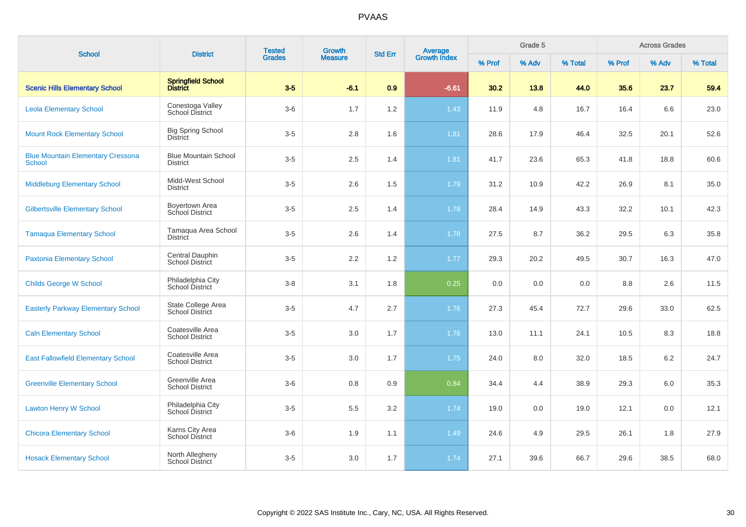| <b>School</b>                                             | <b>District</b>                                | <b>Tested</b> | Growth         | <b>Std Err</b> |                                |        | Grade 5 |         |        | <b>Across Grades</b> |         |
|-----------------------------------------------------------|------------------------------------------------|---------------|----------------|----------------|--------------------------------|--------|---------|---------|--------|----------------------|---------|
|                                                           |                                                | <b>Grades</b> | <b>Measure</b> |                | <b>Average</b><br>Growth Index | % Prof | % Adv   | % Total | % Prof | % Adv                | % Total |
| <b>Scenic Hills Elementary School</b>                     | Springfield School<br>District                 | $3-5$         | $-6.1$         | 0.9            | $-6.61$                        | 30.2   | 13.8    | 44.0    | 35.6   | 23.7                 | 59.4    |
| <b>Leola Elementary School</b>                            | Conestoga Valley<br><b>School District</b>     | $3-6$         | 1.7            | 1.2            | 1.43                           | 11.9   | 4.8     | 16.7    | 16.4   | 6.6                  | 23.0    |
| <b>Mount Rock Elementary School</b>                       | <b>Big Spring School</b><br><b>District</b>    | $3-5$         | 2.8            | 1.6            | 1.81                           | 28.6   | 17.9    | 46.4    | 32.5   | 20.1                 | 52.6    |
| <b>Blue Mountain Elementary Cressona</b><br><b>School</b> | <b>Blue Mountain School</b><br><b>District</b> | $3-5$         | 2.5            | 1.4            | 1.81                           | 41.7   | 23.6    | 65.3    | 41.8   | 18.8                 | 60.6    |
| <b>Middleburg Elementary School</b>                       | Midd-West School<br><b>District</b>            | $3-5$         | 2.6            | 1.5            | 1.79                           | 31.2   | 10.9    | 42.2    | 26.9   | 8.1                  | 35.0    |
| <b>Gilbertsville Elementary School</b>                    | Boyertown Area<br>School District              | $3-5$         | 2.5            | 1.4            | 1.78                           | 28.4   | 14.9    | 43.3    | 32.2   | 10.1                 | 42.3    |
| <b>Tamaqua Elementary School</b>                          | Tamaqua Area School<br><b>District</b>         | $3-5$         | 2.6            | 1.4            | 1.78                           | 27.5   | 8.7     | 36.2    | 29.5   | 6.3                  | 35.8    |
| <b>Paxtonia Elementary School</b>                         | Central Dauphin<br>School District             | $3-5$         | 2.2            | 1.2            | 1.77                           | 29.3   | 20.2    | 49.5    | 30.7   | 16.3                 | 47.0    |
| <b>Childs George W School</b>                             | Philadelphia City<br>School District           | $3 - 8$       | 3.1            | 1.8            | 0.25                           | 0.0    | 0.0     | 0.0     | 8.8    | 2.6                  | 11.5    |
| <b>Easterly Parkway Elementary School</b>                 | State College Area<br><b>School District</b>   | $3-5$         | 4.7            | 2.7            | 1.76                           | 27.3   | 45.4    | 72.7    | 29.6   | 33.0                 | 62.5    |
| <b>Caln Elementary School</b>                             | Coatesville Area<br><b>School District</b>     | $3-5$         | 3.0            | 1.7            | 1.76                           | 13.0   | 11.1    | 24.1    | 10.5   | 8.3                  | 18.8    |
| <b>East Fallowfield Elementary School</b>                 | Coatesville Area<br><b>School District</b>     | $3-5$         | 3.0            | 1.7            | 1.75                           | 24.0   | 8.0     | 32.0    | 18.5   | 6.2                  | 24.7    |
| <b>Greenville Elementary School</b>                       | Greenville Area<br><b>School District</b>      | $3-6$         | 0.8            | 0.9            | 0.84                           | 34.4   | 4.4     | 38.9    | 29.3   | 6.0                  | 35.3    |
| <b>Lawton Henry W School</b>                              | Philadelphia City<br>School District           | $3-5$         | 5.5            | 3.2            | 1.74                           | 19.0   | 0.0     | 19.0    | 12.1   | 0.0                  | 12.1    |
| <b>Chicora Elementary School</b>                          | Karns City Area<br><b>School District</b>      | $3-6$         | 1.9            | 1.1            | 1.49                           | 24.6   | 4.9     | 29.5    | 26.1   | 1.8                  | 27.9    |
| <b>Hosack Elementary School</b>                           | North Allegheny<br>School District             | $3-5$         | 3.0            | 1.7            | 1.74                           | 27.1   | 39.6    | 66.7    | 29.6   | 38.5                 | 68.0    |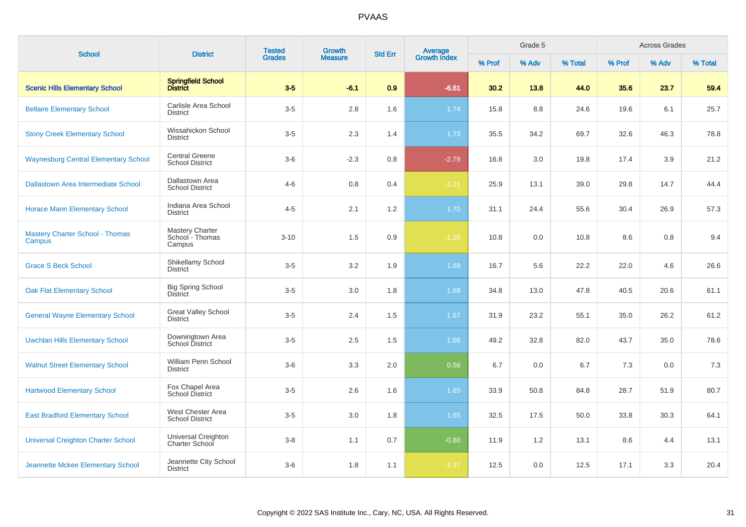| <b>School</b>                                    | <b>District</b>                                     | <b>Tested</b> | <b>Growth</b>  | <b>Std Err</b> | <b>Average</b><br>Growth Index |        | Grade 5 |         |        | <b>Across Grades</b> |         |
|--------------------------------------------------|-----------------------------------------------------|---------------|----------------|----------------|--------------------------------|--------|---------|---------|--------|----------------------|---------|
|                                                  |                                                     | <b>Grades</b> | <b>Measure</b> |                |                                | % Prof | % Adv   | % Total | % Prof | % Adv                | % Total |
| <b>Scenic Hills Elementary School</b>            | Springfield School<br>District                      | $3-5$         | $-6.1$         | 0.9            | $-6.61$                        | 30.2   | 13.8    | 44.0    | 35.6   | 23.7                 | 59.4    |
| <b>Bellaire Elementary School</b>                | Carlisle Area School<br><b>District</b>             | $3-5$         | 2.8            | 1.6            | 1.74                           | 15.8   | 8.8     | 24.6    | 19.6   | 6.1                  | 25.7    |
| <b>Stony Creek Elementary School</b>             | Wissahickon School<br><b>District</b>               | $3-5$         | 2.3            | 1.4            | 1.73                           | 35.5   | 34.2    | 69.7    | 32.6   | 46.3                 | 78.8    |
| <b>Waynesburg Central Elementary School</b>      | <b>Central Greene</b><br><b>School District</b>     | $3-6$         | $-2.3$         | 0.8            | $-2.79$                        | 16.8   | 3.0     | 19.8    | 17.4   | 3.9                  | 21.2    |
| Dallastown Area Intermediate School              | Dallastown Area<br><b>School District</b>           | $4 - 6$       | 0.8            | 0.4            | $-1.21$                        | 25.9   | 13.1    | 39.0    | 29.8   | 14.7                 | 44.4    |
| <b>Horace Mann Elementary School</b>             | Indiana Area School<br><b>District</b>              | $4 - 5$       | 2.1            | 1.2            | 1.70                           | 31.1   | 24.4    | 55.6    | 30.4   | 26.9                 | 57.3    |
| <b>Mastery Charter School - Thomas</b><br>Campus | <b>Mastery Charter</b><br>School - Thomas<br>Campus | $3 - 10$      | 1.5            | 0.9            | $-1.26$                        | 10.8   | 0.0     | 10.8    | 8.6    | 0.8                  | 9.4     |
| <b>Grace S Beck School</b>                       | Shikellamy School<br><b>District</b>                | $3-5$         | 3.2            | 1.9            | 1.69                           | 16.7   | 5.6     | 22.2    | 22.0   | 4.6                  | 26.6    |
| <b>Oak Flat Elementary School</b>                | <b>Big Spring School</b><br><b>District</b>         | $3-5$         | 3.0            | 1.8            | 1.68                           | 34.8   | 13.0    | 47.8    | 40.5   | 20.6                 | 61.1    |
| <b>General Wayne Elementary School</b>           | <b>Great Valley School</b><br><b>District</b>       | $3-5$         | 2.4            | 1.5            | 1.67                           | 31.9   | 23.2    | 55.1    | 35.0   | 26.2                 | 61.2    |
| <b>Uwchlan Hills Elementary School</b>           | Downingtown Area<br>School District                 | $3-5$         | 2.5            | 1.5            | 1.66                           | 49.2   | 32.8    | 82.0    | 43.7   | 35.0                 | 78.6    |
| <b>Walnut Street Elementary School</b>           | William Penn School<br><b>District</b>              | $3-6$         | 3.3            | 2.0            | 0.56                           | 6.7    | 0.0     | 6.7     | 7.3    | 0.0                  | 7.3     |
| <b>Hartwood Elementary School</b>                | Fox Chapel Area<br>School District                  | $3-5$         | 2.6            | 1.6            | 1.65                           | 33.9   | 50.8    | 84.8    | 28.7   | 51.9                 | 80.7    |
| <b>East Bradford Elementary School</b>           | West Chester Area<br><b>School District</b>         | $3-5$         | 3.0            | 1.8            | 1.65                           | 32.5   | 17.5    | 50.0    | 33.8   | 30.3                 | 64.1    |
| <b>Universal Creighton Charter School</b>        | Universal Creighton<br>Charter School               | $3-8$         | 1.1            | 0.7            | $-0.80$                        | 11.9   | 1.2     | 13.1    | 8.6    | 4.4                  | 13.1    |
| Jeannette Mckee Elementary School                | Jeannette City School<br><b>District</b>            | $3-6$         | 1.8            | 1.1            | $-1.37$                        | 12.5   | 0.0     | 12.5    | 17.1   | 3.3                  | 20.4    |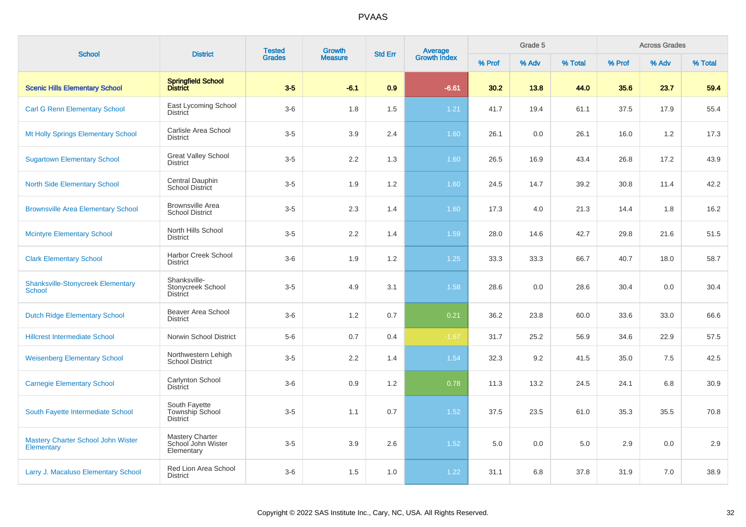| <b>School</b>                                           | <b>District</b>                                            | <b>Tested</b> | <b>Growth</b>  | <b>Std Err</b> | <b>Average</b><br>Growth Index |        | Grade 5 |         |        | <b>Across Grades</b> |         |
|---------------------------------------------------------|------------------------------------------------------------|---------------|----------------|----------------|--------------------------------|--------|---------|---------|--------|----------------------|---------|
|                                                         |                                                            | <b>Grades</b> | <b>Measure</b> |                |                                | % Prof | % Adv   | % Total | % Prof | % Adv                | % Total |
| <b>Scenic Hills Elementary School</b>                   | Springfield School<br>District                             | $3-5$         | $-6.1$         | 0.9            | $-6.61$                        | 30.2   | 13.8    | 44.0    | 35.6   | 23.7                 | 59.4    |
| <b>Carl G Renn Elementary School</b>                    | East Lycoming School<br>District                           | $3-6$         | 1.8            | 1.5            | $1.21$                         | 41.7   | 19.4    | 61.1    | 37.5   | 17.9                 | 55.4    |
| Mt Holly Springs Elementary School                      | Carlisle Area School<br><b>District</b>                    | $3-5$         | 3.9            | 2.4            | 1.60                           | 26.1   | 0.0     | 26.1    | 16.0   | 1.2                  | 17.3    |
| <b>Sugartown Elementary School</b>                      | <b>Great Valley School</b><br><b>District</b>              | $3-5$         | 2.2            | 1.3            | 1.60                           | 26.5   | 16.9    | 43.4    | 26.8   | 17.2                 | 43.9    |
| <b>North Side Elementary School</b>                     | Central Dauphin<br><b>School District</b>                  | $3-5$         | 1.9            | 1.2            | 1.60                           | 24.5   | 14.7    | 39.2    | 30.8   | 11.4                 | 42.2    |
| <b>Brownsville Area Elementary School</b>               | <b>Brownsville Area</b><br><b>School District</b>          | $3-5$         | 2.3            | 1.4            | 1.60                           | 17.3   | 4.0     | 21.3    | 14.4   | 1.8                  | 16.2    |
| <b>Mcintyre Elementary School</b>                       | North Hills School<br><b>District</b>                      | $3-5$         | 2.2            | 1.4            | 1.59                           | 28.0   | 14.6    | 42.7    | 29.8   | 21.6                 | 51.5    |
| <b>Clark Elementary School</b>                          | <b>Harbor Creek School</b><br><b>District</b>              | $3-6$         | 1.9            | 1.2            | 1.25                           | 33.3   | 33.3    | 66.7    | 40.7   | 18.0                 | 58.7    |
| <b>Shanksville-Stonycreek Elementary</b><br>School      | Shanksville-<br>Stonycreek School<br><b>District</b>       | $3-5$         | 4.9            | 3.1            | 1.58                           | 28.6   | 0.0     | 28.6    | 30.4   | 0.0                  | 30.4    |
| <b>Dutch Ridge Elementary School</b>                    | Beaver Area School<br><b>District</b>                      | $3-6$         | 1.2            | 0.7            | 0.21                           | 36.2   | 23.8    | 60.0    | 33.6   | 33.0                 | 66.6    |
| <b>Hillcrest Intermediate School</b>                    | Norwin School District                                     | $5-6$         | 0.7            | 0.4            | $-1.67$                        | 31.7   | 25.2    | 56.9    | 34.6   | 22.9                 | 57.5    |
| <b>Weisenberg Elementary School</b>                     | Northwestern Lehigh<br><b>School District</b>              | $3-5$         | 2.2            | 1.4            | 1.54                           | 32.3   | 9.2     | 41.5    | 35.0   | 7.5                  | 42.5    |
| <b>Carnegie Elementary School</b>                       | Carlynton School<br><b>District</b>                        | $3-6$         | 0.9            | 1.2            | 0.78                           | 11.3   | 13.2    | 24.5    | 24.1   | 6.8                  | 30.9    |
| South Fayette Intermediate School                       | South Fayette<br>Township School<br><b>District</b>        | $3-5$         | 1.1            | 0.7            | 1.52                           | 37.5   | 23.5    | 61.0    | 35.3   | 35.5                 | 70.8    |
| <b>Mastery Charter School John Wister</b><br>Elementary | <b>Mastery Charter</b><br>School John Wister<br>Elementary | $3-5$         | 3.9            | 2.6            | 1.52                           | 5.0    | 0.0     | 5.0     | 2.9    | 0.0                  | 2.9     |
| Larry J. Macaluso Elementary School                     | Red Lion Area School<br><b>District</b>                    | $3-6$         | 1.5            | 1.0            | 1.22                           | 31.1   | 6.8     | 37.8    | 31.9   | 7.0                  | 38.9    |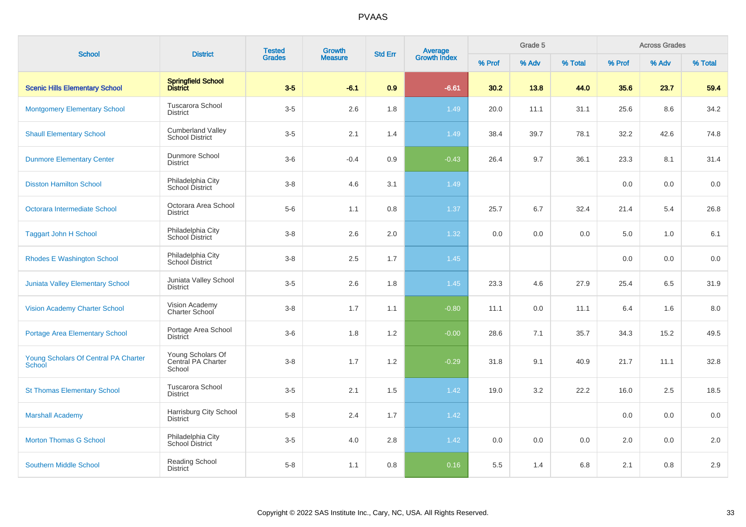| <b>School</b>                                         | <b>District</b>                                    | <b>Tested</b> | <b>Growth</b>  | <b>Std Err</b> | <b>Average</b><br>Growth Index |        | Grade 5 |         |        | <b>Across Grades</b><br>% Adv |         |
|-------------------------------------------------------|----------------------------------------------------|---------------|----------------|----------------|--------------------------------|--------|---------|---------|--------|-------------------------------|---------|
|                                                       |                                                    | <b>Grades</b> | <b>Measure</b> |                |                                | % Prof | % Adv   | % Total | % Prof |                               | % Total |
| <b>Scenic Hills Elementary School</b>                 | Springfield School<br>District                     | $3-5$         | $-6.1$         | 0.9            | $-6.61$                        | 30.2   | 13.8    | 44.0    | 35.6   | 23.7                          | 59.4    |
| <b>Montgomery Elementary School</b>                   | <b>Tuscarora School</b><br><b>District</b>         | $3-5$         | 2.6            | 1.8            | 1.49                           | 20.0   | 11.1    | 31.1    | 25.6   | 8.6                           | 34.2    |
| <b>Shaull Elementary School</b>                       | <b>Cumberland Valley</b><br><b>School District</b> | $3-5$         | 2.1            | 1.4            | 1.49                           | 38.4   | 39.7    | 78.1    | 32.2   | 42.6                          | 74.8    |
| <b>Dunmore Elementary Center</b>                      | Dunmore School<br><b>District</b>                  | $3-6$         | $-0.4$         | 0.9            | $-0.43$                        | 26.4   | 9.7     | 36.1    | 23.3   | 8.1                           | 31.4    |
| <b>Disston Hamilton School</b>                        | Philadelphia City<br>School District               | $3-8$         | 4.6            | 3.1            | 1.49                           |        |         |         | 0.0    | 0.0                           | 0.0     |
| Octorara Intermediate School                          | Octorara Area School<br><b>District</b>            | $5-6$         | 1.1            | 0.8            | 1.37                           | 25.7   | 6.7     | 32.4    | 21.4   | 5.4                           | 26.8    |
| <b>Taggart John H School</b>                          | Philadelphia City<br>School District               | $3 - 8$       | 2.6            | 2.0            | 1.32                           | 0.0    | 0.0     | 0.0     | 5.0    | 1.0                           | 6.1     |
| <b>Rhodes E Washington School</b>                     | Philadelphia City<br>School District               | $3-8$         | 2.5            | 1.7            | 1.45                           |        |         |         | 0.0    | 0.0                           | 0.0     |
| Juniata Valley Elementary School                      | Juniata Valley School<br><b>District</b>           | $3-5$         | 2.6            | 1.8            | 1.45                           | 23.3   | 4.6     | 27.9    | 25.4   | 6.5                           | 31.9    |
| <b>Vision Academy Charter School</b>                  | Vision Academy<br>Charter School                   | $3 - 8$       | 1.7            | 1.1            | $-0.80$                        | 11.1   | 0.0     | 11.1    | 6.4    | 1.6                           | 8.0     |
| <b>Portage Area Elementary School</b>                 | Portage Area School<br><b>District</b>             | $3-6$         | 1.8            | 1.2            | $-0.00$                        | 28.6   | 7.1     | 35.7    | 34.3   | 15.2                          | 49.5    |
| Young Scholars Of Central PA Charter<br><b>School</b> | Young Scholars Of<br>Central PA Charter<br>School  | $3 - 8$       | 1.7            | 1.2            | $-0.29$                        | 31.8   | 9.1     | 40.9    | 21.7   | 11.1                          | 32.8    |
| <b>St Thomas Elementary School</b>                    | Tuscarora School<br><b>District</b>                | $3-5$         | 2.1            | 1.5            | 1.42                           | 19.0   | 3.2     | 22.2    | 16.0   | 2.5                           | 18.5    |
| <b>Marshall Academy</b>                               | Harrisburg City School<br><b>District</b>          | $5 - 8$       | 2.4            | 1.7            | 1.42                           |        |         |         | 0.0    | 0.0                           | 0.0     |
| <b>Morton Thomas G School</b>                         | Philadelphia City<br><b>School District</b>        | $3-5$         | 4.0            | 2.8            | 1.42                           | 0.0    | 0.0     | 0.0     | 2.0    | 0.0                           | 2.0     |
| <b>Southern Middle School</b>                         | Reading School<br><b>District</b>                  | $5-8$         | 1.1            | 0.8            | 0.16                           | 5.5    | 1.4     | 6.8     | 2.1    | 0.8                           | 2.9     |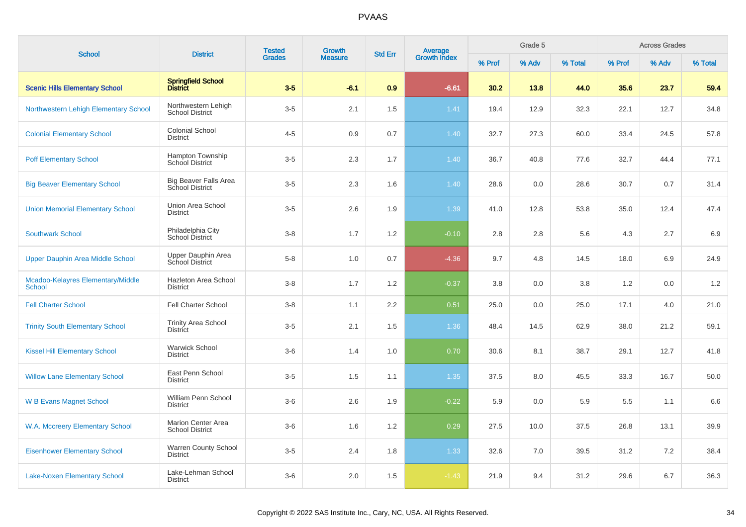| <b>School</b>                                      | <b>District</b>                                        | <b>Tested</b> | <b>Growth</b>  | <b>Std Err</b> |                                |        | Grade 5 |         |        | <b>Across Grades</b> |         |
|----------------------------------------------------|--------------------------------------------------------|---------------|----------------|----------------|--------------------------------|--------|---------|---------|--------|----------------------|---------|
|                                                    |                                                        | <b>Grades</b> | <b>Measure</b> |                | <b>Average</b><br>Growth Index | % Prof | % Adv   | % Total | % Prof | % Adv                | % Total |
| <b>Scenic Hills Elementary School</b>              | Springfield School<br>District                         | $3-5$         | $-6.1$         | 0.9            | $-6.61$                        | 30.2   | 13.8    | 44.0    | 35.6   | 23.7                 | 59.4    |
| Northwestern Lehigh Elementary School              | Northwestern Lehigh<br><b>School District</b>          | $3-5$         | 2.1            | 1.5            | 1.41                           | 19.4   | 12.9    | 32.3    | 22.1   | 12.7                 | 34.8    |
| <b>Colonial Elementary School</b>                  | <b>Colonial School</b><br><b>District</b>              | $4 - 5$       | 0.9            | 0.7            | 1.40                           | 32.7   | 27.3    | 60.0    | 33.4   | 24.5                 | 57.8    |
| <b>Poff Elementary School</b>                      | Hampton Township<br>School District                    | $3-5$         | 2.3            | 1.7            | 1.40                           | 36.7   | 40.8    | 77.6    | 32.7   | 44.4                 | 77.1    |
| <b>Big Beaver Elementary School</b>                | <b>Big Beaver Falls Area</b><br><b>School District</b> | $3-5$         | 2.3            | 1.6            | 1.40                           | 28.6   | 0.0     | 28.6    | 30.7   | 0.7                  | 31.4    |
| <b>Union Memorial Elementary School</b>            | Union Area School<br><b>District</b>                   | $3-5$         | 2.6            | 1.9            | 1.39                           | 41.0   | 12.8    | 53.8    | 35.0   | 12.4                 | 47.4    |
| <b>Southwark School</b>                            | Philadelphia City<br><b>School District</b>            | $3-8$         | 1.7            | 1.2            | $-0.10$                        | 2.8    | 2.8     | 5.6     | 4.3    | 2.7                  | 6.9     |
| Upper Dauphin Area Middle School                   | Upper Dauphin Area<br>School District                  | $5-8$         | 1.0            | 0.7            | $-4.36$                        | 9.7    | 4.8     | 14.5    | 18.0   | 6.9                  | 24.9    |
| Mcadoo-Kelayres Elementary/Middle<br><b>School</b> | Hazleton Area School<br><b>District</b>                | $3-8$         | 1.7            | 1.2            | $-0.37$                        | 3.8    | 0.0     | 3.8     | 1.2    | 0.0                  | 1.2     |
| <b>Fell Charter School</b>                         | <b>Fell Charter School</b>                             | $3-8$         | 1.1            | 2.2            | 0.51                           | 25.0   | 0.0     | 25.0    | 17.1   | 4.0                  | 21.0    |
| <b>Trinity South Elementary School</b>             | <b>Trinity Area School</b><br><b>District</b>          | $3-5$         | 2.1            | 1.5            | 1.36                           | 48.4   | 14.5    | 62.9    | 38.0   | 21.2                 | 59.1    |
| <b>Kissel Hill Elementary School</b>               | <b>Warwick School</b><br><b>District</b>               | $3-6$         | 1.4            | 1.0            | 0.70                           | 30.6   | 8.1     | 38.7    | 29.1   | 12.7                 | 41.8    |
| <b>Willow Lane Elementary School</b>               | East Penn School<br><b>District</b>                    | $3-5$         | 1.5            | 1.1            | 1.35                           | 37.5   | 8.0     | 45.5    | 33.3   | 16.7                 | 50.0    |
| <b>W B Evans Magnet School</b>                     | William Penn School<br><b>District</b>                 | $3-6$         | 2.6            | 1.9            | $-0.22$                        | 5.9    | 0.0     | 5.9     | 5.5    | 1.1                  | 6.6     |
| W.A. Mccreery Elementary School                    | <b>Marion Center Area</b><br><b>School District</b>    | $3-6$         | 1.6            | 1.2            | 0.29                           | 27.5   | 10.0    | 37.5    | 26.8   | 13.1                 | 39.9    |
| <b>Eisenhower Elementary School</b>                | <b>Warren County School</b><br><b>District</b>         | $3-5$         | 2.4            | 1.8            | 1.33                           | 32.6   | 7.0     | 39.5    | 31.2   | 7.2                  | 38.4    |
| <b>Lake-Noxen Elementary School</b>                | Lake-Lehman School<br><b>District</b>                  | $3-6$         | 2.0            | 1.5            | $-1.43$                        | 21.9   | 9.4     | 31.2    | 29.6   | 6.7                  | 36.3    |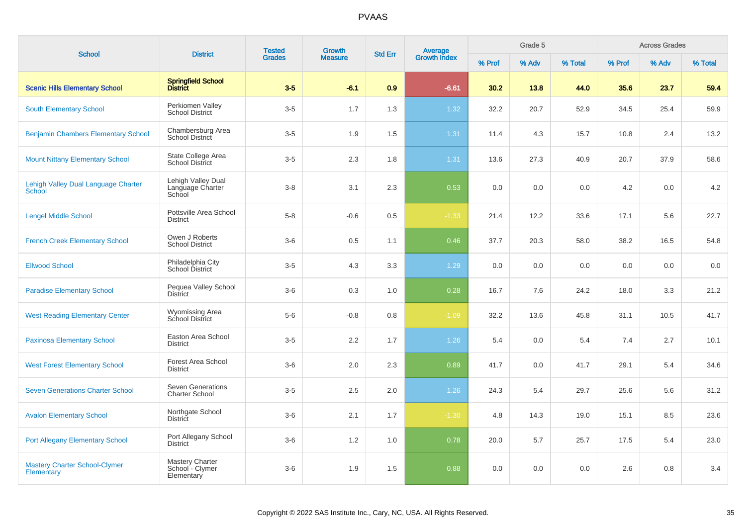| <b>School</b>                                             | <b>District</b>                                   | <b>Tested</b> | Growth         | <b>Std Err</b> | <b>Average</b><br>Growth Index |        | Grade 5 |         |        | <b>Across Grades</b> |         |
|-----------------------------------------------------------|---------------------------------------------------|---------------|----------------|----------------|--------------------------------|--------|---------|---------|--------|----------------------|---------|
|                                                           |                                                   | <b>Grades</b> | <b>Measure</b> |                |                                | % Prof | % Adv   | % Total | % Prof | % Adv                | % Total |
| <b>Scenic Hills Elementary School</b>                     | Springfield School<br>District                    | $3-5$         | $-6.1$         | 0.9            | $-6.61$                        | 30.2   | 13.8    | 44.0    | 35.6   | 23.7                 | 59.4    |
| <b>South Elementary School</b>                            | Perkiomen Valley<br><b>School District</b>        | $3-5$         | 1.7            | 1.3            | 1.32                           | 32.2   | 20.7    | 52.9    | 34.5   | 25.4                 | 59.9    |
| <b>Benjamin Chambers Elementary School</b>                | Chambersburg Area<br><b>School District</b>       | $3-5$         | 1.9            | 1.5            | 1.31                           | 11.4   | 4.3     | 15.7    | 10.8   | 2.4                  | 13.2    |
| <b>Mount Nittany Elementary School</b>                    | State College Area<br><b>School District</b>      | $3-5$         | 2.3            | 1.8            | 1.31                           | 13.6   | 27.3    | 40.9    | 20.7   | 37.9                 | 58.6    |
| Lehigh Valley Dual Language Charter<br><b>School</b>      | Lehigh Valley Dual<br>Language Charter<br>School  | $3-8$         | 3.1            | 2.3            | 0.53                           | 0.0    | 0.0     | 0.0     | 4.2    | 0.0                  | 4.2     |
| <b>Lengel Middle School</b>                               | Pottsville Area School<br><b>District</b>         | $5-8$         | $-0.6$         | 0.5            | $-1.33$                        | 21.4   | 12.2    | 33.6    | 17.1   | 5.6                  | 22.7    |
| <b>French Creek Elementary School</b>                     | Owen J Roberts<br><b>School District</b>          | $3-6$         | 0.5            | 1.1            | 0.46                           | 37.7   | 20.3    | 58.0    | 38.2   | 16.5                 | 54.8    |
| <b>Ellwood School</b>                                     | Philadelphia City<br>School District              | $3-5$         | 4.3            | 3.3            | 1.29                           | 0.0    | 0.0     | 0.0     | 0.0    | 0.0                  | 0.0     |
| <b>Paradise Elementary School</b>                         | Pequea Valley School<br><b>District</b>           | $3-6$         | 0.3            | 1.0            | 0.28                           | 16.7   | 7.6     | 24.2    | 18.0   | 3.3                  | 21.2    |
| <b>West Reading Elementary Center</b>                     | <b>Wyomissing Area</b><br>School District         | $5-6$         | $-0.8$         | 0.8            | $-1.09$                        | 32.2   | 13.6    | 45.8    | 31.1   | 10.5                 | 41.7    |
| <b>Paxinosa Elementary School</b>                         | Easton Area School<br><b>District</b>             | $3-5$         | 2.2            | 1.7            | 1.26                           | 5.4    | 0.0     | 5.4     | 7.4    | 2.7                  | 10.1    |
| <b>West Forest Elementary School</b>                      | Forest Area School<br><b>District</b>             | $3-6$         | 2.0            | 2.3            | 0.89                           | 41.7   | 0.0     | 41.7    | 29.1   | 5.4                  | 34.6    |
| <b>Seven Generations Charter School</b>                   | <b>Seven Generations</b><br><b>Charter School</b> | $3-5$         | 2.5            | 2.0            | 1.26                           | 24.3   | 5.4     | 29.7    | 25.6   | 5.6                  | 31.2    |
| <b>Avalon Elementary School</b>                           | Northgate School<br><b>District</b>               | $3-6$         | 2.1            | 1.7            | $-1.30$                        | 4.8    | 14.3    | 19.0    | 15.1   | 8.5                  | 23.6    |
| <b>Port Allegany Elementary School</b>                    | Port Allegany School<br><b>District</b>           | $3-6$         | 1.2            | 1.0            | 0.78                           | 20.0   | 5.7     | 25.7    | 17.5   | 5.4                  | 23.0    |
| <b>Mastery Charter School-Clymer</b><br><b>Elementary</b> | Mastery Charter<br>School - Clymer<br>Elementary  | $3-6$         | 1.9            | 1.5            | 0.88                           | 0.0    | 0.0     | 0.0     | 2.6    | 0.8                  | 3.4     |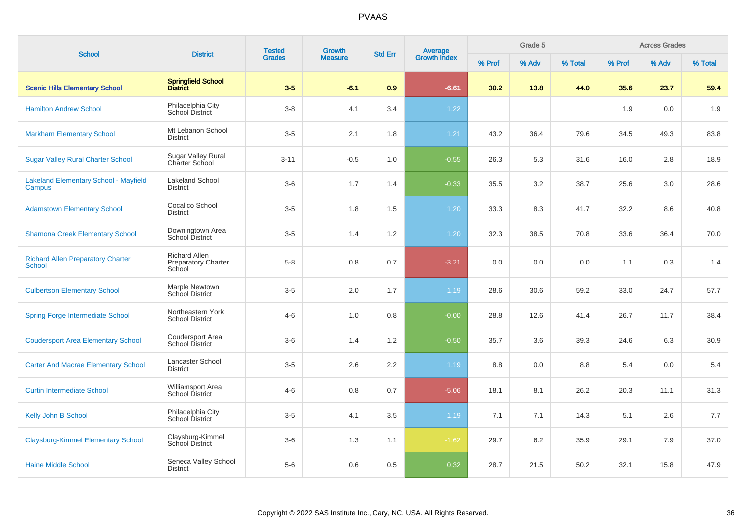| <b>School</b>                                             | <b>District</b>                                              | <b>Tested</b><br><b>Grades</b> | <b>Growth</b><br><b>Measure</b> | <b>Std Err</b>   | <b>Average</b><br>Growth Index | Grade 5 |       |         | <b>Across Grades</b> |       |         |
|-----------------------------------------------------------|--------------------------------------------------------------|--------------------------------|---------------------------------|------------------|--------------------------------|---------|-------|---------|----------------------|-------|---------|
|                                                           |                                                              |                                |                                 |                  |                                | % Prof  | % Adv | % Total | % Prof               | % Adv | % Total |
| <b>Scenic Hills Elementary School</b>                     | Springfield School<br>District                               | $3-5$                          | $-6.1$                          | 0.9              | $-6.61$                        | 30.2    | 13.8  | 44.0    | 35.6                 | 23.7  | 59.4    |
| <b>Hamilton Andrew School</b>                             | Philadelphia City<br>School District                         | $3-8$                          | 4.1                             | 3.4              | 1.22                           |         |       |         | 1.9                  | 0.0   | 1.9     |
| <b>Markham Elementary School</b>                          | Mt Lebanon School<br><b>District</b>                         | $3-5$                          | 2.1                             | 1.8              | 1.21                           | 43.2    | 36.4  | 79.6    | 34.5                 | 49.3  | 83.8    |
| <b>Sugar Valley Rural Charter School</b>                  | <b>Sugar Valley Rural</b><br>Charter School                  | $3 - 11$                       | $-0.5$                          | 1.0              | $-0.55$                        | 26.3    | 5.3   | 31.6    | 16.0                 | 2.8   | 18.9    |
| <b>Lakeland Elementary School - Mayfield</b><br>Campus    | <b>Lakeland School</b><br><b>District</b>                    | $3-6$                          | 1.7                             | 1.4              | $-0.33$                        | 35.5    | 3.2   | 38.7    | 25.6                 | 3.0   | 28.6    |
| <b>Adamstown Elementary School</b>                        | Cocalico School<br><b>District</b>                           | $3-5$                          | 1.8                             | 1.5              | 1.20                           | 33.3    | 8.3   | 41.7    | 32.2                 | 8.6   | 40.8    |
| <b>Shamona Creek Elementary School</b>                    | Downingtown Area<br>School District                          | $3-5$                          | 1.4                             | $1.2\,$          | 1.20                           | 32.3    | 38.5  | 70.8    | 33.6                 | 36.4  | 70.0    |
| <b>Richard Allen Preparatory Charter</b><br><b>School</b> | <b>Richard Allen</b><br><b>Preparatory Charter</b><br>School | $5 - 8$                        | 0.8                             | 0.7              | $-3.21$                        | 0.0     | 0.0   | 0.0     | 1.1                  | 0.3   | 1.4     |
| <b>Culbertson Elementary School</b>                       | Marple Newtown<br><b>School District</b>                     | $3-5$                          | 2.0                             | 1.7              | 1.19                           | 28.6    | 30.6  | 59.2    | 33.0                 | 24.7  | 57.7    |
| <b>Spring Forge Intermediate School</b>                   | Northeastern York<br><b>School District</b>                  | $4 - 6$                        | 1.0                             | 0.8              | $-0.00$                        | 28.8    | 12.6  | 41.4    | 26.7                 | 11.7  | 38.4    |
| <b>Coudersport Area Elementary School</b>                 | Coudersport Area<br><b>School District</b>                   | $3-6$                          | 1.4                             | 1.2              | $-0.50$                        | 35.7    | 3.6   | 39.3    | 24.6                 | 6.3   | 30.9    |
| <b>Carter And Macrae Elementary School</b>                | Lancaster School<br><b>District</b>                          | $3-5$                          | 2.6                             | $2.2\phantom{0}$ | 1.19                           | 8.8     | 0.0   | 8.8     | 5.4                  | 0.0   | 5.4     |
| <b>Curtin Intermediate School</b>                         | Williamsport Area<br><b>School District</b>                  | $4 - 6$                        | 0.8                             | 0.7              | $-5.06$                        | 18.1    | 8.1   | 26.2    | 20.3                 | 11.1  | 31.3    |
| Kelly John B School                                       | Philadelphia City<br>School District                         | $3-5$                          | 4.1                             | 3.5              | 1.19                           | 7.1     | 7.1   | 14.3    | 5.1                  | 2.6   | 7.7     |
| <b>Claysburg-Kimmel Elementary School</b>                 | Claysburg-Kimmel<br><b>School District</b>                   | $3-6$                          | 1.3                             | 1.1              | $-1.62$                        | 29.7    | 6.2   | 35.9    | 29.1                 | 7.9   | 37.0    |
| <b>Haine Middle School</b>                                | Seneca Valley School<br><b>District</b>                      | $5-6$                          | 0.6                             | 0.5              | 0.32                           | 28.7    | 21.5  | 50.2    | 32.1                 | 15.8  | 47.9    |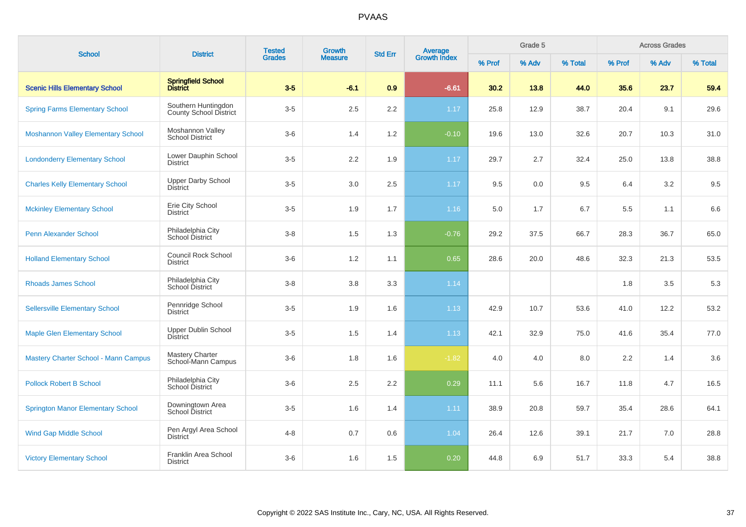| <b>School</b>                               | <b>District</b>                                | <b>Tested</b> | Growth         | <b>Std Err</b> |                                |        | Grade 5 |         |        | <b>Across Grades</b> |         |
|---------------------------------------------|------------------------------------------------|---------------|----------------|----------------|--------------------------------|--------|---------|---------|--------|----------------------|---------|
|                                             |                                                | <b>Grades</b> | <b>Measure</b> |                | <b>Average</b><br>Growth Index | % Prof | % Adv   | % Total | % Prof | % Adv                | % Total |
| <b>Scenic Hills Elementary School</b>       | Springfield School<br>District                 | $3-5$         | $-6.1$         | 0.9            | $-6.61$                        | 30.2   | 13.8    | 44.0    | 35.6   | 23.7                 | 59.4    |
| <b>Spring Farms Elementary School</b>       | Southern Huntingdon<br>County School District  | $3-5$         | 2.5            | 2.2            | 1.17                           | 25.8   | 12.9    | 38.7    | 20.4   | 9.1                  | 29.6    |
| <b>Moshannon Valley Elementary School</b>   | Moshannon Valley<br><b>School District</b>     | $3-6$         | 1.4            | 1.2            | $-0.10$                        | 19.6   | 13.0    | 32.6    | 20.7   | 10.3                 | 31.0    |
| <b>Londonderry Elementary School</b>        | Lower Dauphin School<br><b>District</b>        | $3-5$         | 2.2            | 1.9            | 1.17                           | 29.7   | 2.7     | 32.4    | 25.0   | 13.8                 | 38.8    |
| <b>Charles Kelly Elementary School</b>      | <b>Upper Darby School</b><br><b>District</b>   | $3-5$         | 3.0            | 2.5            | 1.17                           | 9.5    | 0.0     | 9.5     | 6.4    | 3.2                  | 9.5     |
| <b>Mckinley Elementary School</b>           | Erie City School<br><b>District</b>            | $3-5$         | 1.9            | 1.7            | 1.16                           | 5.0    | 1.7     | 6.7     | 5.5    | 1.1                  | 6.6     |
| <b>Penn Alexander School</b>                | Philadelphia City<br>School District           | $3-8$         | 1.5            | 1.3            | $-0.76$                        | 29.2   | 37.5    | 66.7    | 28.3   | 36.7                 | 65.0    |
| <b>Holland Elementary School</b>            | <b>Council Rock School</b><br><b>District</b>  | $3-6$         | 1.2            | 1.1            | 0.65                           | 28.6   | 20.0    | 48.6    | 32.3   | 21.3                 | 53.5    |
| <b>Rhoads James School</b>                  | Philadelphia City<br>School District           | $3 - 8$       | 3.8            | 3.3            | 1.14                           |        |         |         | 1.8    | 3.5                  | 5.3     |
| <b>Sellersville Elementary School</b>       | Pennridge School<br><b>District</b>            | $3-5$         | 1.9            | 1.6            | 1.13                           | 42.9   | 10.7    | 53.6    | 41.0   | 12.2                 | 53.2    |
| <b>Maple Glen Elementary School</b>         | Upper Dublin School<br>District                | $3-5$         | 1.5            | 1.4            | 1.13                           | 42.1   | 32.9    | 75.0    | 41.6   | 35.4                 | 77.0    |
| <b>Mastery Charter School - Mann Campus</b> | <b>Mastery Charter</b><br>School-Mann Campus   | $3-6$         | 1.8            | 1.6            | $-1.82$                        | 4.0    | 4.0     | 8.0     | 2.2    | 1.4                  | 3.6     |
| <b>Pollock Robert B School</b>              | Philadelphia City<br>School District           | $3-6$         | 2.5            | 2.2            | 0.29                           | 11.1   | 5.6     | 16.7    | 11.8   | 4.7                  | 16.5    |
| <b>Springton Manor Elementary School</b>    | Downingtown Area<br><b>School District</b>     | $3-5$         | 1.6            | 1.4            | 1.11                           | 38.9   | 20.8    | 59.7    | 35.4   | 28.6                 | 64.1    |
| <b>Wind Gap Middle School</b>               | Pen Argyl Area School<br>District <sup>-</sup> | $4 - 8$       | 0.7            | 0.6            | 1.04                           | 26.4   | 12.6    | 39.1    | 21.7   | 7.0                  | 28.8    |
| <b>Victory Elementary School</b>            | Franklin Area School<br><b>District</b>        | $3-6$         | 1.6            | 1.5            | 0.20                           | 44.8   | 6.9     | 51.7    | 33.3   | 5.4                  | 38.8    |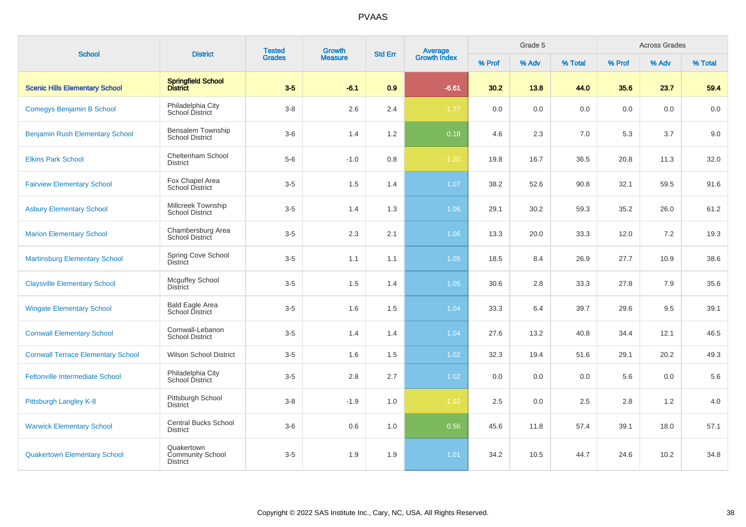| <b>School</b>                             | <b>District</b>                                          | <b>Tested</b><br><b>Grades</b> | Growth         | <b>Std Err</b> |                                |         | Grade 5 |         |         | <b>Across Grades</b> |         |
|-------------------------------------------|----------------------------------------------------------|--------------------------------|----------------|----------------|--------------------------------|---------|---------|---------|---------|----------------------|---------|
|                                           |                                                          |                                | <b>Measure</b> |                | <b>Average</b><br>Growth Index | % Prof  | % Adv   | % Total | % Prof  | % Adv                | % Total |
| <b>Scenic Hills Elementary School</b>     | Springfield School<br>District                           | $3-5$                          | $-6.1$         | 0.9            | $-6.61$                        | 30.2    | 13.8    | 44.0    | 35.6    | 23.7                 | 59.4    |
| <b>Comegys Benjamin B School</b>          | Philadelphia City<br>School District                     | $3 - 8$                        | 2.6            | 2.4            | $-1.77$                        | $0.0\,$ | 0.0     | $0.0\,$ | $0.0\,$ | 0.0                  | 0.0     |
| <b>Benjamin Rush Elementary School</b>    | Bensalem Township<br><b>School District</b>              | $3-6$                          | 1.4            | 1.2            | 0.18                           | 4.6     | 2.3     | 7.0     | 5.3     | 3.7                  | 9.0     |
| <b>Elkins Park School</b>                 | Cheltenham School<br><b>District</b>                     | $5-6$                          | $-1.0$         | 0.8            | $-1.20$                        | 19.8    | 16.7    | 36.5    | 20.8    | 11.3                 | 32.0    |
| <b>Fairview Elementary School</b>         | Fox Chapel Area<br><b>School District</b>                | $3-5$                          | 1.5            | 1.4            | 1.07                           | 38.2    | 52.6    | 90.8    | 32.1    | 59.5                 | 91.6    |
| <b>Asbury Elementary School</b>           | Millcreek Township<br><b>School District</b>             | $3-5$                          | 1.4            | 1.3            | 1.06                           | 29.1    | 30.2    | 59.3    | 35.2    | 26.0                 | 61.2    |
| <b>Marion Elementary School</b>           | Chambersburg Area<br>School District                     | $3-5$                          | 2.3            | 2.1            | 1.06                           | 13.3    | 20.0    | 33.3    | 12.0    | 7.2                  | 19.3    |
| <b>Martinsburg Elementary School</b>      | Spring Cove School<br><b>District</b>                    | $3-5$                          | 1.1            | 1.1            | 1.05                           | 18.5    | 8.4     | 26.9    | 27.7    | 10.9                 | 38.6    |
| <b>Claysville Elementary School</b>       | <b>Mcguffey School</b><br><b>District</b>                | $3-5$                          | 1.5            | 1.4            | 1.05                           | 30.6    | 2.8     | 33.3    | 27.8    | 7.9                  | 35.6    |
| <b>Wingate Elementary School</b>          | <b>Bald Eagle Area</b><br>School District                | $3-5$                          | 1.6            | 1.5            | 1.04                           | 33.3    | 6.4     | 39.7    | 29.6    | 9.5                  | 39.1    |
| <b>Cornwall Elementary School</b>         | Cornwall-Lebanon<br><b>School District</b>               | $3-5$                          | 1.4            | 1.4            | 1.04                           | 27.6    | 13.2    | 40.8    | 34.4    | 12.1                 | 46.5    |
| <b>Cornwall Terrace Elementary School</b> | <b>Wilson School District</b>                            | $3-5$                          | 1.6            | 1.5            | 1.02                           | 32.3    | 19.4    | 51.6    | 29.1    | 20.2                 | 49.3    |
| <b>Feltonville Intermediate School</b>    | Philadelphia City<br>School District                     | $3-5$                          | 2.8            | 2.7            | 1.02                           | 0.0     | 0.0     | 0.0     | 5.6     | 0.0                  | 5.6     |
| Pittsburgh Langley K-8                    | Pittsburgh School<br><b>District</b>                     | $3-8$                          | $-1.9$         | 1.0            | $-1.92$                        | 2.5     | 0.0     | 2.5     | 2.8     | 1.2                  | 4.0     |
| <b>Warwick Elementary School</b>          | <b>Central Bucks School</b><br><b>District</b>           | $3-6$                          | 0.6            | 1.0            | 0.56                           | 45.6    | 11.8    | 57.4    | 39.1    | 18.0                 | 57.1    |
| <b>Quakertown Elementary School</b>       | Quakertown<br><b>Community School</b><br><b>District</b> | $3-5$                          | 1.9            | 1.9            | 1.01                           | 34.2    | 10.5    | 44.7    | 24.6    | 10.2                 | 34.8    |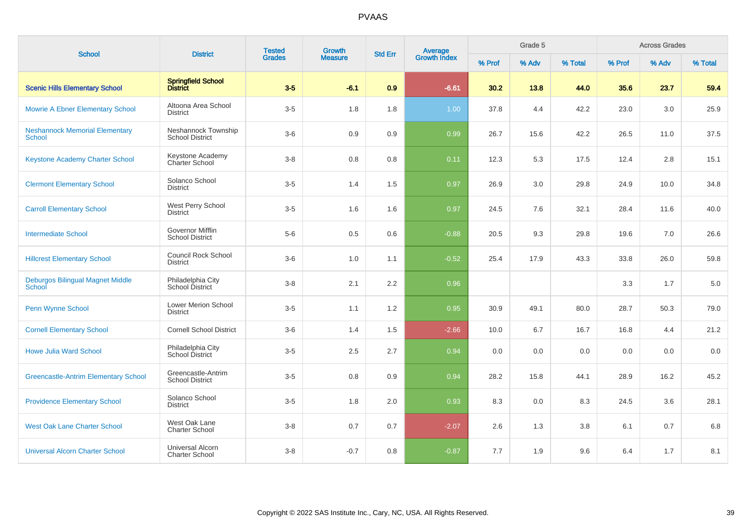| <b>School</b>                                          | <b>District</b>                                   | <b>Tested</b><br><b>Grades</b> | Growth         | <b>Std Err</b> | <b>Average</b><br>Growth Index |        | Grade 5 |         |        | <b>Across Grades</b> |         |
|--------------------------------------------------------|---------------------------------------------------|--------------------------------|----------------|----------------|--------------------------------|--------|---------|---------|--------|----------------------|---------|
|                                                        |                                                   |                                | <b>Measure</b> |                |                                | % Prof | % Adv   | % Total | % Prof | % Adv                | % Total |
| <b>Scenic Hills Elementary School</b>                  | <b>Springfield School</b><br><b>District</b>      | $3-5$                          | $-6.1$         | 0.9            | $-6.61$                        | 30.2   | 13.8    | 44.0    | 35.6   | 23.7                 | 59.4    |
| <b>Mowrie A Ebner Elementary School</b>                | Altoona Area School<br><b>District</b>            | $3-5$                          | 1.8            | 1.8            | 1.00                           | 37.8   | 4.4     | 42.2    | 23.0   | 3.0                  | 25.9    |
| <b>Neshannock Memorial Elementary</b><br><b>School</b> | Neshannock Township<br><b>School District</b>     | $3-6$                          | 0.9            | 0.9            | 0.99                           | 26.7   | 15.6    | 42.2    | 26.5   | 11.0                 | 37.5    |
| Keystone Academy Charter School                        | Keystone Academy<br>Charter School                | $3 - 8$                        | 0.8            | 0.8            | 0.11                           | 12.3   | 5.3     | 17.5    | 12.4   | 2.8                  | 15.1    |
| <b>Clermont Elementary School</b>                      | Solanco School<br><b>District</b>                 | $3-5$                          | 1.4            | 1.5            | 0.97                           | 26.9   | 3.0     | 29.8    | 24.9   | 10.0                 | 34.8    |
| <b>Carroll Elementary School</b>                       | West Perry School<br>District                     | $3-5$                          | 1.6            | 1.6            | 0.97                           | 24.5   | 7.6     | 32.1    | 28.4   | 11.6                 | 40.0    |
| <b>Intermediate School</b>                             | <b>Governor Mifflin</b><br><b>School District</b> | $5-6$                          | 0.5            | 0.6            | $-0.88$                        | 20.5   | 9.3     | 29.8    | 19.6   | 7.0                  | 26.6    |
| <b>Hillcrest Elementary School</b>                     | <b>Council Rock School</b><br><b>District</b>     | $3-6$                          | 1.0            | 1.1            | $-0.52$                        | 25.4   | 17.9    | 43.3    | 33.8   | 26.0                 | 59.8    |
| Deburgos Bilingual Magnet Middle<br>School             | Philadelphia City<br>School District              | $3 - 8$                        | 2.1            | 2.2            | 0.96                           |        |         |         | 3.3    | 1.7                  | 5.0     |
| Penn Wynne School                                      | <b>Lower Merion School</b><br><b>District</b>     | $3-5$                          | 1.1            | 1.2            | 0.95                           | 30.9   | 49.1    | 80.0    | 28.7   | 50.3                 | 79.0    |
| <b>Cornell Elementary School</b>                       | <b>Cornell School District</b>                    | $3-6$                          | 1.4            | 1.5            | $-2.66$                        | 10.0   | 6.7     | 16.7    | 16.8   | 4.4                  | 21.2    |
| <b>Howe Julia Ward School</b>                          | Philadelphia City<br>School District              | $3-5$                          | 2.5            | 2.7            | 0.94                           | 0.0    | 0.0     | 0.0     | 0.0    | 0.0                  | 0.0     |
| <b>Greencastle-Antrim Elementary School</b>            | Greencastle-Antrim<br><b>School District</b>      | $3-5$                          | 0.8            | 0.9            | 0.94                           | 28.2   | 15.8    | 44.1    | 28.9   | 16.2                 | 45.2    |
| <b>Providence Elementary School</b>                    | Solanco School<br><b>District</b>                 | $3-5$                          | 1.8            | 2.0            | 0.93                           | 8.3    | 0.0     | 8.3     | 24.5   | 3.6                  | 28.1    |
| <b>West Oak Lane Charter School</b>                    | West Oak Lane<br><b>Charter School</b>            | $3 - 8$                        | 0.7            | 0.7            | $-2.07$                        | 2.6    | 1.3     | 3.8     | 6.1    | 0.7                  | 6.8     |
| <b>Universal Alcorn Charter School</b>                 | <b>Universal Alcorn</b><br><b>Charter School</b>  | $3 - 8$                        | $-0.7$         | 0.8            | $-0.87$                        | 7.7    | 1.9     | 9.6     | 6.4    | 1.7                  | 8.1     |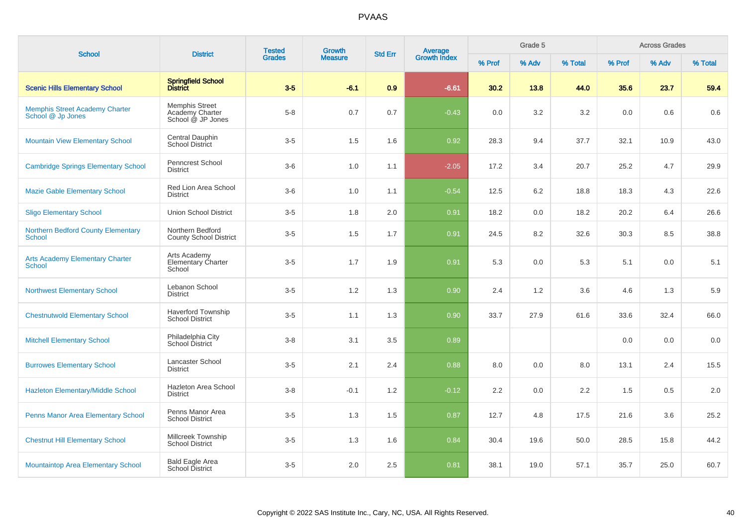| <b>School</b>                                              | <b>District</b>                                        | <b>Tested</b> | <b>Growth</b>  | <b>Std Err</b> | Average<br>Growth Index |        | Grade 5 |         |        | <b>Across Grades</b> |         |
|------------------------------------------------------------|--------------------------------------------------------|---------------|----------------|----------------|-------------------------|--------|---------|---------|--------|----------------------|---------|
|                                                            |                                                        | <b>Grades</b> | <b>Measure</b> |                |                         | % Prof | % Adv   | % Total | % Prof | % Adv                | % Total |
| <b>Scenic Hills Elementary School</b>                      | Springfield School<br>District                         | $3-5$         | $-6.1$         | 0.9            | $-6.61$                 | 30.2   | 13.8    | 44.0    | 35.6   | 23.7                 | 59.4    |
| <b>Memphis Street Academy Charter</b><br>School @ Jp Jones | Memphis Street<br>Academy Charter<br>School @ JP Jones | $5 - 8$       | 0.7            | 0.7            | $-0.43$                 | 0.0    | 3.2     | 3.2     | 0.0    | 0.6                  | 0.6     |
| <b>Mountain View Elementary School</b>                     | Central Dauphin<br>School District                     | $3-5$         | 1.5            | 1.6            | 0.92                    | 28.3   | 9.4     | 37.7    | 32.1   | 10.9                 | 43.0    |
| <b>Cambridge Springs Elementary School</b>                 | <b>Penncrest School</b><br><b>District</b>             | $3-6$         | 1.0            | 1.1            | $-2.05$                 | 17.2   | 3.4     | 20.7    | 25.2   | 4.7                  | 29.9    |
| <b>Mazie Gable Elementary School</b>                       | Red Lion Area School<br><b>District</b>                | $3-6$         | 1.0            | 1.1            | $-0.54$                 | 12.5   | 6.2     | 18.8    | 18.3   | 4.3                  | 22.6    |
| <b>Sligo Elementary School</b>                             | <b>Union School District</b>                           | $3-5$         | 1.8            | 2.0            | 0.91                    | 18.2   | 0.0     | 18.2    | 20.2   | 6.4                  | 26.6    |
| <b>Northern Bedford County Elementary</b><br><b>School</b> | Northern Bedford<br><b>County School District</b>      | $3-5$         | 1.5            | 1.7            | 0.91                    | 24.5   | 8.2     | 32.6    | 30.3   | 8.5                  | 38.8    |
| <b>Arts Academy Elementary Charter</b><br>School           | Arts Academy<br>Elementary Charter<br>School           | $3-5$         | 1.7            | 1.9            | 0.91                    | 5.3    | 0.0     | 5.3     | 5.1    | 0.0                  | 5.1     |
| <b>Northwest Elementary School</b>                         | Lebanon School<br><b>District</b>                      | $3-5$         | 1.2            | 1.3            | 0.90                    | 2.4    | 1.2     | 3.6     | 4.6    | 1.3                  | 5.9     |
| <b>Chestnutwold Elementary School</b>                      | <b>Haverford Township</b><br><b>School District</b>    | $3-5$         | 1.1            | 1.3            | 0.90                    | 33.7   | 27.9    | 61.6    | 33.6   | 32.4                 | 66.0    |
| <b>Mitchell Elementary School</b>                          | Philadelphia City<br>School District                   | $3 - 8$       | 3.1            | 3.5            | 0.89                    |        |         |         | 0.0    | 0.0                  | 0.0     |
| <b>Burrowes Elementary School</b>                          | Lancaster School<br><b>District</b>                    | $3-5$         | 2.1            | 2.4            | 0.88                    | 8.0    | 0.0     | 8.0     | 13.1   | 2.4                  | 15.5    |
| <b>Hazleton Elementary/Middle School</b>                   | Hazleton Area School<br><b>District</b>                | $3 - 8$       | $-0.1$         | 1.2            | $-0.12$                 | 2.2    | 0.0     | 2.2     | 1.5    | 0.5                  | 2.0     |
| Penns Manor Area Elementary School                         | Penns Manor Area<br><b>School District</b>             | $3-5$         | 1.3            | 1.5            | 0.87                    | 12.7   | 4.8     | 17.5    | 21.6   | 3.6                  | 25.2    |
| <b>Chestnut Hill Elementary School</b>                     | Millcreek Township<br><b>School District</b>           | $3-5$         | 1.3            | 1.6            | 0.84                    | 30.4   | 19.6    | 50.0    | 28.5   | 15.8                 | 44.2    |
| <b>Mountaintop Area Elementary School</b>                  | <b>Bald Eagle Area</b><br>School District              | $3-5$         | 2.0            | 2.5            | 0.81                    | 38.1   | 19.0    | 57.1    | 35.7   | 25.0                 | 60.7    |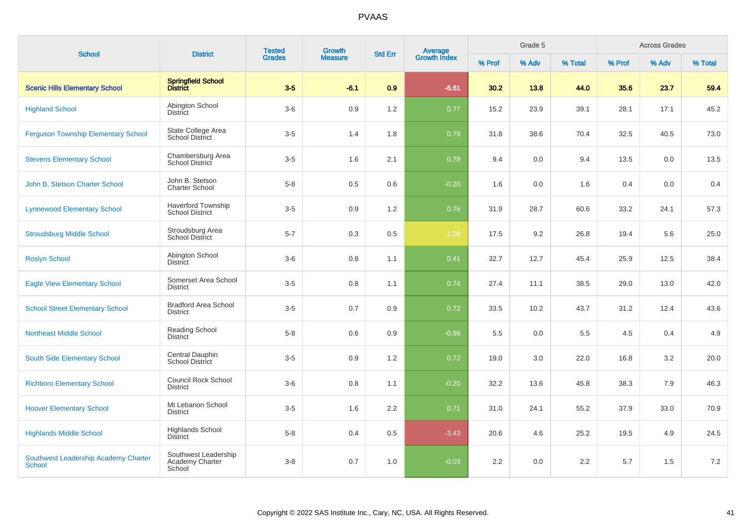| <b>School</b>                                  | <b>District</b>                                     | <b>Tested</b> | <b>Growth</b>  |                  |                                |        | Grade 5 |         |        | <b>Across Grades</b> |         |
|------------------------------------------------|-----------------------------------------------------|---------------|----------------|------------------|--------------------------------|--------|---------|---------|--------|----------------------|---------|
|                                                |                                                     | <b>Grades</b> | <b>Measure</b> | <b>Std Err</b>   | <b>Average</b><br>Growth Index | % Prof | % Adv   | % Total | % Prof | % Adv                | % Total |
| <b>Scenic Hills Elementary School</b>          | Springfield School<br>District                      | $3-5$         | $-6.1$         | 0.9              | $-6.61$                        | 30.2   | 13.8    | 44.0    | 35.6   | 23.7                 | 59.4    |
| <b>Highland School</b>                         | Abington School<br><b>District</b>                  | $3-6$         | 0.9            | 1.2              | 0.77                           | 15.2   | 23.9    | 39.1    | 28.1   | 17.1                 | 45.2    |
| <b>Ferguson Township Elementary School</b>     | State College Area<br><b>School District</b>        | $3-5$         | 1.4            | 1.8              | 0.79                           | 31.8   | 38.6    | 70.4    | 32.5   | 40.5                 | 73.0    |
| <b>Stevens Elementary School</b>               | Chambersburg Area<br>School District                | $3-5$         | 1.6            | 2.1              | 0.78                           | 9.4    | 0.0     | 9.4     | 13.5   | 0.0                  | 13.5    |
| John B. Stetson Charter School                 | John B. Stetson<br><b>Charter School</b>            | $5-8$         | 0.5            | 0.6              | $-0.20$                        | 1.6    | 0.0     | 1.6     | 0.4    | 0.0                  | 0.4     |
| <b>Lynnewood Elementary School</b>             | <b>Haverford Township</b><br><b>School District</b> | $3-5$         | 0.9            | 1.2              | 0.76                           | 31.9   | 28.7    | 60.6    | 33.2   | 24.1                 | 57.3    |
| <b>Stroudsburg Middle School</b>               | Stroudsburg Area<br><b>School District</b>          | $5 - 7$       | 0.3            | 0.5              | $-1.09$                        | 17.5   | 9.2     | 26.8    | 19.4   | 5.6                  | 25.0    |
| <b>Roslyn School</b>                           | Abington School<br>District                         | $3-6$         | 0.8            | 1.1              | 0.41                           | 32.7   | 12.7    | 45.4    | 25.9   | 12.5                 | 38.4    |
| <b>Eagle View Elementary School</b>            | Somerset Area School<br><b>District</b>             | $3-5$         | 0.8            | 1.1              | 0.74                           | 27.4   | 11.1    | 38.5    | 29.0   | 13.0                 | 42.0    |
| <b>School Street Elementary School</b>         | <b>Bradford Area School</b><br><b>District</b>      | $3-5$         | 0.7            | 0.9              | 0.72                           | 33.5   | 10.2    | 43.7    | 31.2   | 12.4                 | 43.6    |
| <b>Northeast Middle School</b>                 | <b>Reading School</b><br><b>District</b>            | $5 - 8$       | 0.6            | 0.9              | $-0.96$                        | 5.5    | 0.0     | 5.5     | 4.5    | 0.4                  | 4.9     |
| South Side Elementary School                   | Central Dauphin<br><b>School District</b>           | $3-5$         | 0.9            | 1.2              | 0.72                           | 19.0   | 3.0     | 22.0    | 16.8   | 3.2                  | 20.0    |
| <b>Richboro Elementary School</b>              | Council Rock School<br><b>District</b>              | $3-6$         | 0.8            | 1.1              | $-0.20$                        | 32.2   | 13.6    | 45.8    | 38.3   | 7.9                  | 46.3    |
| <b>Hoover Elementary School</b>                | Mt Lebanon School<br><b>District</b>                | $3-5$         | 1.6            | $2.2\phantom{0}$ | 0.71                           | 31.0   | 24.1    | 55.2    | 37.9   | 33.0                 | 70.9    |
| <b>Highlands Middle School</b>                 | <b>Highlands School</b><br><b>District</b>          | $5-8$         | 0.4            | 0.5              | $-3.43$                        | 20.6   | 4.6     | 25.2    | 19.5   | 4.9                  | 24.5    |
| Southwest Leadership Academy Charter<br>School | Southwest Leadership<br>Academy Charter<br>School   | $3 - 8$       | 0.7            | 1.0              | $-0.03$                        | 2.2    | 0.0     | 2.2     | 5.7    | 1.5                  | 7.2     |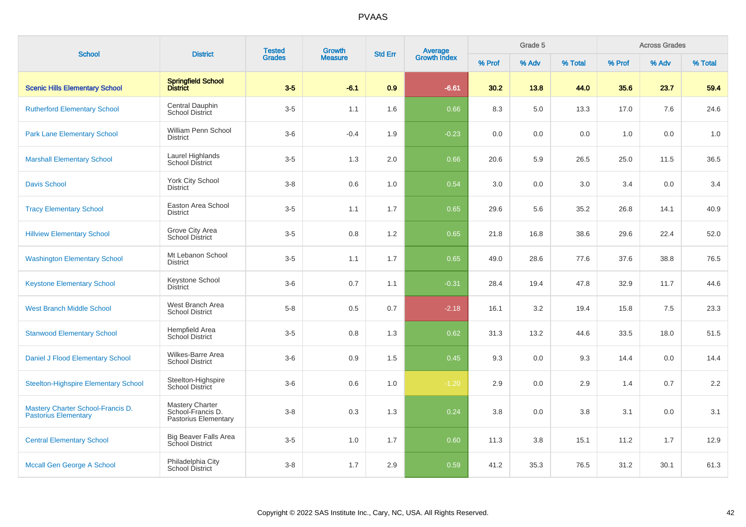| <b>School</b>                                                    | <b>District</b>                                                     | <b>Tested</b> | <b>Growth</b>  | <b>Std Err</b> | <b>Average</b><br>Growth Index |        | Grade 5 |         |        | <b>Across Grades</b> |         |
|------------------------------------------------------------------|---------------------------------------------------------------------|---------------|----------------|----------------|--------------------------------|--------|---------|---------|--------|----------------------|---------|
|                                                                  |                                                                     | <b>Grades</b> | <b>Measure</b> |                |                                | % Prof | % Adv   | % Total | % Prof | % Adv                | % Total |
| <b>Scenic Hills Elementary School</b>                            | <b>Springfield School</b><br><b>District</b>                        | $3-5$         | $-6.1$         | 0.9            | $-6.61$                        | 30.2   | 13.8    | 44.0    | 35.6   | 23.7                 | 59.4    |
| <b>Rutherford Elementary School</b>                              | Central Dauphin<br>School District                                  | $3-5$         | 1.1            | 1.6            | 0.66                           | 8.3    | 5.0     | 13.3    | 17.0   | 7.6                  | 24.6    |
| <b>Park Lane Elementary School</b>                               | William Penn School<br><b>District</b>                              | $3-6$         | $-0.4$         | 1.9            | $-0.23$                        | 0.0    | 0.0     | 0.0     | 1.0    | 0.0                  | 1.0     |
| <b>Marshall Elementary School</b>                                | Laurel Highlands<br><b>School District</b>                          | $3-5$         | 1.3            | 2.0            | 0.66                           | 20.6   | 5.9     | 26.5    | 25.0   | 11.5                 | 36.5    |
| <b>Davis School</b>                                              | York City School<br><b>District</b>                                 | $3-8$         | 0.6            | 1.0            | 0.54                           | 3.0    | 0.0     | 3.0     | 3.4    | 0.0                  | 3.4     |
| <b>Tracy Elementary School</b>                                   | Easton Area School<br><b>District</b>                               | $3-5$         | 1.1            | 1.7            | 0.65                           | 29.6   | 5.6     | 35.2    | 26.8   | 14.1                 | 40.9    |
| <b>Hillview Elementary School</b>                                | Grove City Area<br><b>School District</b>                           | $3-5$         | 0.8            | 1.2            | 0.65                           | 21.8   | 16.8    | 38.6    | 29.6   | 22.4                 | 52.0    |
| <b>Washington Elementary School</b>                              | Mt Lebanon School<br><b>District</b>                                | $3-5$         | 1.1            | 1.7            | 0.65                           | 49.0   | 28.6    | 77.6    | 37.6   | 38.8                 | 76.5    |
| <b>Keystone Elementary School</b>                                | Keystone School<br><b>District</b>                                  | $3-6$         | 0.7            | 1.1            | $-0.31$                        | 28.4   | 19.4    | 47.8    | 32.9   | 11.7                 | 44.6    |
| <b>West Branch Middle School</b>                                 | West Branch Area<br><b>School District</b>                          | $5 - 8$       | 0.5            | 0.7            | $-2.18$                        | 16.1   | 3.2     | 19.4    | 15.8   | 7.5                  | 23.3    |
| <b>Stanwood Elementary School</b>                                | Hempfield Area<br>School District                                   | $3-5$         | 0.8            | 1.3            | 0.62                           | 31.3   | 13.2    | 44.6    | 33.5   | 18.0                 | 51.5    |
| Daniel J Flood Elementary School                                 | Wilkes-Barre Area<br><b>School District</b>                         | $3-6$         | 0.9            | 1.5            | 0.45                           | 9.3    | 0.0     | 9.3     | 14.4   | 0.0                  | 14.4    |
| <b>Steelton-Highspire Elementary School</b>                      | Steelton-Highspire<br>School District                               | $3-6$         | 0.6            | 1.0            | $-1.20$                        | 2.9    | 0.0     | 2.9     | 1.4    | 0.7                  | 2.2     |
| Mastery Charter School-Francis D.<br><b>Pastorius Elementary</b> | <b>Mastery Charter</b><br>School-Francis D.<br>Pastorius Elementary | $3 - 8$       | 0.3            | 1.3            | 0.24                           | 3.8    | 0.0     | 3.8     | 3.1    | 0.0                  | 3.1     |
| <b>Central Elementary School</b>                                 | <b>Big Beaver Falls Area</b><br><b>School District</b>              | $3-5$         | 1.0            | 1.7            | 0.60                           | 11.3   | 3.8     | 15.1    | 11.2   | 1.7                  | 12.9    |
| Mccall Gen George A School                                       | Philadelphia City<br>School District                                | $3-8$         | 1.7            | 2.9            | 0.59                           | 41.2   | 35.3    | 76.5    | 31.2   | 30.1                 | 61.3    |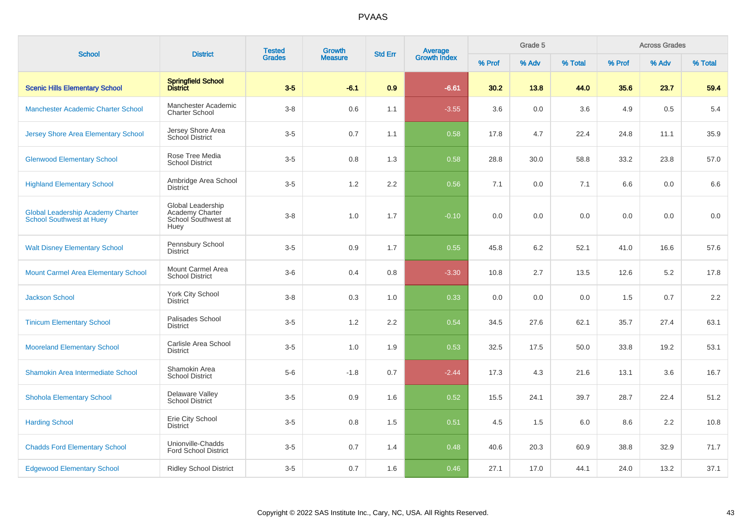| <b>School</b>                                                               | <b>District</b>                                                     | <b>Tested</b> | Growth         | <b>Std Err</b> |                                |        | Grade 5 |         |        | <b>Across Grades</b> |         |
|-----------------------------------------------------------------------------|---------------------------------------------------------------------|---------------|----------------|----------------|--------------------------------|--------|---------|---------|--------|----------------------|---------|
|                                                                             |                                                                     | <b>Grades</b> | <b>Measure</b> |                | <b>Average</b><br>Growth Index | % Prof | % Adv   | % Total | % Prof | % Adv                | % Total |
| <b>Scenic Hills Elementary School</b>                                       | Springfield School<br>District                                      | $3-5$         | $-6.1$         | 0.9            | $-6.61$                        | 30.2   | 13.8    | 44.0    | 35.6   | 23.7                 | 59.4    |
| <b>Manchester Academic Charter School</b>                                   | Manchester Academic<br><b>Charter School</b>                        | $3-8$         | 0.6            | 1.1            | $-3.55$                        | 3.6    | 0.0     | 3.6     | 4.9    | 0.5                  | 5.4     |
| <b>Jersey Shore Area Elementary School</b>                                  | Jersey Shore Area<br><b>School District</b>                         | $3-5$         | 0.7            | 1.1            | 0.58                           | 17.8   | 4.7     | 22.4    | 24.8   | 11.1                 | 35.9    |
| <b>Glenwood Elementary School</b>                                           | Rose Tree Media<br><b>School District</b>                           | $3-5$         | 0.8            | 1.3            | 0.58                           | 28.8   | 30.0    | 58.8    | 33.2   | 23.8                 | 57.0    |
| <b>Highland Elementary School</b>                                           | Ambridge Area School<br><b>District</b>                             | $3-5$         | $1.2$          | 2.2            | 0.56                           | 7.1    | 0.0     | 7.1     | 6.6    | 0.0                  | 6.6     |
| <b>Global Leadership Academy Charter</b><br><b>School Southwest at Huey</b> | Global Leadership<br>Academy Charter<br>School Southwest at<br>Huey | $3 - 8$       | 1.0            | 1.7            | $-0.10$                        | 0.0    | 0.0     | 0.0     | 0.0    | 0.0                  | $0.0\,$ |
| <b>Walt Disney Elementary School</b>                                        | Pennsbury School<br><b>District</b>                                 | $3-5$         | 0.9            | 1.7            | 0.55                           | 45.8   | 6.2     | 52.1    | 41.0   | 16.6                 | 57.6    |
| <b>Mount Carmel Area Elementary School</b>                                  | Mount Carmel Area<br><b>School District</b>                         | $3-6$         | 0.4            | 0.8            | $-3.30$                        | 10.8   | 2.7     | 13.5    | 12.6   | 5.2                  | 17.8    |
| <b>Jackson School</b>                                                       | York City School<br><b>District</b>                                 | $3-8$         | 0.3            | 1.0            | 0.33                           | 0.0    | 0.0     | 0.0     | 1.5    | 0.7                  | 2.2     |
| <b>Tinicum Elementary School</b>                                            | Palisades School<br><b>District</b>                                 | $3-5$         | 1.2            | 2.2            | 0.54                           | 34.5   | 27.6    | 62.1    | 35.7   | 27.4                 | 63.1    |
| <b>Mooreland Elementary School</b>                                          | Carlisle Area School<br><b>District</b>                             | $3-5$         | 1.0            | 1.9            | 0.53                           | 32.5   | 17.5    | 50.0    | 33.8   | 19.2                 | 53.1    |
| Shamokin Area Intermediate School                                           | Shamokin Area<br><b>School District</b>                             | $5-6$         | $-1.8$         | 0.7            | $-2.44$                        | 17.3   | 4.3     | 21.6    | 13.1   | 3.6                  | 16.7    |
| <b>Shohola Elementary School</b>                                            | Delaware Valley<br><b>School District</b>                           | $3-5$         | 0.9            | 1.6            | 0.52                           | 15.5   | 24.1    | 39.7    | 28.7   | 22.4                 | 51.2    |
| <b>Harding School</b>                                                       | Erie City School<br><b>District</b>                                 | $3-5$         | 0.8            | 1.5            | 0.51                           | 4.5    | 1.5     | 6.0     | 8.6    | 2.2                  | 10.8    |
| <b>Chadds Ford Elementary School</b>                                        | Unionville-Chadds<br><b>Ford School District</b>                    | $3-5$         | 0.7            | 1.4            | 0.48                           | 40.6   | 20.3    | 60.9    | 38.8   | 32.9                 | 71.7    |
| <b>Edgewood Elementary School</b>                                           | <b>Ridley School District</b>                                       | $3-5$         | 0.7            | 1.6            | 0.46                           | 27.1   | 17.0    | 44.1    | 24.0   | 13.2                 | 37.1    |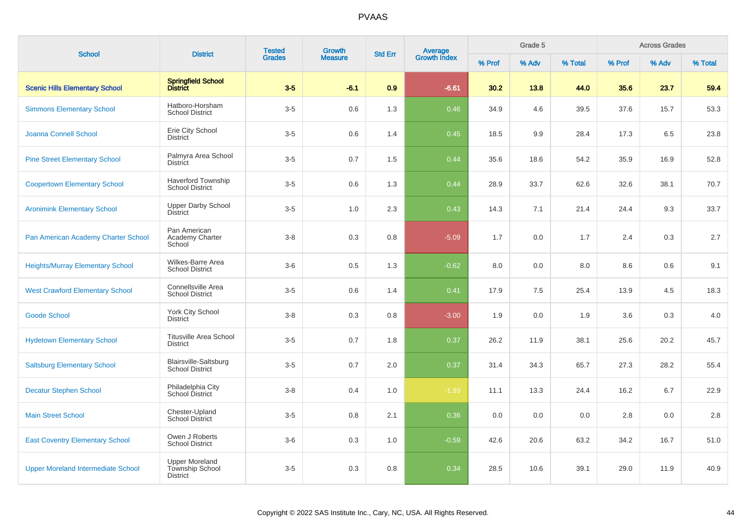| <b>School</b>                             | <b>District</b>                                             | <b>Tested</b> | Growth         | <b>Std Err</b> | Average<br>Growth Index |        | Grade 5 |         |        | <b>Across Grades</b> |         |
|-------------------------------------------|-------------------------------------------------------------|---------------|----------------|----------------|-------------------------|--------|---------|---------|--------|----------------------|---------|
|                                           |                                                             | <b>Grades</b> | <b>Measure</b> |                |                         | % Prof | % Adv   | % Total | % Prof | % Adv                | % Total |
| <b>Scenic Hills Elementary School</b>     | Springfield School<br>District                              | $3-5$         | $-6.1$         | 0.9            | $-6.61$                 | 30.2   | 13.8    | 44.0    | 35.6   | 23.7                 | 59.4    |
| <b>Simmons Elementary School</b>          | Hatboro-Horsham<br><b>School District</b>                   | $3-5$         | 0.6            | 1.3            | 0.46                    | 34.9   | 4.6     | 39.5    | 37.6   | 15.7                 | 53.3    |
| Joanna Connell School                     | Erie City School<br><b>District</b>                         | $3-5$         | 0.6            | 1.4            | 0.45                    | 18.5   | 9.9     | 28.4    | 17.3   | 6.5                  | 23.8    |
| <b>Pine Street Elementary School</b>      | Palmyra Area School<br><b>District</b>                      | $3-5$         | 0.7            | 1.5            | 0.44                    | 35.6   | 18.6    | 54.2    | 35.9   | 16.9                 | 52.8    |
| <b>Coopertown Elementary School</b>       | <b>Haverford Township</b><br><b>School District</b>         | $3-5$         | 0.6            | 1.3            | 0.44                    | 28.9   | 33.7    | 62.6    | 32.6   | 38.1                 | 70.7    |
| <b>Aronimink Elementary School</b>        | <b>Upper Darby School</b><br><b>District</b>                | $3-5$         | 1.0            | 2.3            | 0.43                    | 14.3   | 7.1     | 21.4    | 24.4   | 9.3                  | 33.7    |
| Pan American Academy Charter School       | Pan American<br>Academy Charter<br>School                   | $3 - 8$       | 0.3            | 0.8            | $-5.09$                 | 1.7    | 0.0     | 1.7     | 2.4    | 0.3                  | $2.7\,$ |
| <b>Heights/Murray Elementary School</b>   | Wilkes-Barre Area<br><b>School District</b>                 | $3-6$         | 0.5            | 1.3            | $-0.62$                 | 8.0    | 0.0     | 8.0     | 8.6    | 0.6                  | 9.1     |
| <b>West Crawford Elementary School</b>    | Connellsville Area<br><b>School District</b>                | $3-5$         | 0.6            | 1.4            | 0.41                    | 17.9   | 7.5     | 25.4    | 13.9   | 4.5                  | 18.3    |
| <b>Goode School</b>                       | <b>York City School</b><br><b>District</b>                  | $3 - 8$       | 0.3            | 0.8            | $-3.00$                 | 1.9    | 0.0     | 1.9     | 3.6    | 0.3                  | $4.0\,$ |
| <b>Hydetown Elementary School</b>         | <b>Titusville Area School</b><br><b>District</b>            | $3-5$         | 0.7            | 1.8            | 0.37                    | 26.2   | 11.9    | 38.1    | 25.6   | 20.2                 | 45.7    |
| <b>Saltsburg Elementary School</b>        | Blairsville-Saltsburg<br><b>School District</b>             | $3-5$         | 0.7            | 2.0            | 0.37                    | 31.4   | 34.3    | 65.7    | 27.3   | 28.2                 | 55.4    |
| <b>Decatur Stephen School</b>             | Philadelphia City<br>School District                        | $3 - 8$       | 0.4            | 1.0            | $-1.93$                 | 11.1   | 13.3    | 24.4    | 16.2   | 6.7                  | 22.9    |
| <b>Main Street School</b>                 | Chester-Upland<br>School District                           | $3-5$         | 0.8            | 2.1            | 0.36                    | 0.0    | 0.0     | 0.0     | 2.8    | 0.0                  | 2.8     |
| <b>East Coventry Elementary School</b>    | Owen J Roberts<br><b>School District</b>                    | $3-6$         | 0.3            | 1.0            | $-0.59$                 | 42.6   | 20.6    | 63.2    | 34.2   | 16.7                 | 51.0    |
| <b>Upper Moreland Intermediate School</b> | <b>Upper Moreland</b><br>Township School<br><b>District</b> | $3-5$         | 0.3            | 0.8            | 0.34                    | 28.5   | 10.6    | 39.1    | 29.0   | 11.9                 | 40.9    |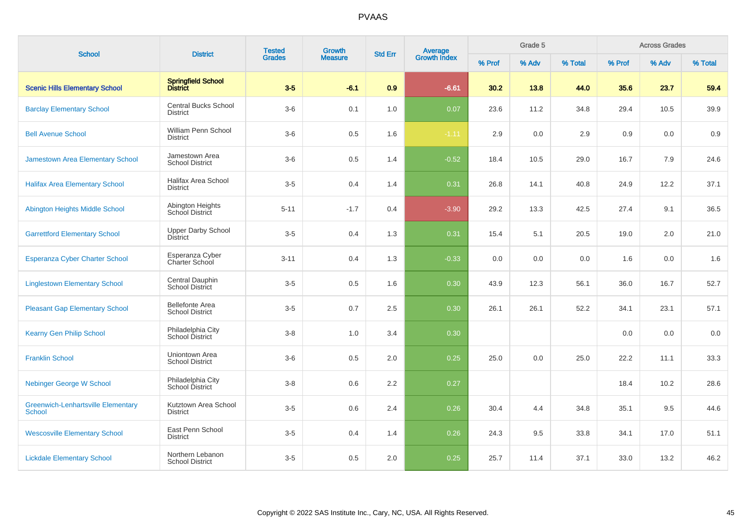| <b>School</b>                                              | <b>District</b>                                  | <b>Tested</b> | Growth         | <b>Std Err</b> |                                |        | Grade 5 |         |        | <b>Across Grades</b> |         |
|------------------------------------------------------------|--------------------------------------------------|---------------|----------------|----------------|--------------------------------|--------|---------|---------|--------|----------------------|---------|
|                                                            |                                                  | <b>Grades</b> | <b>Measure</b> |                | <b>Average</b><br>Growth Index | % Prof | % Adv   | % Total | % Prof | % Adv                | % Total |
| <b>Scenic Hills Elementary School</b>                      | Springfield School<br>District                   | $3-5$         | $-6.1$         | 0.9            | $-6.61$                        | 30.2   | 13.8    | 44.0    | 35.6   | 23.7                 | 59.4    |
| <b>Barclay Elementary School</b>                           | <b>Central Bucks School</b><br><b>District</b>   | $3-6$         | 0.1            | 1.0            | 0.07                           | 23.6   | 11.2    | 34.8    | 29.4   | 10.5                 | 39.9    |
| <b>Bell Avenue School</b>                                  | William Penn School<br><b>District</b>           | $3-6$         | 0.5            | 1.6            | $-1.11$                        | 2.9    | 0.0     | 2.9     | 0.9    | 0.0                  | 0.9     |
| Jamestown Area Elementary School                           | Jamestown Area<br><b>School District</b>         | $3-6$         | 0.5            | 1.4            | $-0.52$                        | 18.4   | 10.5    | 29.0    | 16.7   | 7.9                  | 24.6    |
| <b>Halifax Area Elementary School</b>                      | Halifax Area School<br><b>District</b>           | $3-5$         | 0.4            | 1.4            | 0.31                           | 26.8   | 14.1    | 40.8    | 24.9   | 12.2                 | 37.1    |
| Abington Heights Middle School                             | Abington Heights<br>School District              | $5 - 11$      | $-1.7$         | 0.4            | $-3.90$                        | 29.2   | 13.3    | 42.5    | 27.4   | 9.1                  | 36.5    |
| <b>Garrettford Elementary School</b>                       | <b>Upper Darby School</b><br><b>District</b>     | $3-5$         | 0.4            | 1.3            | 0.31                           | 15.4   | 5.1     | 20.5    | 19.0   | 2.0                  | 21.0    |
| Esperanza Cyber Charter School                             | Esperanza Cyber<br>Charter School                | $3 - 11$      | 0.4            | 1.3            | $-0.33$                        | 0.0    | 0.0     | 0.0     | 1.6    | 0.0                  | 1.6     |
| <b>Linglestown Elementary School</b>                       | Central Dauphin<br><b>School District</b>        | $3-5$         | 0.5            | 1.6            | 0.30                           | 43.9   | 12.3    | 56.1    | 36.0   | 16.7                 | 52.7    |
| <b>Pleasant Gap Elementary School</b>                      | <b>Bellefonte Area</b><br><b>School District</b> | $3-5$         | 0.7            | 2.5            | 0.30                           | 26.1   | 26.1    | 52.2    | 34.1   | 23.1                 | 57.1    |
| <b>Kearny Gen Philip School</b>                            | Philadelphia City<br>School District             | $3 - 8$       | 1.0            | 3.4            | 0.30                           |        |         |         | 0.0    | 0.0                  | 0.0     |
| <b>Franklin School</b>                                     | Uniontown Area<br><b>School District</b>         | $3-6$         | 0.5            | $2.0\,$        | 0.25                           | 25.0   | 0.0     | 25.0    | 22.2   | 11.1                 | 33.3    |
| <b>Nebinger George W School</b>                            | Philadelphia City<br>School District             | $3-8$         | 0.6            | 2.2            | 0.27                           |        |         |         | 18.4   | 10.2                 | 28.6    |
| <b>Greenwich-Lenhartsville Elementary</b><br><b>School</b> | Kutztown Area School<br><b>District</b>          | $3-5$         | 0.6            | 2.4            | 0.26                           | 30.4   | 4.4     | 34.8    | 35.1   | 9.5                  | 44.6    |
| <b>Wescosville Elementary School</b>                       | East Penn School<br><b>District</b>              | $3-5$         | 0.4            | 1.4            | 0.26                           | 24.3   | 9.5     | 33.8    | 34.1   | 17.0                 | 51.1    |
| <b>Lickdale Elementary School</b>                          | Northern Lebanon<br><b>School District</b>       | $3-5$         | 0.5            | 2.0            | 0.25                           | 25.7   | 11.4    | 37.1    | 33.0   | 13.2                 | 46.2    |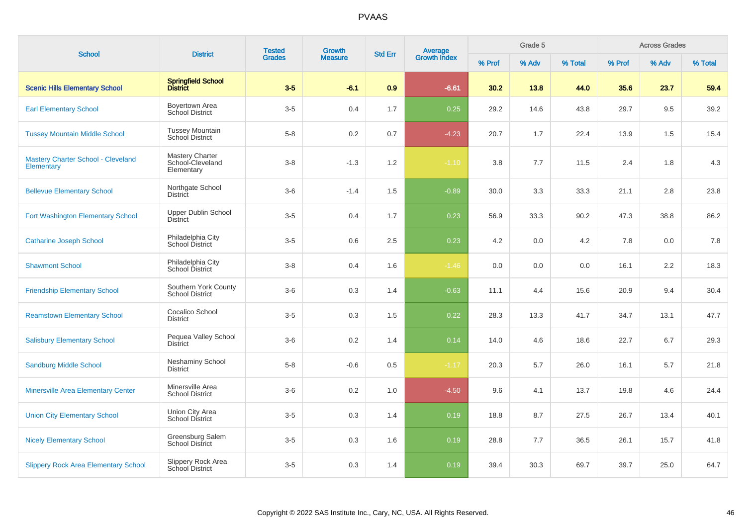| <b>School</b>                                           | <b>District</b>                                          | <b>Tested</b> | <b>Growth</b>  | <b>Std Err</b> |                                |        | Grade 5 |         |        | <b>Across Grades</b> |         |
|---------------------------------------------------------|----------------------------------------------------------|---------------|----------------|----------------|--------------------------------|--------|---------|---------|--------|----------------------|---------|
|                                                         |                                                          | <b>Grades</b> | <b>Measure</b> |                | <b>Average</b><br>Growth Index | % Prof | % Adv   | % Total | % Prof | % Adv                | % Total |
| <b>Scenic Hills Elementary School</b>                   | <b>Springfield School</b><br><b>District</b>             | $3-5$         | $-6.1$         | 0.9            | $-6.61$                        | 30.2   | 13.8    | 44.0    | 35.6   | 23.7                 | 59.4    |
| <b>Earl Elementary School</b>                           | Boyertown Area<br>School District                        | $3-5$         | 0.4            | 1.7            | 0.25                           | 29.2   | 14.6    | 43.8    | 29.7   | 9.5                  | 39.2    |
| <b>Tussey Mountain Middle School</b>                    | <b>Tussey Mountain</b><br>School District                | $5 - 8$       | 0.2            | 0.7            | $-4.23$                        | 20.7   | 1.7     | 22.4    | 13.9   | 1.5                  | 15.4    |
| <b>Mastery Charter School - Cleveland</b><br>Elementary | <b>Mastery Charter</b><br>School-Cleveland<br>Elementary | $3 - 8$       | $-1.3$         | 1.2            | $-1.10$                        | 3.8    | 7.7     | 11.5    | 2.4    | 1.8                  | 4.3     |
| <b>Bellevue Elementary School</b>                       | Northgate School<br>District                             | $3-6$         | $-1.4$         | 1.5            | $-0.89$                        | 30.0   | 3.3     | 33.3    | 21.1   | 2.8                  | 23.8    |
| Fort Washington Elementary School                       | <b>Upper Dublin School</b><br><b>District</b>            | $3-5$         | 0.4            | 1.7            | 0.23                           | 56.9   | 33.3    | 90.2    | 47.3   | 38.8                 | 86.2    |
| <b>Catharine Joseph School</b>                          | Philadelphia City<br><b>School District</b>              | $3-5$         | 0.6            | 2.5            | 0.23                           | 4.2    | 0.0     | 4.2     | 7.8    | 0.0                  | 7.8     |
| <b>Shawmont School</b>                                  | Philadelphia City<br>School District                     | $3-8$         | 0.4            | 1.6            | $-1.46$                        | 0.0    | 0.0     | 0.0     | 16.1   | 2.2                  | 18.3    |
| <b>Friendship Elementary School</b>                     | Southern York County<br><b>School District</b>           | $3-6$         | 0.3            | 1.4            | $-0.63$                        | 11.1   | 4.4     | 15.6    | 20.9   | 9.4                  | 30.4    |
| <b>Reamstown Elementary School</b>                      | Cocalico School<br><b>District</b>                       | $3-5$         | 0.3            | 1.5            | 0.22                           | 28.3   | 13.3    | 41.7    | 34.7   | 13.1                 | 47.7    |
| <b>Salisbury Elementary School</b>                      | Pequea Valley School<br><b>District</b>                  | $3-6$         | 0.2            | 1.4            | 0.14                           | 14.0   | 4.6     | 18.6    | 22.7   | 6.7                  | 29.3    |
| <b>Sandburg Middle School</b>                           | <b>Neshaminy School</b><br><b>District</b>               | $5 - 8$       | $-0.6$         | 0.5            | $-1.17$                        | 20.3   | 5.7     | 26.0    | 16.1   | 5.7                  | 21.8    |
| <b>Minersville Area Elementary Center</b>               | Minersville Area<br><b>School District</b>               | $3-6$         | 0.2            | 1.0            | $-4.50$                        | 9.6    | 4.1     | 13.7    | 19.8   | 4.6                  | 24.4    |
| <b>Union City Elementary School</b>                     | Union City Area<br><b>School District</b>                | $3-5$         | 0.3            | 1.4            | 0.19                           | 18.8   | 8.7     | 27.5    | 26.7   | 13.4                 | 40.1    |
| <b>Nicely Elementary School</b>                         | Greensburg Salem<br><b>School District</b>               | $3-5$         | 0.3            | 1.6            | 0.19                           | 28.8   | 7.7     | 36.5    | 26.1   | 15.7                 | 41.8    |
| <b>Slippery Rock Area Elementary School</b>             | Slippery Rock Area<br>School District                    | $3-5$         | 0.3            | 1.4            | 0.19                           | 39.4   | 30.3    | 69.7    | 39.7   | 25.0                 | 64.7    |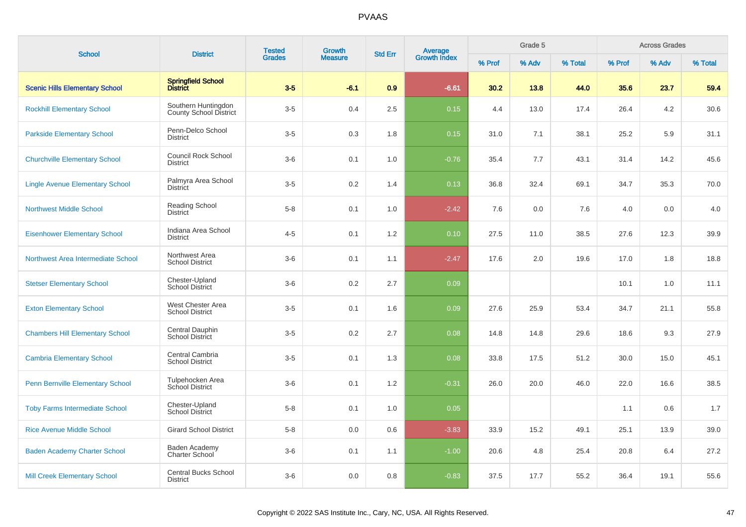|                                         |                                                      | <b>Tested</b> | <b>Growth</b>  |                |                                |        | Grade 5 |         |        | <b>Across Grades</b> |         |
|-----------------------------------------|------------------------------------------------------|---------------|----------------|----------------|--------------------------------|--------|---------|---------|--------|----------------------|---------|
| <b>School</b>                           | <b>District</b>                                      | <b>Grades</b> | <b>Measure</b> | <b>Std Err</b> | <b>Average</b><br>Growth Index | % Prof | % Adv   | % Total | % Prof | % Adv                | % Total |
| <b>Scenic Hills Elementary School</b>   | <b>Springfield School</b><br>District                | $3-5$         | $-6.1$         | 0.9            | $-6.61$                        | 30.2   | 13.8    | 44.0    | 35.6   | 23.7                 | 59.4    |
| <b>Rockhill Elementary School</b>       | Southern Huntingdon<br><b>County School District</b> | $3-5$         | 0.4            | 2.5            | 0.15                           | 4.4    | 13.0    | 17.4    | 26.4   | 4.2                  | 30.6    |
| <b>Parkside Elementary School</b>       | Penn-Delco School<br><b>District</b>                 | $3-5$         | 0.3            | 1.8            | 0.15                           | 31.0   | 7.1     | 38.1    | 25.2   | 5.9                  | 31.1    |
| <b>Churchville Elementary School</b>    | <b>Council Rock School</b><br><b>District</b>        | $3-6$         | 0.1            | 1.0            | $-0.76$                        | 35.4   | 7.7     | 43.1    | 31.4   | 14.2                 | 45.6    |
| <b>Lingle Avenue Elementary School</b>  | Palmyra Area School<br><b>District</b>               | $3-5$         | 0.2            | 1.4            | 0.13                           | 36.8   | 32.4    | 69.1    | 34.7   | 35.3                 | 70.0    |
| <b>Northwest Middle School</b>          | Reading School<br><b>District</b>                    | $5 - 8$       | 0.1            | 1.0            | $-2.42$                        | 7.6    | 0.0     | 7.6     | 4.0    | 0.0                  | 4.0     |
| <b>Eisenhower Elementary School</b>     | Indiana Area School<br><b>District</b>               | $4 - 5$       | 0.1            | 1.2            | 0.10                           | 27.5   | 11.0    | 38.5    | 27.6   | 12.3                 | 39.9    |
| Northwest Area Intermediate School      | Northwest Area<br><b>School District</b>             | $3-6$         | 0.1            | 1.1            | $-2.47$                        | 17.6   | 2.0     | 19.6    | 17.0   | 1.8                  | 18.8    |
| <b>Stetser Elementary School</b>        | Chester-Upland<br><b>School District</b>             | $3-6$         | 0.2            | 2.7            | 0.09                           |        |         |         | 10.1   | 1.0                  | 11.1    |
| <b>Exton Elementary School</b>          | West Chester Area<br><b>School District</b>          | $3-5$         | 0.1            | 1.6            | 0.09                           | 27.6   | 25.9    | 53.4    | 34.7   | 21.1                 | 55.8    |
| <b>Chambers Hill Elementary School</b>  | Central Dauphin<br>School District                   | $3-5$         | 0.2            | 2.7            | 0.08                           | 14.8   | 14.8    | 29.6    | 18.6   | 9.3                  | 27.9    |
| <b>Cambria Elementary School</b>        | Central Cambria<br><b>School District</b>            | $3-5$         | 0.1            | 1.3            | 0.08                           | 33.8   | 17.5    | 51.2    | 30.0   | 15.0                 | 45.1    |
| <b>Penn Bernville Elementary School</b> | Tulpehocken Area<br>School District                  | $3-6$         | 0.1            | 1.2            | $-0.31$                        | 26.0   | 20.0    | 46.0    | 22.0   | 16.6                 | 38.5    |
| <b>Toby Farms Intermediate School</b>   | Chester-Upland<br><b>School District</b>             | $5-8$         | 0.1            | 1.0            | 0.05                           |        |         |         | 1.1    | 0.6                  | 1.7     |
| <b>Rice Avenue Middle School</b>        | <b>Girard School District</b>                        | $5-8$         | 0.0            | 0.6            | $-3.83$                        | 33.9   | 15.2    | 49.1    | 25.1   | 13.9                 | 39.0    |
| <b>Baden Academy Charter School</b>     | Baden Academy<br>Charter School                      | $3-6$         | 0.1            | 1.1            | $-1.00$                        | 20.6   | 4.8     | 25.4    | 20.8   | 6.4                  | 27.2    |
| <b>Mill Creek Elementary School</b>     | <b>Central Bucks School</b><br><b>District</b>       | $3-6$         | 0.0            | 0.8            | $-0.83$                        | 37.5   | 17.7    | 55.2    | 36.4   | 19.1                 | 55.6    |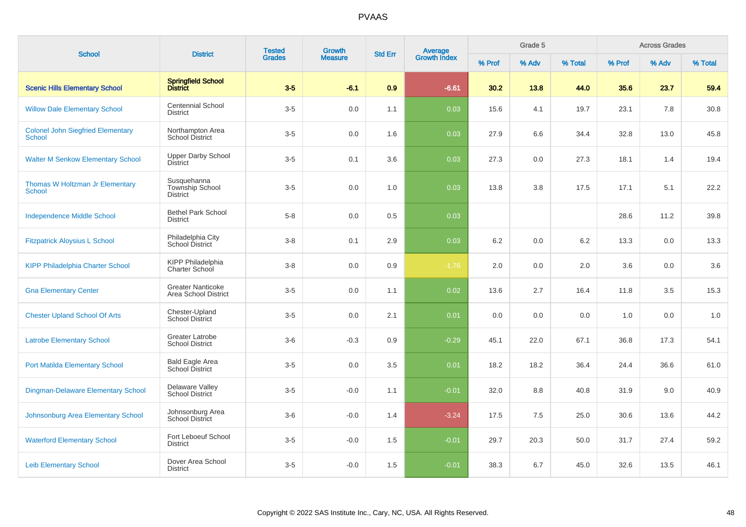| <b>School</b>                                             | <b>District</b>                                   | <b>Tested</b> | Growth         | <b>Std Err</b> |                                |        | Grade 5 |         |        | <b>Across Grades</b> |         |
|-----------------------------------------------------------|---------------------------------------------------|---------------|----------------|----------------|--------------------------------|--------|---------|---------|--------|----------------------|---------|
|                                                           |                                                   | <b>Grades</b> | <b>Measure</b> |                | <b>Average</b><br>Growth Index | % Prof | % Adv   | % Total | % Prof | % Adv                | % Total |
| <b>Scenic Hills Elementary School</b>                     | Springfield School<br>District                    | $3-5$         | $-6.1$         | 0.9            | $-6.61$                        | 30.2   | 13.8    | 44.0    | 35.6   | 23.7                 | 59.4    |
| <b>Willow Dale Elementary School</b>                      | <b>Centennial School</b><br><b>District</b>       | $3-5$         | 0.0            | 1.1            | 0.03                           | 15.6   | 4.1     | 19.7    | 23.1   | 7.8                  | 30.8    |
| <b>Colonel John Siegfried Elementary</b><br><b>School</b> | Northampton Area<br><b>School District</b>        | $3-5$         | 0.0            | 1.6            | 0.03                           | 27.9   | 6.6     | 34.4    | 32.8   | 13.0                 | 45.8    |
| <b>Walter M Senkow Elementary School</b>                  | <b>Upper Darby School</b><br><b>District</b>      | $3-5$         | 0.1            | 3.6            | 0.03                           | 27.3   | 0.0     | 27.3    | 18.1   | 1.4                  | 19.4    |
| Thomas W Holtzman Jr Elementary<br><b>School</b>          | Susquehanna<br>Township School<br><b>District</b> | $3-5$         | 0.0            | 1.0            | 0.03                           | 13.8   | 3.8     | 17.5    | 17.1   | 5.1                  | 22.2    |
| <b>Independence Middle School</b>                         | <b>Bethel Park School</b><br><b>District</b>      | $5-8$         | 0.0            | 0.5            | 0.03                           |        |         |         | 28.6   | 11.2                 | 39.8    |
| <b>Fitzpatrick Aloysius L School</b>                      | Philadelphia City<br><b>School District</b>       | $3 - 8$       | 0.1            | 2.9            | 0.03                           | 6.2    | 0.0     | 6.2     | 13.3   | 0.0                  | 13.3    |
| <b>KIPP Philadelphia Charter School</b>                   | <b>KIPP Philadelphia</b><br>Charter School        | $3 - 8$       | 0.0            | 0.9            | $-1.76$                        | 2.0    | 0.0     | 2.0     | 3.6    | 0.0                  | 3.6     |
| <b>Gna Elementary Center</b>                              | <b>Greater Nanticoke</b><br>Area School District  | $3-5$         | 0.0            | 1.1            | 0.02                           | 13.6   | 2.7     | 16.4    | 11.8   | 3.5                  | 15.3    |
| <b>Chester Upland School Of Arts</b>                      | Chester-Upland<br><b>School District</b>          | $3-5$         | 0.0            | 2.1            | 0.01                           | 0.0    | 0.0     | 0.0     | 1.0    | 0.0                  | 1.0     |
| <b>Latrobe Elementary School</b>                          | <b>Greater Latrobe</b><br><b>School District</b>  | $3-6$         | $-0.3$         | 0.9            | $-0.29$                        | 45.1   | 22.0    | 67.1    | 36.8   | 17.3                 | 54.1    |
| <b>Port Matilda Elementary School</b>                     | Bald Eagle Area<br>School District                | $3-5$         | 0.0            | 3.5            | 0.01                           | 18.2   | 18.2    | 36.4    | 24.4   | 36.6                 | 61.0    |
| <b>Dingman-Delaware Elementary School</b>                 | Delaware Valley<br><b>School District</b>         | $3-5$         | $-0.0$         | 1.1            | $-0.01$                        | 32.0   | 8.8     | 40.8    | 31.9   | 9.0                  | 40.9    |
| Johnsonburg Area Elementary School                        | Johnsonburg Area<br>School District               | $3-6$         | $-0.0$         | 1.4            | $-3.24$                        | 17.5   | 7.5     | 25.0    | 30.6   | 13.6                 | 44.2    |
| <b>Waterford Elementary School</b>                        | Fort Leboeuf School<br><b>District</b>            | $3-5$         | $-0.0$         | 1.5            | $-0.01$                        | 29.7   | 20.3    | 50.0    | 31.7   | 27.4                 | 59.2    |
| <b>Leib Elementary School</b>                             | Dover Area School<br><b>District</b>              | $3-5$         | $-0.0$         | 1.5            | $-0.01$                        | 38.3   | 6.7     | 45.0    | 32.6   | 13.5                 | 46.1    |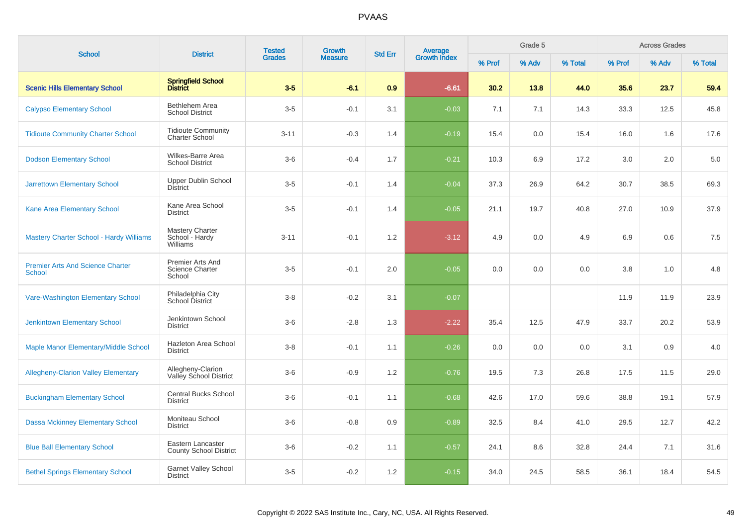| <b>School</b>                                            | <b>District</b>                                      | <b>Tested</b><br><b>Grades</b> | <b>Growth</b>  | <b>Std Err</b> |                         |        | Grade 5 |         |        | <b>Across Grades</b> |         |
|----------------------------------------------------------|------------------------------------------------------|--------------------------------|----------------|----------------|-------------------------|--------|---------|---------|--------|----------------------|---------|
|                                                          |                                                      |                                | <b>Measure</b> |                | Average<br>Growth Index | % Prof | % Adv   | % Total | % Prof | % Adv                | % Total |
| <b>Scenic Hills Elementary School</b>                    | Springfield School<br>District                       | $3-5$                          | $-6.1$         | 0.9            | $-6.61$                 | 30.2   | 13.8    | 44.0    | 35.6   | 23.7                 | 59.4    |
| <b>Calypso Elementary School</b>                         | Bethlehem Area<br><b>School District</b>             | $3-5$                          | $-0.1$         | 3.1            | $-0.03$                 | 7.1    | 7.1     | 14.3    | 33.3   | 12.5                 | 45.8    |
| <b>Tidioute Community Charter School</b>                 | <b>Tidioute Community</b><br><b>Charter School</b>   | $3 - 11$                       | $-0.3$         | 1.4            | $-0.19$                 | 15.4   | 0.0     | 15.4    | 16.0   | 1.6                  | 17.6    |
| <b>Dodson Elementary School</b>                          | Wilkes-Barre Area<br><b>School District</b>          | $3-6$                          | $-0.4$         | 1.7            | $-0.21$                 | 10.3   | 6.9     | 17.2    | 3.0    | 2.0                  | 5.0     |
| <b>Jarrettown Elementary School</b>                      | <b>Upper Dublin School</b><br><b>District</b>        | $3-5$                          | $-0.1$         | 1.4            | $-0.04$                 | 37.3   | 26.9    | 64.2    | 30.7   | 38.5                 | 69.3    |
| Kane Area Elementary School                              | Kane Area School<br><b>District</b>                  | $3-5$                          | $-0.1$         | 1.4            | $-0.05$                 | 21.1   | 19.7    | 40.8    | 27.0   | 10.9                 | 37.9    |
| <b>Mastery Charter School - Hardy Williams</b>           | Mastery Charter<br>School - Hardy<br>Williams        | $3 - 11$                       | $-0.1$         | 1.2            | $-3.12$                 | 4.9    | 0.0     | 4.9     | 6.9    | 0.6                  | 7.5     |
| <b>Premier Arts And Science Charter</b><br><b>School</b> | Premier Arts And<br><b>Science Charter</b><br>School | $3-5$                          | $-0.1$         | 2.0            | $-0.05$                 | 0.0    | 0.0     | 0.0     | 3.8    | 1.0                  | 4.8     |
| Vare-Washington Elementary School                        | Philadelphia City<br>School District                 | $3 - 8$                        | $-0.2$         | 3.1            | $-0.07$                 |        |         |         | 11.9   | 11.9                 | 23.9    |
| <b>Jenkintown Elementary School</b>                      | Jenkintown School<br><b>District</b>                 | $3-6$                          | $-2.8$         | 1.3            | $-2.22$                 | 35.4   | 12.5    | 47.9    | 33.7   | 20.2                 | 53.9    |
| Maple Manor Elementary/Middle School                     | Hazleton Area School<br><b>District</b>              | $3 - 8$                        | $-0.1$         | 1.1            | $-0.26$                 | 0.0    | 0.0     | 0.0     | 3.1    | 0.9                  | 4.0     |
| <b>Allegheny-Clarion Valley Elementary</b>               | Allegheny-Clarion<br>Valley School District          | $3-6$                          | $-0.9$         | 1.2            | $-0.76$                 | 19.5   | 7.3     | 26.8    | 17.5   | 11.5                 | 29.0    |
| <b>Buckingham Elementary School</b>                      | <b>Central Bucks School</b><br><b>District</b>       | $3-6$                          | $-0.1$         | 1.1            | $-0.68$                 | 42.6   | 17.0    | 59.6    | 38.8   | 19.1                 | 57.9    |
| <b>Dassa Mckinney Elementary School</b>                  | Moniteau School<br><b>District</b>                   | $3-6$                          | $-0.8$         | 0.9            | $-0.89$                 | 32.5   | 8.4     | 41.0    | 29.5   | 12.7                 | 42.2    |
| <b>Blue Ball Elementary School</b>                       | Eastern Lancaster<br><b>County School District</b>   | $3-6$                          | $-0.2$         | 1.1            | $-0.57$                 | 24.1   | 8.6     | 32.8    | 24.4   | 7.1                  | 31.6    |
| <b>Bethel Springs Elementary School</b>                  | <b>Garnet Valley School</b><br><b>District</b>       | $3-5$                          | $-0.2$         | 1.2            | $-0.15$                 | 34.0   | 24.5    | 58.5    | 36.1   | 18.4                 | 54.5    |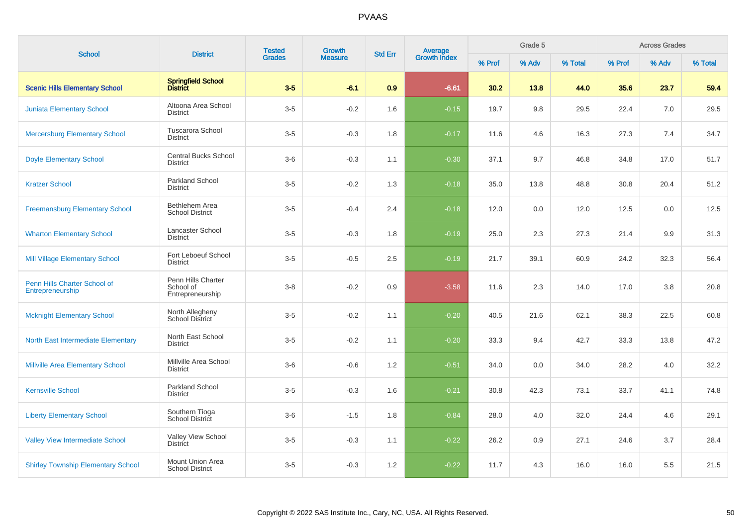| <b>School</b>                                    | <b>District</b>                                     | <b>Tested</b> | Growth         | <b>Std Err</b> |                                |        | Grade 5 |         |        | <b>Across Grades</b> |         |
|--------------------------------------------------|-----------------------------------------------------|---------------|----------------|----------------|--------------------------------|--------|---------|---------|--------|----------------------|---------|
|                                                  |                                                     | <b>Grades</b> | <b>Measure</b> |                | <b>Average</b><br>Growth Index | % Prof | % Adv   | % Total | % Prof | % Adv                | % Total |
| <b>Scenic Hills Elementary School</b>            | Springfield School<br>District                      | $3-5$         | $-6.1$         | 0.9            | $-6.61$                        | 30.2   | 13.8    | 44.0    | 35.6   | 23.7                 | 59.4    |
| <b>Juniata Elementary School</b>                 | Altoona Area School<br><b>District</b>              | $3-5$         | $-0.2$         | 1.6            | $-0.15$                        | 19.7   | 9.8     | 29.5    | 22.4   | 7.0                  | 29.5    |
| <b>Mercersburg Elementary School</b>             | <b>Tuscarora School</b><br><b>District</b>          | $3-5$         | $-0.3$         | 1.8            | $-0.17$                        | 11.6   | 4.6     | 16.3    | 27.3   | 7.4                  | 34.7    |
| <b>Doyle Elementary School</b>                   | <b>Central Bucks School</b><br>District             | $3-6$         | $-0.3$         | 1.1            | $-0.30$                        | 37.1   | 9.7     | 46.8    | 34.8   | 17.0                 | 51.7    |
| <b>Kratzer School</b>                            | <b>Parkland School</b><br><b>District</b>           | $3-5$         | $-0.2$         | 1.3            | $-0.18$                        | 35.0   | 13.8    | 48.8    | 30.8   | 20.4                 | 51.2    |
| <b>Freemansburg Elementary School</b>            | Bethlehem Area<br><b>School District</b>            | $3-5$         | $-0.4$         | 2.4            | $-0.18$                        | 12.0   | 0.0     | 12.0    | 12.5   | 0.0                  | 12.5    |
| <b>Wharton Elementary School</b>                 | Lancaster School<br><b>District</b>                 | $3-5$         | $-0.3$         | 1.8            | $-0.19$                        | 25.0   | 2.3     | 27.3    | 21.4   | 9.9                  | 31.3    |
| <b>Mill Village Elementary School</b>            | Fort Leboeuf School<br><b>District</b>              | $3-5$         | $-0.5$         | 2.5            | $-0.19$                        | 21.7   | 39.1    | 60.9    | 24.2   | 32.3                 | 56.4    |
| Penn Hills Charter School of<br>Entrepreneurship | Penn Hills Charter<br>School of<br>Entrepreneurship | $3-8$         | $-0.2$         | 0.9            | $-3.58$                        | 11.6   | 2.3     | 14.0    | 17.0   | 3.8                  | 20.8    |
| <b>Mcknight Elementary School</b>                | North Allegheny<br><b>School District</b>           | $3-5$         | $-0.2$         | 1.1            | $-0.20$                        | 40.5   | 21.6    | 62.1    | 38.3   | 22.5                 | 60.8    |
| North East Intermediate Elementary               | North East School<br>District                       | $3-5$         | $-0.2$         | 1.1            | $-0.20$                        | 33.3   | 9.4     | 42.7    | 33.3   | 13.8                 | 47.2    |
| <b>Millville Area Elementary School</b>          | Millville Area School<br><b>District</b>            | $3-6$         | $-0.6$         | 1.2            | $-0.51$                        | 34.0   | 0.0     | 34.0    | 28.2   | 4.0                  | 32.2    |
| <b>Kernsville School</b>                         | <b>Parkland School</b><br><b>District</b>           | $3-5$         | $-0.3$         | 1.6            | $-0.21$                        | 30.8   | 42.3    | 73.1    | 33.7   | 41.1                 | 74.8    |
| <b>Liberty Elementary School</b>                 | Southern Tioga<br>School District                   | $3-6$         | $-1.5$         | 1.8            | $-0.84$                        | 28.0   | 4.0     | 32.0    | 24.4   | 4.6                  | 29.1    |
| <b>Valley View Intermediate School</b>           | Valley View School<br><b>District</b>               | $3-5$         | $-0.3$         | 1.1            | $-0.22$                        | 26.2   | 0.9     | 27.1    | 24.6   | 3.7                  | 28.4    |
| <b>Shirley Township Elementary School</b>        | Mount Union Area<br><b>School District</b>          | $3-5$         | $-0.3$         | 1.2            | $-0.22$                        | 11.7   | 4.3     | 16.0    | 16.0   | 5.5                  | 21.5    |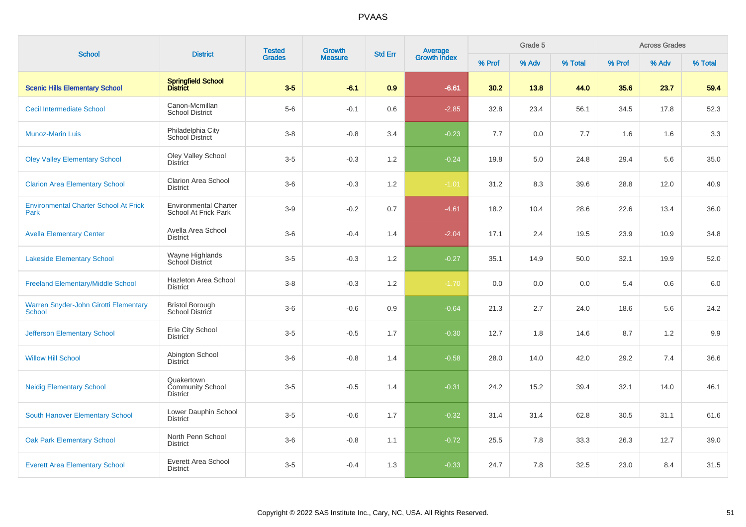| <b>School</b>                                        | <b>District</b>                                      | <b>Tested</b> | <b>Growth</b><br><b>Average</b><br>Growth Index<br><b>Std Err</b><br><b>Grades</b><br><b>Measure</b> | Grade 5 |         |        |       | <b>Across Grades</b> |        |       |         |
|------------------------------------------------------|------------------------------------------------------|---------------|------------------------------------------------------------------------------------------------------|---------|---------|--------|-------|----------------------|--------|-------|---------|
|                                                      |                                                      |               |                                                                                                      |         |         | % Prof | % Adv | % Total              | % Prof | % Adv | % Total |
| <b>Scenic Hills Elementary School</b>                | Springfield School<br>District                       | $3-5$         | $-6.1$                                                                                               | 0.9     | $-6.61$ | 30.2   | 13.8  | 44.0                 | 35.6   | 23.7  | 59.4    |
| <b>Cecil Intermediate School</b>                     | Canon-Mcmillan<br><b>School District</b>             | $5-6$         | $-0.1$                                                                                               | 0.6     | $-2.85$ | 32.8   | 23.4  | 56.1                 | 34.5   | 17.8  | 52.3    |
| <b>Munoz-Marin Luis</b>                              | Philadelphia City<br>School District                 | $3 - 8$       | $-0.8$                                                                                               | 3.4     | $-0.23$ | 7.7    | 0.0   | 7.7                  | 1.6    | 1.6   | 3.3     |
| <b>Oley Valley Elementary School</b>                 | <b>Oley Valley School</b><br><b>District</b>         | $3-5$         | $-0.3$                                                                                               | 1.2     | $-0.24$ | 19.8   | 5.0   | 24.8                 | 29.4   | 5.6   | 35.0    |
| <b>Clarion Area Elementary School</b>                | <b>Clarion Area School</b><br><b>District</b>        | $3-6$         | $-0.3$                                                                                               | 1.2     | $-1.01$ | 31.2   | 8.3   | 39.6                 | 28.8   | 12.0  | 40.9    |
| <b>Environmental Charter School At Frick</b><br>Park | <b>Environmental Charter</b><br>School At Frick Park | $3-9$         | $-0.2$                                                                                               | 0.7     | $-4.61$ | 18.2   | 10.4  | 28.6                 | 22.6   | 13.4  | 36.0    |
| <b>Avella Elementary Center</b>                      | Avella Area School<br><b>District</b>                | $3-6$         | $-0.4$                                                                                               | 1.4     | $-2.04$ | 17.1   | 2.4   | 19.5                 | 23.9   | 10.9  | 34.8    |
| <b>Lakeside Elementary School</b>                    | Wayne Highlands<br>School District                   | $3-5$         | $-0.3$                                                                                               | 1.2     | $-0.27$ | 35.1   | 14.9  | 50.0                 | 32.1   | 19.9  | 52.0    |
| <b>Freeland Elementary/Middle School</b>             | Hazleton Area School<br>District                     | $3-8$         | $-0.3$                                                                                               | 1.2     | $-1.70$ | 0.0    | 0.0   | 0.0                  | 5.4    | 0.6   | $6.0\,$ |
| Warren Snyder-John Girotti Elementary<br>School      | <b>Bristol Borough</b><br><b>School District</b>     | $3-6$         | $-0.6$                                                                                               | 0.9     | $-0.64$ | 21.3   | 2.7   | 24.0                 | 18.6   | 5.6   | 24.2    |
| <b>Jefferson Elementary School</b>                   | Erie City School<br><b>District</b>                  | $3-5$         | $-0.5$                                                                                               | 1.7     | $-0.30$ | 12.7   | 1.8   | 14.6                 | 8.7    | 1.2   | 9.9     |
| <b>Willow Hill School</b>                            | Abington School<br><b>District</b>                   | $3-6$         | $-0.8$                                                                                               | 1.4     | $-0.58$ | 28.0   | 14.0  | 42.0                 | 29.2   | 7.4   | 36.6    |
| <b>Neidig Elementary School</b>                      | Quakertown<br>Community School<br><b>District</b>    | $3-5$         | $-0.5$                                                                                               | 1.4     | $-0.31$ | 24.2   | 15.2  | 39.4                 | 32.1   | 14.0  | 46.1    |
| <b>South Hanover Elementary School</b>               | Lower Dauphin School<br><b>District</b>              | $3-5$         | $-0.6$                                                                                               | 1.7     | $-0.32$ | 31.4   | 31.4  | 62.8                 | 30.5   | 31.1  | 61.6    |
| <b>Oak Park Elementary School</b>                    | North Penn School<br><b>District</b>                 | $3-6$         | $-0.8$                                                                                               | 1.1     | $-0.72$ | 25.5   | 7.8   | 33.3                 | 26.3   | 12.7  | 39.0    |
| <b>Everett Area Elementary School</b>                | Everett Area School<br><b>District</b>               | $3-5$         | $-0.4$                                                                                               | 1.3     | $-0.33$ | 24.7   | 7.8   | 32.5                 | 23.0   | 8.4   | 31.5    |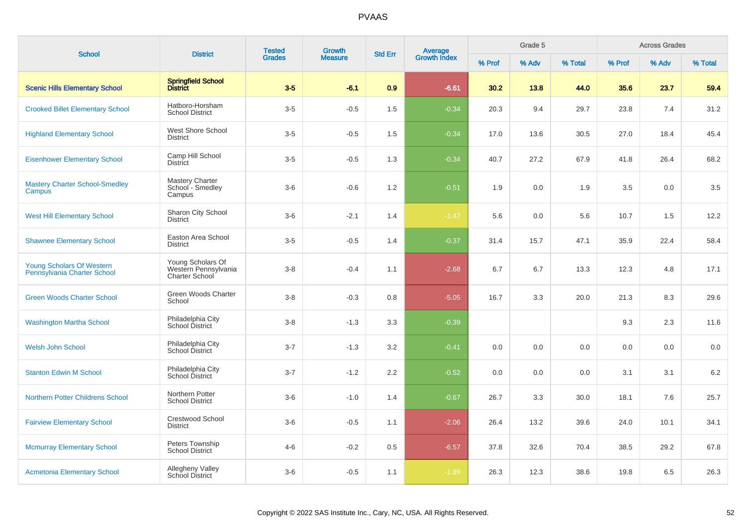| <b>School</b>                                            | <b>District</b>                                                    | <b>Tested</b> | <b>Growth</b><br><b>Measure</b> | <b>Std Err</b> | Average<br>Growth Index |        | Grade 5 |         |         | <b>Across Grades</b> |         |
|----------------------------------------------------------|--------------------------------------------------------------------|---------------|---------------------------------|----------------|-------------------------|--------|---------|---------|---------|----------------------|---------|
|                                                          |                                                                    | <b>Grades</b> |                                 |                |                         | % Prof | % Adv   | % Total | % Prof  | % Adv                | % Total |
| <b>Scenic Hills Elementary School</b>                    | Springfield School<br>District                                     | $3-5$         | $-6.1$                          | 0.9            | $-6.61$                 | 30.2   | 13.8    | 44.0    | 35.6    | 23.7                 | 59.4    |
| <b>Crooked Billet Elementary School</b>                  | Hatboro-Horsham<br><b>School District</b>                          | $3-5$         | $-0.5$                          | 1.5            | $-0.34$                 | 20.3   | 9.4     | 29.7    | 23.8    | 7.4                  | 31.2    |
| <b>Highland Elementary School</b>                        | West Shore School<br><b>District</b>                               | $3-5$         | $-0.5$                          | 1.5            | $-0.34$                 | 17.0   | 13.6    | 30.5    | 27.0    | 18.4                 | 45.4    |
| <b>Eisenhower Elementary School</b>                      | Camp Hill School<br>District                                       | $3-5$         | $-0.5$                          | 1.3            | $-0.34$                 | 40.7   | 27.2    | 67.9    | 41.8    | 26.4                 | 68.2    |
| <b>Mastery Charter School-Smedley</b><br>Campus          | <b>Mastery Charter</b><br>School - Smedley<br>Campus               | $3-6$         | $-0.6$                          | 1.2            | $-0.51$                 | 1.9    | 0.0     | 1.9     | $3.5\,$ | 0.0                  | 3.5     |
| <b>West Hill Elementary School</b>                       | Sharon City School<br><b>District</b>                              | $3-6$         | $-2.1$                          | 1.4            | $-1.47$                 | 5.6    | 0.0     | 5.6     | 10.7    | 1.5                  | 12.2    |
| <b>Shawnee Elementary School</b>                         | Easton Area School<br><b>District</b>                              | $3-5$         | $-0.5$                          | 1.4            | $-0.37$                 | 31.4   | 15.7    | 47.1    | 35.9    | 22.4                 | 58.4    |
| Young Scholars Of Western<br>Pennsylvania Charter School | Young Scholars Of<br>Western Pennsylvania<br><b>Charter School</b> | $3 - 8$       | $-0.4$                          | 1.1            | $-2.68$                 | 6.7    | 6.7     | 13.3    | 12.3    | 4.8                  | 17.1    |
| <b>Green Woods Charter School</b>                        | Green Woods Charter<br>School                                      | $3 - 8$       | $-0.3$                          | 0.8            | $-5.05$                 | 16.7   | 3.3     | 20.0    | 21.3    | 8.3                  | 29.6    |
| <b>Washington Martha School</b>                          | Philadelphia City<br>School District                               | $3-8$         | $-1.3$                          | 3.3            | $-0.39$                 |        |         |         | 9.3     | 2.3                  | 11.6    |
| <b>Welsh John School</b>                                 | Philadelphia City<br>School District                               | $3 - 7$       | $-1.3$                          | 3.2            | $-0.41$                 | 0.0    | 0.0     | 0.0     | 0.0     | 0.0                  | 0.0     |
| <b>Stanton Edwin M School</b>                            | Philadelphia City<br>School District                               | $3 - 7$       | $-1.2$                          | 2.2            | $-0.52$                 | 0.0    | 0.0     | 0.0     | 3.1     | 3.1                  | 6.2     |
| <b>Northern Potter Childrens School</b>                  | Northern Potter<br><b>School District</b>                          | $3-6$         | $-1.0$                          | 1.4            | $-0.67$                 | 26.7   | 3.3     | 30.0    | 18.1    | 7.6                  | 25.7    |
| <b>Fairview Elementary School</b>                        | <b>Crestwood School</b><br><b>District</b>                         | $3-6$         | $-0.5$                          | 1.1            | $-2.06$                 | 26.4   | 13.2    | 39.6    | 24.0    | 10.1                 | 34.1    |
| <b>Mcmurray Elementary School</b>                        | Peters Township<br><b>School District</b>                          | $4 - 6$       | $-0.2$                          | 0.5            | $-6.57$                 | 37.8   | 32.6    | 70.4    | 38.5    | 29.2                 | 67.8    |
| <b>Acmetonia Elementary School</b>                       | <b>Allegheny Valley</b><br><b>School District</b>                  | $3-6$         | $-0.5$                          | 1.1            | $-1.89$                 | 26.3   | 12.3    | 38.6    | 19.8    | 6.5                  | 26.3    |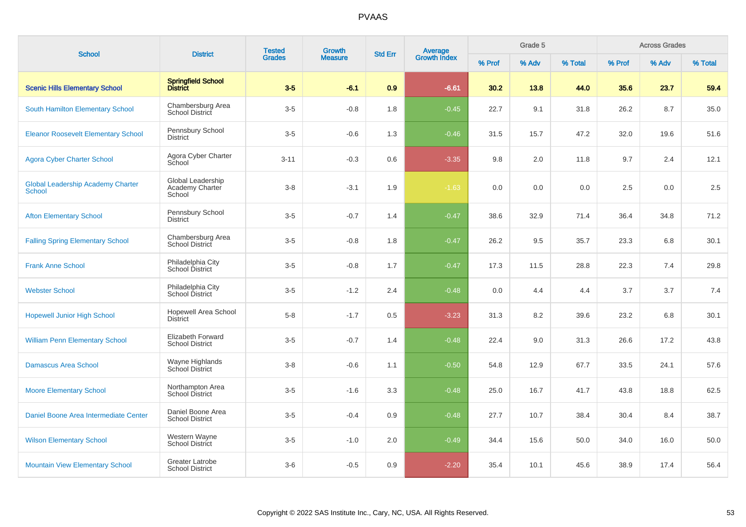| <b>School</b>                                             | <b>District</b>                                | <b>Tested</b> | Growth         | <b>Std Err</b> |                                |        | Grade 5 |         |        | <b>Across Grades</b> |         |
|-----------------------------------------------------------|------------------------------------------------|---------------|----------------|----------------|--------------------------------|--------|---------|---------|--------|----------------------|---------|
|                                                           |                                                | <b>Grades</b> | <b>Measure</b> |                | <b>Average</b><br>Growth Index | % Prof | % Adv   | % Total | % Prof | % Adv                | % Total |
| <b>Scenic Hills Elementary School</b>                     | Springfield School<br>District                 | $3-5$         | $-6.1$         | 0.9            | $-6.61$                        | 30.2   | 13.8    | 44.0    | 35.6   | 23.7                 | 59.4    |
| South Hamilton Elementary School                          | Chambersburg Area<br>School District           | $3-5$         | $-0.8$         | 1.8            | $-0.45$                        | 22.7   | 9.1     | 31.8    | 26.2   | 8.7                  | 35.0    |
| <b>Eleanor Roosevelt Elementary School</b>                | Pennsbury School<br><b>District</b>            | $3-5$         | $-0.6$         | 1.3            | $-0.46$                        | 31.5   | 15.7    | 47.2    | 32.0   | 19.6                 | 51.6    |
| <b>Agora Cyber Charter School</b>                         | Agora Cyber Charter<br>School                  | $3 - 11$      | $-0.3$         | 0.6            | $-3.35$                        | 9.8    | 2.0     | 11.8    | 9.7    | 2.4                  | 12.1    |
| <b>Global Leadership Academy Charter</b><br><b>School</b> | Global Leadership<br>Academy Charter<br>School | $3-8$         | $-3.1$         | 1.9            | $-1.63$                        | 0.0    | 0.0     | 0.0     | 2.5    | 0.0                  | 2.5     |
| <b>Afton Elementary School</b>                            | Pennsbury School<br><b>District</b>            | $3-5$         | $-0.7$         | 1.4            | $-0.47$                        | 38.6   | 32.9    | 71.4    | 36.4   | 34.8                 | 71.2    |
| <b>Falling Spring Elementary School</b>                   | Chambersburg Area<br><b>School District</b>    | $3-5$         | $-0.8$         | 1.8            | $-0.47$                        | 26.2   | 9.5     | 35.7    | 23.3   | 6.8                  | 30.1    |
| <b>Frank Anne School</b>                                  | Philadelphia City<br>School District           | $3-5$         | $-0.8$         | 1.7            | $-0.47$                        | 17.3   | 11.5    | 28.8    | 22.3   | 7.4                  | 29.8    |
| <b>Webster School</b>                                     | Philadelphia City<br>School District           | $3-5$         | $-1.2$         | 2.4            | $-0.48$                        | 0.0    | 4.4     | 4.4     | 3.7    | 3.7                  | 7.4     |
| <b>Hopewell Junior High School</b>                        | <b>Hopewell Area School</b><br><b>District</b> | $5 - 8$       | $-1.7$         | 0.5            | $-3.23$                        | 31.3   | 8.2     | 39.6    | 23.2   | 6.8                  | 30.1    |
| <b>William Penn Elementary School</b>                     | Elizabeth Forward<br><b>School District</b>    | $3-5$         | $-0.7$         | 1.4            | $-0.48$                        | 22.4   | 9.0     | 31.3    | 26.6   | 17.2                 | 43.8    |
| <b>Damascus Area School</b>                               | Wayne Highlands<br>School District             | $3-8$         | $-0.6$         | 1.1            | $-0.50$                        | 54.8   | 12.9    | 67.7    | 33.5   | 24.1                 | 57.6    |
| <b>Moore Elementary School</b>                            | Northampton Area<br><b>School District</b>     | $3-5$         | $-1.6$         | 3.3            | $-0.48$                        | 25.0   | 16.7    | 41.7    | 43.8   | 18.8                 | 62.5    |
| Daniel Boone Area Intermediate Center                     | Daniel Boone Area<br><b>School District</b>    | $3-5$         | $-0.4$         | 0.9            | $-0.48$                        | 27.7   | 10.7    | 38.4    | 30.4   | 8.4                  | 38.7    |
| <b>Wilson Elementary School</b>                           | Western Wayne<br>School District               | $3-5$         | $-1.0$         | 2.0            | $-0.49$                        | 34.4   | 15.6    | 50.0    | 34.0   | 16.0                 | 50.0    |
| <b>Mountain View Elementary School</b>                    | Greater Latrobe<br><b>School District</b>      | $3-6$         | $-0.5$         | 0.9            | $-2.20$                        | 35.4   | 10.1    | 45.6    | 38.9   | 17.4                 | 56.4    |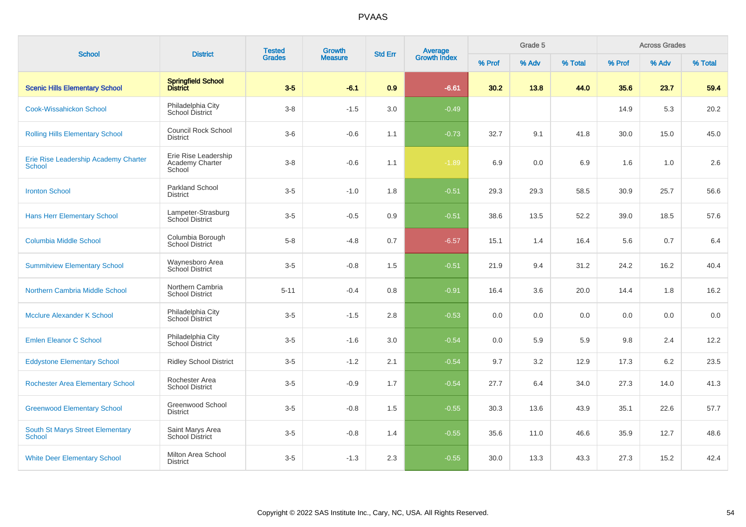| <b>School</b>                                     | <b>District</b>                                   | <b>Tested</b> | Growth         | <b>Std Err</b> |                                |        | Grade 5 |         |        | <b>Across Grades</b> |         |
|---------------------------------------------------|---------------------------------------------------|---------------|----------------|----------------|--------------------------------|--------|---------|---------|--------|----------------------|---------|
|                                                   |                                                   | <b>Grades</b> | <b>Measure</b> |                | <b>Average</b><br>Growth Index | % Prof | % Adv   | % Total | % Prof | % Adv                | % Total |
| <b>Scenic Hills Elementary School</b>             | Springfield School<br>District                    | $3-5$         | $-6.1$         | 0.9            | $-6.61$                        | 30.2   | 13.8    | 44.0    | 35.6   | 23.7                 | 59.4    |
| <b>Cook-Wissahickon School</b>                    | Philadelphia City<br>School District              | $3 - 8$       | $-1.5$         | 3.0            | $-0.49$                        |        |         |         | 14.9   | 5.3                  | 20.2    |
| <b>Rolling Hills Elementary School</b>            | <b>Council Rock School</b><br><b>District</b>     | $3-6$         | $-0.6$         | 1.1            | $-0.73$                        | 32.7   | 9.1     | 41.8    | 30.0   | 15.0                 | 45.0    |
| Erie Rise Leadership Academy Charter<br>School    | Erie Rise Leadership<br>Academy Charter<br>School | $3 - 8$       | $-0.6$         | 1.1            | $-1.89$                        | 6.9    | 0.0     | 6.9     | 1.6    | 1.0                  | 2.6     |
| <b>Ironton School</b>                             | <b>Parkland School</b><br><b>District</b>         | $3-5$         | $-1.0$         | 1.8            | $-0.51$                        | 29.3   | 29.3    | 58.5    | 30.9   | 25.7                 | 56.6    |
| <b>Hans Herr Elementary School</b>                | Lampeter-Strasburg<br><b>School District</b>      | $3-5$         | $-0.5$         | 0.9            | $-0.51$                        | 38.6   | 13.5    | 52.2    | 39.0   | 18.5                 | 57.6    |
| <b>Columbia Middle School</b>                     | Columbia Borough<br><b>School District</b>        | $5 - 8$       | $-4.8$         | 0.7            | $-6.57$                        | 15.1   | 1.4     | 16.4    | 5.6    | 0.7                  | 6.4     |
| <b>Summitview Elementary School</b>               | Waynesboro Area<br>School District                | $3-5$         | $-0.8$         | 1.5            | $-0.51$                        | 21.9   | 9.4     | 31.2    | 24.2   | 16.2                 | 40.4    |
| Northern Cambria Middle School                    | Northern Cambria<br><b>School District</b>        | $5 - 11$      | $-0.4$         | 0.8            | $-0.91$                        | 16.4   | 3.6     | 20.0    | 14.4   | 1.8                  | 16.2    |
| Mcclure Alexander K School                        | Philadelphia City<br>School District              | $3-5$         | $-1.5$         | 2.8            | $-0.53$                        | 0.0    | 0.0     | 0.0     | 0.0    | 0.0                  | 0.0     |
| <b>Emlen Eleanor C School</b>                     | Philadelphia City<br>School District              | $3-5$         | $-1.6$         | 3.0            | $-0.54$                        | 0.0    | 5.9     | 5.9     | 9.8    | 2.4                  | 12.2    |
| <b>Eddystone Elementary School</b>                | <b>Ridley School District</b>                     | $3-5$         | $-1.2$         | 2.1            | $-0.54$                        | 9.7    | 3.2     | 12.9    | 17.3   | 6.2                  | 23.5    |
| <b>Rochester Area Elementary School</b>           | Rochester Area<br><b>School District</b>          | $3-5$         | $-0.9$         | 1.7            | $-0.54$                        | 27.7   | 6.4     | 34.0    | 27.3   | 14.0                 | 41.3    |
| <b>Greenwood Elementary School</b>                | Greenwood School<br><b>District</b>               | $3-5$         | $-0.8$         | 1.5            | $-0.55$                        | 30.3   | 13.6    | 43.9    | 35.1   | 22.6                 | 57.7    |
| <b>South St Marys Street Elementary</b><br>School | Saint Marys Area<br><b>School District</b>        | $3-5$         | $-0.8$         | 1.4            | $-0.55$                        | 35.6   | 11.0    | 46.6    | 35.9   | 12.7                 | 48.6    |
| <b>White Deer Elementary School</b>               | Milton Area School<br><b>District</b>             | $3-5$         | $-1.3$         | 2.3            | $-0.55$                        | 30.0   | 13.3    | 43.3    | 27.3   | 15.2                 | 42.4    |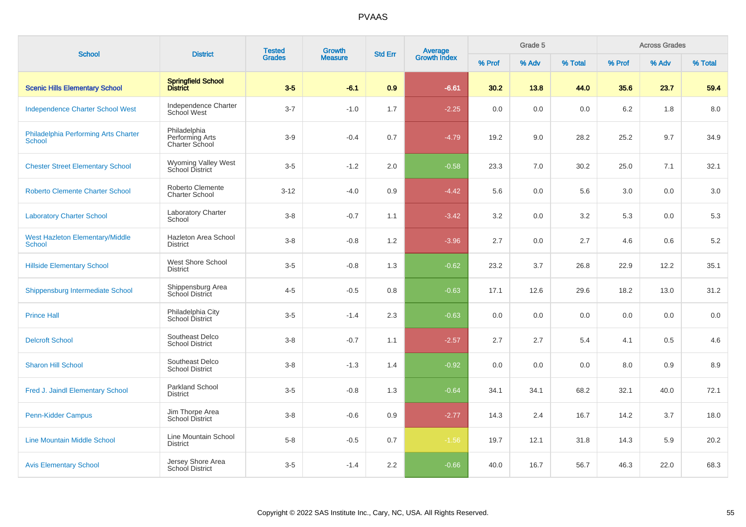| <b>School</b>                                           | <b>District</b>                                   | <b>Tested</b><br><b>Grades</b> | <b>Growth</b>  | <b>Std Err</b> |                                |        | Grade 5 |         |        | <b>Across Grades</b> |         |
|---------------------------------------------------------|---------------------------------------------------|--------------------------------|----------------|----------------|--------------------------------|--------|---------|---------|--------|----------------------|---------|
|                                                         |                                                   |                                | <b>Measure</b> |                | <b>Average</b><br>Growth Index | % Prof | % Adv   | % Total | % Prof | % Adv                | % Total |
| <b>Scenic Hills Elementary School</b>                   | Springfield School<br>District                    | $3-5$                          | $-6.1$         | 0.9            | $-6.61$                        | 30.2   | 13.8    | 44.0    | 35.6   | 23.7                 | 59.4    |
| <b>Independence Charter School West</b>                 | Independence Charter<br>School West               | $3 - 7$                        | $-1.0$         | 1.7            | $-2.25$                        | 0.0    | 0.0     | 0.0     | 6.2    | 1.8                  | 8.0     |
| Philadelphia Performing Arts Charter<br>School          | Philadelphia<br>Performing Arts<br>Charter School | $3-9$                          | $-0.4$         | 0.7            | $-4.79$                        | 19.2   | 9.0     | 28.2    | 25.2   | 9.7                  | 34.9    |
| <b>Chester Street Elementary School</b>                 | Wyoming Valley West<br>School District            | $3-5$                          | $-1.2$         | 2.0            | $-0.58$                        | 23.3   | 7.0     | 30.2    | 25.0   | 7.1                  | 32.1    |
| <b>Roberto Clemente Charter School</b>                  | Roberto Clemente<br><b>Charter School</b>         | $3-12$                         | $-4.0$         | 0.9            | $-4.42$                        | 5.6    | 0.0     | 5.6     | 3.0    | 0.0                  | 3.0     |
| <b>Laboratory Charter School</b>                        | <b>Laboratory Charter</b><br>School               | $3 - 8$                        | $-0.7$         | 1.1            | $-3.42$                        | 3.2    | 0.0     | 3.2     | 5.3    | 0.0                  | 5.3     |
| <b>West Hazleton Elementary/Middle</b><br><b>School</b> | Hazleton Area School<br><b>District</b>           | $3 - 8$                        | $-0.8$         | 1.2            | $-3.96$                        | 2.7    | 0.0     | 2.7     | 4.6    | 0.6                  | $5.2\,$ |
| <b>Hillside Elementary School</b>                       | West Shore School<br><b>District</b>              | $3-5$                          | $-0.8$         | 1.3            | $-0.62$                        | 23.2   | 3.7     | 26.8    | 22.9   | 12.2                 | 35.1    |
| Shippensburg Intermediate School                        | Shippensburg Area<br>School District              | $4 - 5$                        | $-0.5$         | 0.8            | $-0.63$                        | 17.1   | 12.6    | 29.6    | 18.2   | 13.0                 | 31.2    |
| <b>Prince Hall</b>                                      | Philadelphia City<br>School District              | $3-5$                          | $-1.4$         | 2.3            | $-0.63$                        | 0.0    | 0.0     | 0.0     | 0.0    | 0.0                  | 0.0     |
| <b>Delcroft School</b>                                  | Southeast Delco<br><b>School District</b>         | $3 - 8$                        | $-0.7$         | 1.1            | $-2.57$                        | 2.7    | 2.7     | 5.4     | 4.1    | 0.5                  | 4.6     |
| <b>Sharon Hill School</b>                               | Southeast Delco<br><b>School District</b>         | $3-8$                          | $-1.3$         | 1.4            | $-0.92$                        | 0.0    | 0.0     | 0.0     | 8.0    | 0.9                  | 8.9     |
| Fred J. Jaindl Elementary School                        | Parkland School<br><b>District</b>                | $3-5$                          | $-0.8$         | 1.3            | $-0.64$                        | 34.1   | 34.1    | 68.2    | 32.1   | 40.0                 | 72.1    |
| Penn-Kidder Campus                                      | Jim Thorpe Area<br><b>School District</b>         | $3 - 8$                        | $-0.6$         | 0.9            | $-2.77$                        | 14.3   | 2.4     | 16.7    | 14.2   | 3.7                  | 18.0    |
| <b>Line Mountain Middle School</b>                      | Line Mountain School<br><b>District</b>           | $5 - 8$                        | $-0.5$         | 0.7            | $-1.56$                        | 19.7   | 12.1    | 31.8    | 14.3   | 5.9                  | 20.2    |
| <b>Avis Elementary School</b>                           | Jersey Shore Area<br>School District              | $3-5$                          | $-1.4$         | 2.2            | $-0.66$                        | 40.0   | 16.7    | 56.7    | 46.3   | 22.0                 | 68.3    |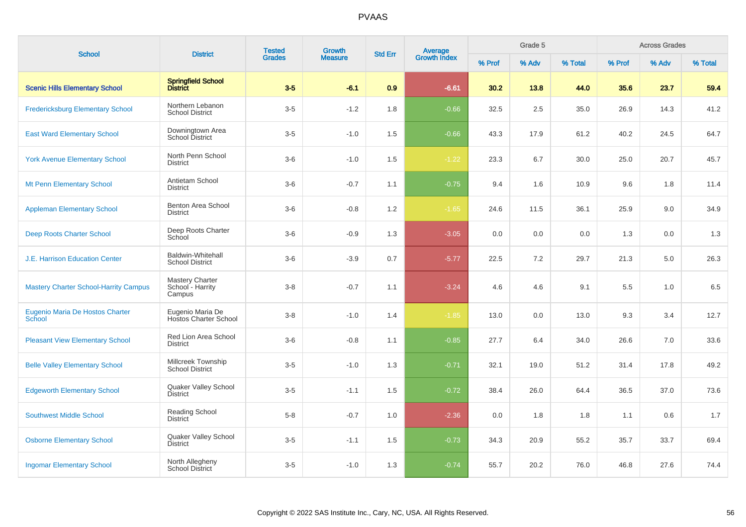| <b>School</b>                                    | <b>District</b>                                    | <b>Tested</b> | <b>Growth</b>  | <b>Std Err</b> | <b>Average</b><br>Growth Index |        | Grade 5 |         |        | <b>Across Grades</b> |         |
|--------------------------------------------------|----------------------------------------------------|---------------|----------------|----------------|--------------------------------|--------|---------|---------|--------|----------------------|---------|
|                                                  |                                                    | <b>Grades</b> | <b>Measure</b> |                |                                | % Prof | % Adv   | % Total | % Prof | % Adv                | % Total |
| <b>Scenic Hills Elementary School</b>            | Springfield School<br>District                     | $3-5$         | $-6.1$         | 0.9            | $-6.61$                        | 30.2   | 13.8    | 44.0    | 35.6   | 23.7                 | 59.4    |
| <b>Fredericksburg Elementary School</b>          | Northern Lebanon<br><b>School District</b>         | $3-5$         | $-1.2$         | 1.8            | $-0.66$                        | 32.5   | 2.5     | 35.0    | 26.9   | 14.3                 | 41.2    |
| <b>East Ward Elementary School</b>               | Downingtown Area<br>School District                | $3-5$         | $-1.0$         | 1.5            | $-0.66$                        | 43.3   | 17.9    | 61.2    | 40.2   | 24.5                 | 64.7    |
| <b>York Avenue Elementary School</b>             | North Penn School<br><b>District</b>               | $3-6$         | $-1.0$         | 1.5            | $-1.22$                        | 23.3   | 6.7     | 30.0    | 25.0   | 20.7                 | 45.7    |
| <b>Mt Penn Elementary School</b>                 | Antietam School<br><b>District</b>                 | $3-6$         | $-0.7$         | 1.1            | $-0.75$                        | 9.4    | 1.6     | 10.9    | 9.6    | 1.8                  | 11.4    |
| <b>Appleman Elementary School</b>                | Benton Area School<br><b>District</b>              | $3-6$         | $-0.8$         | 1.2            | $-1.65$                        | 24.6   | 11.5    | 36.1    | 25.9   | 9.0                  | 34.9    |
| <b>Deep Roots Charter School</b>                 | Deep Roots Charter<br>School                       | $3-6$         | $-0.9$         | 1.3            | $-3.05$                        | 0.0    | 0.0     | 0.0     | 1.3    | 0.0                  | 1.3     |
| J.E. Harrison Education Center                   | <b>Baldwin-Whitehall</b><br><b>School District</b> | $3-6$         | $-3.9$         | 0.7            | $-5.77$                        | 22.5   | 7.2     | 29.7    | 21.3   | 5.0                  | 26.3    |
| <b>Mastery Charter School-Harrity Campus</b>     | Mastery Charter<br>School - Harrity<br>Campus      | $3-8$         | $-0.7$         | 1.1            | $-3.24$                        | 4.6    | 4.6     | 9.1     | 5.5    | 1.0                  | 6.5     |
| Eugenio Maria De Hostos Charter<br><b>School</b> | Eugenio Maria De<br><b>Hostos Charter School</b>   | $3-8$         | $-1.0$         | 1.4            | $-1.85$                        | 13.0   | 0.0     | 13.0    | 9.3    | 3.4                  | 12.7    |
| <b>Pleasant View Elementary School</b>           | Red Lion Area School<br><b>District</b>            | $3-6$         | $-0.8$         | 1.1            | $-0.85$                        | 27.7   | 6.4     | 34.0    | 26.6   | 7.0                  | 33.6    |
| <b>Belle Valley Elementary School</b>            | Millcreek Township<br><b>School District</b>       | $3-5$         | $-1.0$         | 1.3            | $-0.71$                        | 32.1   | 19.0    | 51.2    | 31.4   | 17.8                 | 49.2    |
| <b>Edgeworth Elementary School</b>               | Quaker Valley School<br><b>District</b>            | $3-5$         | $-1.1$         | 1.5            | $-0.72$                        | 38.4   | 26.0    | 64.4    | 36.5   | 37.0                 | 73.6    |
| <b>Southwest Middle School</b>                   | Reading School<br><b>District</b>                  | $5 - 8$       | $-0.7$         | 1.0            | $-2.36$                        | 0.0    | 1.8     | 1.8     | 1.1    | 0.6                  | 1.7     |
| <b>Osborne Elementary School</b>                 | Quaker Valley School<br><b>District</b>            | $3-5$         | $-1.1$         | 1.5            | $-0.73$                        | 34.3   | 20.9    | 55.2    | 35.7   | 33.7                 | 69.4    |
| <b>Ingomar Elementary School</b>                 | North Allegheny<br><b>School District</b>          | $3-5$         | $-1.0$         | 1.3            | $-0.74$                        | 55.7   | 20.2    | 76.0    | 46.8   | 27.6                 | 74.4    |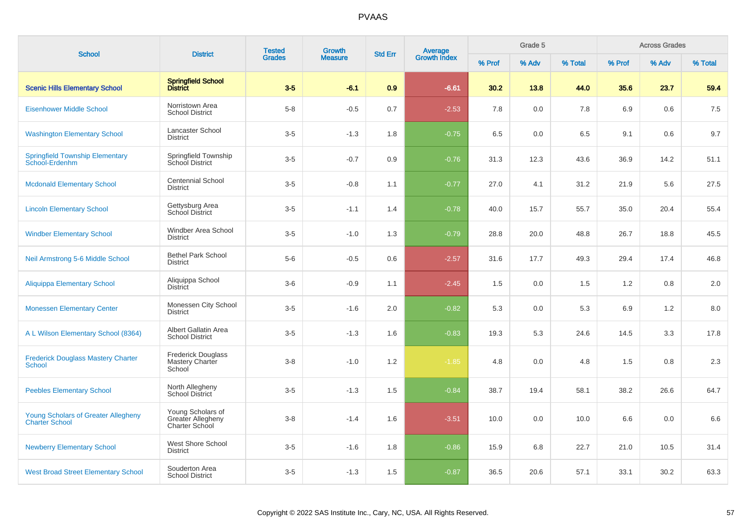| <b>School</b>                                                       | <b>District</b>                                          | <b>Tested</b><br><b>Growth</b> | Average<br>Growth Index<br><b>Std Err</b> |     | Grade 5 |        |       | <b>Across Grades</b> |        |       |         |
|---------------------------------------------------------------------|----------------------------------------------------------|--------------------------------|-------------------------------------------|-----|---------|--------|-------|----------------------|--------|-------|---------|
|                                                                     |                                                          | <b>Grades</b>                  | <b>Measure</b>                            |     |         | % Prof | % Adv | % Total              | % Prof | % Adv | % Total |
| <b>Scenic Hills Elementary School</b>                               | <b>Springfield School</b><br>District                    | $3-5$                          | $-6.1$                                    | 0.9 | $-6.61$ | 30.2   | 13.8  | 44.0                 | 35.6   | 23.7  | 59.4    |
| <b>Eisenhower Middle School</b>                                     | Norristown Area<br><b>School District</b>                | $5 - 8$                        | $-0.5$                                    | 0.7 | $-2.53$ | 7.8    | 0.0   | 7.8                  | 6.9    | 0.6   | 7.5     |
| <b>Washington Elementary School</b>                                 | Lancaster School<br><b>District</b>                      | $3-5$                          | $-1.3$                                    | 1.8 | $-0.75$ | 6.5    | 0.0   | 6.5                  | 9.1    | 0.6   | 9.7     |
| <b>Springfield Township Elementary</b><br>School-Erdenhm            | Springfield Township<br>School District                  | $3-5$                          | $-0.7$                                    | 0.9 | $-0.76$ | 31.3   | 12.3  | 43.6                 | 36.9   | 14.2  | 51.1    |
| <b>Mcdonald Elementary School</b>                                   | <b>Centennial School</b><br><b>District</b>              | $3-5$                          | $-0.8$                                    | 1.1 | $-0.77$ | 27.0   | 4.1   | 31.2                 | 21.9   | 5.6   | 27.5    |
| <b>Lincoln Elementary School</b>                                    | Gettysburg Area<br>School District                       | $3-5$                          | $-1.1$                                    | 1.4 | $-0.78$ | 40.0   | 15.7  | 55.7                 | 35.0   | 20.4  | 55.4    |
| <b>Windber Elementary School</b>                                    | Windber Area School<br><b>District</b>                   | $3-5$                          | $-1.0$                                    | 1.3 | $-0.79$ | 28.8   | 20.0  | 48.8                 | 26.7   | 18.8  | 45.5    |
| Neil Armstrong 5-6 Middle School                                    | <b>Bethel Park School</b><br><b>District</b>             | $5-6$                          | $-0.5$                                    | 0.6 | $-2.57$ | 31.6   | 17.7  | 49.3                 | 29.4   | 17.4  | 46.8    |
| <b>Aliquippa Elementary School</b>                                  | Aliquippa School<br><b>District</b>                      | $3-6$                          | $-0.9$                                    | 1.1 | $-2.45$ | 1.5    | 0.0   | 1.5                  | 1.2    | 0.8   | 2.0     |
| <b>Monessen Elementary Center</b>                                   | Monessen City School<br><b>District</b>                  | $3-5$                          | $-1.6$                                    | 2.0 | $-0.82$ | 5.3    | 0.0   | 5.3                  | 6.9    | 1.2   | 8.0     |
| A L Wilson Elementary School (8364)                                 | Albert Gallatin Area<br><b>School District</b>           | $3-5$                          | $-1.3$                                    | 1.6 | $-0.83$ | 19.3   | 5.3   | 24.6                 | 14.5   | 3.3   | 17.8    |
| <b>Frederick Douglass Mastery Charter</b><br><b>School</b>          | <b>Frederick Douglass</b><br>Mastery Charter<br>School   | $3 - 8$                        | $-1.0$                                    | 1.2 | $-1.85$ | 4.8    | 0.0   | 4.8                  | 1.5    | 0.8   | 2.3     |
| <b>Peebles Elementary School</b>                                    | North Allegheny<br><b>School District</b>                | $3-5$                          | $-1.3$                                    | 1.5 | $-0.84$ | 38.7   | 19.4  | 58.1                 | 38.2   | 26.6  | 64.7    |
| <b>Young Scholars of Greater Allegheny</b><br><b>Charter School</b> | Young Scholars of<br>Greater Allegheny<br>Charter School | $3 - 8$                        | $-1.4$                                    | 1.6 | $-3.51$ | 10.0   | 0.0   | 10.0                 | 6.6    | 0.0   | 6.6     |
| <b>Newberry Elementary School</b>                                   | West Shore School<br><b>District</b>                     | $3-5$                          | $-1.6$                                    | 1.8 | $-0.86$ | 15.9   | 6.8   | 22.7                 | 21.0   | 10.5  | 31.4    |
| <b>West Broad Street Elementary School</b>                          | Souderton Area<br><b>School District</b>                 | $3-5$                          | $-1.3$                                    | 1.5 | $-0.87$ | 36.5   | 20.6  | 57.1                 | 33.1   | 30.2  | 63.3    |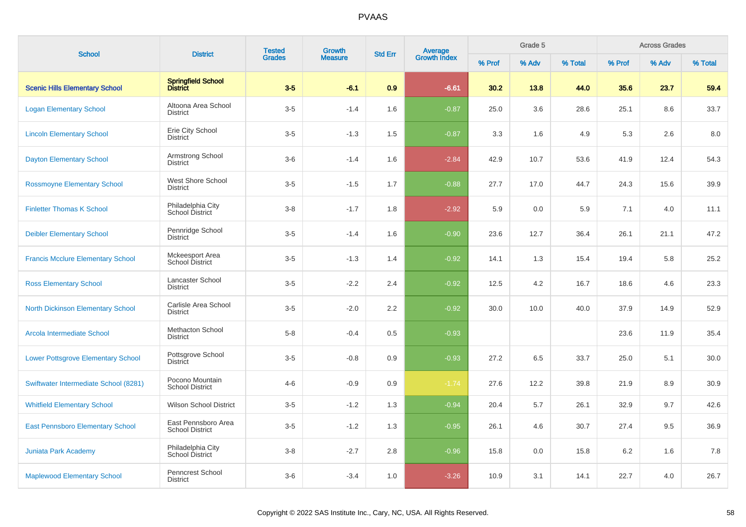| <b>School</b>                             | <b>District</b>                               | <b>Tested</b> | <b>Growth</b>  | <b>Std Err</b> |                                |        | Grade 5 |         |        | <b>Across Grades</b> |         |
|-------------------------------------------|-----------------------------------------------|---------------|----------------|----------------|--------------------------------|--------|---------|---------|--------|----------------------|---------|
|                                           |                                               | <b>Grades</b> | <b>Measure</b> |                | <b>Average</b><br>Growth Index | % Prof | % Adv   | % Total | % Prof | % Adv                | % Total |
| <b>Scenic Hills Elementary School</b>     | Springfield School<br>District                | $3-5$         | $-6.1$         | 0.9            | $-6.61$                        | 30.2   | 13.8    | 44.0    | 35.6   | 23.7                 | 59.4    |
| <b>Logan Elementary School</b>            | Altoona Area School<br><b>District</b>        | $3-5$         | $-1.4$         | 1.6            | $-0.87$                        | 25.0   | 3.6     | 28.6    | 25.1   | 8.6                  | 33.7    |
| <b>Lincoln Elementary School</b>          | Erie City School<br><b>District</b>           | $3-5$         | $-1.3$         | 1.5            | $-0.87$                        | 3.3    | 1.6     | 4.9     | 5.3    | 2.6                  | 8.0     |
| <b>Dayton Elementary School</b>           | Armstrong School<br><b>District</b>           | $3-6$         | $-1.4$         | 1.6            | $-2.84$                        | 42.9   | 10.7    | 53.6    | 41.9   | 12.4                 | 54.3    |
| <b>Rossmoyne Elementary School</b>        | West Shore School<br><b>District</b>          | $3-5$         | $-1.5$         | 1.7            | $-0.88$                        | 27.7   | 17.0    | 44.7    | 24.3   | 15.6                 | 39.9    |
| <b>Finletter Thomas K School</b>          | Philadelphia City<br>School District          | $3 - 8$       | $-1.7$         | 1.8            | $-2.92$                        | 5.9    | 0.0     | 5.9     | 7.1    | 4.0                  | 11.1    |
| <b>Deibler Elementary School</b>          | Pennridge School<br><b>District</b>           | $3-5$         | $-1.4$         | 1.6            | $-0.90$                        | 23.6   | 12.7    | 36.4    | 26.1   | 21.1                 | 47.2    |
| <b>Francis Mcclure Elementary School</b>  | Mckeesport Area<br>School District            | $3-5$         | $-1.3$         | 1.4            | $-0.92$                        | 14.1   | 1.3     | 15.4    | 19.4   | 5.8                  | 25.2    |
| <b>Ross Elementary School</b>             | Lancaster School<br><b>District</b>           | $3-5$         | $-2.2$         | 2.4            | $-0.92$                        | 12.5   | 4.2     | 16.7    | 18.6   | 4.6                  | 23.3    |
| <b>North Dickinson Elementary School</b>  | Carlisle Area School<br><b>District</b>       | $3-5$         | $-2.0$         | 2.2            | $-0.92$                        | 30.0   | 10.0    | 40.0    | 37.9   | 14.9                 | 52.9    |
| Arcola Intermediate School                | <b>Methacton School</b><br><b>District</b>    | $5-8$         | $-0.4$         | 0.5            | $-0.93$                        |        |         |         | 23.6   | 11.9                 | 35.4    |
| <b>Lower Pottsgrove Elementary School</b> | Pottsgrove School<br><b>District</b>          | $3-5$         | $-0.8$         | 0.9            | $-0.93$                        | 27.2   | 6.5     | 33.7    | 25.0   | 5.1                  | 30.0    |
| Swiftwater Intermediate School (8281)     | Pocono Mountain<br><b>School District</b>     | $4 - 6$       | $-0.9$         | 0.9            | $-1.74$                        | 27.6   | 12.2    | 39.8    | 21.9   | 8.9                  | 30.9    |
| <b>Whitfield Elementary School</b>        | <b>Wilson School District</b>                 | $3-5$         | $-1.2$         | 1.3            | $-0.94$                        | 20.4   | 5.7     | 26.1    | 32.9   | 9.7                  | 42.6    |
| <b>East Pennsboro Elementary School</b>   | East Pennsboro Area<br><b>School District</b> | $3-5$         | $-1.2$         | 1.3            | $-0.95$                        | 26.1   | 4.6     | 30.7    | 27.4   | 9.5                  | 36.9    |
| Juniata Park Academy                      | Philadelphia City<br>School District          | $3 - 8$       | $-2.7$         | 2.8            | $-0.96$                        | 15.8   | 0.0     | 15.8    | 6.2    | 1.6                  | 7.8     |
| <b>Maplewood Elementary School</b>        | Penncrest School<br><b>District</b>           | $3-6$         | $-3.4$         | 1.0            | $-3.26$                        | 10.9   | 3.1     | 14.1    | 22.7   | 4.0                  | 26.7    |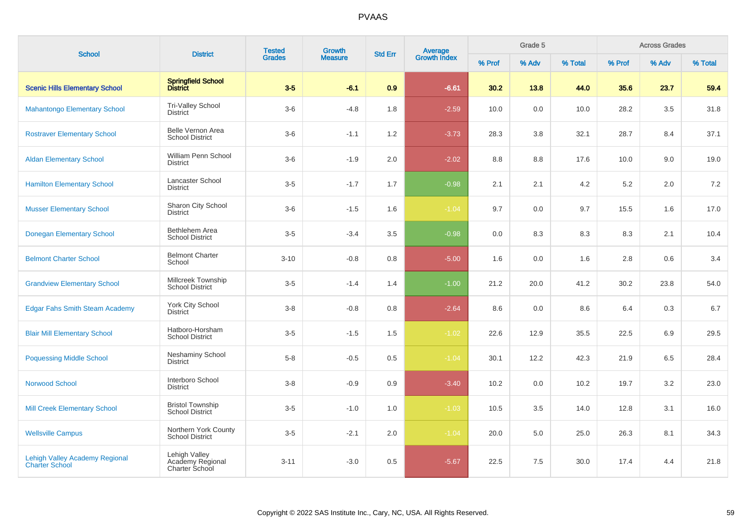| <b>School</b>                                                  | <b>District</b>                                            | <b>Tested</b> | <b>Growth</b>  | <b>Std Err</b> | <b>Average</b><br>Growth Index |        | Grade 5 |         |         | <b>Across Grades</b> |         |
|----------------------------------------------------------------|------------------------------------------------------------|---------------|----------------|----------------|--------------------------------|--------|---------|---------|---------|----------------------|---------|
|                                                                |                                                            | <b>Grades</b> | <b>Measure</b> |                |                                | % Prof | % Adv   | % Total | % Prof  | % Adv                | % Total |
| <b>Scenic Hills Elementary School</b>                          | Springfield School<br>District                             | $3-5$         | $-6.1$         | 0.9            | $-6.61$                        | 30.2   | 13.8    | 44.0    | 35.6    | 23.7                 | 59.4    |
| <b>Mahantongo Elementary School</b>                            | <b>Tri-Valley School</b><br><b>District</b>                | $3-6$         | $-4.8$         | 1.8            | $-2.59$                        | 10.0   | 0.0     | 10.0    | 28.2    | 3.5                  | 31.8    |
| <b>Rostraver Elementary School</b>                             | Belle Vernon Area<br><b>School District</b>                | $3-6$         | $-1.1$         | 1.2            | $-3.73$                        | 28.3   | 3.8     | 32.1    | 28.7    | 8.4                  | 37.1    |
| <b>Aldan Elementary School</b>                                 | William Penn School<br><b>District</b>                     | $3-6$         | $-1.9$         | 2.0            | $-2.02$                        | 8.8    | 8.8     | 17.6    | 10.0    | 9.0                  | 19.0    |
| <b>Hamilton Elementary School</b>                              | Lancaster School<br><b>District</b>                        | $3-5$         | $-1.7$         | 1.7            | $-0.98$                        | 2.1    | 2.1     | 4.2     | $5.2\,$ | 2.0                  | 7.2     |
| <b>Musser Elementary School</b>                                | Sharon City School<br><b>District</b>                      | $3-6$         | $-1.5$         | 1.6            | $-1.04$                        | 9.7    | 0.0     | 9.7     | 15.5    | 1.6                  | 17.0    |
| <b>Donegan Elementary School</b>                               | Bethlehem Area<br><b>School District</b>                   | $3-5$         | $-3.4$         | 3.5            | $-0.98$                        | 0.0    | 8.3     | 8.3     | 8.3     | 2.1                  | 10.4    |
| <b>Belmont Charter School</b>                                  | <b>Belmont Charter</b><br>School                           | $3 - 10$      | $-0.8$         | 0.8            | $-5.00$                        | 1.6    | 0.0     | 1.6     | 2.8     | 0.6                  | 3.4     |
| <b>Grandview Elementary School</b>                             | Millcreek Township<br>School District                      | $3-5$         | $-1.4$         | 1.4            | $-1.00$                        | 21.2   | 20.0    | 41.2    | 30.2    | 23.8                 | 54.0    |
| <b>Edgar Fahs Smith Steam Academy</b>                          | York City School<br><b>District</b>                        | $3-8$         | $-0.8$         | 0.8            | $-2.64$                        | 8.6    | 0.0     | 8.6     | 6.4     | 0.3                  | 6.7     |
| <b>Blair Mill Elementary School</b>                            | Hatboro-Horsham<br><b>School District</b>                  | $3-5$         | $-1.5$         | 1.5            | $-1.02$                        | 22.6   | 12.9    | 35.5    | 22.5    | 6.9                  | 29.5    |
| <b>Poquessing Middle School</b>                                | Neshaminy School<br><b>District</b>                        | $5 - 8$       | $-0.5$         | 0.5            | $-1.04$                        | 30.1   | 12.2    | 42.3    | 21.9    | 6.5                  | 28.4    |
| <b>Norwood School</b>                                          | Interboro School<br><b>District</b>                        | $3 - 8$       | $-0.9$         | 0.9            | $-3.40$                        | 10.2   | 0.0     | 10.2    | 19.7    | 3.2                  | 23.0    |
| <b>Mill Creek Elementary School</b>                            | <b>Bristol Township</b><br><b>School District</b>          | $3-5$         | $-1.0$         | 1.0            | $-1.03$                        | 10.5   | 3.5     | 14.0    | 12.8    | 3.1                  | 16.0    |
| <b>Wellsville Campus</b>                                       | Northern York County<br><b>School District</b>             | $3-5$         | $-2.1$         | 2.0            | $-1.04$                        | 20.0   | 5.0     | 25.0    | 26.3    | 8.1                  | 34.3    |
| <b>Lehigh Valley Academy Regional</b><br><b>Charter School</b> | Lehigh Valley<br>Academy Regional<br><b>Charter School</b> | $3 - 11$      | $-3.0$         | 0.5            | $-5.67$                        | 22.5   | 7.5     | 30.0    | 17.4    | 4.4                  | 21.8    |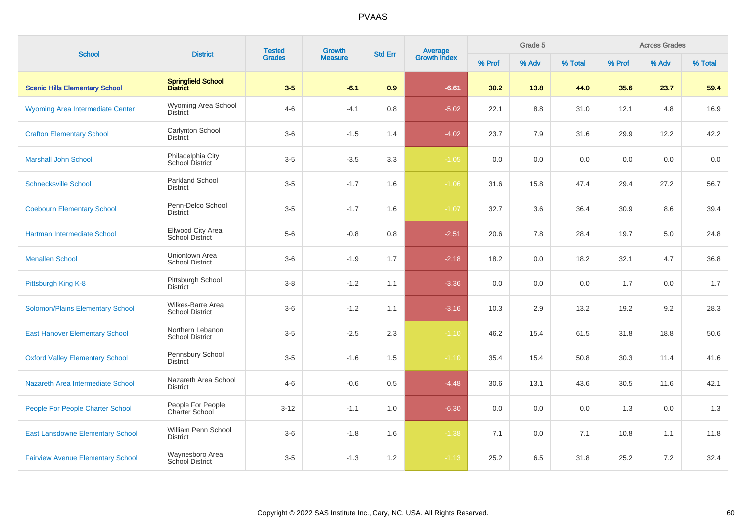| <b>School</b>                            | <b>District</b>                             | <b>Tested</b> | Growth         | <b>Std Err</b> |                                |        | Grade 5 |         |        | <b>Across Grades</b> |         |
|------------------------------------------|---------------------------------------------|---------------|----------------|----------------|--------------------------------|--------|---------|---------|--------|----------------------|---------|
|                                          |                                             | <b>Grades</b> | <b>Measure</b> |                | <b>Average</b><br>Growth Index | % Prof | % Adv   | % Total | % Prof | % Adv                | % Total |
| <b>Scenic Hills Elementary School</b>    | Springfield School<br>District              | $3-5$         | $-6.1$         | 0.9            | $-6.61$                        | 30.2   | 13.8    | 44.0    | 35.6   | 23.7                 | 59.4    |
| Wyoming Area Intermediate Center         | Wyoming Area School<br><b>District</b>      | $4 - 6$       | $-4.1$         | 0.8            | $-5.02$                        | 22.1   | 8.8     | 31.0    | 12.1   | 4.8                  | 16.9    |
| <b>Crafton Elementary School</b>         | Carlynton School<br><b>District</b>         | $3-6$         | $-1.5$         | 1.4            | $-4.02$                        | 23.7   | 7.9     | 31.6    | 29.9   | 12.2                 | 42.2    |
| <b>Marshall John School</b>              | Philadelphia City<br>School District        | $3-5$         | $-3.5$         | 3.3            | $-1.05$                        | 0.0    | 0.0     | 0.0     | 0.0    | 0.0                  | 0.0     |
| <b>Schnecksville School</b>              | <b>Parkland School</b><br><b>District</b>   | $3-5$         | $-1.7$         | 1.6            | $-1.06$                        | 31.6   | 15.8    | 47.4    | 29.4   | 27.2                 | 56.7    |
| <b>Coebourn Elementary School</b>        | Penn-Delco School<br><b>District</b>        | $3-5$         | $-1.7$         | 1.6            | $-1.07$                        | 32.7   | 3.6     | 36.4    | 30.9   | 8.6                  | 39.4    |
| Hartman Intermediate School              | Ellwood City Area<br><b>School District</b> | $5-6$         | $-0.8$         | 0.8            | $-2.51$                        | 20.6   | 7.8     | 28.4    | 19.7   | 5.0                  | 24.8    |
| <b>Menallen School</b>                   | Uniontown Area<br><b>School District</b>    | $3-6$         | $-1.9$         | 1.7            | $-2.18$                        | 18.2   | 0.0     | 18.2    | 32.1   | 4.7                  | 36.8    |
| Pittsburgh King K-8                      | Pittsburgh School<br><b>District</b>        | $3 - 8$       | $-1.2$         | 1.1            | $-3.36$                        | 0.0    | 0.0     | 0.0     | 1.7    | 0.0                  | 1.7     |
| Solomon/Plains Elementary School         | Wilkes-Barre Area<br><b>School District</b> | $3-6$         | $-1.2$         | 1.1            | $-3.16$                        | 10.3   | 2.9     | 13.2    | 19.2   | 9.2                  | 28.3    |
| <b>East Hanover Elementary School</b>    | Northern Lebanon<br><b>School District</b>  | $3-5$         | $-2.5$         | 2.3            | $-1.10$                        | 46.2   | 15.4    | 61.5    | 31.8   | 18.8                 | 50.6    |
| <b>Oxford Valley Elementary School</b>   | Pennsbury School<br><b>District</b>         | $3-5$         | $-1.6$         | 1.5            | $-1.10$                        | 35.4   | 15.4    | 50.8    | 30.3   | 11.4                 | 41.6    |
| Nazareth Area Intermediate School        | Nazareth Area School<br><b>District</b>     | $4 - 6$       | $-0.6$         | 0.5            | $-4.48$                        | 30.6   | 13.1    | 43.6    | 30.5   | 11.6                 | 42.1    |
| People For People Charter School         | People For People<br><b>Charter School</b>  | $3 - 12$      | $-1.1$         | 1.0            | $-6.30$                        | 0.0    | 0.0     | 0.0     | 1.3    | 0.0                  | 1.3     |
| <b>East Lansdowne Elementary School</b>  | William Penn School<br>District             | $3-6$         | $-1.8$         | 1.6            | $-1.38$                        | 7.1    | 0.0     | 7.1     | 10.8   | 1.1                  | 11.8    |
| <b>Fairview Avenue Elementary School</b> | Waynesboro Area<br>School District          | $3-5$         | $-1.3$         | 1.2            | $-1.13$                        | 25.2   | 6.5     | 31.8    | 25.2   | 7.2                  | 32.4    |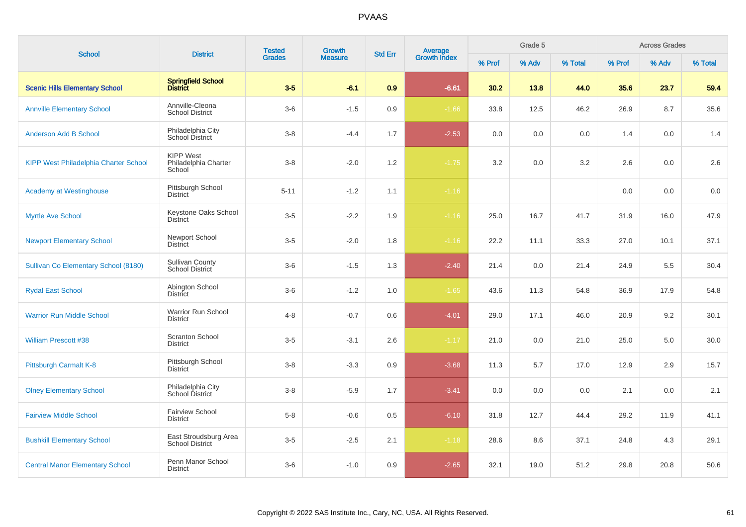| <b>School</b>                                | <b>District</b>                                    | <b>Tested</b><br><b>Grades</b> | Growth         | <b>Average</b><br>Growth Index<br><b>Std Err</b> |         |        | Grade 5 |         |        | <b>Across Grades</b> |         |
|----------------------------------------------|----------------------------------------------------|--------------------------------|----------------|--------------------------------------------------|---------|--------|---------|---------|--------|----------------------|---------|
|                                              |                                                    |                                | <b>Measure</b> |                                                  |         | % Prof | % Adv   | % Total | % Prof | % Adv                | % Total |
| <b>Scenic Hills Elementary School</b>        | Springfield School<br>District                     | $3-5$                          | $-6.1$         | 0.9                                              | $-6.61$ | 30.2   | 13.8    | 44.0    | 35.6   | 23.7                 | 59.4    |
| <b>Annville Elementary School</b>            | Annville-Cleona<br><b>School District</b>          | $3-6$                          | $-1.5$         | 0.9                                              | $-1.66$ | 33.8   | 12.5    | 46.2    | 26.9   | 8.7                  | 35.6    |
| <b>Anderson Add B School</b>                 | Philadelphia City<br>School District               | $3 - 8$                        | $-4.4$         | 1.7                                              | $-2.53$ | 0.0    | 0.0     | 0.0     | 1.4    | 0.0                  | 1.4     |
| <b>KIPP West Philadelphia Charter School</b> | <b>KIPP West</b><br>Philadelphia Charter<br>School | $3 - 8$                        | $-2.0$         | 1.2                                              | $-1.75$ | 3.2    | 0.0     | 3.2     | 2.6    | 0.0                  | 2.6     |
| <b>Academy at Westinghouse</b>               | Pittsburgh School<br><b>District</b>               | $5 - 11$                       | $-1.2$         | 1.1                                              | $-1.16$ |        |         |         | 0.0    | 0.0                  | 0.0     |
| <b>Myrtle Ave School</b>                     | Keystone Oaks School<br><b>District</b>            | $3-5$                          | $-2.2$         | 1.9                                              | $-1.16$ | 25.0   | 16.7    | 41.7    | 31.9   | 16.0                 | 47.9    |
| <b>Newport Elementary School</b>             | Newport School<br><b>District</b>                  | $3-5$                          | $-2.0$         | 1.8                                              | $-1.16$ | 22.2   | 11.1    | 33.3    | 27.0   | 10.1                 | 37.1    |
| Sullivan Co Elementary School (8180)         | <b>Sullivan County</b><br>School District          | $3-6$                          | $-1.5$         | 1.3                                              | $-2.40$ | 21.4   | 0.0     | 21.4    | 24.9   | 5.5                  | 30.4    |
| <b>Rydal East School</b>                     | Abington School<br><b>District</b>                 | $3-6$                          | $-1.2$         | 1.0                                              | $-1.65$ | 43.6   | 11.3    | 54.8    | 36.9   | 17.9                 | 54.8    |
| <b>Warrior Run Middle School</b>             | Warrior Run School<br><b>District</b>              | $4 - 8$                        | $-0.7$         | 0.6                                              | $-4.01$ | 29.0   | 17.1    | 46.0    | 20.9   | 9.2                  | 30.1    |
| <b>William Prescott #38</b>                  | <b>Scranton School</b><br><b>District</b>          | $3-5$                          | $-3.1$         | 2.6                                              | $-1.17$ | 21.0   | 0.0     | 21.0    | 25.0   | 5.0                  | 30.0    |
| Pittsburgh Carmalt K-8                       | Pittsburgh School<br><b>District</b>               | $3 - 8$                        | $-3.3$         | 0.9                                              | $-3.68$ | 11.3   | 5.7     | 17.0    | 12.9   | 2.9                  | 15.7    |
| <b>Olney Elementary School</b>               | Philadelphia City<br>School District               | $3-8$                          | $-5.9$         | 1.7                                              | $-3.41$ | 0.0    | 0.0     | 0.0     | 2.1    | 0.0                  | 2.1     |
| <b>Fairview Middle School</b>                | <b>Fairview School</b><br><b>District</b>          | $5 - 8$                        | $-0.6$         | 0.5                                              | $-6.10$ | 31.8   | 12.7    | 44.4    | 29.2   | 11.9                 | 41.1    |
| <b>Bushkill Elementary School</b>            | East Stroudsburg Area<br><b>School District</b>    | $3-5$                          | $-2.5$         | 2.1                                              | $-1.18$ | 28.6   | 8.6     | 37.1    | 24.8   | 4.3                  | 29.1    |
| <b>Central Manor Elementary School</b>       | Penn Manor School<br><b>District</b>               | $3-6$                          | $-1.0$         | 0.9                                              | $-2.65$ | 32.1   | 19.0    | 51.2    | 29.8   | 20.8                 | 50.6    |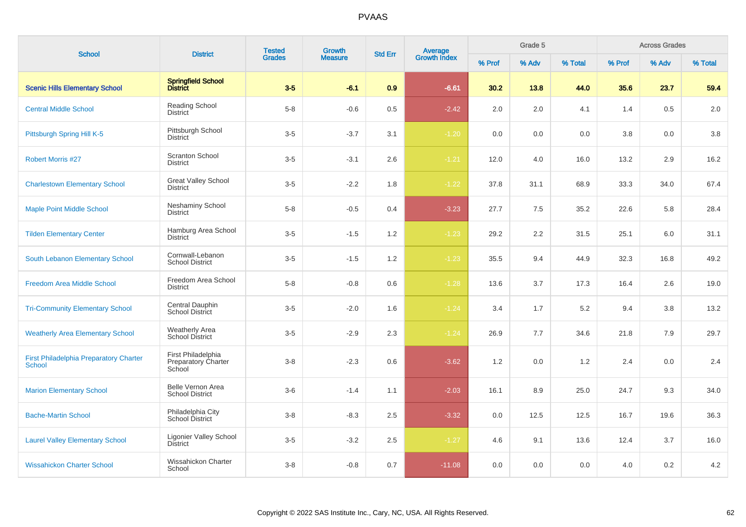| <b>School</b>                                                  | <b>District</b>                                     | <b>Tested</b> | <b>Growth</b>  | <b>Std Err</b> |                                |        | Grade 5 |         |        | <b>Across Grades</b> |         |
|----------------------------------------------------------------|-----------------------------------------------------|---------------|----------------|----------------|--------------------------------|--------|---------|---------|--------|----------------------|---------|
|                                                                |                                                     | <b>Grades</b> | <b>Measure</b> |                | <b>Average</b><br>Growth Index | % Prof | % Adv   | % Total | % Prof | % Adv                | % Total |
| <b>Scenic Hills Elementary School</b>                          | Springfield School<br>District                      | $3-5$         | $-6.1$         | 0.9            | $-6.61$                        | 30.2   | 13.8    | 44.0    | 35.6   | 23.7                 | 59.4    |
| <b>Central Middle School</b>                                   | <b>Reading School</b><br><b>District</b>            | $5 - 8$       | $-0.6$         | 0.5            | $-2.42$                        | 2.0    | 2.0     | 4.1     | 1.4    | 0.5                  | 2.0     |
| Pittsburgh Spring Hill K-5                                     | Pittsburgh School<br><b>District</b>                | $3-5$         | $-3.7$         | 3.1            | $-1.20$                        | 0.0    | 0.0     | 0.0     | 3.8    | 0.0                  | 3.8     |
| <b>Robert Morris #27</b>                                       | <b>Scranton School</b><br><b>District</b>           | $3-5$         | $-3.1$         | 2.6            | $-1.21$                        | 12.0   | 4.0     | 16.0    | 13.2   | 2.9                  | 16.2    |
| <b>Charlestown Elementary School</b>                           | <b>Great Valley School</b><br>District              | $3-5$         | $-2.2$         | 1.8            | $-1.22$                        | 37.8   | 31.1    | 68.9    | 33.3   | 34.0                 | 67.4    |
| <b>Maple Point Middle School</b>                               | <b>Neshaminy School</b><br><b>District</b>          | $5 - 8$       | $-0.5$         | 0.4            | $-3.23$                        | 27.7   | 7.5     | 35.2    | 22.6   | 5.8                  | 28.4    |
| <b>Tilden Elementary Center</b>                                | Hamburg Area School<br><b>District</b>              | $3-5$         | $-1.5$         | 1.2            | $-1.23$                        | 29.2   | 2.2     | 31.5    | 25.1   | 6.0                  | 31.1    |
| South Lebanon Elementary School                                | Cornwall-Lebanon<br><b>School District</b>          | $3-5$         | $-1.5$         | 1.2            | $-1.23$                        | 35.5   | 9.4     | 44.9    | 32.3   | 16.8                 | 49.2    |
| <b>Freedom Area Middle School</b>                              | Freedom Area School<br><b>District</b>              | $5-8$         | $-0.8$         | 0.6            | $-1.28$                        | 13.6   | 3.7     | 17.3    | 16.4   | 2.6                  | 19.0    |
| <b>Tri-Community Elementary School</b>                         | Central Dauphin<br>School District                  | $3-5$         | $-2.0$         | 1.6            | $-1.24$                        | 3.4    | 1.7     | 5.2     | 9.4    | 3.8                  | 13.2    |
| <b>Weatherly Area Elementary School</b>                        | <b>Weatherly Area</b><br>School District            | $3-5$         | $-2.9$         | 2.3            | $-1.24$                        | 26.9   | 7.7     | 34.6    | 21.8   | 7.9                  | 29.7    |
| <b>First Philadelphia Preparatory Charter</b><br><b>School</b> | First Philadelphia<br>Preparatory Charter<br>School | $3 - 8$       | $-2.3$         | 0.6            | $-3.62$                        | 1.2    | 0.0     | 1.2     | 2.4    | 0.0                  | 2.4     |
| <b>Marion Elementary School</b>                                | Belle Vernon Area<br><b>School District</b>         | $3-6$         | $-1.4$         | 1.1            | $-2.03$                        | 16.1   | 8.9     | 25.0    | 24.7   | 9.3                  | 34.0    |
| <b>Bache-Martin School</b>                                     | Philadelphia City<br>School District                | $3 - 8$       | $-8.3$         | 2.5            | $-3.32$                        | 0.0    | 12.5    | 12.5    | 16.7   | 19.6                 | 36.3    |
| <b>Laurel Valley Elementary School</b>                         | Ligonier Valley School<br><b>District</b>           | $3-5$         | $-3.2$         | 2.5            | $-1.27$                        | 4.6    | 9.1     | 13.6    | 12.4   | 3.7                  | 16.0    |
| <b>Wissahickon Charter School</b>                              | Wissahickon Charter<br>School                       | $3-8$         | $-0.8$         | 0.7            | $-11.08$                       | 0.0    | 0.0     | 0.0     | 4.0    | 0.2                  | 4.2     |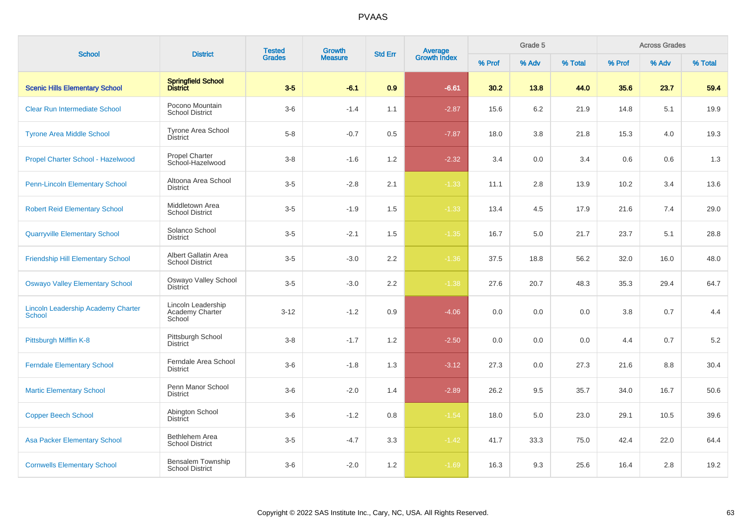| <b>School</b>                                              | <b>District</b>                                 | <b>Tested</b> | Growth         | <b>Std Err</b> | <b>Average</b><br>Growth Index |        | Grade 5 |         |         | <b>Across Grades</b> |         |
|------------------------------------------------------------|-------------------------------------------------|---------------|----------------|----------------|--------------------------------|--------|---------|---------|---------|----------------------|---------|
|                                                            |                                                 | <b>Grades</b> | <b>Measure</b> |                |                                | % Prof | % Adv   | % Total | % Prof  | % Adv                | % Total |
| <b>Scenic Hills Elementary School</b>                      | Springfield School<br>District                  | $3-5$         | $-6.1$         | 0.9            | $-6.61$                        | 30.2   | 13.8    | 44.0    | 35.6    | 23.7                 | 59.4    |
| <b>Clear Run Intermediate School</b>                       | Pocono Mountain<br><b>School District</b>       | $3-6$         | $-1.4$         | 1.1            | $-2.87$                        | 15.6   | 6.2     | 21.9    | 14.8    | 5.1                  | 19.9    |
| <b>Tyrone Area Middle School</b>                           | <b>Tyrone Area School</b><br><b>District</b>    | $5 - 8$       | $-0.7$         | 0.5            | $-7.87$                        | 18.0   | 3.8     | 21.8    | 15.3    | 4.0                  | 19.3    |
| Propel Charter School - Hazelwood                          | <b>Propel Charter</b><br>School-Hazelwood       | $3 - 8$       | $-1.6$         | 1.2            | $-2.32$                        | 3.4    | 0.0     | 3.4     | 0.6     | 0.6                  | 1.3     |
| <b>Penn-Lincoln Elementary School</b>                      | Altoona Area School<br><b>District</b>          | $3-5$         | $-2.8$         | 2.1            | $-1.33$                        | 11.1   | 2.8     | 13.9    | 10.2    | 3.4                  | 13.6    |
| <b>Robert Reid Elementary School</b>                       | Middletown Area<br><b>School District</b>       | $3-5$         | $-1.9$         | 1.5            | $-1.33$                        | 13.4   | 4.5     | 17.9    | 21.6    | 7.4                  | 29.0    |
| <b>Quarryville Elementary School</b>                       | Solanco School<br><b>District</b>               | $3-5$         | $-2.1$         | 1.5            | $-1.35$                        | 16.7   | 5.0     | 21.7    | 23.7    | 5.1                  | 28.8    |
| <b>Friendship Hill Elementary School</b>                   | Albert Gallatin Area<br><b>School District</b>  | $3-5$         | $-3.0$         | 2.2            | $-1.36$                        | 37.5   | 18.8    | 56.2    | 32.0    | 16.0                 | 48.0    |
| <b>Oswayo Valley Elementary School</b>                     | Oswayo Valley School<br><b>District</b>         | $3 - 5$       | $-3.0$         | 2.2            | $-1.38$                        | 27.6   | 20.7    | 48.3    | 35.3    | 29.4                 | 64.7    |
| <b>Lincoln Leadership Academy Charter</b><br><b>School</b> | Lincoln Leadership<br>Academy Charter<br>School | $3 - 12$      | $-1.2$         | $0.9\,$        | $-4.06$                        | 0.0    | 0.0     | $0.0\,$ | $3.8\,$ | 0.7                  | 4.4     |
| Pittsburgh Mifflin K-8                                     | Pittsburgh School<br><b>District</b>            | $3 - 8$       | $-1.7$         | 1.2            | $-2.50$                        | 0.0    | 0.0     | 0.0     | 4.4     | 0.7                  | 5.2     |
| <b>Ferndale Elementary School</b>                          | Ferndale Area School<br><b>District</b>         | $3-6$         | $-1.8$         | 1.3            | $-3.12$                        | 27.3   | 0.0     | 27.3    | 21.6    | 8.8                  | 30.4    |
| <b>Martic Elementary School</b>                            | Penn Manor School<br><b>District</b>            | $3-6$         | $-2.0$         | 1.4            | $-2.89$                        | 26.2   | 9.5     | 35.7    | 34.0    | 16.7                 | 50.6    |
| <b>Copper Beech School</b>                                 | Abington School<br><b>District</b>              | $3-6$         | $-1.2$         | 0.8            | $-1.54$                        | 18.0   | 5.0     | 23.0    | 29.1    | 10.5                 | 39.6    |
| <b>Asa Packer Elementary School</b>                        | Bethlehem Area<br><b>School District</b>        | $3-5$         | $-4.7$         | 3.3            | $-1.42$                        | 41.7   | 33.3    | 75.0    | 42.4    | 22.0                 | 64.4    |
| <b>Cornwells Elementary School</b>                         | Bensalem Township<br><b>School District</b>     | $3-6$         | $-2.0$         | 1.2            | $-1.69$                        | 16.3   | 9.3     | 25.6    | 16.4    | 2.8                  | 19.2    |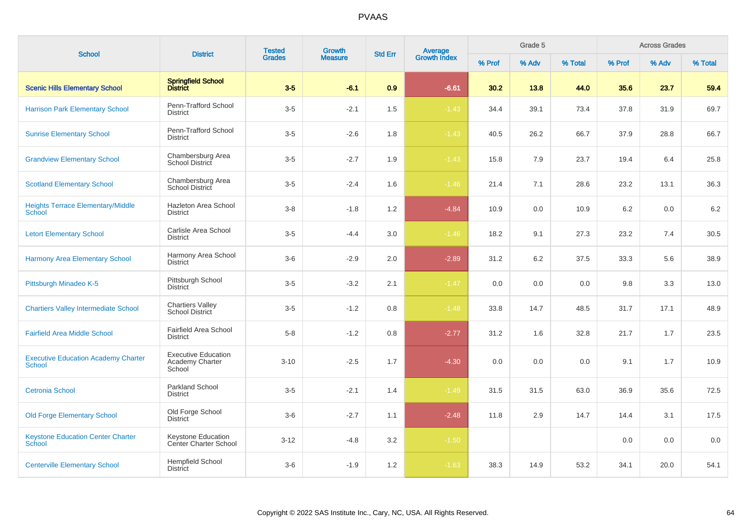| <b>School</b>                                               | <b>District</b>                                           | <b>Tested</b> | <b>Growth</b>  | <b>Std Err</b> | Average<br>Growth Index |        | Grade 5 |         |        | <b>Across Grades</b> |         |
|-------------------------------------------------------------|-----------------------------------------------------------|---------------|----------------|----------------|-------------------------|--------|---------|---------|--------|----------------------|---------|
|                                                             |                                                           | <b>Grades</b> | <b>Measure</b> |                |                         | % Prof | % Adv   | % Total | % Prof | % Adv                | % Total |
| <b>Scenic Hills Elementary School</b>                       | Springfield School<br>District                            | $3-5$         | $-6.1$         | 0.9            | $-6.61$                 | 30.2   | 13.8    | 44.0    | 35.6   | 23.7                 | 59.4    |
| <b>Harrison Park Elementary School</b>                      | Penn-Trafford School<br><b>District</b>                   | $3-5$         | $-2.1$         | 1.5            | $-1.43$                 | 34.4   | 39.1    | 73.4    | 37.8   | 31.9                 | 69.7    |
| <b>Sunrise Elementary School</b>                            | Penn-Trafford School<br><b>District</b>                   | $3-5$         | $-2.6$         | 1.8            | $-1.43$                 | 40.5   | 26.2    | 66.7    | 37.9   | 28.8                 | 66.7    |
| <b>Grandview Elementary School</b>                          | Chambersburg Area<br>School District                      | $3-5$         | $-2.7$         | 1.9            | $-1.43$                 | 15.8   | 7.9     | 23.7    | 19.4   | 6.4                  | 25.8    |
| <b>Scotland Elementary School</b>                           | Chambersburg Area<br>School District                      | $3-5$         | $-2.4$         | 1.6            | $-1.46$                 | 21.4   | 7.1     | 28.6    | 23.2   | 13.1                 | 36.3    |
| <b>Heights Terrace Elementary/Middle</b><br>School          | Hazleton Area School<br>District                          | $3 - 8$       | $-1.8$         | 1.2            | $-4.84$                 | 10.9   | 0.0     | 10.9    | 6.2    | 0.0                  | 6.2     |
| <b>Letort Elementary School</b>                             | Carlisle Area School<br>District                          | $3-5$         | $-4.4$         | 3.0            | $-1.46$                 | 18.2   | 9.1     | 27.3    | 23.2   | 7.4                  | 30.5    |
| <b>Harmony Area Elementary School</b>                       | Harmony Area School<br><b>District</b>                    | $3-6$         | $-2.9$         | 2.0            | $-2.89$                 | 31.2   | 6.2     | 37.5    | 33.3   | 5.6                  | 38.9    |
| Pittsburgh Minadeo K-5                                      | Pittsburgh School<br><b>District</b>                      | $3-5$         | $-3.2$         | 2.1            | $-1.47$                 | 0.0    | 0.0     | 0.0     | 9.8    | 3.3                  | 13.0    |
| <b>Chartiers Valley Intermediate School</b>                 | <b>Chartiers Valley</b><br><b>School District</b>         | $3-5$         | $-1.2$         | 0.8            | $-1.48$                 | 33.8   | 14.7    | 48.5    | 31.7   | 17.1                 | 48.9    |
| <b>Fairfield Area Middle School</b>                         | <b>Fairfield Area School</b><br><b>District</b>           | $5 - 8$       | $-1.2$         | 0.8            | $-2.77$                 | 31.2   | 1.6     | 32.8    | 21.7   | 1.7                  | 23.5    |
| <b>Executive Education Academy Charter</b><br><b>School</b> | <b>Executive Education</b><br>Academy Charter<br>School   | $3 - 10$      | $-2.5$         | 1.7            | $-4.30$                 | 0.0    | 0.0     | 0.0     | 9.1    | 1.7                  | 10.9    |
| <b>Cetronia School</b>                                      | <b>Parkland School</b><br><b>District</b>                 | $3-5$         | $-2.1$         | 1.4            | $-1.49$                 | 31.5   | 31.5    | 63.0    | 36.9   | 35.6                 | 72.5    |
| <b>Old Forge Elementary School</b>                          | Old Forge School<br><b>District</b>                       | $3-6$         | $-2.7$         | 1.1            | $-2.48$                 | 11.8   | 2.9     | 14.7    | 14.4   | 3.1                  | 17.5    |
| <b>Keystone Education Center Charter</b><br><b>School</b>   | <b>Keystone Education</b><br><b>Center Charter School</b> | $3 - 12$      | $-4.8$         | 3.2            | $-1.50$                 |        |         |         | 0.0    | 0.0                  | 0.0     |
| <b>Centerville Elementary School</b>                        | <b>Hempfield School</b><br><b>District</b>                | $3-6$         | $-1.9$         | 1.2            | $-1.63$                 | 38.3   | 14.9    | 53.2    | 34.1   | 20.0                 | 54.1    |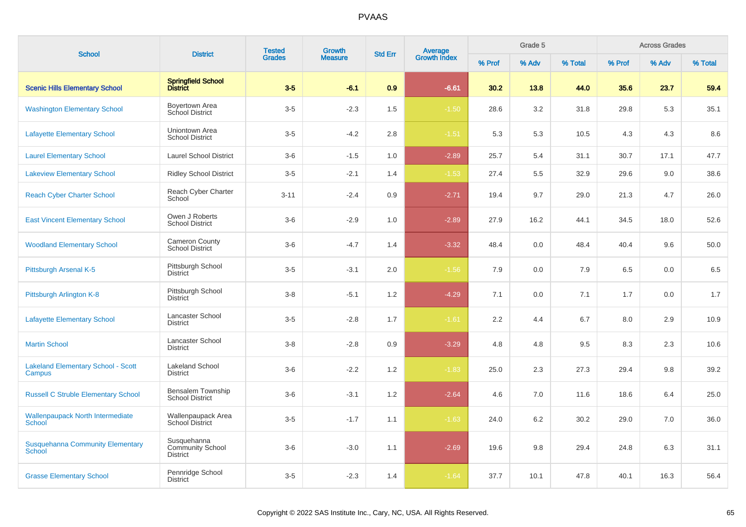| <b>School</b>                                            | <b>District</b>                                           | <b>Tested</b> | <b>Growth</b>  | <b>Std Err</b> |                                |        | Grade 5 |         |        | <b>Across Grades</b> |         |
|----------------------------------------------------------|-----------------------------------------------------------|---------------|----------------|----------------|--------------------------------|--------|---------|---------|--------|----------------------|---------|
|                                                          |                                                           | <b>Grades</b> | <b>Measure</b> |                | <b>Average</b><br>Growth Index | % Prof | % Adv   | % Total | % Prof | % Adv                | % Total |
| <b>Scenic Hills Elementary School</b>                    | <b>Springfield School</b><br>District                     | $3-5$         | $-6.1$         | 0.9            | $-6.61$                        | 30.2   | 13.8    | 44.0    | 35.6   | 23.7                 | 59.4    |
| <b>Washington Elementary School</b>                      | Boyertown Area<br>School District                         | $3-5$         | $-2.3$         | 1.5            | $-1.50$                        | 28.6   | 3.2     | 31.8    | 29.8   | 5.3                  | 35.1    |
| <b>Lafayette Elementary School</b>                       | Uniontown Area<br><b>School District</b>                  | $3-5$         | $-4.2$         | 2.8            | $-1.51$                        | 5.3    | 5.3     | 10.5    | 4.3    | 4.3                  | 8.6     |
| <b>Laurel Elementary School</b>                          | <b>Laurel School District</b>                             | $3-6$         | $-1.5$         | 1.0            | $-2.89$                        | 25.7   | 5.4     | 31.1    | 30.7   | 17.1                 | 47.7    |
| <b>Lakeview Elementary School</b>                        | <b>Ridley School District</b>                             | $3-5$         | $-2.1$         | 1.4            | $-1.53$                        | 27.4   | 5.5     | 32.9    | 29.6   | 9.0                  | 38.6    |
| <b>Reach Cyber Charter School</b>                        | Reach Cyber Charter<br>School                             | $3 - 11$      | $-2.4$         | 0.9            | $-2.71$                        | 19.4   | 9.7     | 29.0    | 21.3   | 4.7                  | 26.0    |
| <b>East Vincent Elementary School</b>                    | Owen J Roberts<br><b>School District</b>                  | $3-6$         | $-2.9$         | 1.0            | $-2.89$                        | 27.9   | 16.2    | 44.1    | 34.5   | 18.0                 | 52.6    |
| <b>Woodland Elementary School</b>                        | <b>Cameron County</b><br><b>School District</b>           | $3-6$         | $-4.7$         | 1.4            | $-3.32$                        | 48.4   | 0.0     | 48.4    | 40.4   | 9.6                  | 50.0    |
| Pittsburgh Arsenal K-5                                   | Pittsburgh School<br><b>District</b>                      | $3-5$         | $-3.1$         | 2.0            | $-1.56$                        | 7.9    | 0.0     | 7.9     | 6.5    | 0.0                  | 6.5     |
| Pittsburgh Arlington K-8                                 | Pittsburgh School<br><b>District</b>                      | $3 - 8$       | $-5.1$         | 1.2            | $-4.29$                        | 7.1    | 0.0     | 7.1     | 1.7    | 0.0                  | 1.7     |
| <b>Lafayette Elementary School</b>                       | Lancaster School<br><b>District</b>                       | $3-5$         | $-2.8$         | 1.7            | $-1.61$                        | 2.2    | 4.4     | 6.7     | 8.0    | 2.9                  | 10.9    |
| <b>Martin School</b>                                     | Lancaster School<br><b>District</b>                       | $3 - 8$       | $-2.8$         | 0.9            | $-3.29$                        | 4.8    | 4.8     | 9.5     | 8.3    | 2.3                  | 10.6    |
| <b>Lakeland Elementary School - Scott</b><br>Campus      | <b>Lakeland School</b><br><b>District</b>                 | $3-6$         | $-2.2$         | 1.2            | $-1.83$                        | 25.0   | 2.3     | 27.3    | 29.4   | 9.8                  | 39.2    |
| <b>Russell C Struble Elementary School</b>               | Bensalem Township<br><b>School District</b>               | $3-6$         | $-3.1$         | 1.2            | $-2.64$                        | 4.6    | 7.0     | 11.6    | 18.6   | 6.4                  | 25.0    |
| <b>Wallenpaupack North Intermediate</b><br>School        | Wallenpaupack Area<br>School District                     | $3-5$         | $-1.7$         | 1.1            | $-1.63$                        | 24.0   | 6.2     | 30.2    | 29.0   | 7.0                  | 36.0    |
| <b>Susquehanna Community Elementary</b><br><b>School</b> | Susquehanna<br><b>Community School</b><br><b>District</b> | $3-6$         | $-3.0$         | 1.1            | $-2.69$                        | 19.6   | 9.8     | 29.4    | 24.8   | 6.3                  | 31.1    |
| <b>Grasse Elementary School</b>                          | Pennridge School<br><b>District</b>                       | $3-5$         | $-2.3$         | 1.4            | $-1.64$                        | 37.7   | 10.1    | 47.8    | 40.1   | 16.3                 | 56.4    |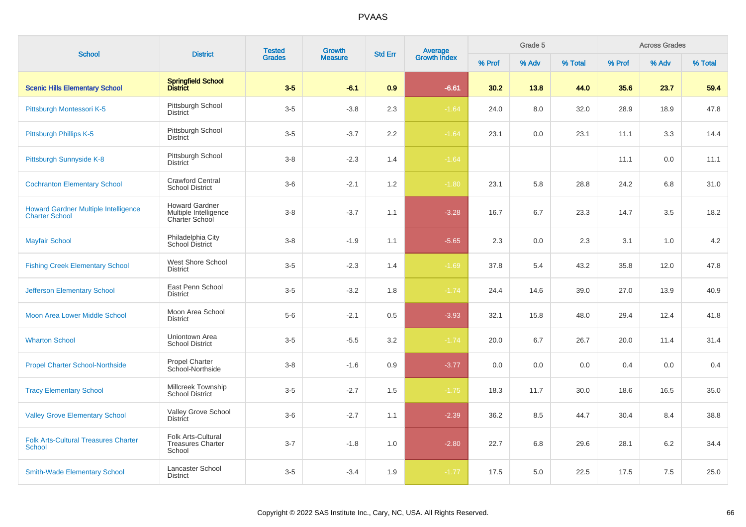| <b>School</b>                                                        | <b>District</b>                                                  | <b>Tested</b><br><b>Growth</b> |                | Average<br>Growth Index<br><b>Std Err</b> |         | Grade 5 |       |         | <b>Across Grades</b> |       |         |
|----------------------------------------------------------------------|------------------------------------------------------------------|--------------------------------|----------------|-------------------------------------------|---------|---------|-------|---------|----------------------|-------|---------|
|                                                                      |                                                                  | <b>Grades</b>                  | <b>Measure</b> |                                           |         | % Prof  | % Adv | % Total | % Prof               | % Adv | % Total |
| <b>Scenic Hills Elementary School</b>                                | Springfield School<br>District                                   | $3-5$                          | $-6.1$         | 0.9                                       | $-6.61$ | 30.2    | 13.8  | 44.0    | 35.6                 | 23.7  | 59.4    |
| Pittsburgh Montessori K-5                                            | Pittsburgh School<br><b>District</b>                             | $3-5$                          | $-3.8$         | 2.3                                       | $-1.64$ | 24.0    | 8.0   | 32.0    | 28.9                 | 18.9  | 47.8    |
| Pittsburgh Phillips K-5                                              | Pittsburgh School<br><b>District</b>                             | $3-5$                          | $-3.7$         | 2.2                                       | $-1.64$ | 23.1    | 0.0   | 23.1    | 11.1                 | 3.3   | 14.4    |
| Pittsburgh Sunnyside K-8                                             | Pittsburgh School<br><b>District</b>                             | $3 - 8$                        | $-2.3$         | 1.4                                       | $-1.64$ |         |       |         | 11.1                 | 0.0   | 11.1    |
| <b>Cochranton Elementary School</b>                                  | <b>Crawford Central</b><br><b>School District</b>                | $3-6$                          | $-2.1$         | 1.2                                       | $-1.80$ | 23.1    | 5.8   | 28.8    | 24.2                 | 6.8   | 31.0    |
| <b>Howard Gardner Multiple Intelligence</b><br><b>Charter School</b> | <b>Howard Gardner</b><br>Multiple Intelligence<br>Charter School | $3 - 8$                        | $-3.7$         | 1.1                                       | $-3.28$ | 16.7    | 6.7   | 23.3    | 14.7                 | 3.5   | 18.2    |
| <b>Mayfair School</b>                                                | Philadelphia City<br>School District                             | $3 - 8$                        | $-1.9$         | 1.1                                       | $-5.65$ | 2.3     | 0.0   | 2.3     | 3.1                  | 1.0   | 4.2     |
| <b>Fishing Creek Elementary School</b>                               | West Shore School<br><b>District</b>                             | $3-5$                          | $-2.3$         | 1.4                                       | $-1.69$ | 37.8    | 5.4   | 43.2    | 35.8                 | 12.0  | 47.8    |
| <b>Jefferson Elementary School</b>                                   | East Penn School<br><b>District</b>                              | $3 - 5$                        | $-3.2$         | 1.8                                       | $-1.74$ | 24.4    | 14.6  | 39.0    | 27.0                 | 13.9  | 40.9    |
| Moon Area Lower Middle School                                        | Moon Area School<br><b>District</b>                              | $5-6$                          | $-2.1$         | 0.5                                       | $-3.93$ | 32.1    | 15.8  | 48.0    | 29.4                 | 12.4  | 41.8    |
| <b>Wharton School</b>                                                | Uniontown Area<br><b>School District</b>                         | $3-5$                          | $-5.5$         | 3.2                                       | $-1.74$ | 20.0    | 6.7   | 26.7    | 20.0                 | 11.4  | 31.4    |
| <b>Propel Charter School-Northside</b>                               | <b>Propel Charter</b><br>School-Northside                        | $3 - 8$                        | $-1.6$         | 0.9                                       | $-3.77$ | 0.0     | 0.0   | 0.0     | 0.4                  | 0.0   | 0.4     |
| <b>Tracy Elementary School</b>                                       | Millcreek Township<br><b>School District</b>                     | $3-5$                          | $-2.7$         | 1.5                                       | $-1.75$ | 18.3    | 11.7  | 30.0    | 18.6                 | 16.5  | 35.0    |
| <b>Valley Grove Elementary School</b>                                | Valley Grove School<br><b>District</b>                           | $3-6$                          | $-2.7$         | 1.1                                       | $-2.39$ | 36.2    | 8.5   | 44.7    | 30.4                 | 8.4   | 38.8    |
| <b>Folk Arts-Cultural Treasures Charter</b><br><b>School</b>         | Folk Arts-Cultural<br><b>Treasures Charter</b><br>School         | $3 - 7$                        | $-1.8$         | 1.0                                       | $-2.80$ | 22.7    | 6.8   | 29.6    | 28.1                 | 6.2   | 34.4    |
| <b>Smith-Wade Elementary School</b>                                  | Lancaster School<br><b>District</b>                              | $3-5$                          | $-3.4$         | 1.9                                       | $-1.77$ | 17.5    | 5.0   | 22.5    | 17.5                 | 7.5   | 25.0    |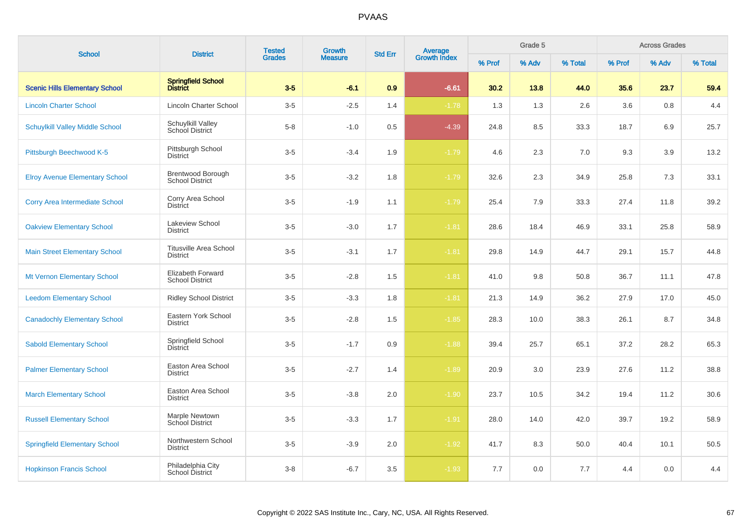| <b>School</b>                          | <b>District</b>                                    | <b>Tested</b> | Growth         | <b>Std Err</b> |                                |        | Grade 5 |         |        | <b>Across Grades</b> |         |
|----------------------------------------|----------------------------------------------------|---------------|----------------|----------------|--------------------------------|--------|---------|---------|--------|----------------------|---------|
|                                        |                                                    | <b>Grades</b> | <b>Measure</b> |                | <b>Average</b><br>Growth Index | % Prof | % Adv   | % Total | % Prof | % Adv                | % Total |
| <b>Scenic Hills Elementary School</b>  | Springfield School<br>District                     | $3-5$         | $-6.1$         | 0.9            | $-6.61$                        | 30.2   | 13.8    | 44.0    | 35.6   | 23.7                 | 59.4    |
| <b>Lincoln Charter School</b>          | <b>Lincoln Charter School</b>                      | $3-5$         | $-2.5$         | 1.4            | $-1.78$                        | 1.3    | 1.3     | 2.6     | 3.6    | 0.8                  | 4.4     |
| <b>Schuylkill Valley Middle School</b> | Schuylkill Valley<br>School District               | $5-8$         | $-1.0$         | 0.5            | $-4.39$                        | 24.8   | 8.5     | 33.3    | 18.7   | 6.9                  | 25.7    |
| Pittsburgh Beechwood K-5               | Pittsburgh School<br><b>District</b>               | $3-5$         | $-3.4$         | 1.9            | $-1.79$                        | 4.6    | 2.3     | 7.0     | 9.3    | 3.9                  | 13.2    |
| <b>Elroy Avenue Elementary School</b>  | Brentwood Borough<br><b>School District</b>        | $3-5$         | $-3.2$         | 1.8            | $-1.79$                        | 32.6   | 2.3     | 34.9    | 25.8   | 7.3                  | 33.1    |
| <b>Corry Area Intermediate School</b>  | Corry Area School<br><b>District</b>               | $3-5$         | $-1.9$         | 1.1            | $-1.79$                        | 25.4   | 7.9     | 33.3    | 27.4   | 11.8                 | 39.2    |
| <b>Oakview Elementary School</b>       | Lakeview School<br><b>District</b>                 | $3-5$         | $-3.0$         | 1.7            | $-1.81$                        | 28.6   | 18.4    | 46.9    | 33.1   | 25.8                 | 58.9    |
| <b>Main Street Elementary School</b>   | <b>Titusville Area School</b><br><b>District</b>   | $3-5$         | $-3.1$         | 1.7            | $-1.81$                        | 29.8   | 14.9    | 44.7    | 29.1   | 15.7                 | 44.8    |
| Mt Vernon Elementary School            | <b>Elizabeth Forward</b><br><b>School District</b> | $3-5$         | $-2.8$         | 1.5            | $-1.81$                        | 41.0   | 9.8     | 50.8    | 36.7   | 11.1                 | 47.8    |
| <b>Leedom Elementary School</b>        | <b>Ridley School District</b>                      | $3-5$         | $-3.3$         | 1.8            | $-1.81$                        | 21.3   | 14.9    | 36.2    | 27.9   | 17.0                 | 45.0    |
| <b>Canadochly Elementary School</b>    | Eastern York School<br><b>District</b>             | $3-5$         | $-2.8$         | 1.5            | $-1.85$                        | 28.3   | 10.0    | 38.3    | 26.1   | 8.7                  | 34.8    |
| <b>Sabold Elementary School</b>        | Springfield School<br>District                     | $3-5$         | $-1.7$         | 0.9            | $-1.88$                        | 39.4   | 25.7    | 65.1    | 37.2   | 28.2                 | 65.3    |
| <b>Palmer Elementary School</b>        | Easton Area School<br><b>District</b>              | $3-5$         | $-2.7$         | 1.4            | $-1.89$                        | 20.9   | 3.0     | 23.9    | 27.6   | 11.2                 | 38.8    |
| <b>March Elementary School</b>         | Easton Area School<br><b>District</b>              | $3-5$         | $-3.8$         | 2.0            | $-1.90$                        | 23.7   | 10.5    | 34.2    | 19.4   | 11.2                 | 30.6    |
| <b>Russell Elementary School</b>       | Marple Newtown<br><b>School District</b>           | $3-5$         | $-3.3$         | 1.7            | $-1.91$                        | 28.0   | 14.0    | 42.0    | 39.7   | 19.2                 | 58.9    |
| <b>Springfield Elementary School</b>   | Northwestern School<br><b>District</b>             | $3-5$         | $-3.9$         | $2.0\,$        | $-1.92$                        | 41.7   | 8.3     | 50.0    | 40.4   | 10.1                 | 50.5    |
| <b>Hopkinson Francis School</b>        | Philadelphia City<br>School District               | $3-8$         | $-6.7$         | 3.5            | $-1.93$                        | 7.7    | 0.0     | 7.7     | 4.4    | 0.0                  | 4.4     |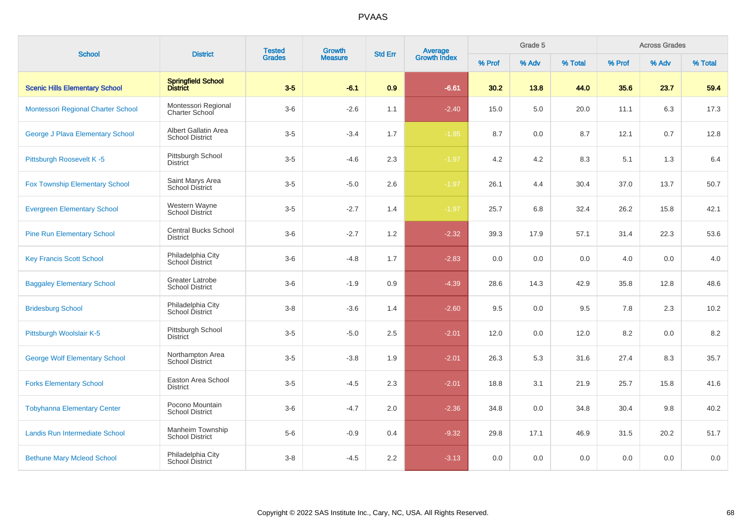| <b>School</b>                         | <b>District</b>                                  | <b>Tested</b><br><b>Grades</b> | Growth         |     | Average<br>Growth Index<br><b>Std Err</b> |        | Grade 5 |         |        | <b>Across Grades</b> |         |
|---------------------------------------|--------------------------------------------------|--------------------------------|----------------|-----|-------------------------------------------|--------|---------|---------|--------|----------------------|---------|
|                                       |                                                  |                                | <b>Measure</b> |     |                                           | % Prof | % Adv   | % Total | % Prof | % Adv                | % Total |
| <b>Scenic Hills Elementary School</b> | Springfield School<br>District                   | $3-5$                          | $-6.1$         | 0.9 | $-6.61$                                   | 30.2   | 13.8    | 44.0    | 35.6   | 23.7                 | 59.4    |
| Montessori Regional Charter School    | Montessori Regional<br><b>Charter School</b>     | $3-6$                          | $-2.6$         | 1.1 | $-2.40$                                   | 15.0   | 5.0     | 20.0    | 11.1   | 6.3                  | 17.3    |
| George J Plava Elementary School      | Albert Gallatin Area<br><b>School District</b>   | $3-5$                          | $-3.4$         | 1.7 | $-1.95$                                   | 8.7    | 0.0     | 8.7     | 12.1   | 0.7                  | 12.8    |
| Pittsburgh Roosevelt K-5              | Pittsburgh School<br><b>District</b>             | $3-5$                          | $-4.6$         | 2.3 | $-1.97$                                   | 4.2    | 4.2     | 8.3     | 5.1    | 1.3                  | 6.4     |
| <b>Fox Township Elementary School</b> | Saint Marys Area<br><b>School District</b>       | $3-5$                          | $-5.0$         | 2.6 | $-1.97$                                   | 26.1   | 4.4     | 30.4    | 37.0   | 13.7                 | 50.7    |
| <b>Evergreen Elementary School</b>    | Western Wayne<br>School District                 | $3-5$                          | $-2.7$         | 1.4 | $-1.97$                                   | 25.7   | 6.8     | 32.4    | 26.2   | 15.8                 | 42.1    |
| <b>Pine Run Elementary School</b>     | <b>Central Bucks School</b><br><b>District</b>   | $3-6$                          | $-2.7$         | 1.2 | $-2.32$                                   | 39.3   | 17.9    | 57.1    | 31.4   | 22.3                 | 53.6    |
| <b>Key Francis Scott School</b>       | Philadelphia City<br>School District             | $3-6$                          | $-4.8$         | 1.7 | $-2.83$                                   | 0.0    | 0.0     | 0.0     | 4.0    | 0.0                  | 4.0     |
| <b>Baggaley Elementary School</b>     | <b>Greater Latrobe</b><br><b>School District</b> | $3-6$                          | $-1.9$         | 0.9 | $-4.39$                                   | 28.6   | 14.3    | 42.9    | 35.8   | 12.8                 | 48.6    |
| <b>Bridesburg School</b>              | Philadelphia City<br>School District             | $3 - 8$                        | $-3.6$         | 1.4 | $-2.60$                                   | 9.5    | 0.0     | 9.5     | 7.8    | 2.3                  | 10.2    |
| Pittsburgh Woolslair K-5              | Pittsburgh School<br><b>District</b>             | $3-5$                          | $-5.0$         | 2.5 | $-2.01$                                   | 12.0   | 0.0     | 12.0    | 8.2    | 0.0                  | 8.2     |
| <b>George Wolf Elementary School</b>  | Northampton Area<br><b>School District</b>       | $3-5$                          | $-3.8$         | 1.9 | $-2.01$                                   | 26.3   | 5.3     | 31.6    | 27.4   | 8.3                  | 35.7    |
| <b>Forks Elementary School</b>        | Easton Area School<br><b>District</b>            | $3-5$                          | $-4.5$         | 2.3 | $-2.01$                                   | 18.8   | 3.1     | 21.9    | 25.7   | 15.8                 | 41.6    |
| <b>Tobyhanna Elementary Center</b>    | Pocono Mountain<br><b>School District</b>        | $3-6$                          | $-4.7$         | 2.0 | $-2.36$                                   | 34.8   | 0.0     | 34.8    | 30.4   | 9.8                  | 40.2    |
| Landis Run Intermediate School        | Manheim Township<br><b>School District</b>       | $5-6$                          | $-0.9$         | 0.4 | $-9.32$                                   | 29.8   | 17.1    | 46.9    | 31.5   | 20.2                 | 51.7    |
| <b>Bethune Mary Mcleod School</b>     | Philadelphia City<br>School District             | $3-8$                          | $-4.5$         | 2.2 | $-3.13$                                   | 0.0    | 0.0     | 0.0     | 0.0    | 0.0                  | 0.0     |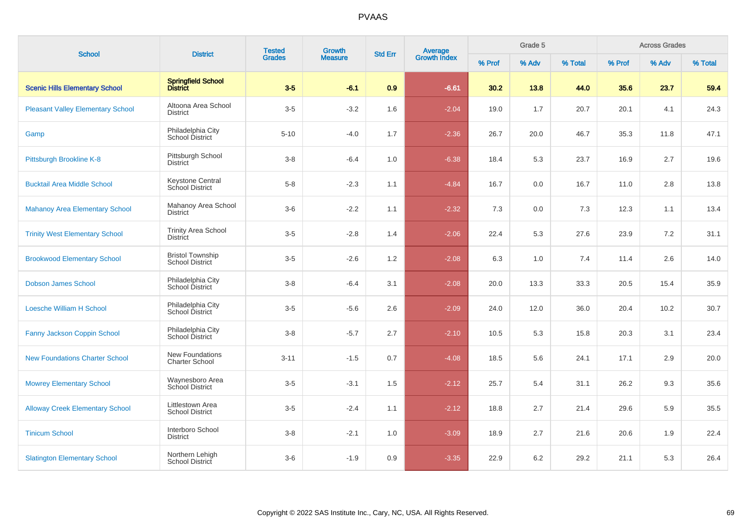| <b>School</b>                            | <b>District</b>                                   | <b>Tested</b> | Growth         | <b>Std Err</b> |                                |        | Grade 5 |         |        | <b>Across Grades</b> |         |
|------------------------------------------|---------------------------------------------------|---------------|----------------|----------------|--------------------------------|--------|---------|---------|--------|----------------------|---------|
|                                          |                                                   | <b>Grades</b> | <b>Measure</b> |                | <b>Average</b><br>Growth Index | % Prof | % Adv   | % Total | % Prof | % Adv                | % Total |
| <b>Scenic Hills Elementary School</b>    | Springfield School<br>District                    | $3 - 5$       | $-6.1$         | 0.9            | $-6.61$                        | 30.2   | 13.8    | 44.0    | 35.6   | 23.7                 | 59.4    |
| <b>Pleasant Valley Elementary School</b> | Altoona Area School<br>District                   | $3-5$         | $-3.2$         | 1.6            | $-2.04$                        | 19.0   | 1.7     | 20.7    | 20.1   | 4.1                  | 24.3    |
| Gamp                                     | Philadelphia City<br>School District              | $5 - 10$      | $-4.0$         | 1.7            | $-2.36$                        | 26.7   | 20.0    | 46.7    | 35.3   | 11.8                 | 47.1    |
| Pittsburgh Brookline K-8                 | Pittsburgh School<br><b>District</b>              | $3 - 8$       | $-6.4$         | 1.0            | $-6.38$                        | 18.4   | 5.3     | 23.7    | 16.9   | 2.7                  | 19.6    |
| <b>Bucktail Area Middle School</b>       | <b>Keystone Central</b><br>School District        | $5 - 8$       | $-2.3$         | 1.1            | $-4.84$                        | 16.7   | 0.0     | 16.7    | 11.0   | 2.8                  | 13.8    |
| <b>Mahanoy Area Elementary School</b>    | Mahanoy Area School<br>District                   | $3-6$         | $-2.2$         | 1.1            | $-2.32$                        | 7.3    | 0.0     | 7.3     | 12.3   | 1.1                  | 13.4    |
| <b>Trinity West Elementary School</b>    | <b>Trinity Area School</b><br><b>District</b>     | $3-5$         | $-2.8$         | 1.4            | $-2.06$                        | 22.4   | 5.3     | 27.6    | 23.9   | 7.2                  | 31.1    |
| <b>Brookwood Elementary School</b>       | <b>Bristol Township</b><br><b>School District</b> | $3-5$         | $-2.6$         | 1.2            | $-2.08$                        | 6.3    | 1.0     | 7.4     | 11.4   | 2.6                  | 14.0    |
| <b>Dobson James School</b>               | Philadelphia City<br>School District              | $3 - 8$       | $-6.4$         | 3.1            | $-2.08$                        | 20.0   | 13.3    | 33.3    | 20.5   | 15.4                 | 35.9    |
| <b>Loesche William H School</b>          | Philadelphia City<br><b>School District</b>       | $3-5$         | $-5.6$         | 2.6            | $-2.09$                        | 24.0   | 12.0    | 36.0    | 20.4   | 10.2                 | 30.7    |
| Fanny Jackson Coppin School              | Philadelphia City<br>School District              | $3 - 8$       | $-5.7$         | 2.7            | $-2.10$                        | 10.5   | 5.3     | 15.8    | 20.3   | 3.1                  | 23.4    |
| <b>New Foundations Charter School</b>    | New Foundations<br><b>Charter School</b>          | $3 - 11$      | $-1.5$         | 0.7            | $-4.08$                        | 18.5   | 5.6     | 24.1    | 17.1   | 2.9                  | 20.0    |
| <b>Mowrey Elementary School</b>          | Waynesboro Area<br>School District                | $3-5$         | $-3.1$         | 1.5            | $-2.12$                        | 25.7   | 5.4     | 31.1    | 26.2   | 9.3                  | 35.6    |
| <b>Alloway Creek Elementary School</b>   | Littlestown Area<br><b>School District</b>        | $3-5$         | $-2.4$         | 1.1            | $-2.12$                        | 18.8   | 2.7     | 21.4    | 29.6   | 5.9                  | 35.5    |
| <b>Tinicum School</b>                    | Interboro School<br><b>District</b>               | $3 - 8$       | $-2.1$         | 1.0            | $-3.09$                        | 18.9   | 2.7     | 21.6    | 20.6   | 1.9                  | 22.4    |
| <b>Slatington Elementary School</b>      | Northern Lehigh<br>School District                | $3-6$         | $-1.9$         | 0.9            | $-3.35$                        | 22.9   | 6.2     | 29.2    | 21.1   | 5.3                  | 26.4    |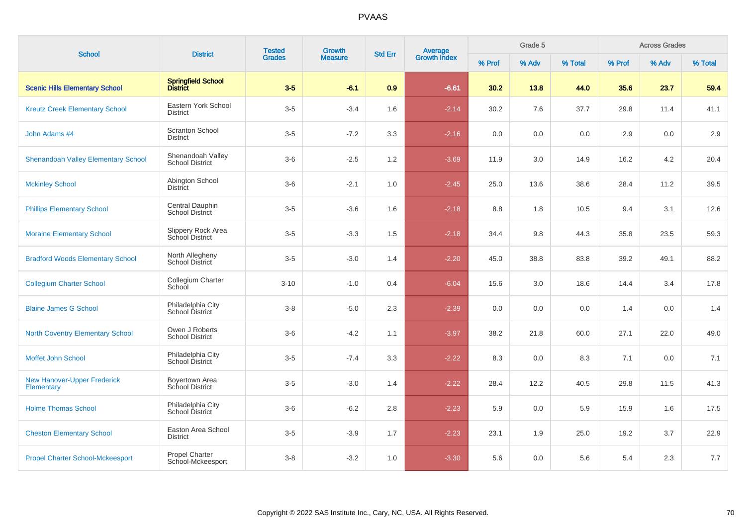| <b>School</b>                                    | <b>District</b>                             | <b>Tested</b> | Growth<br><b>Std Err</b> | <b>Average</b><br>Growth Index |         | Grade 5 |       |         | <b>Across Grades</b> |       |         |
|--------------------------------------------------|---------------------------------------------|---------------|--------------------------|--------------------------------|---------|---------|-------|---------|----------------------|-------|---------|
|                                                  |                                             | <b>Grades</b> | <b>Measure</b>           |                                |         | % Prof  | % Adv | % Total | % Prof               | % Adv | % Total |
| <b>Scenic Hills Elementary School</b>            | Springfield School<br>District              | $3-5$         | $-6.1$                   | 0.9                            | $-6.61$ | 30.2    | 13.8  | 44.0    | 35.6                 | 23.7  | 59.4    |
| <b>Kreutz Creek Elementary School</b>            | Eastern York School<br><b>District</b>      | $3-5$         | $-3.4$                   | 1.6                            | $-2.14$ | 30.2    | 7.6   | 37.7    | 29.8                 | 11.4  | 41.1    |
| John Adams #4                                    | <b>Scranton School</b><br><b>District</b>   | $3-5$         | $-7.2$                   | 3.3                            | $-2.16$ | 0.0     | 0.0   | 0.0     | 2.9                  | 0.0   | 2.9     |
| <b>Shenandoah Valley Elementary School</b>       | Shenandoah Valley<br><b>School District</b> | $3-6$         | $-2.5$                   | 1.2                            | $-3.69$ | 11.9    | 3.0   | 14.9    | 16.2                 | 4.2   | 20.4    |
| <b>Mckinley School</b>                           | Abington School<br><b>District</b>          | $3-6$         | $-2.1$                   | 1.0                            | $-2.45$ | 25.0    | 13.6  | 38.6    | 28.4                 | 11.2  | 39.5    |
| <b>Phillips Elementary School</b>                | Central Dauphin<br>School District          | $3-5$         | $-3.6$                   | 1.6                            | $-2.18$ | 8.8     | 1.8   | 10.5    | 9.4                  | 3.1   | 12.6    |
| <b>Moraine Elementary School</b>                 | Slippery Rock Area<br>School District       | $3-5$         | $-3.3$                   | 1.5                            | $-2.18$ | 34.4    | 9.8   | 44.3    | 35.8                 | 23.5  | 59.3    |
| <b>Bradford Woods Elementary School</b>          | North Allegheny<br><b>School District</b>   | $3-5$         | $-3.0$                   | 1.4                            | $-2.20$ | 45.0    | 38.8  | 83.8    | 39.2                 | 49.1  | 88.2    |
| <b>Collegium Charter School</b>                  | Collegium Charter<br>School                 | $3 - 10$      | $-1.0$                   | 0.4                            | $-6.04$ | 15.6    | 3.0   | 18.6    | 14.4                 | 3.4   | 17.8    |
| <b>Blaine James G School</b>                     | Philadelphia City<br>School District        | $3 - 8$       | $-5.0$                   | 2.3                            | $-2.39$ | 0.0     | 0.0   | 0.0     | 1.4                  | 0.0   | 1.4     |
| <b>North Coventry Elementary School</b>          | Owen J Roberts<br><b>School District</b>    | $3-6$         | $-4.2$                   | 1.1                            | $-3.97$ | 38.2    | 21.8  | 60.0    | 27.1                 | 22.0  | 49.0    |
| Moffet John School                               | Philadelphia City<br>School District        | $3-5$         | $-7.4$                   | 3.3                            | $-2.22$ | 8.3     | 0.0   | 8.3     | 7.1                  | 0.0   | 7.1     |
| <b>New Hanover-Upper Frederick</b><br>Elementary | Boyertown Area<br>School District           | $3-5$         | $-3.0$                   | 1.4                            | $-2.22$ | 28.4    | 12.2  | 40.5    | 29.8                 | 11.5  | 41.3    |
| <b>Holme Thomas School</b>                       | Philadelphia City<br>School District        | $3-6$         | $-6.2$                   | 2.8                            | $-2.23$ | 5.9     | 0.0   | 5.9     | 15.9                 | 1.6   | 17.5    |
| <b>Cheston Elementary School</b>                 | Easton Area School<br><b>District</b>       | $3-5$         | $-3.9$                   | 1.7                            | $-2.23$ | 23.1    | 1.9   | 25.0    | 19.2                 | 3.7   | 22.9    |
| <b>Propel Charter School-Mckeesport</b>          | Propel Charter<br>School-Mckeesport         | $3 - 8$       | $-3.2$                   | 1.0                            | $-3.30$ | 5.6     | 0.0   | 5.6     | 5.4                  | 2.3   | $7.7$   |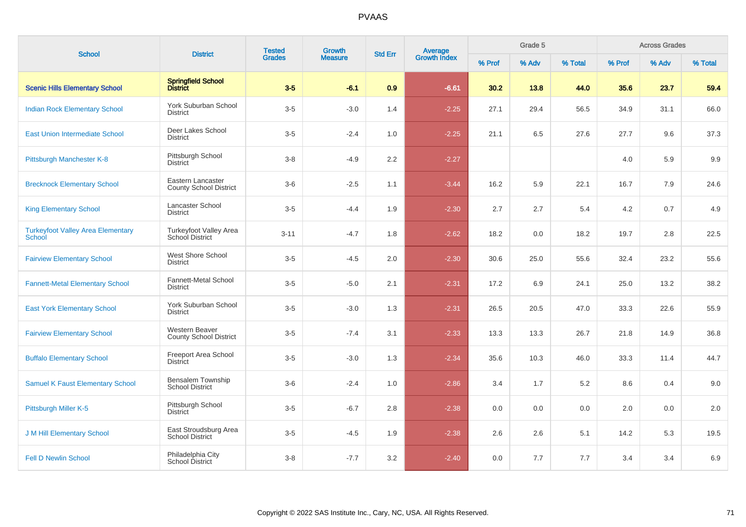| <b>School</b>                                      | <b>District</b>                                    | <b>Tested</b><br><b>Grades</b> | Growth         | <b>Std Err</b> | Average<br>Growth Index |        | Grade 5 |         |        | <b>Across Grades</b> |         |
|----------------------------------------------------|----------------------------------------------------|--------------------------------|----------------|----------------|-------------------------|--------|---------|---------|--------|----------------------|---------|
|                                                    |                                                    |                                | <b>Measure</b> |                |                         | % Prof | % Adv   | % Total | % Prof | % Adv                | % Total |
| <b>Scenic Hills Elementary School</b>              | Springfield School<br>District                     | $3-5$                          | $-6.1$         | 0.9            | $-6.61$                 | 30.2   | 13.8    | 44.0    | 35.6   | 23.7                 | 59.4    |
| <b>Indian Rock Elementary School</b>               | <b>York Suburban School</b><br><b>District</b>     | $3-5$                          | $-3.0$         | 1.4            | $-2.25$                 | 27.1   | 29.4    | 56.5    | 34.9   | 31.1                 | 66.0    |
| <b>East Union Intermediate School</b>              | Deer Lakes School<br><b>District</b>               | $3-5$                          | $-2.4$         | 1.0            | $-2.25$                 | 21.1   | 6.5     | 27.6    | 27.7   | 9.6                  | 37.3    |
| Pittsburgh Manchester K-8                          | Pittsburgh School<br><b>District</b>               | $3 - 8$                        | $-4.9$         | 2.2            | $-2.27$                 |        |         |         | 4.0    | 5.9                  | 9.9     |
| <b>Brecknock Elementary School</b>                 | Eastern Lancaster<br><b>County School District</b> | $3-6$                          | $-2.5$         | 1.1            | $-3.44$                 | 16.2   | 5.9     | 22.1    | 16.7   | 7.9                  | 24.6    |
| <b>King Elementary School</b>                      | Lancaster School<br><b>District</b>                | $3-5$                          | $-4.4$         | 1.9            | $-2.30$                 | 2.7    | 2.7     | 5.4     | 4.2    | 0.7                  | 4.9     |
| <b>Turkeyfoot Valley Area Elementary</b><br>School | Turkeyfoot Valley Area<br>School District          | $3 - 11$                       | $-4.7$         | 1.8            | $-2.62$                 | 18.2   | 0.0     | 18.2    | 19.7   | 2.8                  | 22.5    |
| <b>Fairview Elementary School</b>                  | West Shore School<br><b>District</b>               | $3-5$                          | $-4.5$         | 2.0            | $-2.30$                 | 30.6   | 25.0    | 55.6    | 32.4   | 23.2                 | 55.6    |
| <b>Fannett-Metal Elementary School</b>             | <b>Fannett-Metal School</b><br><b>District</b>     | $3-5$                          | $-5.0$         | 2.1            | $-2.31$                 | 17.2   | 6.9     | 24.1    | 25.0   | 13.2                 | 38.2    |
| <b>East York Elementary School</b>                 | York Suburban School<br><b>District</b>            | $3-5$                          | $-3.0$         | 1.3            | $-2.31$                 | 26.5   | 20.5    | 47.0    | 33.3   | 22.6                 | 55.9    |
| <b>Fairview Elementary School</b>                  | Western Beaver<br><b>County School District</b>    | $3-5$                          | $-7.4$         | 3.1            | $-2.33$                 | 13.3   | 13.3    | 26.7    | 21.8   | 14.9                 | 36.8    |
| <b>Buffalo Elementary School</b>                   | Freeport Area School<br><b>District</b>            | $3-5$                          | $-3.0$         | 1.3            | $-2.34$                 | 35.6   | 10.3    | 46.0    | 33.3   | 11.4                 | 44.7    |
| <b>Samuel K Faust Elementary School</b>            | <b>Bensalem Township</b><br><b>School District</b> | $3-6$                          | $-2.4$         | 1.0            | $-2.86$                 | 3.4    | 1.7     | 5.2     | 8.6    | 0.4                  | 9.0     |
| Pittsburgh Miller K-5                              | Pittsburgh School<br><b>District</b>               | $3-5$                          | $-6.7$         | 2.8            | $-2.38$                 | 0.0    | 0.0     | 0.0     | 2.0    | 0.0                  | 2.0     |
| <b>J M Hill Elementary School</b>                  | East Stroudsburg Area<br><b>School District</b>    | $3-5$                          | $-4.5$         | 1.9            | $-2.38$                 | 2.6    | 2.6     | 5.1     | 14.2   | 5.3                  | 19.5    |
| <b>Fell D Newlin School</b>                        | Philadelphia City<br>School District               | $3 - 8$                        | $-7.7$         | 3.2            | $-2.40$                 | 0.0    | 7.7     | 7.7     | 3.4    | 3.4                  | 6.9     |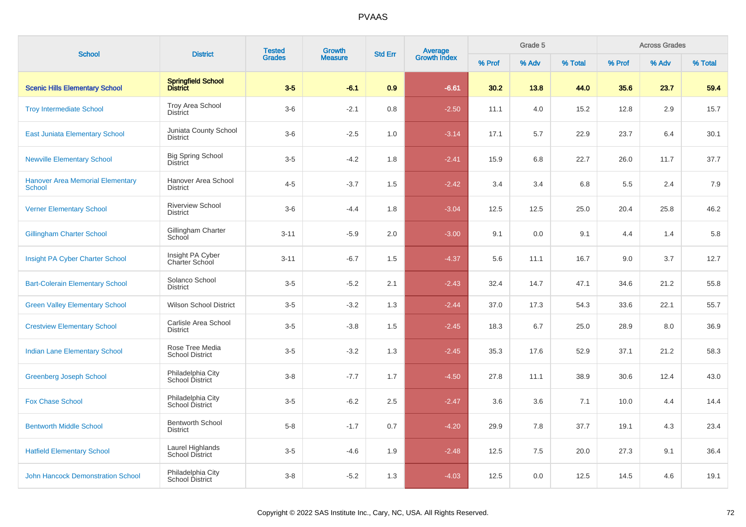| <b>School</b>                                            |                                             | <b>Tested</b><br><b>Grades</b> | Growth         |                |                                |        | Grade 5 |         |        | <b>Across Grades</b> |         |
|----------------------------------------------------------|---------------------------------------------|--------------------------------|----------------|----------------|--------------------------------|--------|---------|---------|--------|----------------------|---------|
|                                                          | <b>District</b>                             |                                | <b>Measure</b> | <b>Std Err</b> | <b>Average</b><br>Growth Index | % Prof | % Adv   | % Total | % Prof | % Adv                | % Total |
| <b>Scenic Hills Elementary School</b>                    | <b>Springfield School</b><br>District       | $3-5$                          | $-6.1$         | 0.9            | $-6.61$                        | 30.2   | 13.8    | 44.0    | 35.6   | 23.7                 | 59.4    |
| <b>Troy Intermediate School</b>                          | Troy Area School<br><b>District</b>         | $3-6$                          | $-2.1$         | 0.8            | $-2.50$                        | 11.1   | 4.0     | 15.2    | 12.8   | 2.9                  | 15.7    |
| <b>East Juniata Elementary School</b>                    | Juniata County School<br><b>District</b>    | $3-6$                          | $-2.5$         | 1.0            | $-3.14$                        | 17.1   | 5.7     | 22.9    | 23.7   | 6.4                  | 30.1    |
| <b>Newville Elementary School</b>                        | <b>Big Spring School</b><br><b>District</b> | $3-5$                          | $-4.2$         | 1.8            | $-2.41$                        | 15.9   | 6.8     | 22.7    | 26.0   | 11.7                 | 37.7    |
| <b>Hanover Area Memorial Elementary</b><br><b>School</b> | Hanover Area School<br><b>District</b>      | $4 - 5$                        | $-3.7$         | 1.5            | $-2.42$                        | 3.4    | 3.4     | 6.8     | 5.5    | 2.4                  | 7.9     |
| <b>Verner Elementary School</b>                          | <b>Riverview School</b><br><b>District</b>  | $3-6$                          | $-4.4$         | 1.8            | $-3.04$                        | 12.5   | 12.5    | 25.0    | 20.4   | 25.8                 | 46.2    |
| <b>Gillingham Charter School</b>                         | Gillingham Charter<br>School                | $3 - 11$                       | $-5.9$         | 2.0            | $-3.00$                        | 9.1    | 0.0     | 9.1     | 4.4    | 1.4                  | 5.8     |
| Insight PA Cyber Charter School                          | Insight PA Cyber<br>Charter School          | $3 - 11$                       | $-6.7$         | 1.5            | $-4.37$                        | 5.6    | 11.1    | 16.7    | 9.0    | 3.7                  | 12.7    |
| <b>Bart-Colerain Elementary School</b>                   | Solanco School<br><b>District</b>           | $3-5$                          | $-5.2$         | 2.1            | $-2.43$                        | 32.4   | 14.7    | 47.1    | 34.6   | 21.2                 | 55.8    |
| <b>Green Valley Elementary School</b>                    | <b>Wilson School District</b>               | $3-5$                          | $-3.2$         | 1.3            | $-2.44$                        | 37.0   | 17.3    | 54.3    | 33.6   | 22.1                 | 55.7    |
| <b>Crestview Elementary School</b>                       | Carlisle Area School<br><b>District</b>     | $3-5$                          | $-3.8$         | 1.5            | $-2.45$                        | 18.3   | 6.7     | 25.0    | 28.9   | 8.0                  | 36.9    |
| <b>Indian Lane Elementary School</b>                     | Rose Tree Media<br><b>School District</b>   | $3-5$                          | $-3.2$         | 1.3            | $-2.45$                        | 35.3   | 17.6    | 52.9    | 37.1   | 21.2                 | 58.3    |
| <b>Greenberg Joseph School</b>                           | Philadelphia City<br>School District        | $3 - 8$                        | $-7.7$         | 1.7            | $-4.50$                        | 27.8   | 11.1    | 38.9    | 30.6   | 12.4                 | 43.0    |
| <b>Fox Chase School</b>                                  | Philadelphia City<br>School District        | $3-5$                          | $-6.2$         | 2.5            | $-2.47$                        | 3.6    | 3.6     | 7.1     | 10.0   | 4.4                  | 14.4    |
| <b>Bentworth Middle School</b>                           | <b>Bentworth School</b><br><b>District</b>  | $5-8$                          | $-1.7$         | 0.7            | $-4.20$                        | 29.9   | 7.8     | 37.7    | 19.1   | 4.3                  | 23.4    |
| <b>Hatfield Elementary School</b>                        | Laurel Highlands<br>School District         | $3-5$                          | $-4.6$         | 1.9            | $-2.48$                        | 12.5   | 7.5     | 20.0    | 27.3   | 9.1                  | 36.4    |
| <b>John Hancock Demonstration School</b>                 | Philadelphia City<br>School District        | $3 - 8$                        | $-5.2$         | 1.3            | $-4.03$                        | 12.5   | 0.0     | 12.5    | 14.5   | 4.6                  | 19.1    |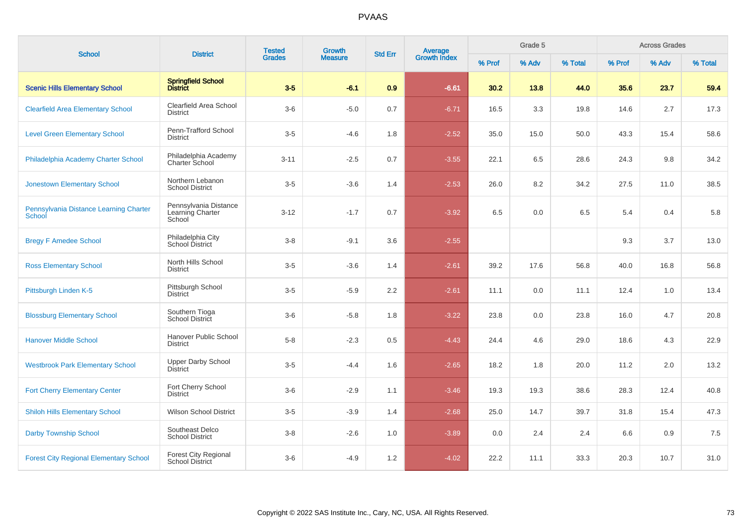| <b>School</b>                                    | <b>District</b>                                       | <b>Tested</b><br><b>Grades</b> | Growth         | <b>Std Err</b> | <b>Average</b><br>Growth Index |        | Grade 5 |         |        | <b>Across Grades</b> |         |
|--------------------------------------------------|-------------------------------------------------------|--------------------------------|----------------|----------------|--------------------------------|--------|---------|---------|--------|----------------------|---------|
|                                                  |                                                       |                                | <b>Measure</b> |                |                                | % Prof | % Adv   | % Total | % Prof | % Adv                | % Total |
| <b>Scenic Hills Elementary School</b>            | Springfield School<br>District                        | $3-5$                          | $-6.1$         | 0.9            | $-6.61$                        | 30.2   | 13.8    | 44.0    | 35.6   | 23.7                 | 59.4    |
| <b>Clearfield Area Elementary School</b>         | Clearfield Area School<br><b>District</b>             | $3-6$                          | $-5.0$         | 0.7            | $-6.71$                        | 16.5   | 3.3     | 19.8    | 14.6   | 2.7                  | 17.3    |
| <b>Level Green Elementary School</b>             | Penn-Trafford School<br><b>District</b>               | $3-5$                          | $-4.6$         | 1.8            | $-2.52$                        | 35.0   | 15.0    | 50.0    | 43.3   | 15.4                 | 58.6    |
| Philadelphia Academy Charter School              | Philadelphia Academy<br><b>Charter School</b>         | $3 - 11$                       | $-2.5$         | 0.7            | $-3.55$                        | 22.1   | 6.5     | 28.6    | 24.3   | 9.8                  | 34.2    |
| <b>Jonestown Elementary School</b>               | Northern Lebanon<br><b>School District</b>            | $3 - 5$                        | $-3.6$         | 1.4            | $-2.53$                        | 26.0   | 8.2     | 34.2    | 27.5   | 11.0                 | 38.5    |
| Pennsylvania Distance Learning Charter<br>School | Pennsylvania Distance<br>Learning Charter<br>School   | $3 - 12$                       | $-1.7$         | 0.7            | $-3.92$                        | 6.5    | 0.0     | 6.5     | 5.4    | 0.4                  | 5.8     |
| <b>Bregy F Amedee School</b>                     | Philadelphia City<br>School District                  | $3 - 8$                        | $-9.1$         | 3.6            | $-2.55$                        |        |         |         | 9.3    | 3.7                  | 13.0    |
| <b>Ross Elementary School</b>                    | North Hills School<br><b>District</b>                 | $3-5$                          | $-3.6$         | 1.4            | $-2.61$                        | 39.2   | 17.6    | 56.8    | 40.0   | 16.8                 | 56.8    |
| Pittsburgh Linden K-5                            | Pittsburgh School<br><b>District</b>                  | $3-5$                          | $-5.9$         | 2.2            | $-2.61$                        | 11.1   | 0.0     | 11.1    | 12.4   | 1.0                  | 13.4    |
| <b>Blossburg Elementary School</b>               | Southern Tioga<br>School District                     | $3-6$                          | $-5.8$         | 1.8            | $-3.22$                        | 23.8   | 0.0     | 23.8    | 16.0   | 4.7                  | 20.8    |
| <b>Hanover Middle School</b>                     | Hanover Public School<br><b>District</b>              | $5-8$                          | $-2.3$         | 0.5            | $-4.43$                        | 24.4   | 4.6     | 29.0    | 18.6   | 4.3                  | 22.9    |
| <b>Westbrook Park Elementary School</b>          | <b>Upper Darby School</b><br><b>District</b>          | $3-5$                          | $-4.4$         | 1.6            | $-2.65$                        | 18.2   | 1.8     | 20.0    | 11.2   | 2.0                  | 13.2    |
| <b>Fort Cherry Elementary Center</b>             | Fort Cherry School<br><b>District</b>                 | $3-6$                          | $-2.9$         | 1.1            | $-3.46$                        | 19.3   | 19.3    | 38.6    | 28.3   | 12.4                 | 40.8    |
| <b>Shiloh Hills Elementary School</b>            | <b>Wilson School District</b>                         | $3-5$                          | $-3.9$         | 1.4            | $-2.68$                        | 25.0   | 14.7    | 39.7    | 31.8   | 15.4                 | 47.3    |
| <b>Darby Township School</b>                     | Southeast Delco<br><b>School District</b>             | $3-8$                          | $-2.6$         | 1.0            | $-3.89$                        | 0.0    | 2.4     | 2.4     | 6.6    | 0.9                  | 7.5     |
| <b>Forest City Regional Elementary School</b>    | <b>Forest City Regional</b><br><b>School District</b> | $3-6$                          | $-4.9$         | 1.2            | $-4.02$                        | 22.2   | 11.1    | 33.3    | 20.3   | 10.7                 | 31.0    |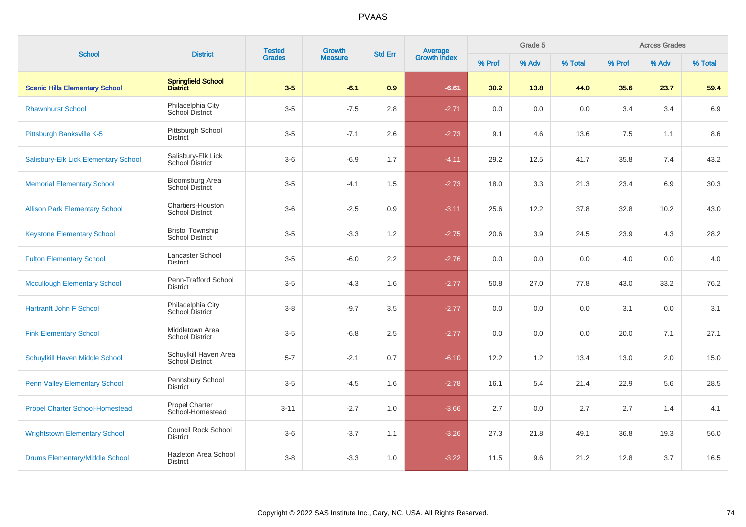| <b>School</b>                          | <b>District</b>                                   | <b>Tested</b><br><b>Grades</b> | Growth         |                | <b>Average</b><br>Growth Index |        | Grade 5 |         |         | <b>Across Grades</b> |         |
|----------------------------------------|---------------------------------------------------|--------------------------------|----------------|----------------|--------------------------------|--------|---------|---------|---------|----------------------|---------|
|                                        |                                                   |                                | <b>Measure</b> | <b>Std Err</b> |                                | % Prof | % Adv   | % Total | % Prof  | % Adv                | % Total |
| <b>Scenic Hills Elementary School</b>  | Springfield School<br>District                    | $3-5$                          | $-6.1$         | 0.9            | $-6.61$                        | 30.2   | 13.8    | 44.0    | 35.6    | 23.7                 | 59.4    |
| <b>Rhawnhurst School</b>               | Philadelphia City<br>School District              | $3-5$                          | $-7.5$         | 2.8            | $-2.71$                        | 0.0    | 0.0     | 0.0     | 3.4     | 3.4                  | 6.9     |
| Pittsburgh Banksville K-5              | Pittsburgh School<br><b>District</b>              | $3-5$                          | $-7.1$         | 2.6            | $-2.73$                        | 9.1    | 4.6     | 13.6    | $7.5\,$ | 1.1                  | 8.6     |
| Salisbury-Elk Lick Elementary School   | Salisbury-Elk Lick<br>School District             | $3-6$                          | $-6.9$         | 1.7            | $-4.11$                        | 29.2   | 12.5    | 41.7    | 35.8    | 7.4                  | 43.2    |
| <b>Memorial Elementary School</b>      | <b>Bloomsburg Area</b><br>School District         | $3-5$                          | $-4.1$         | 1.5            | $-2.73$                        | 18.0   | 3.3     | 21.3    | 23.4    | 6.9                  | 30.3    |
| <b>Allison Park Elementary School</b>  | Chartiers-Houston<br><b>School District</b>       | $3-6$                          | $-2.5$         | 0.9            | $-3.11$                        | 25.6   | 12.2    | 37.8    | 32.8    | 10.2                 | 43.0    |
| <b>Keystone Elementary School</b>      | <b>Bristol Township</b><br><b>School District</b> | $3-5$                          | $-3.3$         | 1.2            | $-2.75$                        | 20.6   | 3.9     | 24.5    | 23.9    | 4.3                  | 28.2    |
| <b>Fulton Elementary School</b>        | Lancaster School<br><b>District</b>               | $3-5$                          | $-6.0$         | 2.2            | $-2.76$                        | 0.0    | 0.0     | 0.0     | 4.0     | 0.0                  | $4.0$   |
| <b>Mccullough Elementary School</b>    | Penn-Trafford School<br><b>District</b>           | $3-5$                          | $-4.3$         | 1.6            | $-2.77$                        | 50.8   | 27.0    | 77.8    | 43.0    | 33.2                 | 76.2    |
| <b>Hartranft John F School</b>         | Philadelphia City<br>School District              | $3 - 8$                        | $-9.7$         | 3.5            | $-2.77$                        | 0.0    | 0.0     | 0.0     | 3.1     | 0.0                  | 3.1     |
| <b>Fink Elementary School</b>          | Middletown Area<br><b>School District</b>         | $3-5$                          | $-6.8$         | 2.5            | $-2.77$                        | 0.0    | 0.0     | 0.0     | 20.0    | 7.1                  | 27.1    |
| Schuylkill Haven Middle School         | Schuylkill Haven Area<br>School District          | $5 - 7$                        | $-2.1$         | 0.7            | $-6.10$                        | 12.2   | 1.2     | 13.4    | 13.0    | 2.0                  | 15.0    |
| <b>Penn Valley Elementary School</b>   | Pennsbury School<br><b>District</b>               | $3-5$                          | $-4.5$         | 1.6            | $-2.78$                        | 16.1   | 5.4     | 21.4    | 22.9    | 5.6                  | 28.5    |
| <b>Propel Charter School-Homestead</b> | <b>Propel Charter</b><br>School-Homestead         | $3 - 11$                       | $-2.7$         | 1.0            | $-3.66$                        | 2.7    | 0.0     | 2.7     | 2.7     | 1.4                  | 4.1     |
| <b>Wrightstown Elementary School</b>   | <b>Council Rock School</b><br><b>District</b>     | $3-6$                          | $-3.7$         | 1.1            | $-3.26$                        | 27.3   | 21.8    | 49.1    | 36.8    | 19.3                 | 56.0    |
| <b>Drums Elementary/Middle School</b>  | Hazleton Area School<br><b>District</b>           | $3-8$                          | $-3.3$         | 1.0            | $-3.22$                        | 11.5   | 9.6     | 21.2    | 12.8    | 3.7                  | 16.5    |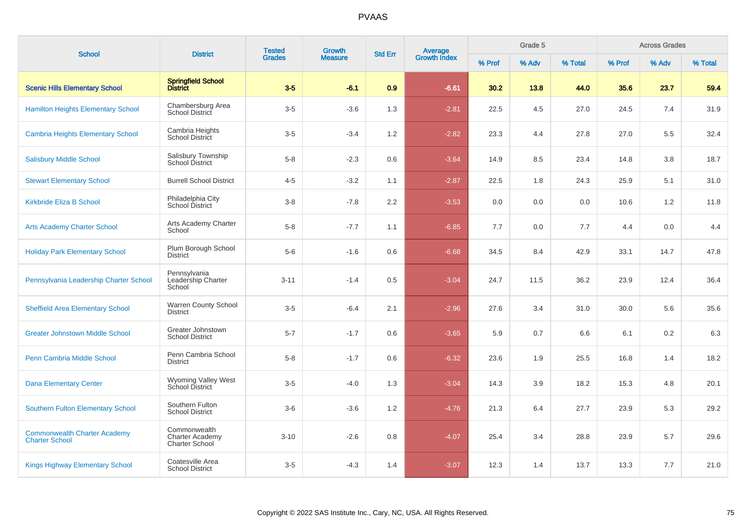| <b>School</b>                                                | <b>District</b>                                                 | <b>Tested</b><br><b>Growth</b> | Average<br>Growth Index<br><b>Std Err</b> |                  | Grade 5 |        |       | <b>Across Grades</b> |        |       |         |
|--------------------------------------------------------------|-----------------------------------------------------------------|--------------------------------|-------------------------------------------|------------------|---------|--------|-------|----------------------|--------|-------|---------|
|                                                              |                                                                 | <b>Grades</b>                  | <b>Measure</b>                            |                  |         | % Prof | % Adv | % Total              | % Prof | % Adv | % Total |
| <b>Scenic Hills Elementary School</b>                        | Springfield School<br>District                                  | $3-5$                          | $-6.1$                                    | 0.9              | $-6.61$ | 30.2   | 13.8  | 44.0                 | 35.6   | 23.7  | 59.4    |
| <b>Hamilton Heights Elementary School</b>                    | Chambersburg Area<br><b>School District</b>                     | $3-5$                          | $-3.6$                                    | 1.3              | $-2.81$ | 22.5   | 4.5   | 27.0                 | 24.5   | 7.4   | 31.9    |
| <b>Cambria Heights Elementary School</b>                     | Cambria Heights<br><b>School District</b>                       | $3-5$                          | $-3.4$                                    | 1.2              | $-2.82$ | 23.3   | 4.4   | 27.8                 | 27.0   | 5.5   | 32.4    |
| <b>Salisbury Middle School</b>                               | Salisbury Township<br>School District                           | $5 - 8$                        | $-2.3$                                    | 0.6              | $-3.64$ | 14.9   | 8.5   | 23.4                 | 14.8   | 3.8   | 18.7    |
| <b>Stewart Elementary School</b>                             | <b>Burrell School District</b>                                  | $4 - 5$                        | $-3.2$                                    | 1.1              | $-2.87$ | 22.5   | 1.8   | 24.3                 | 25.9   | 5.1   | 31.0    |
| <b>Kirkbride Eliza B School</b>                              | Philadelphia City<br>School District                            | $3 - 8$                        | $-7.8$                                    | $2.2\phantom{0}$ | $-3.53$ | 0.0    | 0.0   | 0.0                  | 10.6   | 1.2   | 11.8    |
| <b>Arts Academy Charter School</b>                           | Arts Academy Charter<br>School                                  | $5 - 8$                        | $-7.7$                                    | 1.1              | $-6.85$ | 7.7    | 0.0   | 7.7                  | 4.4    | 0.0   | 4.4     |
| <b>Holiday Park Elementary School</b>                        | Plum Borough School<br><b>District</b>                          | $5-6$                          | $-1.6$                                    | 0.6              | $-6.68$ | 34.5   | 8.4   | 42.9                 | 33.1   | 14.7  | 47.8    |
| Pennsylvania Leadership Charter School                       | Pennsylvania<br>Leadership Charter<br>School                    | $3 - 11$                       | $-1.4$                                    | 0.5              | $-3.04$ | 24.7   | 11.5  | 36.2                 | 23.9   | 12.4  | 36.4    |
| <b>Sheffield Area Elementary School</b>                      | <b>Warren County School</b><br><b>District</b>                  | $3-5$                          | $-6.4$                                    | 2.1              | $-2.96$ | 27.6   | 3.4   | 31.0                 | 30.0   | 5.6   | 35.6    |
| <b>Greater Johnstown Middle School</b>                       | Greater Johnstown<br><b>School District</b>                     | $5 - 7$                        | $-1.7$                                    | 0.6              | $-3.65$ | 5.9    | 0.7   | 6.6                  | 6.1    | 0.2   | 6.3     |
| Penn Cambria Middle School                                   | Penn Cambria School<br><b>District</b>                          | $5 - 8$                        | $-1.7$                                    | 0.6              | $-6.32$ | 23.6   | 1.9   | 25.5                 | 16.8   | 1.4   | 18.2    |
| <b>Dana Elementary Center</b>                                | Wyoming Valley West<br>School District                          | $3-5$                          | $-4.0$                                    | 1.3              | $-3.04$ | 14.3   | 3.9   | 18.2                 | 15.3   | 4.8   | 20.1    |
| <b>Southern Fulton Elementary School</b>                     | Southern Fulton<br><b>School District</b>                       | $3-6$                          | $-3.6$                                    | 1.2              | $-4.76$ | 21.3   | 6.4   | 27.7                 | 23.9   | 5.3   | 29.2    |
| <b>Commonwealth Charter Academy</b><br><b>Charter School</b> | Commonwealth<br><b>Charter Academy</b><br><b>Charter School</b> | $3 - 10$                       | $-2.6$                                    | 0.8              | $-4.07$ | 25.4   | 3.4   | 28.8                 | 23.9   | 5.7   | 29.6    |
| <b>Kings Highway Elementary School</b>                       | Coatesville Area<br><b>School District</b>                      | $3-5$                          | $-4.3$                                    | 1.4              | $-3.07$ | 12.3   | 1.4   | 13.7                 | 13.3   | 7.7   | 21.0    |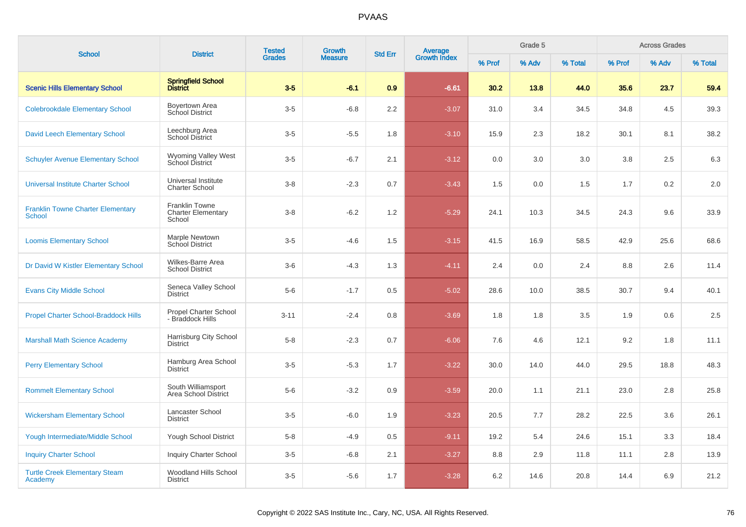| <b>School</b>                                             | <b>District</b>                                              | <b>Tested</b> | Growth         | <b>Std Err</b> | <b>Average</b><br>Growth Index |        | Grade 5 |         |        | <b>Across Grades</b> |         |
|-----------------------------------------------------------|--------------------------------------------------------------|---------------|----------------|----------------|--------------------------------|--------|---------|---------|--------|----------------------|---------|
|                                                           |                                                              | <b>Grades</b> | <b>Measure</b> |                |                                | % Prof | % Adv   | % Total | % Prof | % Adv                | % Total |
| <b>Scenic Hills Elementary School</b>                     | Springfield School<br>District                               | $3-5$         | $-6.1$         | 0.9            | $-6.61$                        | 30.2   | 13.8    | 44.0    | 35.6   | 23.7                 | 59.4    |
| <b>Colebrookdale Elementary School</b>                    | Boyertown Area<br>School District                            | $3-5$         | $-6.8$         | 2.2            | $-3.07$                        | 31.0   | 3.4     | 34.5    | 34.8   | 4.5                  | 39.3    |
| <b>David Leech Elementary School</b>                      | Leechburg Area<br>School District                            | $3-5$         | $-5.5$         | 1.8            | $-3.10$                        | 15.9   | 2.3     | 18.2    | 30.1   | 8.1                  | 38.2    |
| <b>Schuyler Avenue Elementary School</b>                  | <b>Wyoming Valley West</b><br><b>School District</b>         | $3-5$         | $-6.7$         | 2.1            | $-3.12$                        | 0.0    | 3.0     | 3.0     | 3.8    | 2.5                  | 6.3     |
| <b>Universal Institute Charter School</b>                 | Universal Institute<br><b>Charter School</b>                 | $3-8$         | $-2.3$         | 0.7            | $-3.43$                        | 1.5    | 0.0     | 1.5     | 1.7    | 0.2                  | 2.0     |
| <b>Franklin Towne Charter Elementary</b><br><b>School</b> | <b>Franklin Towne</b><br><b>Charter Elementary</b><br>School | $3-8$         | $-6.2$         | 1.2            | $-5.29$                        | 24.1   | 10.3    | 34.5    | 24.3   | 9.6                  | 33.9    |
| <b>Loomis Elementary School</b>                           | Marple Newtown<br><b>School District</b>                     | $3-5$         | $-4.6$         | 1.5            | $-3.15$                        | 41.5   | 16.9    | 58.5    | 42.9   | 25.6                 | 68.6    |
| Dr David W Kistler Elementary School                      | Wilkes-Barre Area<br><b>School District</b>                  | $3-6$         | $-4.3$         | 1.3            | $-4.11$                        | 2.4    | 0.0     | 2.4     | 8.8    | 2.6                  | 11.4    |
| <b>Evans City Middle School</b>                           | Seneca Valley School<br><b>District</b>                      | $5-6$         | $-1.7$         | 0.5            | $-5.02$                        | 28.6   | 10.0    | 38.5    | 30.7   | 9.4                  | 40.1    |
| <b>Propel Charter School-Braddock Hills</b>               | <b>Propel Charter School</b><br>- Braddock Hills             | $3 - 11$      | $-2.4$         | 0.8            | $-3.69$                        | 1.8    | 1.8     | 3.5     | 1.9    | 0.6                  | 2.5     |
| <b>Marshall Math Science Academy</b>                      | Harrisburg City School<br><b>District</b>                    | $5 - 8$       | $-2.3$         | 0.7            | $-6.06$                        | 7.6    | 4.6     | 12.1    | 9.2    | 1.8                  | 11.1    |
| <b>Perry Elementary School</b>                            | Hamburg Area School<br><b>District</b>                       | $3-5$         | $-5.3$         | 1.7            | $-3.22$                        | 30.0   | 14.0    | 44.0    | 29.5   | 18.8                 | 48.3    |
| <b>Rommelt Elementary School</b>                          | South Williamsport<br>Area School District                   | $5-6$         | $-3.2$         | 0.9            | $-3.59$                        | 20.0   | 1.1     | 21.1    | 23.0   | 2.8                  | 25.8    |
| <b>Wickersham Elementary School</b>                       | Lancaster School<br><b>District</b>                          | $3-5$         | $-6.0$         | 1.9            | $-3.23$                        | 20.5   | 7.7     | 28.2    | 22.5   | 3.6                  | 26.1    |
| <b>Yough Intermediate/Middle School</b>                   | Yough School District                                        | $5-8$         | $-4.9$         | 0.5            | $-9.11$                        | 19.2   | 5.4     | 24.6    | 15.1   | 3.3                  | 18.4    |
| <b>Inquiry Charter School</b>                             | <b>Inquiry Charter School</b>                                | $3-5$         | $-6.8$         | 2.1            | $-3.27$                        | 8.8    | 2.9     | 11.8    | 11.1   | 2.8                  | 13.9    |
| <b>Turtle Creek Elementary Steam</b><br>Academy           | Woodland Hills School<br><b>District</b>                     | $3-5$         | $-5.6$         | 1.7            | $-3.28$                        | 6.2    | 14.6    | 20.8    | 14.4   | 6.9                  | 21.2    |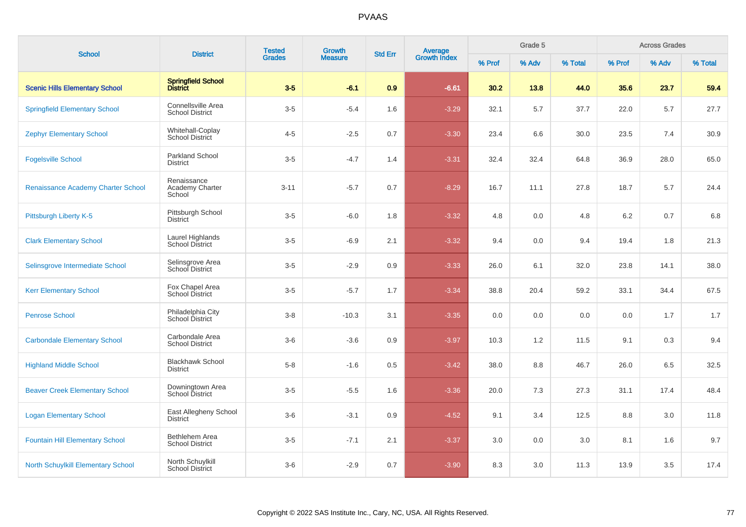| <b>School</b>                             | <b>District</b>                              | <b>Tested</b> | Growth         | <b>Std Err</b> |                                |        | Grade 5 |         |        | <b>Across Grades</b> |         |
|-------------------------------------------|----------------------------------------------|---------------|----------------|----------------|--------------------------------|--------|---------|---------|--------|----------------------|---------|
|                                           |                                              | <b>Grades</b> | <b>Measure</b> |                | <b>Average</b><br>Growth Index | % Prof | % Adv   | % Total | % Prof | % Adv                | % Total |
| <b>Scenic Hills Elementary School</b>     | Springfield School<br>District               | $3-5$         | $-6.1$         | 0.9            | $-6.61$                        | 30.2   | 13.8    | 44.0    | 35.6   | 23.7                 | 59.4    |
| <b>Springfield Elementary School</b>      | Connellsville Area<br><b>School District</b> | $3-5$         | $-5.4$         | 1.6            | $-3.29$                        | 32.1   | 5.7     | 37.7    | 22.0   | 5.7                  | 27.7    |
| <b>Zephyr Elementary School</b>           | Whitehall-Coplay<br><b>School District</b>   | $4 - 5$       | $-2.5$         | 0.7            | $-3.30$                        | 23.4   | 6.6     | 30.0    | 23.5   | 7.4                  | 30.9    |
| <b>Fogelsville School</b>                 | <b>Parkland School</b><br><b>District</b>    | $3-5$         | $-4.7$         | 1.4            | $-3.31$                        | 32.4   | 32.4    | 64.8    | 36.9   | 28.0                 | 65.0    |
| Renaissance Academy Charter School        | Renaissance<br>Academy Charter<br>School     | $3 - 11$      | $-5.7$         | 0.7            | $-8.29$                        | 16.7   | 11.1    | 27.8    | 18.7   | 5.7                  | 24.4    |
| Pittsburgh Liberty K-5                    | Pittsburgh School<br>District                | $3-5$         | $-6.0$         | 1.8            | $-3.32$                        | 4.8    | 0.0     | 4.8     | 6.2    | 0.7                  | 6.8     |
| <b>Clark Elementary School</b>            | Laurel Highlands<br><b>School District</b>   | $3-5$         | $-6.9$         | 2.1            | $-3.32$                        | 9.4    | 0.0     | 9.4     | 19.4   | 1.8                  | 21.3    |
| Selinsgrove Intermediate School           | Selinsgrove Area<br>School District          | $3-5$         | $-2.9$         | 0.9            | $-3.33$                        | 26.0   | 6.1     | 32.0    | 23.8   | 14.1                 | 38.0    |
| <b>Kerr Elementary School</b>             | Fox Chapel Area<br>School District           | $3-5$         | $-5.7$         | 1.7            | $-3.34$                        | 38.8   | 20.4    | 59.2    | 33.1   | 34.4                 | 67.5    |
| <b>Penrose School</b>                     | Philadelphia City<br>School District         | $3-8$         | $-10.3$        | 3.1            | $-3.35$                        | 0.0    | 0.0     | 0.0     | 0.0    | 1.7                  | 1.7     |
| <b>Carbondale Elementary School</b>       | Carbondale Area<br><b>School District</b>    | $3-6$         | $-3.6$         | 0.9            | $-3.97$                        | 10.3   | 1.2     | 11.5    | 9.1    | 0.3                  | 9.4     |
| <b>Highland Middle School</b>             | <b>Blackhawk School</b><br><b>District</b>   | $5-8$         | $-1.6$         | 0.5            | $-3.42$                        | 38.0   | 8.8     | 46.7    | 26.0   | 6.5                  | 32.5    |
| <b>Beaver Creek Elementary School</b>     | Downingtown Area<br><b>School District</b>   | $3-5$         | $-5.5$         | 1.6            | $-3.36$                        | 20.0   | 7.3     | 27.3    | 31.1   | 17.4                 | 48.4    |
| <b>Logan Elementary School</b>            | East Allegheny School<br><b>District</b>     | $3-6$         | $-3.1$         | 0.9            | $-4.52$                        | 9.1    | 3.4     | 12.5    | 8.8    | 3.0                  | 11.8    |
| <b>Fountain Hill Elementary School</b>    | Bethlehem Area<br><b>School District</b>     | $3-5$         | $-7.1$         | 2.1            | $-3.37$                        | 3.0    | 0.0     | 3.0     | 8.1    | 1.6                  | 9.7     |
| <b>North Schuylkill Elementary School</b> | North Schuylkill<br><b>School District</b>   | $3-6$         | $-2.9$         | 0.7            | $-3.90$                        | 8.3    | 3.0     | 11.3    | 13.9   | 3.5                  | 17.4    |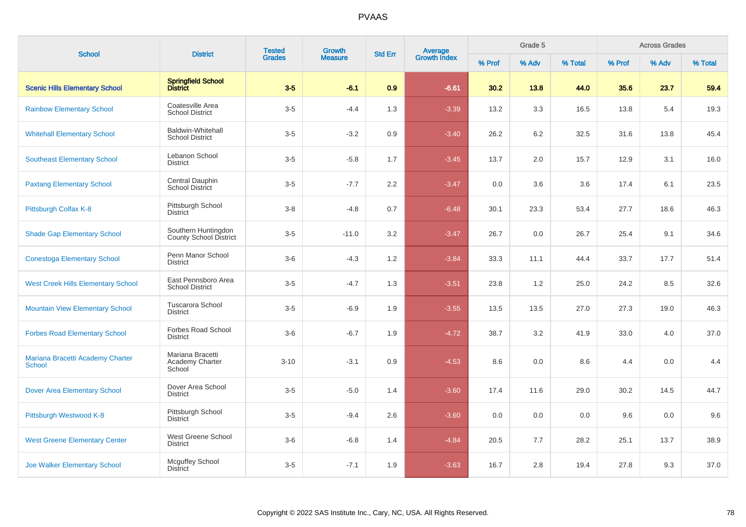| <b>School</b>                                     | <b>District</b>                                    | <b>Tested</b> | <b>Growth</b><br>Average<br>Growth Index<br><b>Std Err</b> |     |         | Grade 5 |       |         | <b>Across Grades</b> |       |         |
|---------------------------------------------------|----------------------------------------------------|---------------|------------------------------------------------------------|-----|---------|---------|-------|---------|----------------------|-------|---------|
|                                                   |                                                    | <b>Grades</b> | <b>Measure</b>                                             |     |         | % Prof  | % Adv | % Total | % Prof               | % Adv | % Total |
| <b>Scenic Hills Elementary School</b>             | Springfield School<br>District                     | $3-5$         | $-6.1$                                                     | 0.9 | $-6.61$ | 30.2    | 13.8  | 44.0    | 35.6                 | 23.7  | 59.4    |
| <b>Rainbow Elementary School</b>                  | Coatesville Area<br><b>School District</b>         | $3-5$         | $-4.4$                                                     | 1.3 | $-3.39$ | 13.2    | 3.3   | 16.5    | 13.8                 | 5.4   | 19.3    |
| <b>Whitehall Elementary School</b>                | <b>Baldwin-Whitehall</b><br><b>School District</b> | $3-5$         | $-3.2$                                                     | 0.9 | $-3.40$ | 26.2    | 6.2   | 32.5    | 31.6                 | 13.8  | 45.4    |
| <b>Southeast Elementary School</b>                | Lebanon School<br><b>District</b>                  | $3-5$         | $-5.8$                                                     | 1.7 | $-3.45$ | 13.7    | 2.0   | 15.7    | 12.9                 | 3.1   | 16.0    |
| <b>Paxtang Elementary School</b>                  | Central Dauphin<br>School District                 | $3-5$         | $-7.7$                                                     | 2.2 | $-3.47$ | 0.0     | 3.6   | 3.6     | 17.4                 | 6.1   | 23.5    |
| Pittsburgh Colfax K-8                             | Pittsburgh School<br>District                      | $3 - 8$       | $-4.8$                                                     | 0.7 | $-6.48$ | 30.1    | 23.3  | 53.4    | 27.7                 | 18.6  | 46.3    |
| <b>Shade Gap Elementary School</b>                | Southern Huntingdon<br>County School District      | $3-5$         | $-11.0$                                                    | 3.2 | $-3.47$ | 26.7    | 0.0   | 26.7    | 25.4                 | 9.1   | 34.6    |
| <b>Conestoga Elementary School</b>                | Penn Manor School<br><b>District</b>               | $3-6$         | $-4.3$                                                     | 1.2 | $-3.84$ | 33.3    | 11.1  | 44.4    | 33.7                 | 17.7  | 51.4    |
| <b>West Creek Hills Elementary School</b>         | East Pennsboro Area<br><b>School District</b>      | $3-5$         | $-4.7$                                                     | 1.3 | $-3.51$ | 23.8    | 1.2   | 25.0    | 24.2                 | 8.5   | 32.6    |
| <b>Mountain View Elementary School</b>            | Tuscarora School<br><b>District</b>                | $3-5$         | $-6.9$                                                     | 1.9 | $-3.55$ | 13.5    | 13.5  | 27.0    | 27.3                 | 19.0  | 46.3    |
| <b>Forbes Road Elementary School</b>              | <b>Forbes Road School</b><br><b>District</b>       | $3-6$         | $-6.7$                                                     | 1.9 | $-4.72$ | 38.7    | 3.2   | 41.9    | 33.0                 | 4.0   | 37.0    |
| Mariana Bracetti Academy Charter<br><b>School</b> | Mariana Bracetti<br>Academy Charter<br>School      | $3 - 10$      | $-3.1$                                                     | 0.9 | $-4.53$ | 8.6     | 0.0   | 8.6     | 4.4                  | 0.0   | 4.4     |
| <b>Dover Area Elementary School</b>               | Dover Area School<br><b>District</b>               | $3-5$         | $-5.0$                                                     | 1.4 | $-3.60$ | 17.4    | 11.6  | 29.0    | 30.2                 | 14.5  | 44.7    |
| Pittsburgh Westwood K-8                           | Pittsburgh School<br><b>District</b>               | $3-5$         | $-9.4$                                                     | 2.6 | $-3.60$ | 0.0     | 0.0   | 0.0     | 9.6                  | 0.0   | 9.6     |
| <b>West Greene Elementary Center</b>              | West Greene School<br><b>District</b>              | $3-6$         | $-6.8$                                                     | 1.4 | $-4.84$ | 20.5    | 7.7   | 28.2    | 25.1                 | 13.7  | 38.9    |
| <b>Joe Walker Elementary School</b>               | <b>Mcguffey School</b><br><b>District</b>          | $3-5$         | $-7.1$                                                     | 1.9 | $-3.63$ | 16.7    | 2.8   | 19.4    | 27.8                 | 9.3   | 37.0    |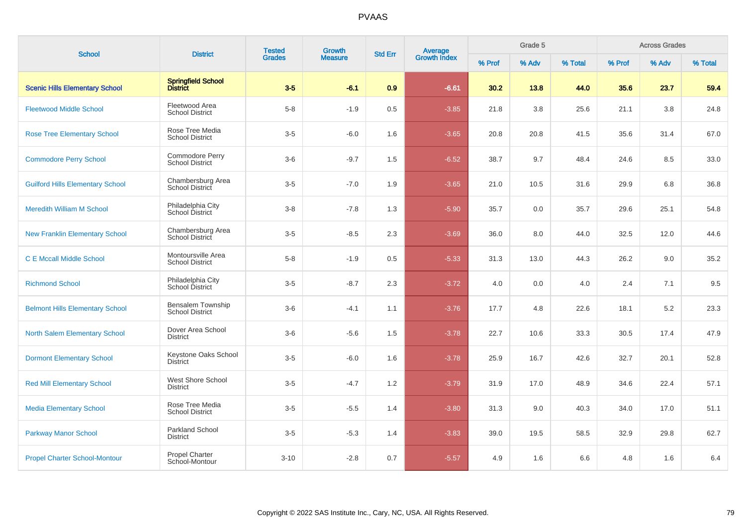| <b>School</b>                           | <b>District</b>                              | <b>Tested</b> | Growth         | <b>Std Err</b> |                                |        | Grade 5 |         |        | <b>Across Grades</b> |         |
|-----------------------------------------|----------------------------------------------|---------------|----------------|----------------|--------------------------------|--------|---------|---------|--------|----------------------|---------|
|                                         |                                              | <b>Grades</b> | <b>Measure</b> |                | <b>Average</b><br>Growth Index | % Prof | % Adv   | % Total | % Prof | % Adv                | % Total |
| <b>Scenic Hills Elementary School</b>   | Springfield School<br>District               | $3-5$         | $-6.1$         | 0.9            | $-6.61$                        | 30.2   | 13.8    | 44.0    | 35.6   | 23.7                 | 59.4    |
| <b>Fleetwood Middle School</b>          | Fleetwood Area<br><b>School District</b>     | $5 - 8$       | $-1.9$         | $0.5\,$        | $-3.85$                        | 21.8   | 3.8     | 25.6    | 21.1   | 3.8                  | 24.8    |
| <b>Rose Tree Elementary School</b>      | Rose Tree Media<br><b>School District</b>    | $3-5$         | $-6.0$         | 1.6            | $-3.65$                        | 20.8   | 20.8    | 41.5    | 35.6   | 31.4                 | 67.0    |
| <b>Commodore Perry School</b>           | Commodore Perry<br><b>School District</b>    | $3-6$         | $-9.7$         | 1.5            | $-6.52$                        | 38.7   | 9.7     | 48.4    | 24.6   | 8.5                  | 33.0    |
| <b>Guilford Hills Elementary School</b> | Chambersburg Area<br>School District         | $3-5$         | $-7.0$         | 1.9            | $-3.65$                        | 21.0   | 10.5    | 31.6    | 29.9   | 6.8                  | 36.8    |
| <b>Meredith William M School</b>        | Philadelphia City<br>School District         | $3 - 8$       | $-7.8$         | 1.3            | $-5.90$                        | 35.7   | 0.0     | 35.7    | 29.6   | 25.1                 | 54.8    |
| <b>New Franklin Elementary School</b>   | Chambersburg Area<br>School District         | $3-5$         | $-8.5$         | 2.3            | $-3.69$                        | 36.0   | 8.0     | 44.0    | 32.5   | 12.0                 | 44.6    |
| <b>C E Mccall Middle School</b>         | Montoursville Area<br><b>School District</b> | $5 - 8$       | $-1.9$         | 0.5            | $-5.33$                        | 31.3   | 13.0    | 44.3    | 26.2   | 9.0                  | 35.2    |
| <b>Richmond School</b>                  | Philadelphia City<br>School District         | $3-5$         | $-8.7$         | 2.3            | $-3.72$                        | 4.0    | 0.0     | 4.0     | 2.4    | 7.1                  | 9.5     |
| <b>Belmont Hills Elementary School</b>  | Bensalem Township<br><b>School District</b>  | $3-6$         | $-4.1$         | 1.1            | $-3.76$                        | 17.7   | 4.8     | 22.6    | 18.1   | 5.2                  | 23.3    |
| <b>North Salem Elementary School</b>    | Dover Area School<br><b>District</b>         | $3-6$         | $-5.6$         | 1.5            | $-3.78$                        | 22.7   | 10.6    | 33.3    | 30.5   | 17.4                 | 47.9    |
| <b>Dormont Elementary School</b>        | Keystone Oaks School<br><b>District</b>      | $3-5$         | $-6.0$         | 1.6            | $-3.78$                        | 25.9   | 16.7    | 42.6    | 32.7   | 20.1                 | 52.8    |
| <b>Red Mill Elementary School</b>       | West Shore School<br><b>District</b>         | $3-5$         | $-4.7$         | 1.2            | $-3.79$                        | 31.9   | 17.0    | 48.9    | 34.6   | 22.4                 | 57.1    |
| <b>Media Elementary School</b>          | Rose Tree Media<br><b>School District</b>    | $3-5$         | $-5.5$         | 1.4            | $-3.80$                        | 31.3   | 9.0     | 40.3    | 34.0   | 17.0                 | 51.1    |
| <b>Parkway Manor School</b>             | <b>Parkland School</b><br><b>District</b>    | $3-5$         | $-5.3$         | 1.4            | $-3.83$                        | 39.0   | 19.5    | 58.5    | 32.9   | 29.8                 | 62.7    |
| <b>Propel Charter School-Montour</b>    | Propel Charter<br>School-Montour             | $3 - 10$      | $-2.8$         | 0.7            | $-5.57$                        | 4.9    | 1.6     | 6.6     | 4.8    | 1.6                  | 6.4     |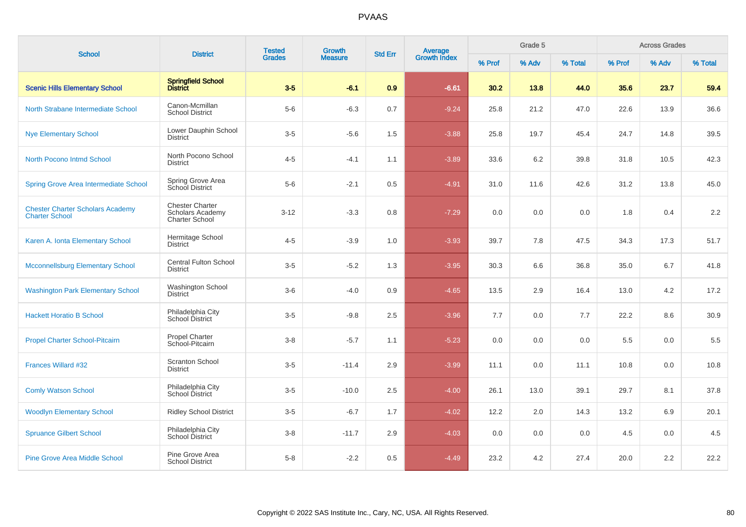| <b>School</b>                                                    | <b>District</b>                                                            | <b>Tested</b> | <b>Growth</b>  | <b>Std Err</b> |                                |        | Grade 5 |         |        | <b>Across Grades</b> |         |
|------------------------------------------------------------------|----------------------------------------------------------------------------|---------------|----------------|----------------|--------------------------------|--------|---------|---------|--------|----------------------|---------|
|                                                                  |                                                                            | <b>Grades</b> | <b>Measure</b> |                | <b>Average</b><br>Growth Index | % Prof | % Adv   | % Total | % Prof | % Adv                | % Total |
| <b>Scenic Hills Elementary School</b>                            | <b>Springfield School</b><br><b>District</b>                               | $3-5$         | $-6.1$         | 0.9            | $-6.61$                        | 30.2   | 13.8    | 44.0    | 35.6   | 23.7                 | 59.4    |
| North Strabane Intermediate School                               | Canon-Mcmillan<br><b>School District</b>                                   | $5-6$         | $-6.3$         | 0.7            | $-9.24$                        | 25.8   | 21.2    | 47.0    | 22.6   | 13.9                 | 36.6    |
| <b>Nye Elementary School</b>                                     | Lower Dauphin School<br><b>District</b>                                    | $3-5$         | $-5.6$         | 1.5            | $-3.88$                        | 25.8   | 19.7    | 45.4    | 24.7   | 14.8                 | 39.5    |
| North Pocono Intmd School                                        | North Pocono School<br><b>District</b>                                     | $4 - 5$       | $-4.1$         | 1.1            | $-3.89$                        | 33.6   | 6.2     | 39.8    | 31.8   | 10.5                 | 42.3    |
| <b>Spring Grove Area Intermediate School</b>                     | Spring Grove Area<br>School District                                       | $5-6$         | $-2.1$         | 0.5            | $-4.91$                        | 31.0   | 11.6    | 42.6    | 31.2   | 13.8                 | 45.0    |
| <b>Chester Charter Scholars Academy</b><br><b>Charter School</b> | <b>Chester Charter</b><br><b>Scholars Academy</b><br><b>Charter School</b> | $3 - 12$      | $-3.3$         | 0.8            | $-7.29$                        | 0.0    | 0.0     | 0.0     | 1.8    | 0.4                  | 2.2     |
| Karen A. Ionta Elementary School                                 | Hermitage School<br><b>District</b>                                        | $4 - 5$       | $-3.9$         | 1.0            | $-3.93$                        | 39.7   | 7.8     | 47.5    | 34.3   | 17.3                 | 51.7    |
| <b>Mcconnellsburg Elementary School</b>                          | <b>Central Fulton School</b><br><b>District</b>                            | $3-5$         | $-5.2$         | 1.3            | $-3.95$                        | 30.3   | 6.6     | 36.8    | 35.0   | 6.7                  | 41.8    |
| <b>Washington Park Elementary School</b>                         | Washington School<br><b>District</b>                                       | $3-6$         | $-4.0$         | 0.9            | $-4.65$                        | 13.5   | 2.9     | 16.4    | 13.0   | 4.2                  | 17.2    |
| <b>Hackett Horatio B School</b>                                  | Philadelphia City<br>School District                                       | $3-5$         | $-9.8$         | 2.5            | $-3.96$                        | 7.7    | 0.0     | 7.7     | 22.2   | 8.6                  | 30.9    |
| <b>Propel Charter School-Pitcairn</b>                            | <b>Propel Charter</b><br>School-Pitcairn                                   | $3-8$         | $-5.7$         | 1.1            | $-5.23$                        | 0.0    | 0.0     | 0.0     | 5.5    | 0.0                  | 5.5     |
| <b>Frances Willard #32</b>                                       | <b>Scranton School</b><br><b>District</b>                                  | $3-5$         | $-11.4$        | 2.9            | $-3.99$                        | 11.1   | 0.0     | 11.1    | 10.8   | 0.0                  | 10.8    |
| <b>Comly Watson School</b>                                       | Philadelphia City<br>School District                                       | $3-5$         | $-10.0$        | 2.5            | $-4.00$                        | 26.1   | 13.0    | 39.1    | 29.7   | 8.1                  | 37.8    |
| <b>Woodlyn Elementary School</b>                                 | <b>Ridley School District</b>                                              | $3-5$         | $-6.7$         | 1.7            | $-4.02$                        | 12.2   | 2.0     | 14.3    | 13.2   | 6.9                  | 20.1    |
| <b>Spruance Gilbert School</b>                                   | Philadelphia City<br>School District                                       | $3-8$         | $-11.7$        | 2.9            | $-4.03$                        | 0.0    | 0.0     | 0.0     | 4.5    | 0.0                  | 4.5     |
| <b>Pine Grove Area Middle School</b>                             | Pine Grove Area<br><b>School District</b>                                  | $5-8$         | $-2.2$         | 0.5            | $-4.49$                        | 23.2   | 4.2     | 27.4    | 20.0   | 2.2                  | 22.2    |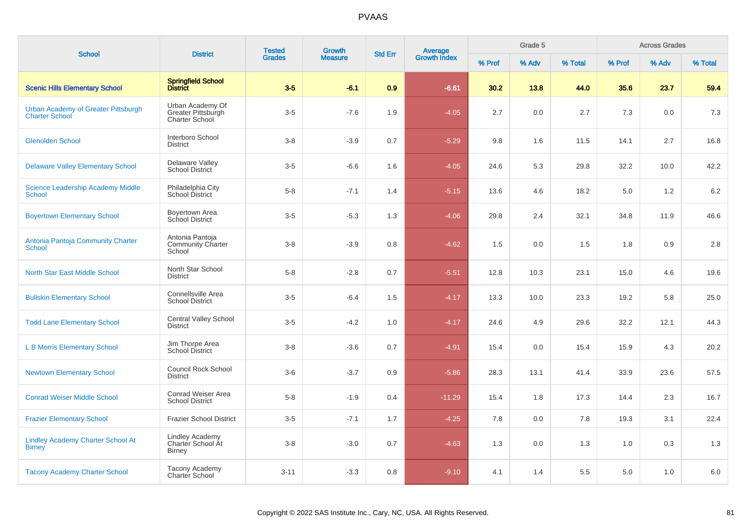| <b>School</b>                                                | <b>District</b>                                                 | <b>Tested</b> | Growth         |                |                         |        | Grade 5 |         |        | <b>Across Grades</b> |         |
|--------------------------------------------------------------|-----------------------------------------------------------------|---------------|----------------|----------------|-------------------------|--------|---------|---------|--------|----------------------|---------|
|                                                              |                                                                 | <b>Grades</b> | <b>Measure</b> | <b>Std Err</b> | Average<br>Growth Index | % Prof | % Adv   | % Total | % Prof | % Adv                | % Total |
| <b>Scenic Hills Elementary School</b>                        | Springfield School<br>District                                  | $3-5$         | $-6.1$         | 0.9            | $-6.61$                 | 30.2   | 13.8    | 44.0    | 35.6   | 23.7                 | 59.4    |
| Urban Academy of Greater Pittsburgh<br><b>Charter School</b> | Urban Academy Of<br>Greater Pittsburgh<br><b>Charter School</b> | $3-5$         | $-7.6$         | 1.9            | $-4.05$                 | 2.7    | 0.0     | 2.7     | 7.3    | 0.0                  | 7.3     |
| <b>Glenolden School</b>                                      | Interboro School<br><b>District</b>                             | $3 - 8$       | $-3.9$         | 0.7            | $-5.29$                 | 9.8    | 1.6     | 11.5    | 14.1   | 2.7                  | 16.8    |
| <b>Delaware Valley Elementary School</b>                     | Delaware Valley<br><b>School District</b>                       | $3-5$         | $-6.6$         | 1.6            | $-4.05$                 | 24.6   | 5.3     | 29.8    | 32.2   | 10.0                 | 42.2    |
| <b>Science Leadership Academy Middle</b><br><b>School</b>    | Philadelphia City<br>School District                            | $5 - 8$       | $-7.1$         | 1.4            | $-5.15$                 | 13.6   | 4.6     | 18.2    | 5.0    | 1.2                  | 6.2     |
| <b>Boyertown Elementary School</b>                           | Boyertown Area<br>School District                               | $3-5$         | $-5.3$         | 1.3            | $-4.06$                 | 29.8   | 2.4     | 32.1    | 34.8   | 11.9                 | 46.6    |
| Antonia Pantoja Community Charter<br><b>School</b>           | Antonia Pantoja<br><b>Community Charter</b><br>School           | $3 - 8$       | $-3.9$         | 0.8            | $-4.62$                 | 1.5    | 0.0     | 1.5     | 1.8    | 0.9                  | $2.8\,$ |
| <b>North Star East Middle School</b>                         | North Star School<br><b>District</b>                            | $5 - 8$       | $-2.8$         | 0.7            | $-5.51$                 | 12.8   | 10.3    | 23.1    | 15.0   | 4.6                  | 19.6    |
| <b>Bullskin Elementary School</b>                            | Connellsville Area<br><b>School District</b>                    | $3-5$         | $-6.4$         | 1.5            | $-4.17$                 | 13.3   | 10.0    | 23.3    | 19.2   | 5.8                  | 25.0    |
| <b>Todd Lane Elementary School</b>                           | <b>Central Valley School</b><br><b>District</b>                 | $3-5$         | $-4.2$         | 1.0            | $-4.17$                 | 24.6   | 4.9     | 29.6    | 32.2   | 12.1                 | 44.3    |
| <b>L B Morris Elementary School</b>                          | Jim Thorpe Area<br><b>School District</b>                       | $3 - 8$       | $-3.6$         | 0.7            | $-4.91$                 | 15.4   | 0.0     | 15.4    | 15.9   | 4.3                  | 20.2    |
| <b>Newtown Elementary School</b>                             | <b>Council Rock School</b><br><b>District</b>                   | $3-6$         | $-3.7$         | 0.9            | $-5.86$                 | 28.3   | 13.1    | 41.4    | 33.9   | 23.6                 | 57.5    |
| <b>Conrad Weiser Middle School</b>                           | Conrad Weiser Area<br><b>School District</b>                    | $5 - 8$       | $-1.9$         | 0.4            | $-11.29$                | 15.4   | 1.8     | 17.3    | 14.4   | 2.3                  | 16.7    |
| <b>Frazier Elementary School</b>                             | <b>Frazier School District</b>                                  | $3-5$         | $-7.1$         | 1.7            | $-4.25$                 | 7.8    | 0.0     | 7.8     | 19.3   | 3.1                  | 22.4    |
| <b>Lindley Academy Charter School At</b><br><b>Birney</b>    | <b>Lindley Academy</b><br>Charter School At<br><b>Birney</b>    | $3 - 8$       | $-3.0$         | 0.7            | $-4.63$                 | 1.3    | 0.0     | 1.3     | 1.0    | 0.3                  | 1.3     |
| <b>Tacony Academy Charter School</b>                         | Tacony Academy<br><b>Charter School</b>                         | $3 - 11$      | $-3.3$         | 0.8            | $-9.10$                 | 4.1    | 1.4     | 5.5     | 5.0    | 1.0                  | 6.0     |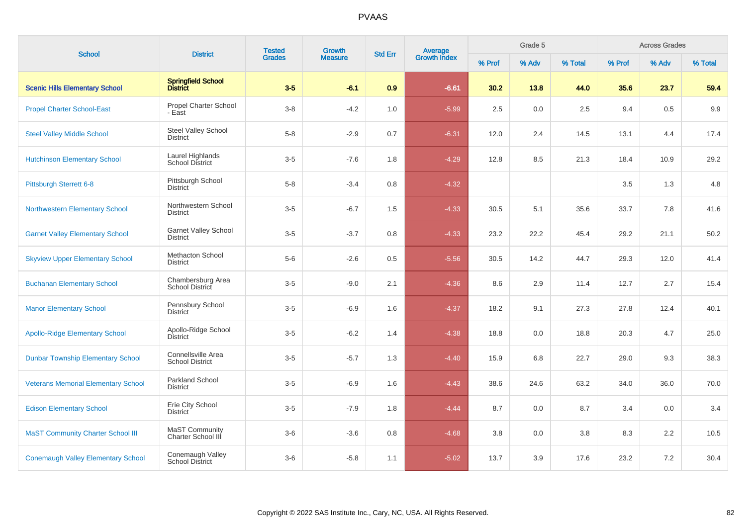| <b>School</b>                              | <b>District</b>                              | <b>Tested</b> | Growth         | <b>Std Err</b> | <b>Average</b><br>Growth Index |        | Grade 5 |         |        | <b>Across Grades</b> |         |
|--------------------------------------------|----------------------------------------------|---------------|----------------|----------------|--------------------------------|--------|---------|---------|--------|----------------------|---------|
|                                            |                                              | <b>Grades</b> | <b>Measure</b> |                |                                | % Prof | % Adv   | % Total | % Prof | % Adv                | % Total |
| <b>Scenic Hills Elementary School</b>      | Springfield School<br>District               | $3-5$         | $-6.1$         | 0.9            | $-6.61$                        | 30.2   | 13.8    | 44.0    | 35.6   | 23.7                 | 59.4    |
| <b>Propel Charter School-East</b>          | <b>Propel Charter School</b><br>- East       | $3-8$         | $-4.2$         | 1.0            | $-5.99$                        | 2.5    | 0.0     | 2.5     | 9.4    | 0.5                  | 9.9     |
| <b>Steel Valley Middle School</b>          | Steel Valley School<br><b>District</b>       | $5 - 8$       | $-2.9$         | 0.7            | $-6.31$                        | 12.0   | 2.4     | 14.5    | 13.1   | 4.4                  | 17.4    |
| <b>Hutchinson Elementary School</b>        | Laurel Highlands<br><b>School District</b>   | $3-5$         | $-7.6$         | 1.8            | $-4.29$                        | 12.8   | 8.5     | 21.3    | 18.4   | 10.9                 | 29.2    |
| Pittsburgh Sterrett 6-8                    | Pittsburgh School<br><b>District</b>         | $5-8$         | $-3.4$         | 0.8            | $-4.32$                        |        |         |         | 3.5    | 1.3                  | 4.8     |
| <b>Northwestern Elementary School</b>      | Northwestern School<br>District              | $3-5$         | $-6.7$         | 1.5            | $-4.33$                        | 30.5   | 5.1     | 35.6    | 33.7   | 7.8                  | 41.6    |
| <b>Garnet Valley Elementary School</b>     | <b>Garnet Valley School</b><br>District      | $3-5$         | $-3.7$         | 0.8            | $-4.33$                        | 23.2   | 22.2    | 45.4    | 29.2   | 21.1                 | 50.2    |
| <b>Skyview Upper Elementary School</b>     | <b>Methacton School</b><br><b>District</b>   | $5-6$         | $-2.6$         | 0.5            | $-5.56$                        | 30.5   | 14.2    | 44.7    | 29.3   | 12.0                 | 41.4    |
| <b>Buchanan Elementary School</b>          | Chambersburg Area<br>School District         | $3-5$         | $-9.0$         | 2.1            | $-4.36$                        | 8.6    | 2.9     | 11.4    | 12.7   | 2.7                  | 15.4    |
| <b>Manor Elementary School</b>             | Pennsbury School<br>District                 | $3-5$         | $-6.9$         | 1.6            | $-4.37$                        | 18.2   | 9.1     | 27.3    | 27.8   | 12.4                 | 40.1    |
| <b>Apollo-Ridge Elementary School</b>      | Apollo-Ridge School<br>District              | $3-5$         | $-6.2$         | 1.4            | $-4.38$                        | 18.8   | 0.0     | 18.8    | 20.3   | 4.7                  | 25.0    |
| <b>Dunbar Township Elementary School</b>   | Connellsville Area<br><b>School District</b> | $3-5$         | $-5.7$         | 1.3            | $-4.40$                        | 15.9   | 6.8     | 22.7    | 29.0   | 9.3                  | 38.3    |
| <b>Veterans Memorial Elementary School</b> | Parkland School<br><b>District</b>           | $3-5$         | $-6.9$         | 1.6            | $-4.43$                        | 38.6   | 24.6    | 63.2    | 34.0   | 36.0                 | 70.0    |
| <b>Edison Elementary School</b>            | Erie City School<br><b>District</b>          | $3-5$         | $-7.9$         | 1.8            | $-4.44$                        | 8.7    | 0.0     | 8.7     | 3.4    | 0.0                  | 3.4     |
| <b>MaST Community Charter School III</b>   | <b>MaST Community</b><br>Charter School III  | $3-6$         | $-3.6$         | 0.8            | $-4.68$                        | 3.8    | 0.0     | 3.8     | 8.3    | 2.2                  | 10.5    |
| <b>Conemaugh Valley Elementary School</b>  | Conemaugh Valley<br><b>School District</b>   | $3-6$         | $-5.8$         | 1.1            | $-5.02$                        | 13.7   | 3.9     | 17.6    | 23.2   | 7.2                  | 30.4    |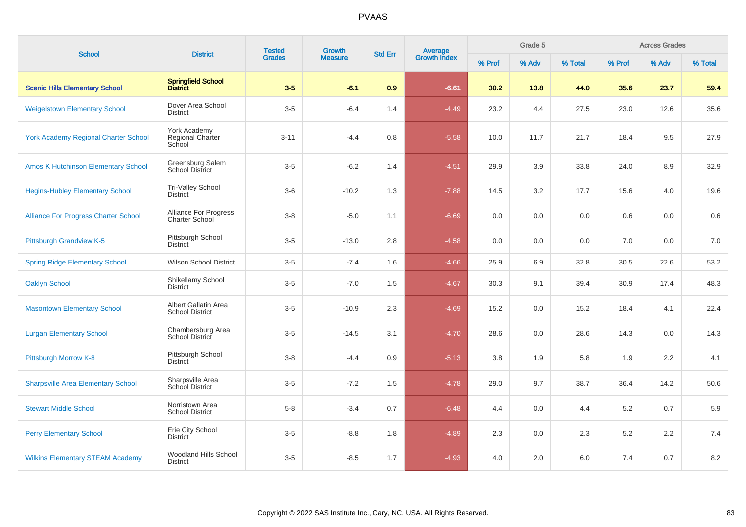| <b>School</b>                               | <b>District</b>                                       | <b>Tested</b><br>Growth<br><b>Grades</b> | <b>Std Err</b><br><b>Measure</b> | <b>Average</b><br>Growth Index |         | Grade 5 |       |         | <b>Across Grades</b> |       |         |
|---------------------------------------------|-------------------------------------------------------|------------------------------------------|----------------------------------|--------------------------------|---------|---------|-------|---------|----------------------|-------|---------|
|                                             |                                                       |                                          |                                  |                                |         | % Prof  | % Adv | % Total | % Prof               | % Adv | % Total |
| <b>Scenic Hills Elementary School</b>       | Springfield School<br>District                        | $3-5$                                    | $-6.1$                           | 0.9                            | $-6.61$ | 30.2    | 13.8  | 44.0    | 35.6                 | 23.7  | 59.4    |
| <b>Weigelstown Elementary School</b>        | Dover Area School<br>District                         | $3-5$                                    | $-6.4$                           | 1.4                            | $-4.49$ | 23.2    | 4.4   | 27.5    | 23.0                 | 12.6  | 35.6    |
| <b>York Academy Regional Charter School</b> | York Academy<br>Regional Charter<br>School            | $3 - 11$                                 | $-4.4$                           | 0.8                            | $-5.58$ | 10.0    | 11.7  | 21.7    | 18.4                 | 9.5   | 27.9    |
| <b>Amos K Hutchinson Elementary School</b>  | Greensburg Salem<br><b>School District</b>            | $3-5$                                    | $-6.2$                           | 1.4                            | $-4.51$ | 29.9    | 3.9   | 33.8    | 24.0                 | 8.9   | 32.9    |
| <b>Hegins-Hubley Elementary School</b>      | Tri-Valley School<br><b>District</b>                  | $3-6$                                    | $-10.2$                          | 1.3                            | $-7.88$ | 14.5    | 3.2   | 17.7    | 15.6                 | 4.0   | 19.6    |
| <b>Alliance For Progress Charter School</b> | <b>Alliance For Progress</b><br><b>Charter School</b> | $3-8$                                    | $-5.0$                           | 1.1                            | $-6.69$ | 0.0     | 0.0   | 0.0     | 0.6                  | 0.0   | 0.6     |
| <b>Pittsburgh Grandview K-5</b>             | Pittsburgh School<br><b>District</b>                  | $3-5$                                    | $-13.0$                          | 2.8                            | $-4.58$ | 0.0     | 0.0   | 0.0     | 7.0                  | 0.0   | 7.0     |
| <b>Spring Ridge Elementary School</b>       | <b>Wilson School District</b>                         | $3-5$                                    | $-7.4$                           | 1.6                            | $-4.66$ | 25.9    | 6.9   | 32.8    | 30.5                 | 22.6  | 53.2    |
| <b>Oaklyn School</b>                        | Shikellamy School<br>District                         | $3-5$                                    | $-7.0$                           | 1.5                            | $-4.67$ | 30.3    | 9.1   | 39.4    | 30.9                 | 17.4  | 48.3    |
| <b>Masontown Elementary School</b>          | Albert Gallatin Area<br><b>School District</b>        | $3-5$                                    | $-10.9$                          | 2.3                            | $-4.69$ | 15.2    | 0.0   | 15.2    | 18.4                 | 4.1   | 22.4    |
| <b>Lurgan Elementary School</b>             | Chambersburg Area<br><b>School District</b>           | $3-5$                                    | $-14.5$                          | 3.1                            | $-4.70$ | 28.6    | 0.0   | 28.6    | 14.3                 | 0.0   | 14.3    |
| Pittsburgh Morrow K-8                       | Pittsburgh School<br><b>District</b>                  | $3 - 8$                                  | $-4.4$                           | 0.9                            | $-5.13$ | 3.8     | 1.9   | 5.8     | 1.9                  | 2.2   | 4.1     |
| <b>Sharpsville Area Elementary School</b>   | Sharpsville Area<br>School District                   | $3-5$                                    | $-7.2$                           | 1.5                            | $-4.78$ | 29.0    | 9.7   | 38.7    | 36.4                 | 14.2  | 50.6    |
| <b>Stewart Middle School</b>                | Norristown Area<br><b>School District</b>             | $5 - 8$                                  | $-3.4$                           | 0.7                            | $-6.48$ | 4.4     | 0.0   | 4.4     | $5.2\,$              | 0.7   | 5.9     |
| <b>Perry Elementary School</b>              | Erie City School<br><b>District</b>                   | $3-5$                                    | $-8.8$                           | 1.8                            | $-4.89$ | 2.3     | 0.0   | 2.3     | $5.2\,$              | 2.2   | 7.4     |
| <b>Wilkins Elementary STEAM Academy</b>     | Woodland Hills School<br><b>District</b>              | $3-5$                                    | $-8.5$                           | 1.7                            | $-4.93$ | 4.0     | 2.0   | 6.0     | 7.4                  | 0.7   | 8.2     |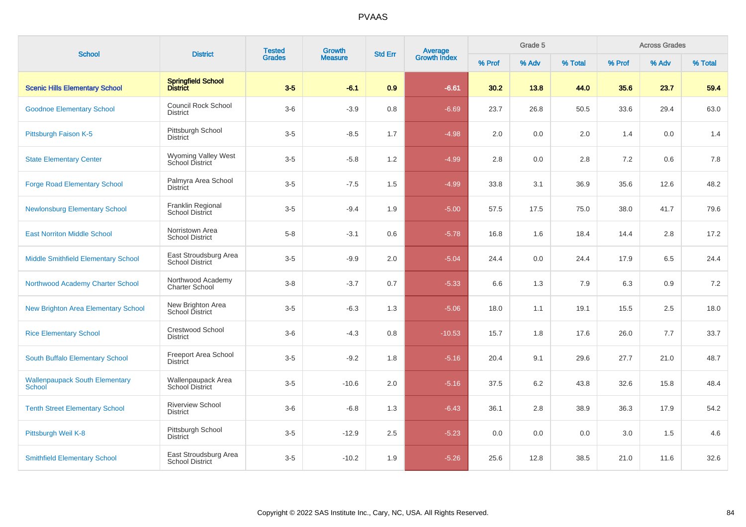| <b>School</b>                                   | <b>District</b>                                 | <b>Tested</b><br><b>Grades</b> | Growth         | <b>Std Err</b> |                                |        | Grade 5 |         |         | <b>Across Grades</b> |         |
|-------------------------------------------------|-------------------------------------------------|--------------------------------|----------------|----------------|--------------------------------|--------|---------|---------|---------|----------------------|---------|
|                                                 |                                                 |                                | <b>Measure</b> |                | <b>Average</b><br>Growth Index | % Prof | % Adv   | % Total | % Prof  | % Adv                | % Total |
| <b>Scenic Hills Elementary School</b>           | <b>Springfield School</b><br><b>District</b>    | $3-5$                          | $-6.1$         | 0.9            | $-6.61$                        | 30.2   | 13.8    | 44.0    | 35.6    | 23.7                 | 59.4    |
| <b>Goodnoe Elementary School</b>                | Council Rock School<br><b>District</b>          | $3-6$                          | $-3.9$         | 0.8            | $-6.69$                        | 23.7   | 26.8    | 50.5    | 33.6    | 29.4                 | 63.0    |
| Pittsburgh Faison K-5                           | Pittsburgh School<br><b>District</b>            | $3-5$                          | $-8.5$         | 1.7            | $-4.98$                        | 2.0    | 0.0     | 2.0     | 1.4     | 0.0                  | 1.4     |
| <b>State Elementary Center</b>                  | Wyoming Valley West<br>School District          | $3-5$                          | $-5.8$         | 1.2            | $-4.99$                        | 2.8    | 0.0     | 2.8     | 7.2     | 0.6                  | 7.8     |
| <b>Forge Road Elementary School</b>             | Palmyra Area School<br>District                 | $3-5$                          | $-7.5$         | 1.5            | $-4.99$                        | 33.8   | 3.1     | 36.9    | 35.6    | 12.6                 | 48.2    |
| <b>Newlonsburg Elementary School</b>            | Franklin Regional<br><b>School District</b>     | $3-5$                          | $-9.4$         | 1.9            | $-5.00$                        | 57.5   | 17.5    | 75.0    | 38.0    | 41.7                 | 79.6    |
| <b>East Norriton Middle School</b>              | Norristown Area<br><b>School District</b>       | $5-8$                          | $-3.1$         | 0.6            | $-5.78$                        | 16.8   | 1.6     | 18.4    | 14.4    | 2.8                  | 17.2    |
| Middle Smithfield Elementary School             | East Stroudsburg Area<br><b>School District</b> | $3-5$                          | $-9.9$         | 2.0            | $-5.04$                        | 24.4   | 0.0     | 24.4    | 17.9    | 6.5                  | 24.4    |
| Northwood Academy Charter School                | Northwood Academy<br><b>Charter School</b>      | $3 - 8$                        | $-3.7$         | 0.7            | $-5.33$                        | 6.6    | 1.3     | 7.9     | 6.3     | 0.9                  | 7.2     |
| New Brighton Area Elementary School             | New Brighton Area<br>School District            | $3-5$                          | $-6.3$         | 1.3            | $-5.06$                        | 18.0   | 1.1     | 19.1    | 15.5    | 2.5                  | 18.0    |
| <b>Rice Elementary School</b>                   | <b>Crestwood School</b><br><b>District</b>      | $3-6$                          | $-4.3$         | 0.8            | $-10.53$                       | 15.7   | 1.8     | 17.6    | 26.0    | 7.7                  | 33.7    |
| South Buffalo Elementary School                 | Freeport Area School<br>District                | $3-5$                          | $-9.2$         | 1.8            | $-5.16$                        | 20.4   | 9.1     | 29.6    | 27.7    | 21.0                 | 48.7    |
| <b>Wallenpaupack South Elementary</b><br>School | Wallenpaupack Area<br>School District           | $3-5$                          | $-10.6$        | 2.0            | $-5.16$                        | 37.5   | 6.2     | 43.8    | 32.6    | 15.8                 | 48.4    |
| <b>Tenth Street Elementary School</b>           | <b>Riverview School</b><br><b>District</b>      | $3-6$                          | $-6.8$         | 1.3            | $-6.43$                        | 36.1   | 2.8     | 38.9    | 36.3    | 17.9                 | 54.2    |
| Pittsburgh Weil K-8                             | Pittsburgh School<br><b>District</b>            | $3-5$                          | $-12.9$        | $2.5\,$        | $-5.23$                        | 0.0    | 0.0     | 0.0     | $3.0\,$ | 1.5                  | 4.6     |
| <b>Smithfield Elementary School</b>             | East Stroudsburg Area<br><b>School District</b> | $3-5$                          | $-10.2$        | 1.9            | $-5.26$                        | 25.6   | 12.8    | 38.5    | 21.0    | 11.6                 | 32.6    |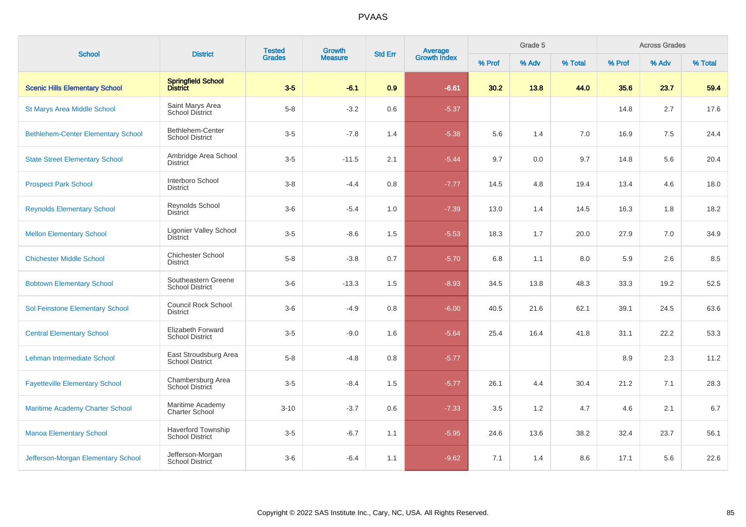| <b>School</b>                             | <b>Tested</b><br>Growth<br><b>District</b><br><b>Std Err</b> |               | Grade 5<br><b>Average</b><br>Growth Index |     |         |        | <b>Across Grades</b> |         |        |       |         |
|-------------------------------------------|--------------------------------------------------------------|---------------|-------------------------------------------|-----|---------|--------|----------------------|---------|--------|-------|---------|
|                                           |                                                              | <b>Grades</b> | <b>Measure</b>                            |     |         | % Prof | % Adv                | % Total | % Prof | % Adv | % Total |
| <b>Scenic Hills Elementary School</b>     | <b>Springfield School</b><br><b>District</b>                 | $3-5$         | $-6.1$                                    | 0.9 | $-6.61$ | 30.2   | 13.8                 | 44.0    | 35.6   | 23.7  | 59.4    |
| <b>St Marys Area Middle School</b>        | Saint Marys Area<br><b>School District</b>                   | $5 - 8$       | $-3.2$                                    | 0.6 | $-5.37$ |        |                      |         | 14.8   | 2.7   | 17.6    |
| <b>Bethlehem-Center Elementary School</b> | Bethlehem-Center<br><b>School District</b>                   | $3-5$         | $-7.8$                                    | 1.4 | $-5.38$ | 5.6    | 1.4                  | 7.0     | 16.9   | 7.5   | 24.4    |
| <b>State Street Elementary School</b>     | Ambridge Area School<br>District                             | $3-5$         | $-11.5$                                   | 2.1 | $-5.44$ | 9.7    | 0.0                  | 9.7     | 14.8   | 5.6   | 20.4    |
| <b>Prospect Park School</b>               | Interboro School<br>District                                 | $3 - 8$       | $-4.4$                                    | 0.8 | $-7.77$ | 14.5   | 4.8                  | 19.4    | 13.4   | 4.6   | 18.0    |
| <b>Reynolds Elementary School</b>         | Reynolds School<br><b>District</b>                           | $3-6$         | $-5.4$                                    | 1.0 | $-7.39$ | 13.0   | 1.4                  | 14.5    | 16.3   | 1.8   | 18.2    |
| <b>Mellon Elementary School</b>           | Ligonier Valley School<br><b>District</b>                    | $3-5$         | $-8.6$                                    | 1.5 | $-5.53$ | 18.3   | 1.7                  | 20.0    | 27.9   | 7.0   | 34.9    |
| <b>Chichester Middle School</b>           | <b>Chichester School</b><br><b>District</b>                  | $5 - 8$       | $-3.8$                                    | 0.7 | $-5.70$ | 6.8    | 1.1                  | 8.0     | 5.9    | 2.6   | 8.5     |
| <b>Bobtown Elementary School</b>          | Southeastern Greene<br><b>School District</b>                | $3-6$         | $-13.3$                                   | 1.5 | $-8.93$ | 34.5   | 13.8                 | 48.3    | 33.3   | 19.2  | 52.5    |
| <b>Sol Feinstone Elementary School</b>    | Council Rock School<br><b>District</b>                       | $3-6$         | $-4.9$                                    | 0.8 | $-6.00$ | 40.5   | 21.6                 | 62.1    | 39.1   | 24.5  | 63.6    |
| <b>Central Elementary School</b>          | Elizabeth Forward<br><b>School District</b>                  | $3-5$         | $-9.0$                                    | 1.6 | $-5.64$ | 25.4   | 16.4                 | 41.8    | 31.1   | 22.2  | 53.3    |
| Lehman Intermediate School                | East Stroudsburg Area<br><b>School District</b>              | $5-8$         | $-4.8$                                    | 0.8 | $-5.77$ |        |                      |         | 8.9    | 2.3   | 11.2    |
| <b>Fayetteville Elementary School</b>     | Chambersburg Area<br>School District                         | $3-5$         | $-8.4$                                    | 1.5 | $-5.77$ | 26.1   | 4.4                  | 30.4    | 21.2   | 7.1   | 28.3    |
| <b>Maritime Academy Charter School</b>    | Maritime Academy<br><b>Charter School</b>                    | $3 - 10$      | $-3.7$                                    | 0.6 | $-7.33$ | 3.5    | 1.2                  | 4.7     | 4.6    | 2.1   | 6.7     |
| <b>Manoa Elementary School</b>            | <b>Haverford Township</b><br><b>School District</b>          | $3-5$         | $-6.7$                                    | 1.1 | $-5.95$ | 24.6   | 13.6                 | 38.2    | 32.4   | 23.7  | 56.1    |
| Jefferson-Morgan Elementary School        | Jefferson-Morgan<br>School District                          | $3-6$         | $-6.4$                                    | 1.1 | $-9.62$ | 7.1    | 1.4                  | 8.6     | 17.1   | 5.6   | 22.6    |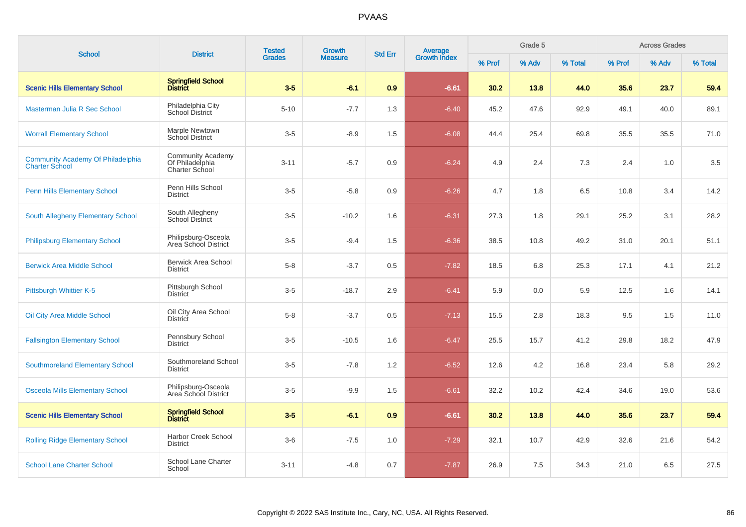| <b>School</b>                                                     | <b>District</b>                                                      | <b>Tested</b> | Growth         | <b>Std Err</b>   | Average<br>Growth Index |        | Grade 5 |         | <b>Across Grades</b> |       |         |  |
|-------------------------------------------------------------------|----------------------------------------------------------------------|---------------|----------------|------------------|-------------------------|--------|---------|---------|----------------------|-------|---------|--|
|                                                                   |                                                                      | <b>Grades</b> | <b>Measure</b> |                  |                         | % Prof | % Adv   | % Total | % Prof               | % Adv | % Total |  |
| <b>Scenic Hills Elementary School</b>                             | <b>Springfield School</b><br><b>District</b>                         | $3 - 5$       | $-6.1$         | 0.9 <sub>2</sub> | $-6.61$                 | 30.2   | 13.8    | 44.0    | 35.6                 | 23.7  | 59.4    |  |
| Masterman Julia R Sec School                                      | Philadelphia City<br>School District                                 | $5 - 10$      | $-7.7$         | 1.3              | $-6.40$                 | 45.2   | 47.6    | 92.9    | 49.1                 | 40.0  | 89.1    |  |
| <b>Worrall Elementary School</b>                                  | Marple Newtown<br>School District                                    | $3-5$         | $-8.9$         | 1.5              | $-6.08$                 | 44.4   | 25.4    | 69.8    | 35.5                 | 35.5  | 71.0    |  |
| <b>Community Academy Of Philadelphia</b><br><b>Charter School</b> | <b>Community Academy</b><br>Of Philadelphia<br><b>Charter School</b> | $3 - 11$      | $-5.7$         | 0.9              | $-6.24$                 | 4.9    | 2.4     | 7.3     | 2.4                  | 1.0   | 3.5     |  |
| <b>Penn Hills Elementary School</b>                               | Penn Hills School<br><b>District</b>                                 | $3-5$         | $-5.8$         | 0.9              | $-6.26$                 | 4.7    | 1.8     | 6.5     | 10.8                 | 3.4   | 14.2    |  |
| <b>South Allegheny Elementary School</b>                          | South Allegheny<br><b>School District</b>                            | $3-5$         | $-10.2$        | 1.6              | $-6.31$                 | 27.3   | 1.8     | 29.1    | 25.2                 | 3.1   | 28.2    |  |
| <b>Philipsburg Elementary School</b>                              | Philipsburg-Osceola<br>Area School District                          | $3-5$         | $-9.4$         | 1.5              | $-6.36$                 | 38.5   | 10.8    | 49.2    | 31.0                 | 20.1  | 51.1    |  |
| <b>Berwick Area Middle School</b>                                 | <b>Berwick Area School</b><br><b>District</b>                        | $5-8$         | $-3.7$         | 0.5              | $-7.82$                 | 18.5   | 6.8     | 25.3    | 17.1                 | 4.1   | 21.2    |  |
| Pittsburgh Whittier K-5                                           | Pittsburgh School<br><b>District</b>                                 | $3-5$         | $-18.7$        | 2.9              | $-6.41$                 | 5.9    | 0.0     | 5.9     | 12.5                 | 1.6   | 14.1    |  |
| Oil City Area Middle School                                       | Oil City Area School<br><b>District</b>                              | $5-8$         | $-3.7$         | 0.5              | $-7.13$                 | 15.5   | 2.8     | 18.3    | 9.5                  | 1.5   | 11.0    |  |
| <b>Fallsington Elementary School</b>                              | Pennsbury School<br><b>District</b>                                  | $3-5$         | $-10.5$        | 1.6              | $-6.47$                 | 25.5   | 15.7    | 41.2    | 29.8                 | 18.2  | 47.9    |  |
| <b>Southmoreland Elementary School</b>                            | Southmoreland School<br><b>District</b>                              | $3-5$         | $-7.8$         | 1.2              | $-6.52$                 | 12.6   | 4.2     | 16.8    | 23.4                 | 5.8   | 29.2    |  |
| <b>Osceola Mills Elementary School</b>                            | Philipsburg-Osceola<br>Area School District                          | $3-5$         | $-9.9$         | 1.5              | $-6.61$                 | 32.2   | 10.2    | 42.4    | 34.6                 | 19.0  | 53.6    |  |
| <b>Scenic Hills Elementary School</b>                             | <b>Springfield School</b><br><b>District</b>                         | $3-5$         | $-6.1$         | 0.9              | $-6.61$                 | 30.2   | 13.8    | 44.0    | 35.6                 | 23.7  | 59.4    |  |
| <b>Rolling Ridge Elementary School</b>                            | <b>Harbor Creek School</b><br><b>District</b>                        | $3-6$         | $-7.5$         | 1.0              | $-7.29$                 | 32.1   | 10.7    | 42.9    | 32.6                 | 21.6  | 54.2    |  |
| <b>School Lane Charter School</b>                                 | School Lane Charter<br>School                                        | $3 - 11$      | $-4.8$         | 0.7              | $-7.87$                 | 26.9   | 7.5     | 34.3    | 21.0                 | 6.5   | 27.5    |  |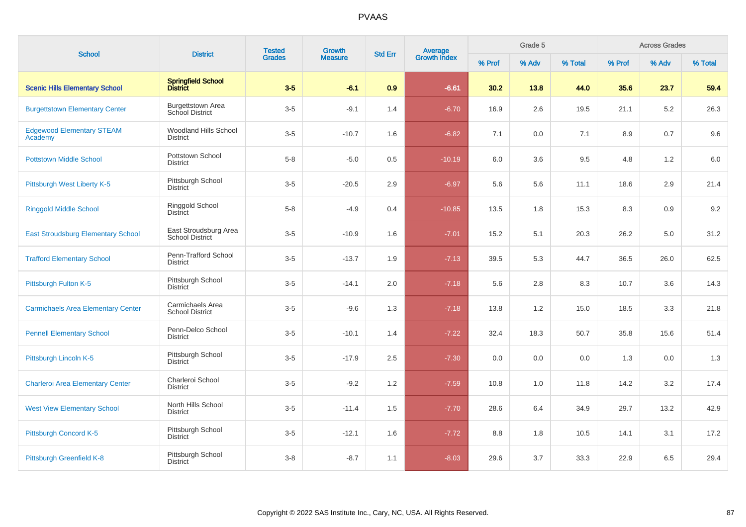| <b>School</b>                               | <b>District</b>                                    | <b>Tested</b> | Growth         | <b>Std Err</b> | Average<br>Growth Index |        | Grade 5 |         | <b>Across Grades</b> |       |         |  |
|---------------------------------------------|----------------------------------------------------|---------------|----------------|----------------|-------------------------|--------|---------|---------|----------------------|-------|---------|--|
|                                             |                                                    | <b>Grades</b> | <b>Measure</b> |                |                         | % Prof | % Adv   | % Total | % Prof               | % Adv | % Total |  |
| <b>Scenic Hills Elementary School</b>       | Springfield School<br>District                     | $3-5$         | $-6.1$         | 0.9            | $-6.61$                 | 30.2   | 13.8    | 44.0    | 35.6                 | 23.7  | 59.4    |  |
| <b>Burgettstown Elementary Center</b>       | <b>Burgettstown Area</b><br><b>School District</b> | $3-5$         | $-9.1$         | 1.4            | $-6.70$                 | 16.9   | 2.6     | 19.5    | 21.1                 | 5.2   | 26.3    |  |
| <b>Edgewood Elementary STEAM</b><br>Academy | <b>Woodland Hills School</b><br><b>District</b>    | $3-5$         | $-10.7$        | 1.6            | $-6.82$                 | 7.1    | 0.0     | 7.1     | 8.9                  | 0.7   | 9.6     |  |
| <b>Pottstown Middle School</b>              | Pottstown School<br><b>District</b>                | $5-8$         | $-5.0$         | 0.5            | $-10.19$                | 6.0    | 3.6     | 9.5     | 4.8                  | 1.2   | 6.0     |  |
| Pittsburgh West Liberty K-5                 | Pittsburgh School<br><b>District</b>               | $3-5$         | $-20.5$        | 2.9            | $-6.97$                 | 5.6    | 5.6     | 11.1    | 18.6                 | 2.9   | 21.4    |  |
| <b>Ringgold Middle School</b>               | Ringgold School<br><b>District</b>                 | $5 - 8$       | $-4.9$         | 0.4            | $-10.85$                | 13.5   | 1.8     | 15.3    | 8.3                  | 0.9   | 9.2     |  |
| <b>East Stroudsburg Elementary School</b>   | East Stroudsburg Area<br><b>School District</b>    | $3-5$         | $-10.9$        | 1.6            | $-7.01$                 | 15.2   | 5.1     | 20.3    | 26.2                 | 5.0   | 31.2    |  |
| <b>Trafford Elementary School</b>           | Penn-Trafford School<br><b>District</b>            | $3-5$         | $-13.7$        | 1.9            | $-7.13$                 | 39.5   | 5.3     | 44.7    | 36.5                 | 26.0  | 62.5    |  |
| Pittsburgh Fulton K-5                       | Pittsburgh School<br><b>District</b>               | $3-5$         | $-14.1$        | 2.0            | $-7.18$                 | 5.6    | 2.8     | 8.3     | 10.7                 | 3.6   | 14.3    |  |
| <b>Carmichaels Area Elementary Center</b>   | Carmichaels Area<br><b>School District</b>         | $3-5$         | $-9.6$         | 1.3            | $-7.18$                 | 13.8   | 1.2     | 15.0    | 18.5                 | 3.3   | 21.8    |  |
| <b>Pennell Elementary School</b>            | Penn-Delco School<br><b>District</b>               | $3-5$         | $-10.1$        | 1.4            | $-7.22$                 | 32.4   | 18.3    | 50.7    | 35.8                 | 15.6  | 51.4    |  |
| Pittsburgh Lincoln K-5                      | Pittsburgh School<br><b>District</b>               | $3-5$         | $-17.9$        | 2.5            | $-7.30$                 | 0.0    | 0.0     | 0.0     | 1.3                  | 0.0   | 1.3     |  |
| <b>Charleroi Area Elementary Center</b>     | Charleroi School<br><b>District</b>                | $3-5$         | $-9.2$         | 1.2            | $-7.59$                 | 10.8   | 1.0     | 11.8    | 14.2                 | 3.2   | 17.4    |  |
| <b>West View Elementary School</b>          | North Hills School<br><b>District</b>              | $3-5$         | $-11.4$        | 1.5            | $-7.70$                 | 28.6   | 6.4     | 34.9    | 29.7                 | 13.2  | 42.9    |  |
| Pittsburgh Concord K-5                      | Pittsburgh School<br><b>District</b>               | $3-5$         | $-12.1$        | 1.6            | $-7.72$                 | 8.8    | 1.8     | 10.5    | 14.1                 | 3.1   | 17.2    |  |
| <b>Pittsburgh Greenfield K-8</b>            | Pittsburgh School<br><b>District</b>               | $3 - 8$       | $-8.7$         | 1.1            | $-8.03$                 | 29.6   | 3.7     | 33.3    | 22.9                 | 6.5   | 29.4    |  |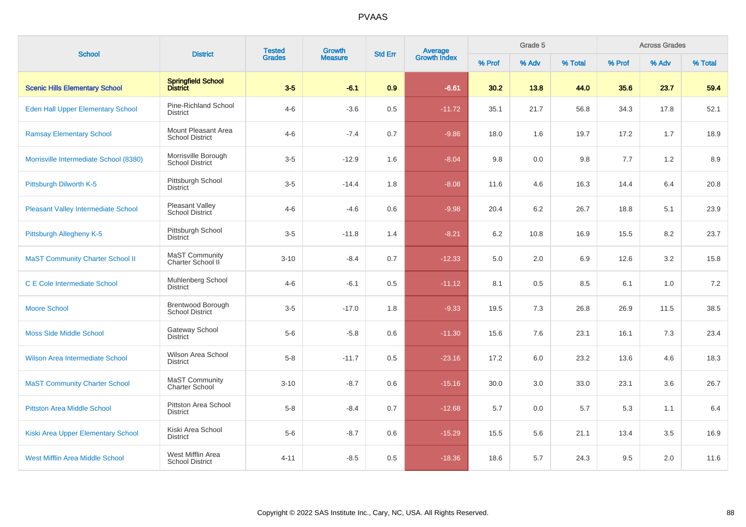| <b>School</b>                              | <b>District</b>                                    | <b>Tested</b> | Growth         | <b>Std Err</b> | <b>Average</b><br>Growth Index |        | Grade 5 |         | <b>Across Grades</b> |       |         |  |
|--------------------------------------------|----------------------------------------------------|---------------|----------------|----------------|--------------------------------|--------|---------|---------|----------------------|-------|---------|--|
|                                            |                                                    | <b>Grades</b> | <b>Measure</b> |                |                                | % Prof | % Adv   | % Total | % Prof               | % Adv | % Total |  |
| <b>Scenic Hills Elementary School</b>      | Springfield School<br>District                     | $3-5$         | $-6.1$         | 0.9            | $-6.61$                        | 30.2   | 13.8    | 44.0    | 35.6                 | 23.7  | 59.4    |  |
| Eden Hall Upper Elementary School          | Pine-Richland School<br><b>District</b>            | $4 - 6$       | $-3.6$         | 0.5            | $-11.72$                       | 35.1   | 21.7    | 56.8    | 34.3                 | 17.8  | 52.1    |  |
| <b>Ramsay Elementary School</b>            | Mount Pleasant Area<br><b>School District</b>      | $4 - 6$       | $-7.4$         | 0.7            | $-9.86$                        | 18.0   | 1.6     | 19.7    | 17.2                 | 1.7   | 18.9    |  |
| Morrisville Intermediate School (8380)     | Morrisville Borough<br><b>School District</b>      | $3-5$         | $-12.9$        | 1.6            | $-8.04$                        | 9.8    | 0.0     | 9.8     | 7.7                  | 1.2   | 8.9     |  |
| Pittsburgh Dilworth K-5                    | Pittsburgh School<br><b>District</b>               | $3-5$         | $-14.4$        | 1.8            | $-8.08$                        | 11.6   | 4.6     | 16.3    | 14.4                 | 6.4   | 20.8    |  |
| <b>Pleasant Valley Intermediate School</b> | Pleasant Valley<br>School District                 | $4 - 6$       | $-4.6$         | 0.6            | $-9.98$                        | 20.4   | 6.2     | 26.7    | 18.8                 | 5.1   | 23.9    |  |
| Pittsburgh Allegheny K-5                   | Pittsburgh School<br><b>District</b>               | $3-5$         | $-11.8$        | 1.4            | $-8.21$                        | 6.2    | 10.8    | 16.9    | 15.5                 | 8.2   | 23.7    |  |
| <b>MaST Community Charter School II</b>    | MaST Community<br>Charter School II                | $3 - 10$      | $-8.4$         | 0.7            | $-12.33$                       | 5.0    | 2.0     | 6.9     | 12.6                 | 3.2   | 15.8    |  |
| <b>C E Cole Intermediate School</b>        | Muhlenberg School<br><b>District</b>               | $4 - 6$       | $-6.1$         | 0.5            | $-11.12$                       | 8.1    | 0.5     | 8.5     | 6.1                  | 1.0   | 7.2     |  |
| <b>Moore School</b>                        | <b>Brentwood Borough</b><br><b>School District</b> | $3-5$         | $-17.0$        | 1.8            | $-9.33$                        | 19.5   | 7.3     | 26.8    | 26.9                 | 11.5  | 38.5    |  |
| <b>Moss Side Middle School</b>             | Gateway School<br><b>District</b>                  | $5-6$         | $-5.8$         | 0.6            | $-11.30$                       | 15.6   | 7.6     | 23.1    | 16.1                 | 7.3   | 23.4    |  |
| Wilson Area Intermediate School            | Wilson Area School<br><b>District</b>              | $5 - 8$       | $-11.7$        | 0.5            | $-23.16$                       | 17.2   | 6.0     | 23.2    | 13.6                 | 4.6   | 18.3    |  |
| <b>MaST Community Charter School</b>       | MaST Community<br><b>Charter School</b>            | $3 - 10$      | $-8.7$         | 0.6            | $-15.16$                       | 30.0   | 3.0     | 33.0    | 23.1                 | 3.6   | 26.7    |  |
| <b>Pittston Area Middle School</b>         | <b>Pittston Area School</b><br><b>District</b>     | $5-8$         | $-8.4$         | 0.7            | $-12.68$                       | 5.7    | 0.0     | 5.7     | 5.3                  | 1.1   | 6.4     |  |
| Kiski Area Upper Elementary School         | Kiski Area School<br><b>District</b>               | $5-6$         | $-8.7$         | $0.6\,$        | $-15.29$                       | 15.5   | 5.6     | 21.1    | 13.4                 | 3.5   | 16.9    |  |
| <b>West Mifflin Area Middle School</b>     | West Mifflin Area<br><b>School District</b>        | $4 - 11$      | $-8.5$         | 0.5            | $-18.36$                       | 18.6   | 5.7     | 24.3    | 9.5                  | 2.0   | 11.6    |  |